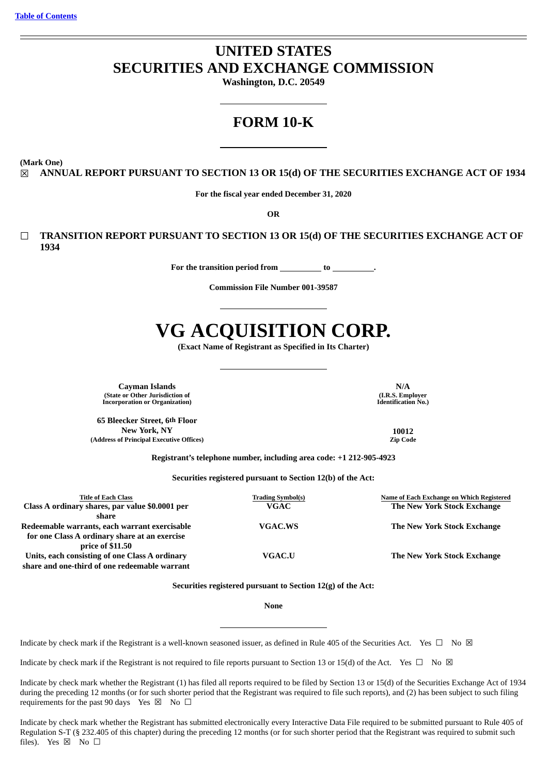# **UNITED STATES SECURITIES AND EXCHANGE COMMISSION**

**Washington, D.C. 20549**

# **FORM 10-K**

**(Mark One)**

☒ **ANNUAL REPORT PURSUANT TO SECTION 13 OR 15(d) OF THE SECURITIES EXCHANGE ACT OF 1934**

**For the fiscal year ended December 31, 2020**

**OR**

☐ **TRANSITION REPORT PURSUANT TO SECTION 13 OR 15(d) OF THE SECURITIES EXCHANGE ACT OF 1934**

**For the transition period from to .**

**Commission File Number 001-39587**

# **VG ACQUISITION CORP.**

**(Exact Name of Registrant as Specified in Its Charter)**

**Cayman Islands N/A (State or Other Jurisdiction of Incorporation or Organization)**

**65 Bleecker Street, 6th Floor New York, NY 10012 (Address of Principal Executive Offices)** 

**(I.R.S. Employer Identification No.)**

**Registrant's telephone number, including area code: +1 212-905-4923**

**Securities registered pursuant to Section 12(b) of the Act:**

| <b>Title of Each Class</b><br>Class A ordinary shares, par value \$0.0001 per<br>share                             | <b>Trading Symbol(s)</b><br><b>VGAC</b> | Name of Each Exchange on Which Registered<br>The New York Stock Exchange |
|--------------------------------------------------------------------------------------------------------------------|-----------------------------------------|--------------------------------------------------------------------------|
| Redeemable warrants, each warrant exercisable<br>for one Class A ordinary share at an exercise<br>price of \$11.50 | VGAC.WS                                 | The New York Stock Exchange                                              |
| Units, each consisting of one Class A ordinary<br>share and one-third of one redeemable warrant                    | VGAC.U                                  | The New York Stock Exchange                                              |

**Securities registered pursuant to Section 12(g) of the Act:**

**None**

Indicate by check mark if the Registrant is a well-known seasoned issuer, as defined in Rule 405 of the Securities Act. Yes  $\Box$  No  $\boxtimes$ 

Indicate by check mark if the Registrant is not required to file reports pursuant to Section 13 or 15(d) of the Act. Yes  $\Box$  No  $\boxtimes$ 

Indicate by check mark whether the Registrant (1) has filed all reports required to be filed by Section 13 or 15(d) of the Securities Exchange Act of 1934 during the preceding 12 months (or for such shorter period that the Registrant was required to file such reports), and (2) has been subject to such filing requirements for the past 90 days Yes  $\boxtimes$  No  $\Box$ 

Indicate by check mark whether the Registrant has submitted electronically every Interactive Data File required to be submitted pursuant to Rule 405 of Regulation S-T (§ 232.405 of this chapter) during the preceding 12 months (or for such shorter period that the Registrant was required to submit such files). Yes  $\boxtimes$  No  $\square$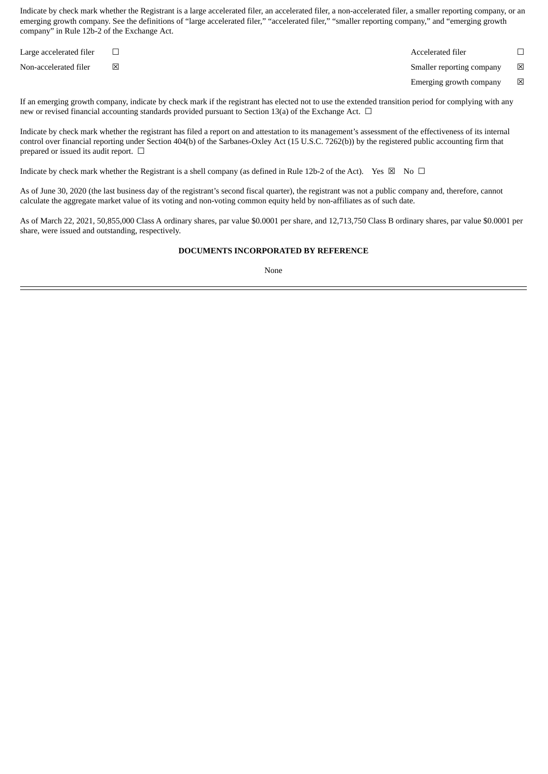Indicate by check mark whether the Registrant is a large accelerated filer, an accelerated filer, a non-accelerated filer, a smaller reporting company, or an emerging growth company. See the definitions of "large accelerated filer," "accelerated filer," "smaller reporting company," and "emerging growth company" in Rule 12b-2 of the Exchange Act.

| Large accelerated filer |   | Accelerated filer         |             |
|-------------------------|---|---------------------------|-------------|
| Non-accelerated filer   | X | Smaller reporting company | $\boxtimes$ |
|                         |   | Emerging growth company   | $\boxtimes$ |

If an emerging growth company, indicate by check mark if the registrant has elected not to use the extended transition period for complying with any new or revised financial accounting standards provided pursuant to Section 13(a) of the Exchange Act. □

Indicate by check mark whether the registrant has filed a report on and attestation to its management's assessment of the effectiveness of its internal control over financial reporting under Section 404(b) of the Sarbanes-Oxley Act (15 U.S.C. 7262(b)) by the registered public accounting firm that prepared or issued its audit report.  $\Box$ 

Indicate by check mark whether the Registrant is a shell company (as defined in Rule 12b-2 of the Act). Yes  $\boxtimes$  No  $\Box$ 

As of June 30, 2020 (the last business day of the registrant's second fiscal quarter), the registrant was not a public company and, therefore, cannot calculate the aggregate market value of its voting and non-voting common equity held by non-affiliates as of such date.

As of March 22, 2021, 50,855,000 Class A ordinary shares, par value \$0.0001 per share, and 12,713,750 Class B ordinary shares, par value \$0.0001 per share, were issued and outstanding, respectively.

# **DOCUMENTS INCORPORATED BY REFERENCE**

None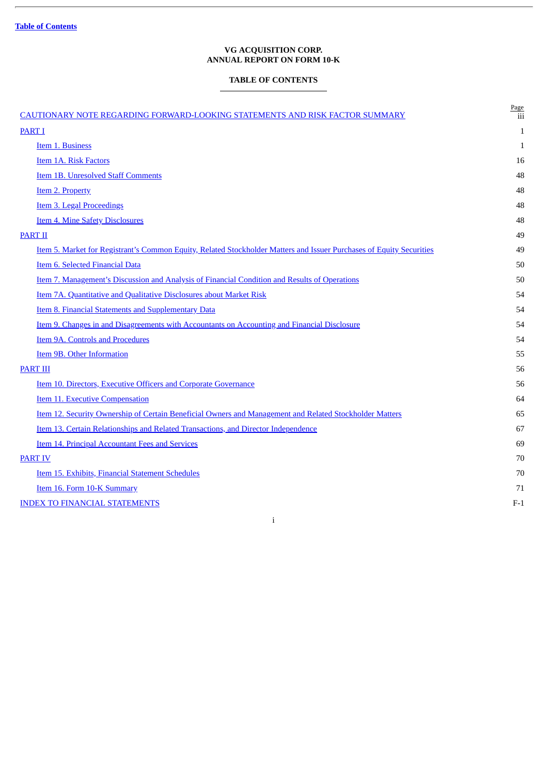ł.

# **VG ACQUISITION CORP. ANNUAL REPORT ON FORM 10-K**

# **TABLE OF CONTENTS**

<span id="page-2-0"></span>

| CAUTIONARY NOTE REGARDING FORWARD-LOOKING STATEMENTS AND RISK FACTOR SUMMARY                                         | Page<br>iii  |
|----------------------------------------------------------------------------------------------------------------------|--------------|
| <b>PART I</b>                                                                                                        | 1            |
| Item 1. Business                                                                                                     | $\mathbf{1}$ |
| <b>Item 1A. Risk Factors</b>                                                                                         | 16           |
| <b>Item 1B. Unresolved Staff Comments</b>                                                                            | 48           |
| Item 2. Property                                                                                                     | 48           |
| Item 3. Legal Proceedings                                                                                            | 48           |
| <b>Item 4. Mine Safety Disclosures</b>                                                                               | 48           |
| <b>PART II</b>                                                                                                       | 49           |
| Item 5. Market for Registrant's Common Equity, Related Stockholder Matters and Issuer Purchases of Equity Securities | 49           |
| Item 6. Selected Financial Data                                                                                      | 50           |
| Item 7. Management's Discussion and Analysis of Financial Condition and Results of Operations                        | 50           |
| Item 7A. Quantitative and Qualitative Disclosures about Market Risk                                                  | 54           |
| Item 8. Financial Statements and Supplementary Data                                                                  | 54           |
| Item 9. Changes in and Disagreements with Accountants on Accounting and Financial Disclosure                         | 54           |
| Item 9A. Controls and Procedures                                                                                     | 54           |
| Item 9B. Other Information                                                                                           | 55           |
| <b>PART III</b>                                                                                                      | 56           |
| <b>Item 10. Directors, Executive Officers and Corporate Governance</b>                                               | 56           |
| <b>Item 11. Executive Compensation</b>                                                                               | 64           |
| Item 12. Security Ownership of Certain Beneficial Owners and Management and Related Stockholder Matters              | 65           |
| Item 13. Certain Relationships and Related Transactions, and Director Independence                                   | 67           |
| <b>Item 14. Principal Accountant Fees and Services</b>                                                               | 69           |
| <b>PART IV</b>                                                                                                       | 70           |
| Item 15. Exhibits, Financial Statement Schedules                                                                     | 70           |
| Item 16. Form 10-K Summary                                                                                           | 71           |
| <b>INDEX TO FINANCIAL STATEMENTS</b>                                                                                 | $F-1$        |
|                                                                                                                      |              |

i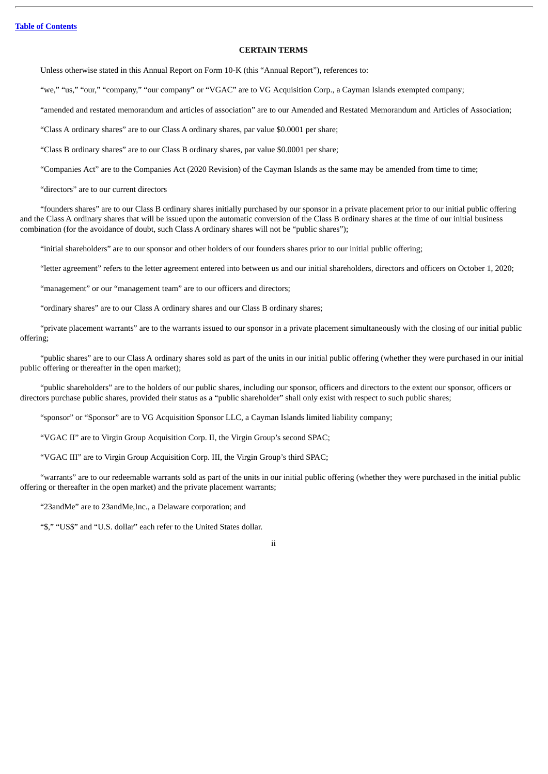#### **CERTAIN TERMS**

Unless otherwise stated in this Annual Report on Form 10-K (this "Annual Report"), references to:

"we," "us," "our," "company," "our company" or "VGAC" are to VG Acquisition Corp., a Cayman Islands exempted company;

"amended and restated memorandum and articles of association" are to our Amended and Restated Memorandum and Articles of Association;

"Class A ordinary shares" are to our Class A ordinary shares, par value \$0.0001 per share;

"Class B ordinary shares" are to our Class B ordinary shares, par value \$0.0001 per share;

"Companies Act" are to the Companies Act (2020 Revision) of the Cayman Islands as the same may be amended from time to time;

"directors" are to our current directors

"founders shares" are to our Class B ordinary shares initially purchased by our sponsor in a private placement prior to our initial public offering and the Class A ordinary shares that will be issued upon the automatic conversion of the Class B ordinary shares at the time of our initial business combination (for the avoidance of doubt, such Class A ordinary shares will not be "public shares");

"initial shareholders" are to our sponsor and other holders of our founders shares prior to our initial public offering;

"letter agreement" refers to the letter agreement entered into between us and our initial shareholders, directors and officers on October 1, 2020;

"management" or our "management team" are to our officers and directors;

"ordinary shares" are to our Class A ordinary shares and our Class B ordinary shares;

"private placement warrants" are to the warrants issued to our sponsor in a private placement simultaneously with the closing of our initial public offering;

"public shares" are to our Class A ordinary shares sold as part of the units in our initial public offering (whether they were purchased in our initial public offering or thereafter in the open market);

"public shareholders" are to the holders of our public shares, including our sponsor, officers and directors to the extent our sponsor, officers or directors purchase public shares, provided their status as a "public shareholder" shall only exist with respect to such public shares;

"sponsor" or "Sponsor" are to VG Acquisition Sponsor LLC, a Cayman Islands limited liability company;

"VGAC II" are to Virgin Group Acquisition Corp. II, the Virgin Group's second SPAC;

"VGAC III" are to Virgin Group Acquisition Corp. III, the Virgin Group's third SPAC;

"warrants" are to our redeemable warrants sold as part of the units in our initial public offering (whether they were purchased in the initial public offering or thereafter in the open market) and the private placement warrants;

"23andMe" are to 23andMe,Inc., a Delaware corporation; and

"\$," "US\$" and "U.S. dollar" each refer to the United States dollar.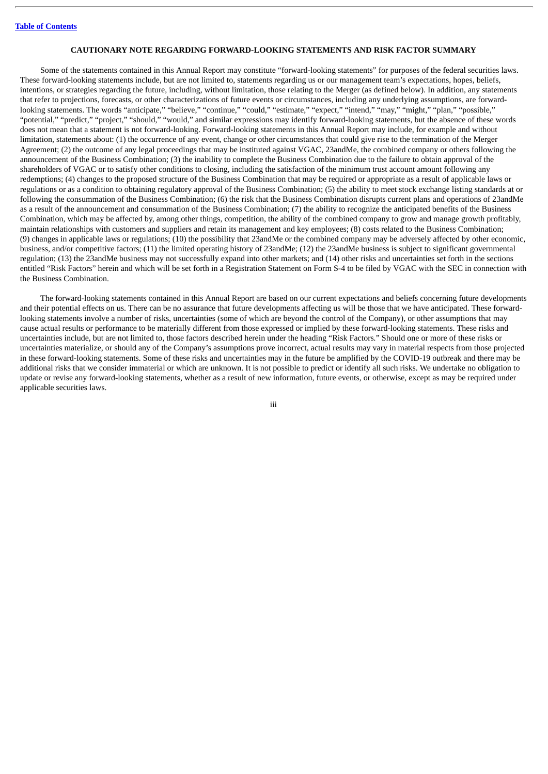#### **CAUTIONARY NOTE REGARDING FORWARD-LOOKING STATEMENTS AND RISK FACTOR SUMMARY**

<span id="page-4-0"></span>Some of the statements contained in this Annual Report may constitute "forward-looking statements" for purposes of the federal securities laws. These forward-looking statements include, but are not limited to, statements regarding us or our management team's expectations, hopes, beliefs, intentions, or strategies regarding the future, including, without limitation, those relating to the Merger (as defined below). In addition, any statements that refer to projections, forecasts, or other characterizations of future events or circumstances, including any underlying assumptions, are forwardlooking statements. The words "anticipate," "believe," "continue," "could," "estimate," "expect," "intend," "may," "might," "plan," "possible," "potential," "predict," "project," "should," "would," and similar expressions may identify forward-looking statements, but the absence of these words does not mean that a statement is not forward-looking. Forward-looking statements in this Annual Report may include, for example and without limitation, statements about: (1) the occurrence of any event, change or other circumstances that could give rise to the termination of the Merger Agreement; (2) the outcome of any legal proceedings that may be instituted against VGAC, 23andMe, the combined company or others following the announcement of the Business Combination; (3) the inability to complete the Business Combination due to the failure to obtain approval of the shareholders of VGAC or to satisfy other conditions to closing, including the satisfaction of the minimum trust account amount following any redemptions; (4) changes to the proposed structure of the Business Combination that may be required or appropriate as a result of applicable laws or regulations or as a condition to obtaining regulatory approval of the Business Combination; (5) the ability to meet stock exchange listing standards at or following the consummation of the Business Combination; (6) the risk that the Business Combination disrupts current plans and operations of 23andMe as a result of the announcement and consummation of the Business Combination; (7) the ability to recognize the anticipated benefits of the Business Combination, which may be affected by, among other things, competition, the ability of the combined company to grow and manage growth profitably, maintain relationships with customers and suppliers and retain its management and key employees; (8) costs related to the Business Combination; (9) changes in applicable laws or regulations; (10) the possibility that 23andMe or the combined company may be adversely affected by other economic, business, and/or competitive factors; (11) the limited operating history of 23andMe; (12) the 23andMe business is subject to significant governmental regulation; (13) the 23andMe business may not successfully expand into other markets; and (14) other risks and uncertainties set forth in the sections entitled "Risk Factors" herein and which will be set forth in a Registration Statement on Form S-4 to be filed by VGAC with the SEC in connection with the Business Combination.

The forward-looking statements contained in this Annual Report are based on our current expectations and beliefs concerning future developments and their potential effects on us. There can be no assurance that future developments affecting us will be those that we have anticipated. These forwardlooking statements involve a number of risks, uncertainties (some of which are beyond the control of the Company), or other assumptions that may cause actual results or performance to be materially different from those expressed or implied by these forward-looking statements. These risks and uncertainties include, but are not limited to, those factors described herein under the heading "Risk Factors*.*" Should one or more of these risks or uncertainties materialize, or should any of the Company's assumptions prove incorrect, actual results may vary in material respects from those projected in these forward-looking statements. Some of these risks and uncertainties may in the future be amplified by the COVID-19 outbreak and there may be additional risks that we consider immaterial or which are unknown. It is not possible to predict or identify all such risks. We undertake no obligation to update or revise any forward-looking statements, whether as a result of new information, future events, or otherwise, except as may be required under applicable securities laws.

iii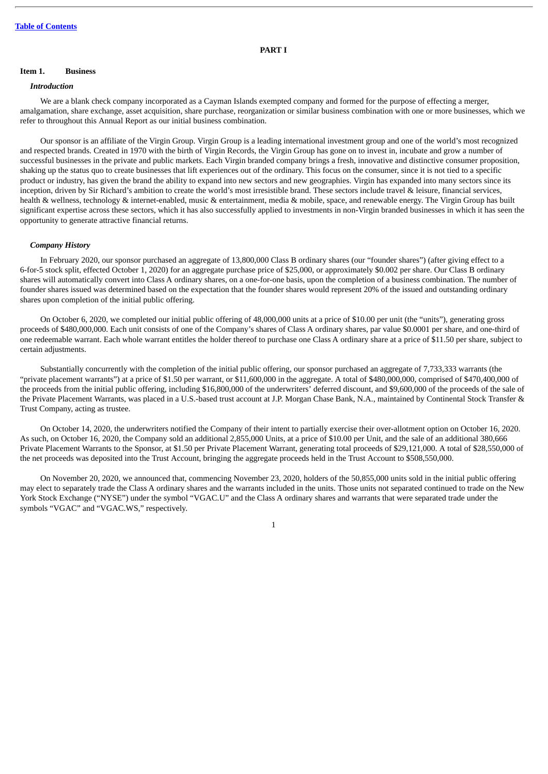#### **PART I**

#### <span id="page-5-1"></span><span id="page-5-0"></span>**Item 1. Business**

#### *Introduction*

We are a blank check company incorporated as a Cayman Islands exempted company and formed for the purpose of effecting a merger, amalgamation, share exchange, asset acquisition, share purchase, reorganization or similar business combination with one or more businesses, which we refer to throughout this Annual Report as our initial business combination.

Our sponsor is an affiliate of the Virgin Group. Virgin Group is a leading international investment group and one of the world's most recognized and respected brands. Created in 1970 with the birth of Virgin Records, the Virgin Group has gone on to invest in, incubate and grow a number of successful businesses in the private and public markets. Each Virgin branded company brings a fresh, innovative and distinctive consumer proposition, shaking up the status quo to create businesses that lift experiences out of the ordinary. This focus on the consumer, since it is not tied to a specific product or industry, has given the brand the ability to expand into new sectors and new geographies. Virgin has expanded into many sectors since its inception, driven by Sir Richard's ambition to create the world's most irresistible brand. These sectors include travel & leisure, financial services, health & wellness, technology & internet-enabled, music & entertainment, media & mobile, space, and renewable energy. The Virgin Group has built significant expertise across these sectors, which it has also successfully applied to investments in non-Virgin branded businesses in which it has seen the opportunity to generate attractive financial returns.

#### *Company History*

In February 2020, our sponsor purchased an aggregate of 13,800,000 Class B ordinary shares (our "founder shares") (after giving effect to a 6-for-5 stock split, effected October 1, 2020) for an aggregate purchase price of \$25,000, or approximately \$0.002 per share. Our Class B ordinary shares will automatically convert into Class A ordinary shares, on a one-for-one basis, upon the completion of a business combination. The number of founder shares issued was determined based on the expectation that the founder shares would represent 20% of the issued and outstanding ordinary shares upon completion of the initial public offering.

On October 6, 2020, we completed our initial public offering of 48,000,000 units at a price of \$10.00 per unit (the "units"), generating gross proceeds of \$480,000,000. Each unit consists of one of the Company's shares of Class A ordinary shares, par value \$0.0001 per share, and one-third of one redeemable warrant. Each whole warrant entitles the holder thereof to purchase one Class A ordinary share at a price of \$11.50 per share, subject to certain adjustments.

Substantially concurrently with the completion of the initial public offering, our sponsor purchased an aggregate of 7,733,333 warrants (the "private placement warrants") at a price of \$1.50 per warrant, or \$11,600,000 in the aggregate. A total of \$480,000,000, comprised of \$470,400,000 of the proceeds from the initial public offering, including \$16,800,000 of the underwriters' deferred discount, and \$9,600,000 of the proceeds of the sale of the Private Placement Warrants, was placed in a U.S.-based trust account at J.P. Morgan Chase Bank, N.A., maintained by Continental Stock Transfer & Trust Company, acting as trustee.

On October 14, 2020, the underwriters notified the Company of their intent to partially exercise their over-allotment option on October 16, 2020. As such, on October 16, 2020, the Company sold an additional 2,855,000 Units, at a price of \$10.00 per Unit, and the sale of an additional 380,666 Private Placement Warrants to the Sponsor, at \$1.50 per Private Placement Warrant, generating total proceeds of \$29,121,000. A total of \$28,550,000 of the net proceeds was deposited into the Trust Account, bringing the aggregate proceeds held in the Trust Account to \$508,550,000.

On November 20, 2020, we announced that, commencing November 23, 2020, holders of the 50,855,000 units sold in the initial public offering may elect to separately trade the Class A ordinary shares and the warrants included in the units. Those units not separated continued to trade on the New York Stock Exchange ("NYSE") under the symbol "VGAC.U" and the Class A ordinary shares and warrants that were separated trade under the symbols "VGAC" and "VGAC.WS," respectively.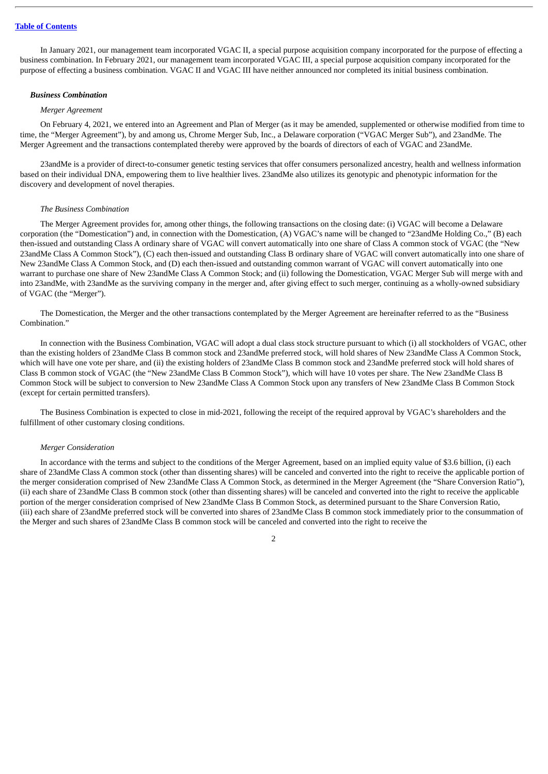In January 2021, our management team incorporated VGAC II, a special purpose acquisition company incorporated for the purpose of effecting a business combination. In February 2021, our management team incorporated VGAC III, a special purpose acquisition company incorporated for the purpose of effecting a business combination. VGAC II and VGAC III have neither announced nor completed its initial business combination.

#### *Business Combination*

#### *Merger Agreement*

On February 4, 2021, we entered into an Agreement and Plan of Merger (as it may be amended, supplemented or otherwise modified from time to time, the "Merger Agreement"), by and among us, Chrome Merger Sub, Inc., a Delaware corporation ("VGAC Merger Sub"), and 23andMe. The Merger Agreement and the transactions contemplated thereby were approved by the boards of directors of each of VGAC and 23andMe.

23andMe is a provider of direct-to-consumer genetic testing services that offer consumers personalized ancestry, health and wellness information based on their individual DNA, empowering them to live healthier lives. 23andMe also utilizes its genotypic and phenotypic information for the discovery and development of novel therapies.

#### *The Business Combination*

The Merger Agreement provides for, among other things, the following transactions on the closing date: (i) VGAC will become a Delaware corporation (the "Domestication") and, in connection with the Domestication, (A) VGAC's name will be changed to "23andMe Holding Co.," (B) each then-issued and outstanding Class A ordinary share of VGAC will convert automatically into one share of Class A common stock of VGAC (the "New 23andMe Class A Common Stock"), (C) each then-issued and outstanding Class B ordinary share of VGAC will convert automatically into one share of New 23andMe Class A Common Stock, and (D) each then-issued and outstanding common warrant of VGAC will convert automatically into one warrant to purchase one share of New 23andMe Class A Common Stock; and (ii) following the Domestication, VGAC Merger Sub will merge with and into 23andMe, with 23andMe as the surviving company in the merger and, after giving effect to such merger, continuing as a wholly-owned subsidiary of VGAC (the "Merger").

The Domestication, the Merger and the other transactions contemplated by the Merger Agreement are hereinafter referred to as the "Business Combination."

In connection with the Business Combination, VGAC will adopt a dual class stock structure pursuant to which (i) all stockholders of VGAC, other than the existing holders of 23andMe Class B common stock and 23andMe preferred stock, will hold shares of New 23andMe Class A Common Stock, which will have one vote per share, and (ii) the existing holders of 23andMe Class B common stock and 23andMe preferred stock will hold shares of Class B common stock of VGAC (the "New 23andMe Class B Common Stock"), which will have 10 votes per share. The New 23andMe Class B Common Stock will be subject to conversion to New 23andMe Class A Common Stock upon any transfers of New 23andMe Class B Common Stock (except for certain permitted transfers).

The Business Combination is expected to close in mid-2021, following the receipt of the required approval by VGAC's shareholders and the fulfillment of other customary closing conditions.

#### *Merger Consideration*

In accordance with the terms and subject to the conditions of the Merger Agreement, based on an implied equity value of \$3.6 billion, (i) each share of 23andMe Class A common stock (other than dissenting shares) will be canceled and converted into the right to receive the applicable portion of the merger consideration comprised of New 23andMe Class A Common Stock, as determined in the Merger Agreement (the "Share Conversion Ratio"), (ii) each share of 23andMe Class B common stock (other than dissenting shares) will be canceled and converted into the right to receive the applicable portion of the merger consideration comprised of New 23andMe Class B Common Stock, as determined pursuant to the Share Conversion Ratio, (iii) each share of 23andMe preferred stock will be converted into shares of 23andMe Class B common stock immediately prior to the consummation of the Merger and such shares of 23andMe Class B common stock will be canceled and converted into the right to receive the

 $\overline{2}$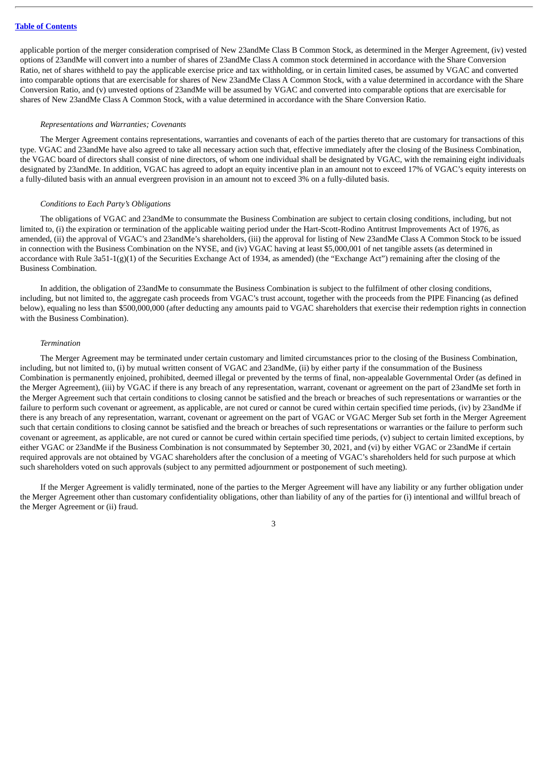applicable portion of the merger consideration comprised of New 23andMe Class B Common Stock, as determined in the Merger Agreement, (iv) vested options of 23andMe will convert into a number of shares of 23andMe Class A common stock determined in accordance with the Share Conversion Ratio, net of shares withheld to pay the applicable exercise price and tax withholding, or in certain limited cases, be assumed by VGAC and converted into comparable options that are exercisable for shares of New 23andMe Class A Common Stock, with a value determined in accordance with the Share Conversion Ratio, and (v) unvested options of 23andMe will be assumed by VGAC and converted into comparable options that are exercisable for shares of New 23andMe Class A Common Stock, with a value determined in accordance with the Share Conversion Ratio.

#### *Representations and Warranties; Covenants*

The Merger Agreement contains representations, warranties and covenants of each of the parties thereto that are customary for transactions of this type. VGAC and 23andMe have also agreed to take all necessary action such that, effective immediately after the closing of the Business Combination, the VGAC board of directors shall consist of nine directors, of whom one individual shall be designated by VGAC, with the remaining eight individuals designated by 23andMe. In addition, VGAC has agreed to adopt an equity incentive plan in an amount not to exceed 17% of VGAC's equity interests on a fully-diluted basis with an annual evergreen provision in an amount not to exceed 3% on a fully-diluted basis.

#### *Conditions to Each Party's Obligations*

The obligations of VGAC and 23andMe to consummate the Business Combination are subject to certain closing conditions, including, but not limited to, (i) the expiration or termination of the applicable waiting period under the Hart-Scott-Rodino Antitrust Improvements Act of 1976, as amended, (ii) the approval of VGAC's and 23andMe's shareholders, (iii) the approval for listing of New 23andMe Class A Common Stock to be issued in connection with the Business Combination on the NYSE, and (iv) VGAC having at least \$5,000,001 of net tangible assets (as determined in accordance with Rule 3a51-1(g)(1) of the Securities Exchange Act of 1934, as amended) (the "Exchange Act") remaining after the closing of the Business Combination.

In addition, the obligation of 23andMe to consummate the Business Combination is subject to the fulfilment of other closing conditions, including, but not limited to, the aggregate cash proceeds from VGAC's trust account, together with the proceeds from the PIPE Financing (as defined below), equaling no less than \$500,000,000 (after deducting any amounts paid to VGAC shareholders that exercise their redemption rights in connection with the Business Combination).

#### *Termination*

The Merger Agreement may be terminated under certain customary and limited circumstances prior to the closing of the Business Combination, including, but not limited to, (i) by mutual written consent of VGAC and 23andMe, (ii) by either party if the consummation of the Business Combination is permanently enjoined, prohibited, deemed illegal or prevented by the terms of final, non-appealable Governmental Order (as defined in the Merger Agreement), (iii) by VGAC if there is any breach of any representation, warrant, covenant or agreement on the part of 23andMe set forth in the Merger Agreement such that certain conditions to closing cannot be satisfied and the breach or breaches of such representations or warranties or the failure to perform such covenant or agreement, as applicable, are not cured or cannot be cured within certain specified time periods, (iv) by 23andMe if there is any breach of any representation, warrant, covenant or agreement on the part of VGAC or VGAC Merger Sub set forth in the Merger Agreement such that certain conditions to closing cannot be satisfied and the breach or breaches of such representations or warranties or the failure to perform such covenant or agreement, as applicable, are not cured or cannot be cured within certain specified time periods, (v) subject to certain limited exceptions, by either VGAC or 23andMe if the Business Combination is not consummated by September 30, 2021, and (vi) by either VGAC or 23andMe if certain required approvals are not obtained by VGAC shareholders after the conclusion of a meeting of VGAC's shareholders held for such purpose at which such shareholders voted on such approvals (subject to any permitted adjournment or postponement of such meeting).

If the Merger Agreement is validly terminated, none of the parties to the Merger Agreement will have any liability or any further obligation under the Merger Agreement other than customary confidentiality obligations, other than liability of any of the parties for (i) intentional and willful breach of the Merger Agreement or (ii) fraud.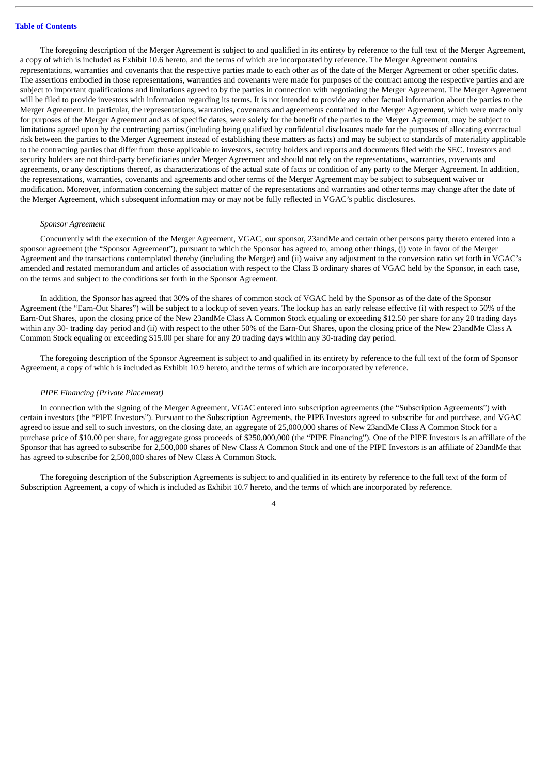The foregoing description of the Merger Agreement is subject to and qualified in its entirety by reference to the full text of the Merger Agreement, a copy of which is included as Exhibit 10.6 hereto, and the terms of which are incorporated by reference. The Merger Agreement contains representations, warranties and covenants that the respective parties made to each other as of the date of the Merger Agreement or other specific dates. The assertions embodied in those representations, warranties and covenants were made for purposes of the contract among the respective parties and are subject to important qualifications and limitations agreed to by the parties in connection with negotiating the Merger Agreement. The Merger Agreement will be filed to provide investors with information regarding its terms. It is not intended to provide any other factual information about the parties to the Merger Agreement. In particular, the representations, warranties, covenants and agreements contained in the Merger Agreement, which were made only for purposes of the Merger Agreement and as of specific dates, were solely for the benefit of the parties to the Merger Agreement, may be subject to limitations agreed upon by the contracting parties (including being qualified by confidential disclosures made for the purposes of allocating contractual risk between the parties to the Merger Agreement instead of establishing these matters as facts) and may be subject to standards of materiality applicable to the contracting parties that differ from those applicable to investors, security holders and reports and documents filed with the SEC. Investors and security holders are not third-party beneficiaries under Merger Agreement and should not rely on the representations, warranties, covenants and agreements, or any descriptions thereof, as characterizations of the actual state of facts or condition of any party to the Merger Agreement. In addition, the representations, warranties, covenants and agreements and other terms of the Merger Agreement may be subject to subsequent waiver or modification. Moreover, information concerning the subject matter of the representations and warranties and other terms may change after the date of the Merger Agreement, which subsequent information may or may not be fully reflected in VGAC's public disclosures.

#### *Sponsor Agreement*

Concurrently with the execution of the Merger Agreement, VGAC, our sponsor, 23andMe and certain other persons party thereto entered into a sponsor agreement (the "Sponsor Agreement"), pursuant to which the Sponsor has agreed to, among other things, (i) vote in favor of the Merger Agreement and the transactions contemplated thereby (including the Merger) and (ii) waive any adjustment to the conversion ratio set forth in VGAC's amended and restated memorandum and articles of association with respect to the Class B ordinary shares of VGAC held by the Sponsor, in each case, on the terms and subject to the conditions set forth in the Sponsor Agreement.

In addition, the Sponsor has agreed that 30% of the shares of common stock of VGAC held by the Sponsor as of the date of the Sponsor Agreement (the "Earn-Out Shares") will be subject to a lockup of seven years. The lockup has an early release effective (i) with respect to 50% of the Earn-Out Shares, upon the closing price of the New 23andMe Class A Common Stock equaling or exceeding \$12.50 per share for any 20 trading days within any 30- trading day period and (ii) with respect to the other 50% of the Earn-Out Shares, upon the closing price of the New 23andMe Class A Common Stock equaling or exceeding \$15.00 per share for any 20 trading days within any 30-trading day period.

The foregoing description of the Sponsor Agreement is subject to and qualified in its entirety by reference to the full text of the form of Sponsor Agreement, a copy of which is included as Exhibit 10.9 hereto, and the terms of which are incorporated by reference.

#### *PIPE Financing (Private Placement)*

In connection with the signing of the Merger Agreement, VGAC entered into subscription agreements (the "Subscription Agreements") with certain investors (the "PIPE Investors"). Pursuant to the Subscription Agreements, the PIPE Investors agreed to subscribe for and purchase, and VGAC agreed to issue and sell to such investors, on the closing date, an aggregate of 25,000,000 shares of New 23andMe Class A Common Stock for a purchase price of \$10.00 per share, for aggregate gross proceeds of \$250,000,000 (the "PIPE Financing"). One of the PIPE Investors is an affiliate of the Sponsor that has agreed to subscribe for 2,500,000 shares of New Class A Common Stock and one of the PIPE Investors is an affiliate of 23andMe that has agreed to subscribe for 2,500,000 shares of New Class A Common Stock.

The foregoing description of the Subscription Agreements is subject to and qualified in its entirety by reference to the full text of the form of Subscription Agreement, a copy of which is included as Exhibit 10.7 hereto, and the terms of which are incorporated by reference.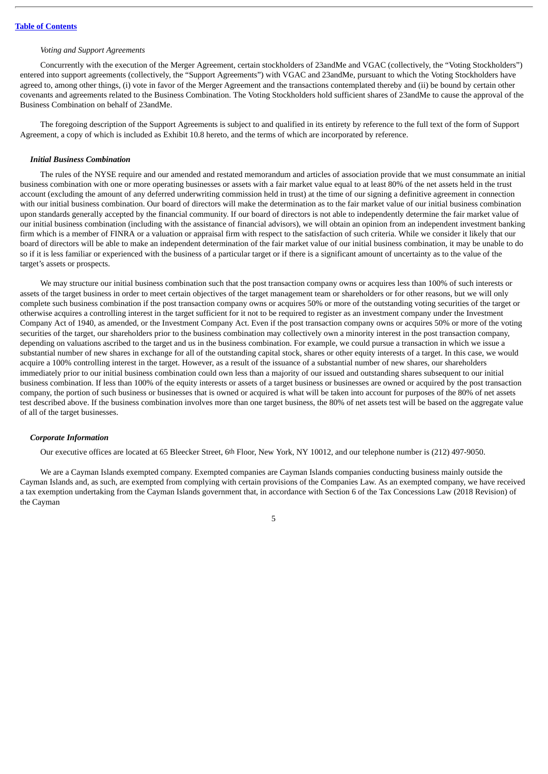#### *Voting and Support Agreements*

Concurrently with the execution of the Merger Agreement, certain stockholders of 23andMe and VGAC (collectively, the "Voting Stockholders") entered into support agreements (collectively, the "Support Agreements") with VGAC and 23andMe, pursuant to which the Voting Stockholders have agreed to, among other things, (i) vote in favor of the Merger Agreement and the transactions contemplated thereby and (ii) be bound by certain other covenants and agreements related to the Business Combination. The Voting Stockholders hold sufficient shares of 23andMe to cause the approval of the Business Combination on behalf of 23andMe.

The foregoing description of the Support Agreements is subject to and qualified in its entirety by reference to the full text of the form of Support Agreement, a copy of which is included as Exhibit 10.8 hereto, and the terms of which are incorporated by reference.

#### *Initial Business Combination*

The rules of the NYSE require and our amended and restated memorandum and articles of association provide that we must consummate an initial business combination with one or more operating businesses or assets with a fair market value equal to at least 80% of the net assets held in the trust account (excluding the amount of any deferred underwriting commission held in trust) at the time of our signing a definitive agreement in connection with our initial business combination. Our board of directors will make the determination as to the fair market value of our initial business combination upon standards generally accepted by the financial community. If our board of directors is not able to independently determine the fair market value of our initial business combination (including with the assistance of financial advisors), we will obtain an opinion from an independent investment banking firm which is a member of FINRA or a valuation or appraisal firm with respect to the satisfaction of such criteria. While we consider it likely that our board of directors will be able to make an independent determination of the fair market value of our initial business combination, it may be unable to do so if it is less familiar or experienced with the business of a particular target or if there is a significant amount of uncertainty as to the value of the target's assets or prospects.

We may structure our initial business combination such that the post transaction company owns or acquires less than 100% of such interests or assets of the target business in order to meet certain objectives of the target management team or shareholders or for other reasons, but we will only complete such business combination if the post transaction company owns or acquires 50% or more of the outstanding voting securities of the target or otherwise acquires a controlling interest in the target sufficient for it not to be required to register as an investment company under the Investment Company Act of 1940, as amended, or the Investment Company Act. Even if the post transaction company owns or acquires 50% or more of the voting securities of the target, our shareholders prior to the business combination may collectively own a minority interest in the post transaction company, depending on valuations ascribed to the target and us in the business combination. For example, we could pursue a transaction in which we issue a substantial number of new shares in exchange for all of the outstanding capital stock, shares or other equity interests of a target. In this case, we would acquire a 100% controlling interest in the target. However, as a result of the issuance of a substantial number of new shares, our shareholders immediately prior to our initial business combination could own less than a majority of our issued and outstanding shares subsequent to our initial business combination. If less than 100% of the equity interests or assets of a target business or businesses are owned or acquired by the post transaction company, the portion of such business or businesses that is owned or acquired is what will be taken into account for purposes of the 80% of net assets test described above. If the business combination involves more than one target business, the 80% of net assets test will be based on the aggregate value of all of the target businesses.

#### *Corporate Information*

Our executive offices are located at 65 Bleecker Street, 6th Floor, New York, NY 10012, and our telephone number is (212) 497-9050.

We are a Cayman Islands exempted company. Exempted companies are Cayman Islands companies conducting business mainly outside the Cayman Islands and, as such, are exempted from complying with certain provisions of the Companies Law. As an exempted company, we have received a tax exemption undertaking from the Cayman Islands government that, in accordance with Section 6 of the Tax Concessions Law (2018 Revision) of the Cayman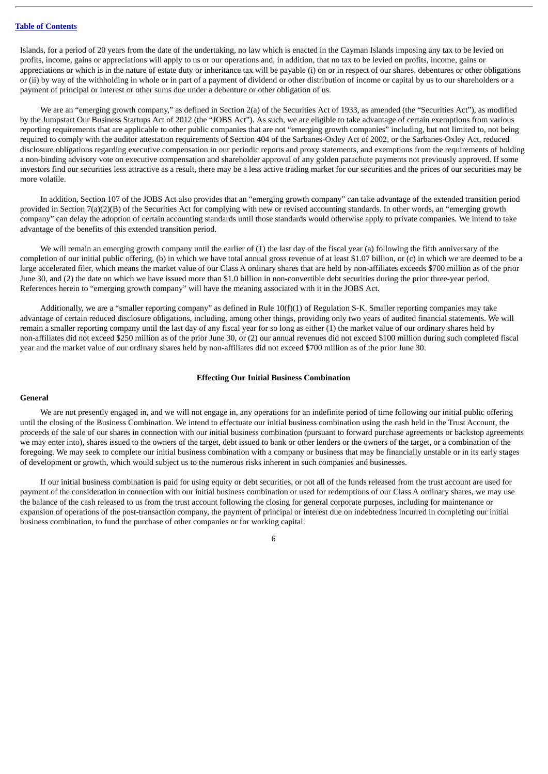Islands, for a period of 20 years from the date of the undertaking, no law which is enacted in the Cayman Islands imposing any tax to be levied on profits, income, gains or appreciations will apply to us or our operations and, in addition, that no tax to be levied on profits, income, gains or appreciations or which is in the nature of estate duty or inheritance tax will be payable (i) on or in respect of our shares, debentures or other obligations or (ii) by way of the withholding in whole or in part of a payment of dividend or other distribution of income or capital by us to our shareholders or a payment of principal or interest or other sums due under a debenture or other obligation of us.

We are an "emerging growth company," as defined in Section 2(a) of the Securities Act of 1933, as amended (the "Securities Act"), as modified by the Jumpstart Our Business Startups Act of 2012 (the "JOBS Act"). As such, we are eligible to take advantage of certain exemptions from various reporting requirements that are applicable to other public companies that are not "emerging growth companies" including, but not limited to, not being required to comply with the auditor attestation requirements of Section 404 of the Sarbanes-Oxley Act of 2002, or the Sarbanes-Oxley Act, reduced disclosure obligations regarding executive compensation in our periodic reports and proxy statements, and exemptions from the requirements of holding a non-binding advisory vote on executive compensation and shareholder approval of any golden parachute payments not previously approved. If some investors find our securities less attractive as a result, there may be a less active trading market for our securities and the prices of our securities may be more volatile.

In addition, Section 107 of the JOBS Act also provides that an "emerging growth company" can take advantage of the extended transition period provided in Section 7(a)(2)(B) of the Securities Act for complying with new or revised accounting standards. In other words, an "emerging growth company" can delay the adoption of certain accounting standards until those standards would otherwise apply to private companies. We intend to take advantage of the benefits of this extended transition period.

We will remain an emerging growth company until the earlier of (1) the last day of the fiscal year (a) following the fifth anniversary of the completion of our initial public offering, (b) in which we have total annual gross revenue of at least \$1.07 billion, or (c) in which we are deemed to be a large accelerated filer, which means the market value of our Class A ordinary shares that are held by non-affiliates exceeds \$700 million as of the prior June 30, and (2) the date on which we have issued more than \$1.0 billion in non-convertible debt securities during the prior three-year period. References herein to "emerging growth company" will have the meaning associated with it in the JOBS Act.

Additionally, we are a "smaller reporting company" as defined in Rule 10(f)(1) of Regulation S-K. Smaller reporting companies may take advantage of certain reduced disclosure obligations, including, among other things, providing only two years of audited financial statements. We will remain a smaller reporting company until the last day of any fiscal year for so long as either  $(1)$  the market value of our ordinary shares held by non-affiliates did not exceed \$250 million as of the prior June 30, or (2) our annual revenues did not exceed \$100 million during such completed fiscal year and the market value of our ordinary shares held by non-affiliates did not exceed \$700 million as of the prior June 30.

#### **Effecting Our Initial Business Combination**

#### **General**

We are not presently engaged in, and we will not engage in, any operations for an indefinite period of time following our initial public offering until the closing of the Business Combination. We intend to effectuate our initial business combination using the cash held in the Trust Account, the proceeds of the sale of our shares in connection with our initial business combination (pursuant to forward purchase agreements or backstop agreements we may enter into), shares issued to the owners of the target, debt issued to bank or other lenders or the owners of the target, or a combination of the foregoing. We may seek to complete our initial business combination with a company or business that may be financially unstable or in its early stages of development or growth, which would subject us to the numerous risks inherent in such companies and businesses.

If our initial business combination is paid for using equity or debt securities, or not all of the funds released from the trust account are used for payment of the consideration in connection with our initial business combination or used for redemptions of our Class A ordinary shares, we may use the balance of the cash released to us from the trust account following the closing for general corporate purposes, including for maintenance or expansion of operations of the post-transaction company, the payment of principal or interest due on indebtedness incurred in completing our initial business combination, to fund the purchase of other companies or for working capital.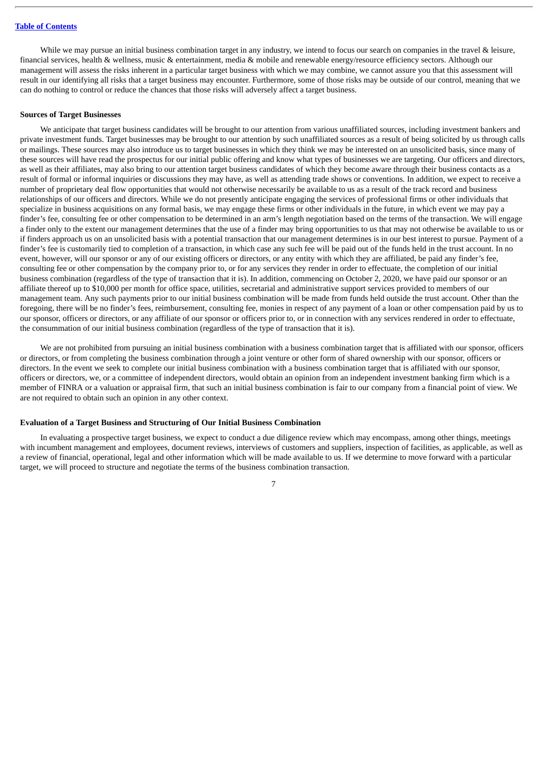While we may pursue an initial business combination target in any industry, we intend to focus our search on companies in the travel & leisure, financial services, health & wellness, music & entertainment, media & mobile and renewable energy/resource efficiency sectors. Although our management will assess the risks inherent in a particular target business with which we may combine, we cannot assure you that this assessment will result in our identifying all risks that a target business may encounter. Furthermore, some of those risks may be outside of our control, meaning that we can do nothing to control or reduce the chances that those risks will adversely affect a target business.

#### **Sources of Target Businesses**

We anticipate that target business candidates will be brought to our attention from various unaffiliated sources, including investment bankers and private investment funds. Target businesses may be brought to our attention by such unaffiliated sources as a result of being solicited by us through calls or mailings. These sources may also introduce us to target businesses in which they think we may be interested on an unsolicited basis, since many of these sources will have read the prospectus for our initial public offering and know what types of businesses we are targeting. Our officers and directors, as well as their affiliates, may also bring to our attention target business candidates of which they become aware through their business contacts as a result of formal or informal inquiries or discussions they may have, as well as attending trade shows or conventions. In addition, we expect to receive a number of proprietary deal flow opportunities that would not otherwise necessarily be available to us as a result of the track record and business relationships of our officers and directors. While we do not presently anticipate engaging the services of professional firms or other individuals that specialize in business acquisitions on any formal basis, we may engage these firms or other individuals in the future, in which event we may pay a finder's fee, consulting fee or other compensation to be determined in an arm's length negotiation based on the terms of the transaction. We will engage a finder only to the extent our management determines that the use of a finder may bring opportunities to us that may not otherwise be available to us or if finders approach us on an unsolicited basis with a potential transaction that our management determines is in our best interest to pursue. Payment of a finder's fee is customarily tied to completion of a transaction, in which case any such fee will be paid out of the funds held in the trust account. In no event, however, will our sponsor or any of our existing officers or directors, or any entity with which they are affiliated, be paid any finder's fee, consulting fee or other compensation by the company prior to, or for any services they render in order to effectuate, the completion of our initial business combination (regardless of the type of transaction that it is). In addition, commencing on October 2, 2020, we have paid our sponsor or an affiliate thereof up to \$10,000 per month for office space, utilities, secretarial and administrative support services provided to members of our management team. Any such payments prior to our initial business combination will be made from funds held outside the trust account. Other than the foregoing, there will be no finder's fees, reimbursement, consulting fee, monies in respect of any payment of a loan or other compensation paid by us to our sponsor, officers or directors, or any affiliate of our sponsor or officers prior to, or in connection with any services rendered in order to effectuate, the consummation of our initial business combination (regardless of the type of transaction that it is).

We are not prohibited from pursuing an initial business combination with a business combination target that is affiliated with our sponsor, officers or directors, or from completing the business combination through a joint venture or other form of shared ownership with our sponsor, officers or directors. In the event we seek to complete our initial business combination with a business combination target that is affiliated with our sponsor, officers or directors, we, or a committee of independent directors, would obtain an opinion from an independent investment banking firm which is a member of FINRA or a valuation or appraisal firm, that such an initial business combination is fair to our company from a financial point of view. We are not required to obtain such an opinion in any other context.

#### **Evaluation of a Target Business and Structuring of Our Initial Business Combination**

In evaluating a prospective target business, we expect to conduct a due diligence review which may encompass, among other things, meetings with incumbent management and employees, document reviews, interviews of customers and suppliers, inspection of facilities, as applicable, as well as a review of financial, operational, legal and other information which will be made available to us. If we determine to move forward with a particular target, we will proceed to structure and negotiate the terms of the business combination transaction.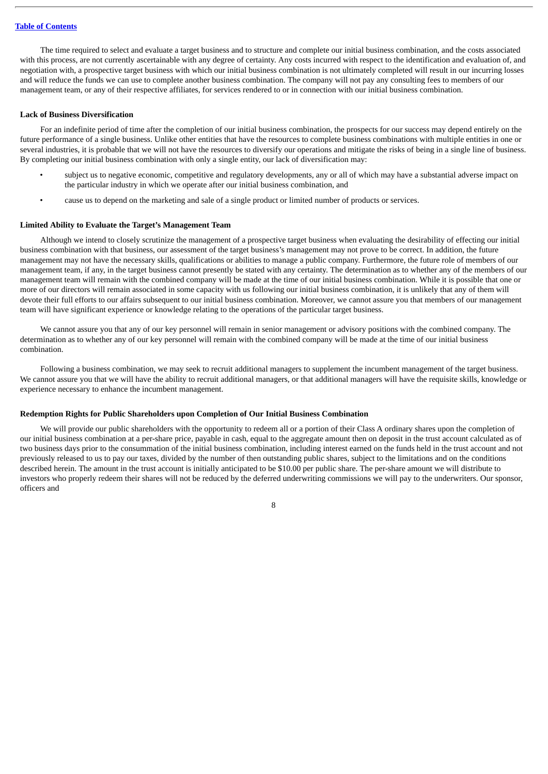The time required to select and evaluate a target business and to structure and complete our initial business combination, and the costs associated with this process, are not currently ascertainable with any degree of certainty. Any costs incurred with respect to the identification and evaluation of, and negotiation with, a prospective target business with which our initial business combination is not ultimately completed will result in our incurring losses and will reduce the funds we can use to complete another business combination. The company will not pay any consulting fees to members of our management team, or any of their respective affiliates, for services rendered to or in connection with our initial business combination.

#### **Lack of Business Diversification**

For an indefinite period of time after the completion of our initial business combination, the prospects for our success may depend entirely on the future performance of a single business. Unlike other entities that have the resources to complete business combinations with multiple entities in one or several industries, it is probable that we will not have the resources to diversify our operations and mitigate the risks of being in a single line of business. By completing our initial business combination with only a single entity, our lack of diversification may:

- subject us to negative economic, competitive and regulatory developments, any or all of which may have a substantial adverse impact on the particular industry in which we operate after our initial business combination, and
- cause us to depend on the marketing and sale of a single product or limited number of products or services.

#### **Limited Ability to Evaluate the Target's Management Team**

Although we intend to closely scrutinize the management of a prospective target business when evaluating the desirability of effecting our initial business combination with that business, our assessment of the target business's management may not prove to be correct. In addition, the future management may not have the necessary skills, qualifications or abilities to manage a public company. Furthermore, the future role of members of our management team, if any, in the target business cannot presently be stated with any certainty. The determination as to whether any of the members of our management team will remain with the combined company will be made at the time of our initial business combination. While it is possible that one or more of our directors will remain associated in some capacity with us following our initial business combination, it is unlikely that any of them will devote their full efforts to our affairs subsequent to our initial business combination. Moreover, we cannot assure you that members of our management team will have significant experience or knowledge relating to the operations of the particular target business.

We cannot assure you that any of our key personnel will remain in senior management or advisory positions with the combined company. The determination as to whether any of our key personnel will remain with the combined company will be made at the time of our initial business combination.

Following a business combination, we may seek to recruit additional managers to supplement the incumbent management of the target business. We cannot assure you that we will have the ability to recruit additional managers, or that additional managers will have the requisite skills, knowledge or experience necessary to enhance the incumbent management.

#### **Redemption Rights for Public Shareholders upon Completion of Our Initial Business Combination**

We will provide our public shareholders with the opportunity to redeem all or a portion of their Class A ordinary shares upon the completion of our initial business combination at a per-share price, payable in cash, equal to the aggregate amount then on deposit in the trust account calculated as of two business days prior to the consummation of the initial business combination, including interest earned on the funds held in the trust account and not previously released to us to pay our taxes, divided by the number of then outstanding public shares, subject to the limitations and on the conditions described herein. The amount in the trust account is initially anticipated to be \$10.00 per public share. The per-share amount we will distribute to investors who properly redeem their shares will not be reduced by the deferred underwriting commissions we will pay to the underwriters. Our sponsor, officers and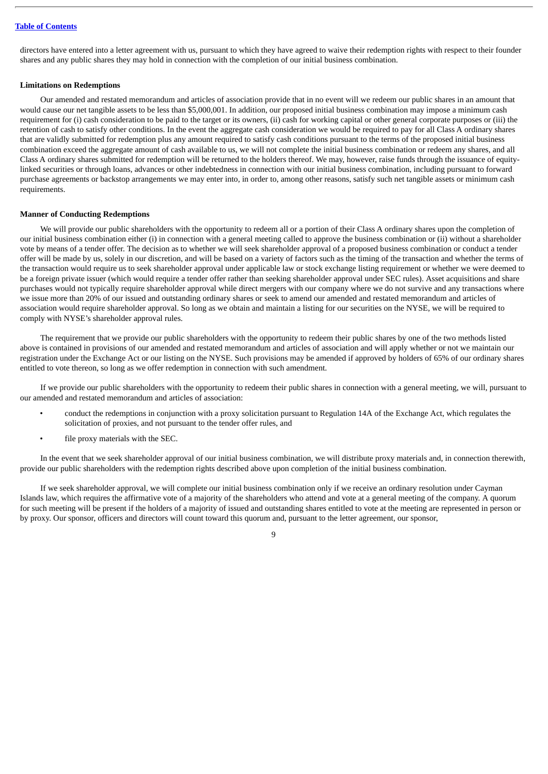directors have entered into a letter agreement with us, pursuant to which they have agreed to waive their redemption rights with respect to their founder shares and any public shares they may hold in connection with the completion of our initial business combination.

#### **Limitations on Redemptions**

Our amended and restated memorandum and articles of association provide that in no event will we redeem our public shares in an amount that would cause our net tangible assets to be less than \$5,000,001. In addition, our proposed initial business combination may impose a minimum cash requirement for (i) cash consideration to be paid to the target or its owners, (ii) cash for working capital or other general corporate purposes or (iii) the retention of cash to satisfy other conditions. In the event the aggregate cash consideration we would be required to pay for all Class A ordinary shares that are validly submitted for redemption plus any amount required to satisfy cash conditions pursuant to the terms of the proposed initial business combination exceed the aggregate amount of cash available to us, we will not complete the initial business combination or redeem any shares, and all Class A ordinary shares submitted for redemption will be returned to the holders thereof. We may, however, raise funds through the issuance of equitylinked securities or through loans, advances or other indebtedness in connection with our initial business combination, including pursuant to forward purchase agreements or backstop arrangements we may enter into, in order to, among other reasons, satisfy such net tangible assets or minimum cash requirements.

#### **Manner of Conducting Redemptions**

We will provide our public shareholders with the opportunity to redeem all or a portion of their Class A ordinary shares upon the completion of our initial business combination either (i) in connection with a general meeting called to approve the business combination or (ii) without a shareholder vote by means of a tender offer. The decision as to whether we will seek shareholder approval of a proposed business combination or conduct a tender offer will be made by us, solely in our discretion, and will be based on a variety of factors such as the timing of the transaction and whether the terms of the transaction would require us to seek shareholder approval under applicable law or stock exchange listing requirement or whether we were deemed to be a foreign private issuer (which would require a tender offer rather than seeking shareholder approval under SEC rules). Asset acquisitions and share purchases would not typically require shareholder approval while direct mergers with our company where we do not survive and any transactions where we issue more than 20% of our issued and outstanding ordinary shares or seek to amend our amended and restated memorandum and articles of association would require shareholder approval. So long as we obtain and maintain a listing for our securities on the NYSE, we will be required to comply with NYSE's shareholder approval rules.

The requirement that we provide our public shareholders with the opportunity to redeem their public shares by one of the two methods listed above is contained in provisions of our amended and restated memorandum and articles of association and will apply whether or not we maintain our registration under the Exchange Act or our listing on the NYSE. Such provisions may be amended if approved by holders of 65% of our ordinary shares entitled to vote thereon, so long as we offer redemption in connection with such amendment.

If we provide our public shareholders with the opportunity to redeem their public shares in connection with a general meeting, we will, pursuant to our amended and restated memorandum and articles of association:

- conduct the redemptions in conjunction with a proxy solicitation pursuant to Regulation 14A of the Exchange Act, which regulates the solicitation of proxies, and not pursuant to the tender offer rules, and
- file proxy materials with the SEC.

In the event that we seek shareholder approval of our initial business combination, we will distribute proxy materials and, in connection therewith, provide our public shareholders with the redemption rights described above upon completion of the initial business combination.

If we seek shareholder approval, we will complete our initial business combination only if we receive an ordinary resolution under Cayman Islands law, which requires the affirmative vote of a majority of the shareholders who attend and vote at a general meeting of the company. A quorum for such meeting will be present if the holders of a majority of issued and outstanding shares entitled to vote at the meeting are represented in person or by proxy. Our sponsor, officers and directors will count toward this quorum and, pursuant to the letter agreement, our sponsor,

#### $\overline{Q}$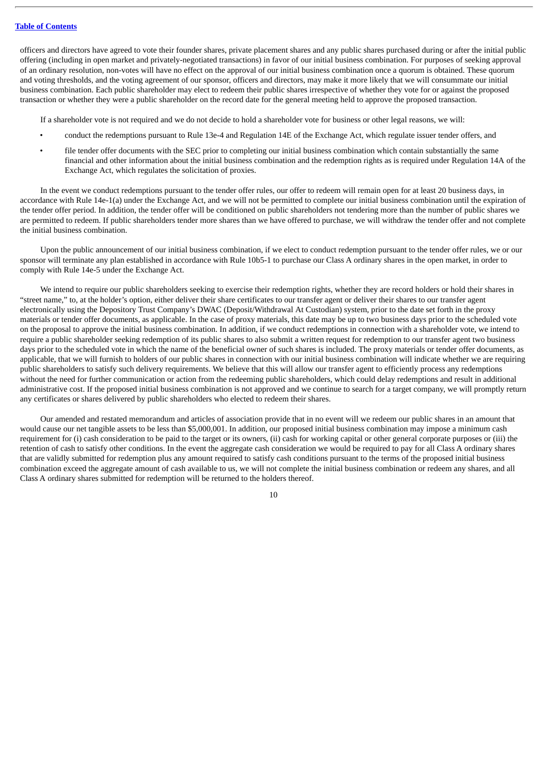officers and directors have agreed to vote their founder shares, private placement shares and any public shares purchased during or after the initial public offering (including in open market and privately-negotiated transactions) in favor of our initial business combination. For purposes of seeking approval of an ordinary resolution, non-votes will have no effect on the approval of our initial business combination once a quorum is obtained. These quorum and voting thresholds, and the voting agreement of our sponsor, officers and directors, may make it more likely that we will consummate our initial business combination. Each public shareholder may elect to redeem their public shares irrespective of whether they vote for or against the proposed transaction or whether they were a public shareholder on the record date for the general meeting held to approve the proposed transaction.

If a shareholder vote is not required and we do not decide to hold a shareholder vote for business or other legal reasons, we will:

- conduct the redemptions pursuant to Rule 13e-4 and Regulation 14E of the Exchange Act, which regulate issuer tender offers, and
- file tender offer documents with the SEC prior to completing our initial business combination which contain substantially the same financial and other information about the initial business combination and the redemption rights as is required under Regulation 14A of the Exchange Act, which regulates the solicitation of proxies.

In the event we conduct redemptions pursuant to the tender offer rules, our offer to redeem will remain open for at least 20 business days, in accordance with Rule 14e-1(a) under the Exchange Act, and we will not be permitted to complete our initial business combination until the expiration of the tender offer period. In addition, the tender offer will be conditioned on public shareholders not tendering more than the number of public shares we are permitted to redeem. If public shareholders tender more shares than we have offered to purchase, we will withdraw the tender offer and not complete the initial business combination.

Upon the public announcement of our initial business combination, if we elect to conduct redemption pursuant to the tender offer rules, we or our sponsor will terminate any plan established in accordance with Rule 10b5-1 to purchase our Class A ordinary shares in the open market, in order to comply with Rule 14e-5 under the Exchange Act.

We intend to require our public shareholders seeking to exercise their redemption rights, whether they are record holders or hold their shares in "street name," to, at the holder's option, either deliver their share certificates to our transfer agent or deliver their shares to our transfer agent electronically using the Depository Trust Company's DWAC (Deposit/Withdrawal At Custodian) system, prior to the date set forth in the proxy materials or tender offer documents, as applicable. In the case of proxy materials, this date may be up to two business days prior to the scheduled vote on the proposal to approve the initial business combination. In addition, if we conduct redemptions in connection with a shareholder vote, we intend to require a public shareholder seeking redemption of its public shares to also submit a written request for redemption to our transfer agent two business days prior to the scheduled vote in which the name of the beneficial owner of such shares is included. The proxy materials or tender offer documents, as applicable, that we will furnish to holders of our public shares in connection with our initial business combination will indicate whether we are requiring public shareholders to satisfy such delivery requirements. We believe that this will allow our transfer agent to efficiently process any redemptions without the need for further communication or action from the redeeming public shareholders, which could delay redemptions and result in additional administrative cost. If the proposed initial business combination is not approved and we continue to search for a target company, we will promptly return any certificates or shares delivered by public shareholders who elected to redeem their shares.

Our amended and restated memorandum and articles of association provide that in no event will we redeem our public shares in an amount that would cause our net tangible assets to be less than \$5,000,001. In addition, our proposed initial business combination may impose a minimum cash requirement for (i) cash consideration to be paid to the target or its owners, (ii) cash for working capital or other general corporate purposes or (iii) the retention of cash to satisfy other conditions. In the event the aggregate cash consideration we would be required to pay for all Class A ordinary shares that are validly submitted for redemption plus any amount required to satisfy cash conditions pursuant to the terms of the proposed initial business combination exceed the aggregate amount of cash available to us, we will not complete the initial business combination or redeem any shares, and all Class A ordinary shares submitted for redemption will be returned to the holders thereof.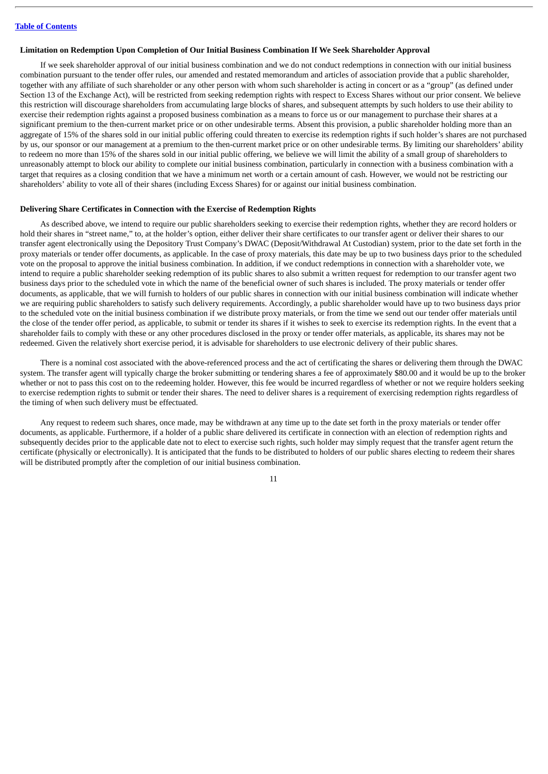#### **Limitation on Redemption Upon Completion of Our Initial Business Combination If We Seek Shareholder Approval**

If we seek shareholder approval of our initial business combination and we do not conduct redemptions in connection with our initial business combination pursuant to the tender offer rules, our amended and restated memorandum and articles of association provide that a public shareholder, together with any affiliate of such shareholder or any other person with whom such shareholder is acting in concert or as a "group" (as defined under Section 13 of the Exchange Act), will be restricted from seeking redemption rights with respect to Excess Shares without our prior consent. We believe this restriction will discourage shareholders from accumulating large blocks of shares, and subsequent attempts by such holders to use their ability to exercise their redemption rights against a proposed business combination as a means to force us or our management to purchase their shares at a significant premium to the then-current market price or on other undesirable terms. Absent this provision, a public shareholder holding more than an aggregate of 15% of the shares sold in our initial public offering could threaten to exercise its redemption rights if such holder's shares are not purchased by us, our sponsor or our management at a premium to the then-current market price or on other undesirable terms. By limiting our shareholders' ability to redeem no more than 15% of the shares sold in our initial public offering, we believe we will limit the ability of a small group of shareholders to unreasonably attempt to block our ability to complete our initial business combination, particularly in connection with a business combination with a target that requires as a closing condition that we have a minimum net worth or a certain amount of cash. However, we would not be restricting our shareholders' ability to vote all of their shares (including Excess Shares) for or against our initial business combination.

#### **Delivering Share Certificates in Connection with the Exercise of Redemption Rights**

As described above, we intend to require our public shareholders seeking to exercise their redemption rights, whether they are record holders or hold their shares in "street name," to, at the holder's option, either deliver their share certificates to our transfer agent or deliver their shares to our transfer agent electronically using the Depository Trust Company's DWAC (Deposit/Withdrawal At Custodian) system, prior to the date set forth in the proxy materials or tender offer documents, as applicable. In the case of proxy materials, this date may be up to two business days prior to the scheduled vote on the proposal to approve the initial business combination. In addition, if we conduct redemptions in connection with a shareholder vote, we intend to require a public shareholder seeking redemption of its public shares to also submit a written request for redemption to our transfer agent two business days prior to the scheduled vote in which the name of the beneficial owner of such shares is included. The proxy materials or tender offer documents, as applicable, that we will furnish to holders of our public shares in connection with our initial business combination will indicate whether we are requiring public shareholders to satisfy such delivery requirements. Accordingly, a public shareholder would have up to two business days prior to the scheduled vote on the initial business combination if we distribute proxy materials, or from the time we send out our tender offer materials until the close of the tender offer period, as applicable, to submit or tender its shares if it wishes to seek to exercise its redemption rights. In the event that a shareholder fails to comply with these or any other procedures disclosed in the proxy or tender offer materials, as applicable, its shares may not be redeemed. Given the relatively short exercise period, it is advisable for shareholders to use electronic delivery of their public shares.

There is a nominal cost associated with the above-referenced process and the act of certificating the shares or delivering them through the DWAC system. The transfer agent will typically charge the broker submitting or tendering shares a fee of approximately \$80.00 and it would be up to the broker whether or not to pass this cost on to the redeeming holder. However, this fee would be incurred regardless of whether or not we require holders seeking to exercise redemption rights to submit or tender their shares. The need to deliver shares is a requirement of exercising redemption rights regardless of the timing of when such delivery must be effectuated.

Any request to redeem such shares, once made, may be withdrawn at any time up to the date set forth in the proxy materials or tender offer documents, as applicable. Furthermore, if a holder of a public share delivered its certificate in connection with an election of redemption rights and subsequently decides prior to the applicable date not to elect to exercise such rights, such holder may simply request that the transfer agent return the certificate (physically or electronically). It is anticipated that the funds to be distributed to holders of our public shares electing to redeem their shares will be distributed promptly after the completion of our initial business combination.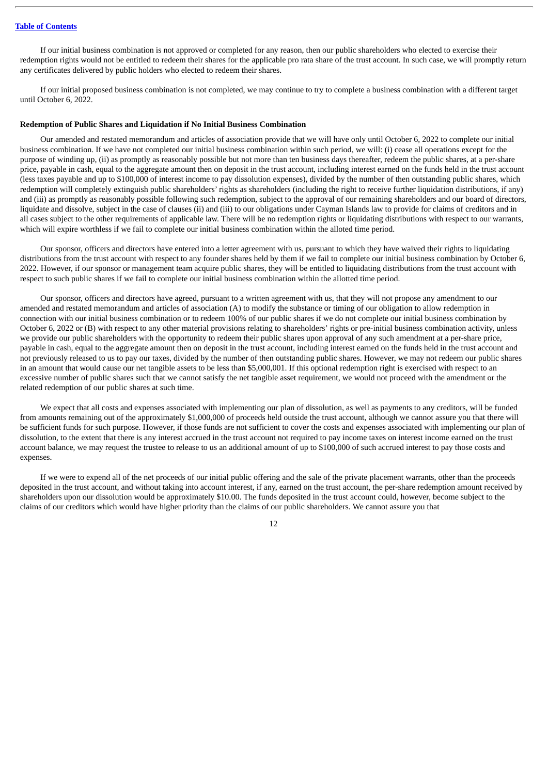If our initial business combination is not approved or completed for any reason, then our public shareholders who elected to exercise their redemption rights would not be entitled to redeem their shares for the applicable pro rata share of the trust account. In such case, we will promptly return any certificates delivered by public holders who elected to redeem their shares.

If our initial proposed business combination is not completed, we may continue to try to complete a business combination with a different target until October 6, 2022.

#### **Redemption of Public Shares and Liquidation if No Initial Business Combination**

Our amended and restated memorandum and articles of association provide that we will have only until October 6, 2022 to complete our initial business combination. If we have not completed our initial business combination within such period, we will: (i) cease all operations except for the purpose of winding up, (ii) as promptly as reasonably possible but not more than ten business days thereafter, redeem the public shares, at a per-share price, payable in cash, equal to the aggregate amount then on deposit in the trust account, including interest earned on the funds held in the trust account (less taxes payable and up to \$100,000 of interest income to pay dissolution expenses), divided by the number of then outstanding public shares, which redemption will completely extinguish public shareholders' rights as shareholders (including the right to receive further liquidation distributions, if any) and (iii) as promptly as reasonably possible following such redemption, subject to the approval of our remaining shareholders and our board of directors, liquidate and dissolve, subject in the case of clauses (ii) and (iii) to our obligations under Cayman Islands law to provide for claims of creditors and in all cases subject to the other requirements of applicable law. There will be no redemption rights or liquidating distributions with respect to our warrants, which will expire worthless if we fail to complete our initial business combination within the alloted time period.

Our sponsor, officers and directors have entered into a letter agreement with us, pursuant to which they have waived their rights to liquidating distributions from the trust account with respect to any founder shares held by them if we fail to complete our initial business combination by October 6, 2022. However, if our sponsor or management team acquire public shares, they will be entitled to liquidating distributions from the trust account with respect to such public shares if we fail to complete our initial business combination within the allotted time period.

Our sponsor, officers and directors have agreed, pursuant to a written agreement with us, that they will not propose any amendment to our amended and restated memorandum and articles of association (A) to modify the substance or timing of our obligation to allow redemption in connection with our initial business combination or to redeem 100% of our public shares if we do not complete our initial business combination by October 6, 2022 or (B) with respect to any other material provisions relating to shareholders' rights or pre-initial business combination activity, unless we provide our public shareholders with the opportunity to redeem their public shares upon approval of any such amendment at a per-share price, payable in cash, equal to the aggregate amount then on deposit in the trust account, including interest earned on the funds held in the trust account and not previously released to us to pay our taxes, divided by the number of then outstanding public shares. However, we may not redeem our public shares in an amount that would cause our net tangible assets to be less than \$5,000,001. If this optional redemption right is exercised with respect to an excessive number of public shares such that we cannot satisfy the net tangible asset requirement, we would not proceed with the amendment or the related redemption of our public shares at such time.

We expect that all costs and expenses associated with implementing our plan of dissolution, as well as payments to any creditors, will be funded from amounts remaining out of the approximately \$1,000,000 of proceeds held outside the trust account, although we cannot assure you that there will be sufficient funds for such purpose. However, if those funds are not sufficient to cover the costs and expenses associated with implementing our plan of dissolution, to the extent that there is any interest accrued in the trust account not required to pay income taxes on interest income earned on the trust account balance, we may request the trustee to release to us an additional amount of up to \$100,000 of such accrued interest to pay those costs and expenses.

If we were to expend all of the net proceeds of our initial public offering and the sale of the private placement warrants, other than the proceeds deposited in the trust account, and without taking into account interest, if any, earned on the trust account, the per-share redemption amount received by shareholders upon our dissolution would be approximately \$10.00. The funds deposited in the trust account could, however, become subject to the claims of our creditors which would have higher priority than the claims of our public shareholders. We cannot assure you that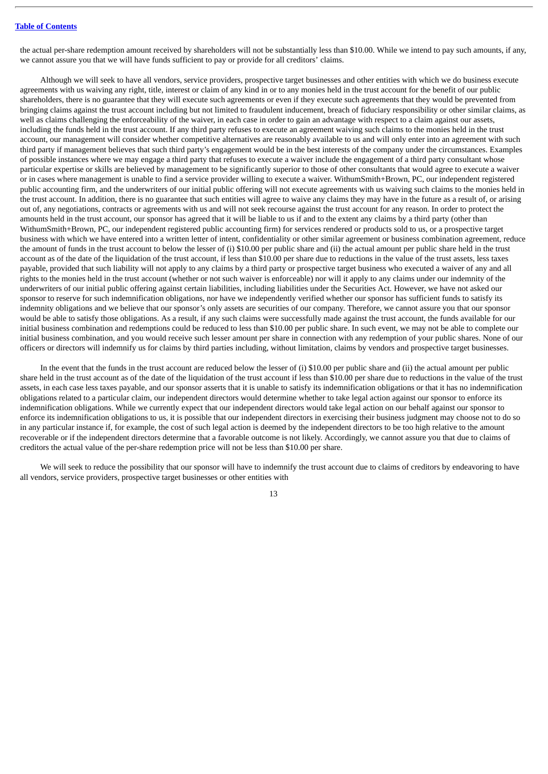the actual per-share redemption amount received by shareholders will not be substantially less than \$10.00. While we intend to pay such amounts, if any, we cannot assure you that we will have funds sufficient to pay or provide for all creditors' claims.

Although we will seek to have all vendors, service providers, prospective target businesses and other entities with which we do business execute agreements with us waiving any right, title, interest or claim of any kind in or to any monies held in the trust account for the benefit of our public shareholders, there is no guarantee that they will execute such agreements or even if they execute such agreements that they would be prevented from bringing claims against the trust account including but not limited to fraudulent inducement, breach of fiduciary responsibility or other similar claims, as well as claims challenging the enforceability of the waiver, in each case in order to gain an advantage with respect to a claim against our assets, including the funds held in the trust account. If any third party refuses to execute an agreement waiving such claims to the monies held in the trust account, our management will consider whether competitive alternatives are reasonably available to us and will only enter into an agreement with such third party if management believes that such third party's engagement would be in the best interests of the company under the circumstances. Examples of possible instances where we may engage a third party that refuses to execute a waiver include the engagement of a third party consultant whose particular expertise or skills are believed by management to be significantly superior to those of other consultants that would agree to execute a waiver or in cases where management is unable to find a service provider willing to execute a waiver. WithumSmith+Brown, PC, our independent registered public accounting firm, and the underwriters of our initial public offering will not execute agreements with us waiving such claims to the monies held in the trust account. In addition, there is no guarantee that such entities will agree to waive any claims they may have in the future as a result of, or arising out of, any negotiations, contracts or agreements with us and will not seek recourse against the trust account for any reason. In order to protect the amounts held in the trust account, our sponsor has agreed that it will be liable to us if and to the extent any claims by a third party (other than WithumSmith+Brown, PC, our independent registered public accounting firm) for services rendered or products sold to us, or a prospective target business with which we have entered into a written letter of intent, confidentiality or other similar agreement or business combination agreement, reduce the amount of funds in the trust account to below the lesser of (i) \$10.00 per public share and (ii) the actual amount per public share held in the trust account as of the date of the liquidation of the trust account, if less than \$10.00 per share due to reductions in the value of the trust assets, less taxes payable, provided that such liability will not apply to any claims by a third party or prospective target business who executed a waiver of any and all rights to the monies held in the trust account (whether or not such waiver is enforceable) nor will it apply to any claims under our indemnity of the underwriters of our initial public offering against certain liabilities, including liabilities under the Securities Act. However, we have not asked our sponsor to reserve for such indemnification obligations, nor have we independently verified whether our sponsor has sufficient funds to satisfy its indemnity obligations and we believe that our sponsor's only assets are securities of our company. Therefore, we cannot assure you that our sponsor would be able to satisfy those obligations. As a result, if any such claims were successfully made against the trust account, the funds available for our initial business combination and redemptions could be reduced to less than \$10.00 per public share. In such event, we may not be able to complete our initial business combination, and you would receive such lesser amount per share in connection with any redemption of your public shares. None of our officers or directors will indemnify us for claims by third parties including, without limitation, claims by vendors and prospective target businesses.

In the event that the funds in the trust account are reduced below the lesser of (i) \$10.00 per public share and (ii) the actual amount per public share held in the trust account as of the date of the liquidation of the trust account if less than \$10.00 per share due to reductions in the value of the trust assets, in each case less taxes payable, and our sponsor asserts that it is unable to satisfy its indemnification obligations or that it has no indemnification obligations related to a particular claim, our independent directors would determine whether to take legal action against our sponsor to enforce its indemnification obligations. While we currently expect that our independent directors would take legal action on our behalf against our sponsor to enforce its indemnification obligations to us, it is possible that our independent directors in exercising their business judgment may choose not to do so in any particular instance if, for example, the cost of such legal action is deemed by the independent directors to be too high relative to the amount recoverable or if the independent directors determine that a favorable outcome is not likely. Accordingly, we cannot assure you that due to claims of creditors the actual value of the per-share redemption price will not be less than \$10.00 per share.

We will seek to reduce the possibility that our sponsor will have to indemnify the trust account due to claims of creditors by endeavoring to have all vendors, service providers, prospective target businesses or other entities with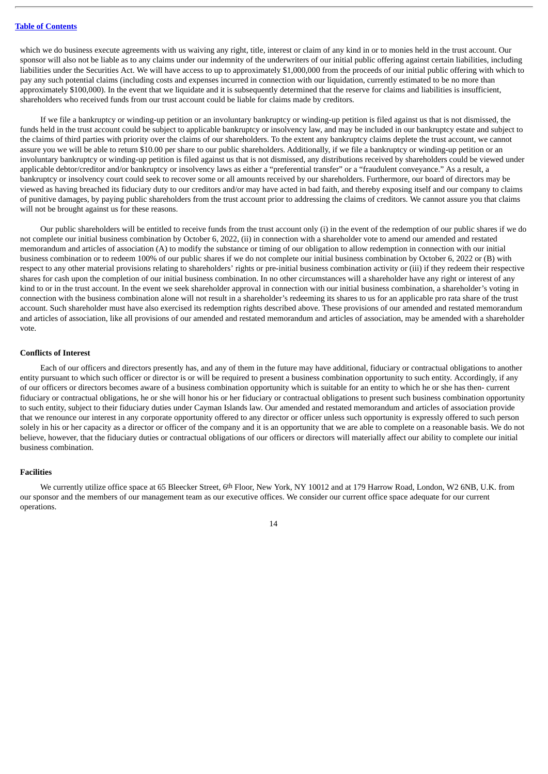which we do business execute agreements with us waiving any right, title, interest or claim of any kind in or to monies held in the trust account. Our sponsor will also not be liable as to any claims under our indemnity of the underwriters of our initial public offering against certain liabilities, including liabilities under the Securities Act. We will have access to up to approximately \$1,000,000 from the proceeds of our initial public offering with which to pay any such potential claims (including costs and expenses incurred in connection with our liquidation, currently estimated to be no more than approximately \$100,000). In the event that we liquidate and it is subsequently determined that the reserve for claims and liabilities is insufficient, shareholders who received funds from our trust account could be liable for claims made by creditors.

If we file a bankruptcy or winding-up petition or an involuntary bankruptcy or winding-up petition is filed against us that is not dismissed, the funds held in the trust account could be subject to applicable bankruptcy or insolvency law, and may be included in our bankruptcy estate and subject to the claims of third parties with priority over the claims of our shareholders. To the extent any bankruptcy claims deplete the trust account, we cannot assure you we will be able to return \$10.00 per share to our public shareholders. Additionally, if we file a bankruptcy or winding-up petition or an involuntary bankruptcy or winding-up petition is filed against us that is not dismissed, any distributions received by shareholders could be viewed under applicable debtor/creditor and/or bankruptcy or insolvency laws as either a "preferential transfer" or a "fraudulent conveyance." As a result, a bankruptcy or insolvency court could seek to recover some or all amounts received by our shareholders. Furthermore, our board of directors may be viewed as having breached its fiduciary duty to our creditors and/or may have acted in bad faith, and thereby exposing itself and our company to claims of punitive damages, by paying public shareholders from the trust account prior to addressing the claims of creditors. We cannot assure you that claims will not be brought against us for these reasons.

Our public shareholders will be entitled to receive funds from the trust account only (i) in the event of the redemption of our public shares if we do not complete our initial business combination by October 6, 2022, (ii) in connection with a shareholder vote to amend our amended and restated memorandum and articles of association (A) to modify the substance or timing of our obligation to allow redemption in connection with our initial business combination or to redeem 100% of our public shares if we do not complete our initial business combination by October 6, 2022 or (B) with respect to any other material provisions relating to shareholders' rights or pre-initial business combination activity or (iii) if they redeem their respective shares for cash upon the completion of our initial business combination. In no other circumstances will a shareholder have any right or interest of any kind to or in the trust account. In the event we seek shareholder approval in connection with our initial business combination, a shareholder's voting in connection with the business combination alone will not result in a shareholder's redeeming its shares to us for an applicable pro rata share of the trust account. Such shareholder must have also exercised its redemption rights described above. These provisions of our amended and restated memorandum and articles of association, like all provisions of our amended and restated memorandum and articles of association, may be amended with a shareholder vote.

#### **Conflicts of Interest**

Each of our officers and directors presently has, and any of them in the future may have additional, fiduciary or contractual obligations to another entity pursuant to which such officer or director is or will be required to present a business combination opportunity to such entity. Accordingly, if any of our officers or directors becomes aware of a business combination opportunity which is suitable for an entity to which he or she has then- current fiduciary or contractual obligations, he or she will honor his or her fiduciary or contractual obligations to present such business combination opportunity to such entity, subject to their fiduciary duties under Cayman Islands law. Our amended and restated memorandum and articles of association provide that we renounce our interest in any corporate opportunity offered to any director or officer unless such opportunity is expressly offered to such person solely in his or her capacity as a director or officer of the company and it is an opportunity that we are able to complete on a reasonable basis. We do not believe, however, that the fiduciary duties or contractual obligations of our officers or directors will materially affect our ability to complete our initial business combination.

#### **Facilities**

We currently utilize office space at 65 Bleecker Street, 6th Floor, New York, NY 10012 and at 179 Harrow Road, London, W2 6NB, U.K. from our sponsor and the members of our management team as our executive offices. We consider our current office space adequate for our current operations.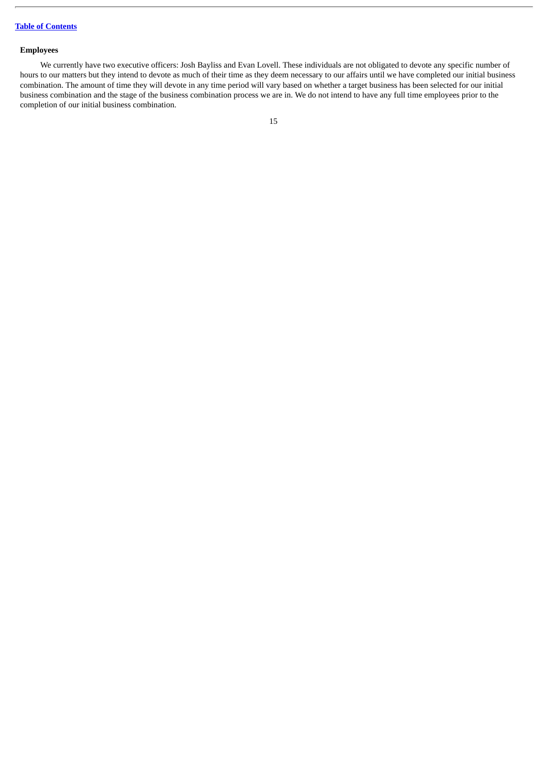# **Employees**

We currently have two executive officers: Josh Bayliss and Evan Lovell. These individuals are not obligated to devote any specific number of hours to our matters but they intend to devote as much of their time as they deem necessary to our affairs until we have completed our initial business combination. The amount of time they will devote in any time period will vary based on whether a target business has been selected for our initial business combination and the stage of the business combination process we are in. We do not intend to have any full time employees prior to the completion of our initial business combination.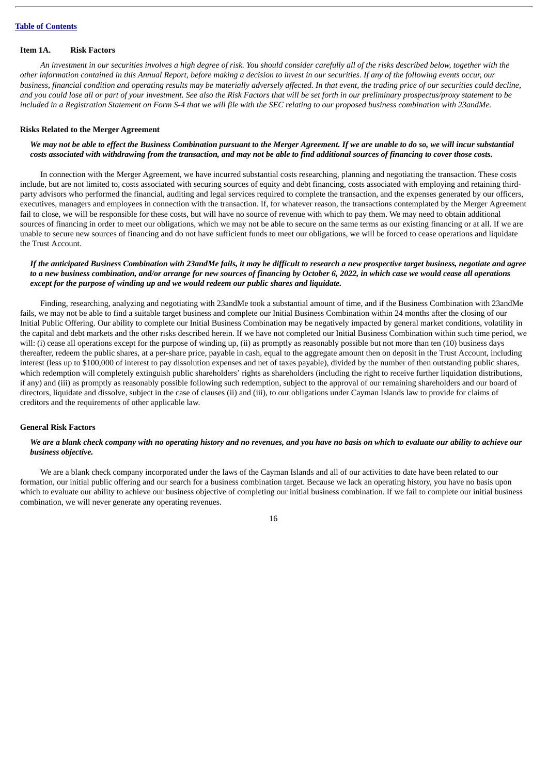#### <span id="page-20-0"></span>**Item 1A. Risk Factors**

An investment in our securities involves a high degree of risk. You should consider carefully all of the risks described below, together with the other information contained in this Annual Report, before making a decision to invest in our securities. If any of the following events occur, our business, financial condition and operating results may be materially adversely affected. In that event, the trading price of our securities could decline, and you could lose all or part of your investment. See also the Risk Factors that will be set forth in our preliminary prospectus/proxy statement to be included in a Registration Statement on Form S-4 that we will file with the SEC relating to our proposed business combination with 23andMe.

#### **Risks Related to the Merger Agreement**

#### We may not be able to effect the Business Combination pursuant to the Merger Agreement. If we are unable to do so, we will incur substantial costs associated with withdrawing from the transaction, and may not be able to find additional sources of financing to cover those costs.

In connection with the Merger Agreement, we have incurred substantial costs researching, planning and negotiating the transaction. These costs include, but are not limited to, costs associated with securing sources of equity and debt financing, costs associated with employing and retaining thirdparty advisors who performed the financial, auditing and legal services required to complete the transaction, and the expenses generated by our officers, executives, managers and employees in connection with the transaction. If, for whatever reason, the transactions contemplated by the Merger Agreement fail to close, we will be responsible for these costs, but will have no source of revenue with which to pay them. We may need to obtain additional sources of financing in order to meet our obligations, which we may not be able to secure on the same terms as our existing financing or at all. If we are unable to secure new sources of financing and do not have sufficient funds to meet our obligations, we will be forced to cease operations and liquidate the Trust Account.

# If the anticipated Business Combination with 23andMe fails, it may be difficult to research a new prospective target business, negotiate and agree to a new business combination, and/or arrange for new sources of financing by October 6, 2022, in which case we would cease all operations *except for the purpose of winding up and we would redeem our public shares and liquidate.*

Finding, researching, analyzing and negotiating with 23andMe took a substantial amount of time, and if the Business Combination with 23andMe fails, we may not be able to find a suitable target business and complete our Initial Business Combination within 24 months after the closing of our Initial Public Offering. Our ability to complete our Initial Business Combination may be negatively impacted by general market conditions, volatility in the capital and debt markets and the other risks described herein. If we have not completed our Initial Business Combination within such time period, we will: (i) cease all operations except for the purpose of winding up, (ii) as promptly as reasonably possible but not more than ten (10) business days thereafter, redeem the public shares, at a per-share price, payable in cash, equal to the aggregate amount then on deposit in the Trust Account, including interest (less up to \$100,000 of interest to pay dissolution expenses and net of taxes payable), divided by the number of then outstanding public shares, which redemption will completely extinguish public shareholders' rights as shareholders (including the right to receive further liquidation distributions, if any) and (iii) as promptly as reasonably possible following such redemption, subject to the approval of our remaining shareholders and our board of directors, liquidate and dissolve, subject in the case of clauses (ii) and (iii), to our obligations under Cayman Islands law to provide for claims of creditors and the requirements of other applicable law.

#### **General Risk Factors**

#### We are a blank check company with no operating history and no revenues, and you have no basis on which to evaluate our ability to achieve our *business objective.*

We are a blank check company incorporated under the laws of the Cayman Islands and all of our activities to date have been related to our formation, our initial public offering and our search for a business combination target. Because we lack an operating history, you have no basis upon which to evaluate our ability to achieve our business objective of completing our initial business combination. If we fail to complete our initial business combination, we will never generate any operating revenues.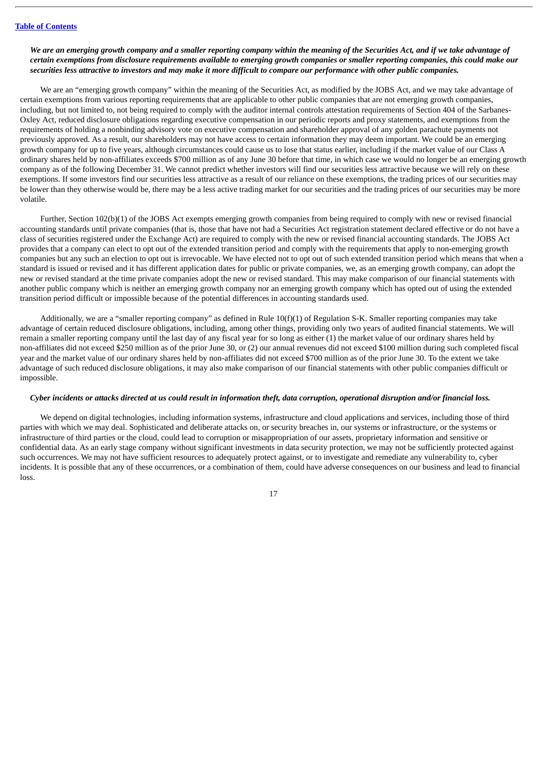# We are an emerging growth company and a smaller reporting company within the meaning of the Securities Act, and if we take advantage of certain exemptions from disclosure requirements available to emerging arowth companies or smaller reporting companies, this could make our securities less attractive to investors and may make it more difficult to compare our performance with other public companies.

We are an "emerging growth company" within the meaning of the Securities Act, as modified by the JOBS Act, and we may take advantage of certain exemptions from various reporting requirements that are applicable to other public companies that are not emerging growth companies, including, but not limited to, not being required to comply with the auditor internal controls attestation requirements of Section 404 of the Sarbanes-Oxley Act, reduced disclosure obligations regarding executive compensation in our periodic reports and proxy statements, and exemptions from the requirements of holding a nonbinding advisory vote on executive compensation and shareholder approval of any golden parachute payments not previously approved. As a result, our shareholders may not have access to certain information they may deem important. We could be an emerging growth company for up to five years, although circumstances could cause us to lose that status earlier, including if the market value of our Class A ordinary shares held by non-affiliates exceeds \$700 million as of any June 30 before that time, in which case we would no longer be an emerging growth company as of the following December 31. We cannot predict whether investors will find our securities less attractive because we will rely on these exemptions. If some investors find our securities less attractive as a result of our reliance on these exemptions, the trading prices of our securities may be lower than they otherwise would be, there may be a less active trading market for our securities and the trading prices of our securities may be more volatile.

Further, Section 102(b)(1) of the JOBS Act exempts emerging growth companies from being required to comply with new or revised financial accounting standards until private companies (that is, those that have not had a Securities Act registration statement declared effective or do not have a class of securities registered under the Exchange Act) are required to comply with the new or revised financial accounting standards. The JOBS Act provides that a company can elect to opt out of the extended transition period and comply with the requirements that apply to non-emerging growth companies but any such an election to opt out is irrevocable. We have elected not to opt out of such extended transition period which means that when a standard is issued or revised and it has different application dates for public or private companies, we, as an emerging growth company, can adopt the new or revised standard at the time private companies adopt the new or revised standard. This may make comparison of our financial statements with another public company which is neither an emerging growth company nor an emerging growth company which has opted out of using the extended transition period difficult or impossible because of the potential differences in accounting standards used.

Additionally, we are a "smaller reporting company" as defined in Rule 10(f)(1) of Regulation S-K. Smaller reporting companies may take advantage of certain reduced disclosure obligations, including, among other things, providing only two years of audited financial statements. We will remain a smaller reporting company until the last day of any fiscal year for so long as either (1) the market value of our ordinary shares held by non-affiliates did not exceed \$250 million as of the prior June 30, or (2) our annual revenues did not exceed \$100 million during such completed fiscal year and the market value of our ordinary shares held by non-affiliates did not exceed \$700 million as of the prior June 30. To the extent we take advantage of such reduced disclosure obligations, it may also make comparison of our financial statements with other public companies difficult or impossible.

# Cyber incidents or attacks directed at us could result in information theft, data corruption, operational disruption and/or financial loss.

We depend on digital technologies, including information systems, infrastructure and cloud applications and services, including those of third parties with which we may deal. Sophisticated and deliberate attacks on, or security breaches in, our systems or infrastructure, or the systems or infrastructure of third parties or the cloud, could lead to corruption or misappropriation of our assets, proprietary information and sensitive or confidential data. As an early stage company without significant investments in data security protection, we may not be sufficiently protected against such occurrences. We may not have sufficient resources to adequately protect against, or to investigate and remediate any vulnerability to, cyber incidents. It is possible that any of these occurrences, or a combination of them, could have adverse consequences on our business and lead to financial loss.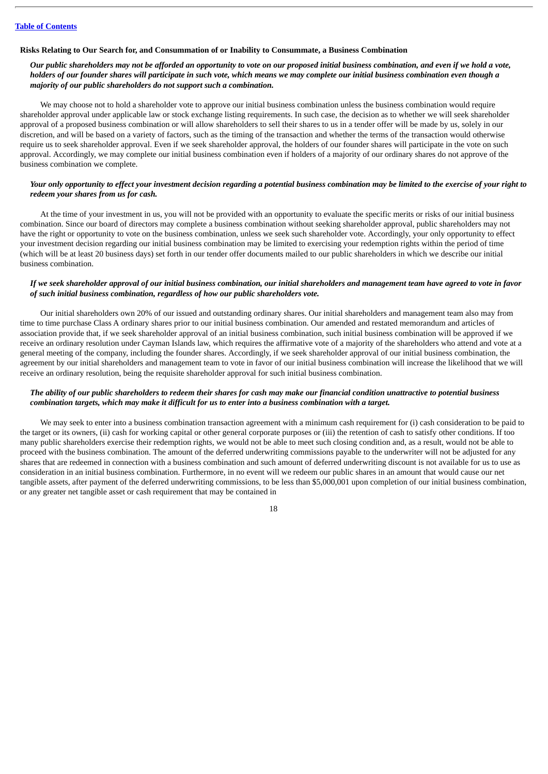#### **Risks Relating to Our Search for, and Consummation of or Inability to Consummate, a Business Combination**

# Our public shareholders may not be afforded an opportunity to vote on our proposed initial business combination, and even if we hold a vote, holders of our founder shares will participate in such vote, which means we may complete our initial business combination even though a *majority of our public shareholders do not support such a combination.*

We may choose not to hold a shareholder vote to approve our initial business combination unless the business combination would require shareholder approval under applicable law or stock exchange listing requirements. In such case, the decision as to whether we will seek shareholder approval of a proposed business combination or will allow shareholders to sell their shares to us in a tender offer will be made by us, solely in our discretion, and will be based on a variety of factors, such as the timing of the transaction and whether the terms of the transaction would otherwise require us to seek shareholder approval. Even if we seek shareholder approval, the holders of our founder shares will participate in the vote on such approval. Accordingly, we may complete our initial business combination even if holders of a majority of our ordinary shares do not approve of the business combination we complete.

# Your only opportunity to effect your investment decision regarding a potential business combination may be limited to the exercise of your right to *redeem your shares from us for cash.*

At the time of your investment in us, you will not be provided with an opportunity to evaluate the specific merits or risks of our initial business combination. Since our board of directors may complete a business combination without seeking shareholder approval, public shareholders may not have the right or opportunity to vote on the business combination, unless we seek such shareholder vote. Accordingly, your only opportunity to effect your investment decision regarding our initial business combination may be limited to exercising your redemption rights within the period of time (which will be at least 20 business days) set forth in our tender offer documents mailed to our public shareholders in which we describe our initial business combination.

#### If we seek shareholder approval of our initial business combination, our initial shareholders and management team have agreed to vote in favor *of such initial business combination, regardless of how our public shareholders vote.*

Our initial shareholders own 20% of our issued and outstanding ordinary shares. Our initial shareholders and management team also may from time to time purchase Class A ordinary shares prior to our initial business combination. Our amended and restated memorandum and articles of association provide that, if we seek shareholder approval of an initial business combination, such initial business combination will be approved if we receive an ordinary resolution under Cayman Islands law, which requires the affirmative vote of a majority of the shareholders who attend and vote at a general meeting of the company, including the founder shares. Accordingly, if we seek shareholder approval of our initial business combination, the agreement by our initial shareholders and management team to vote in favor of our initial business combination will increase the likelihood that we will receive an ordinary resolution, being the requisite shareholder approval for such initial business combination.

#### The ability of our public shareholders to redeem their shares for cash may make our financial condition unattractive to potential business combination taraets, which may make it difficult for us to enter into a business combination with a taraet.

We may seek to enter into a business combination transaction agreement with a minimum cash requirement for (i) cash consideration to be paid to the target or its owners, (ii) cash for working capital or other general corporate purposes or (iii) the retention of cash to satisfy other conditions. If too many public shareholders exercise their redemption rights, we would not be able to meet such closing condition and, as a result, would not be able to proceed with the business combination. The amount of the deferred underwriting commissions payable to the underwriter will not be adjusted for any shares that are redeemed in connection with a business combination and such amount of deferred underwriting discount is not available for us to use as consideration in an initial business combination. Furthermore, in no event will we redeem our public shares in an amount that would cause our net tangible assets, after payment of the deferred underwriting commissions, to be less than \$5,000,001 upon completion of our initial business combination, or any greater net tangible asset or cash requirement that may be contained in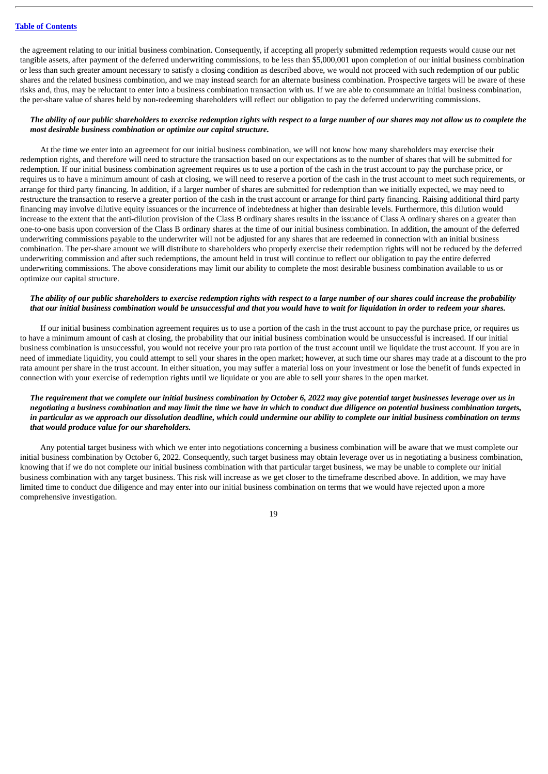the agreement relating to our initial business combination. Consequently, if accepting all properly submitted redemption requests would cause our net tangible assets, after payment of the deferred underwriting commissions, to be less than \$5,000,001 upon completion of our initial business combination or less than such greater amount necessary to satisfy a closing condition as described above, we would not proceed with such redemption of our public shares and the related business combination, and we may instead search for an alternate business combination. Prospective targets will be aware of these risks and, thus, may be reluctant to enter into a business combination transaction with us. If we are able to consummate an initial business combination, the per-share value of shares held by non-redeeming shareholders will reflect our obligation to pay the deferred underwriting commissions.

# The ability of our public shareholders to exercise redemption rights with respect to a large number of our shares may not allow us to complete the *most desirable business combination or optimize our capital structure.*

At the time we enter into an agreement for our initial business combination, we will not know how many shareholders may exercise their redemption rights, and therefore will need to structure the transaction based on our expectations as to the number of shares that will be submitted for redemption. If our initial business combination agreement requires us to use a portion of the cash in the trust account to pay the purchase price, or requires us to have a minimum amount of cash at closing, we will need to reserve a portion of the cash in the trust account to meet such requirements, or arrange for third party financing. In addition, if a larger number of shares are submitted for redemption than we initially expected, we may need to restructure the transaction to reserve a greater portion of the cash in the trust account or arrange for third party financing. Raising additional third party financing may involve dilutive equity issuances or the incurrence of indebtedness at higher than desirable levels. Furthermore, this dilution would increase to the extent that the anti-dilution provision of the Class B ordinary shares results in the issuance of Class A ordinary shares on a greater than one-to-one basis upon conversion of the Class B ordinary shares at the time of our initial business combination. In addition, the amount of the deferred underwriting commissions payable to the underwriter will not be adjusted for any shares that are redeemed in connection with an initial business combination. The per-share amount we will distribute to shareholders who properly exercise their redemption rights will not be reduced by the deferred underwriting commission and after such redemptions, the amount held in trust will continue to reflect our obligation to pay the entire deferred underwriting commissions. The above considerations may limit our ability to complete the most desirable business combination available to us or optimize our capital structure.

# The ability of our public shareholders to exercise redemption rights with respect to a large number of our shares could increase the probability that our initial business combination would be unsuccessful and that you would have to wait for liquidation in order to redeem your shares.

If our initial business combination agreement requires us to use a portion of the cash in the trust account to pay the purchase price, or requires us to have a minimum amount of cash at closing, the probability that our initial business combination would be unsuccessful is increased. If our initial business combination is unsuccessful, you would not receive your pro rata portion of the trust account until we liquidate the trust account. If you are in need of immediate liquidity, you could attempt to sell your shares in the open market; however, at such time our shares may trade at a discount to the pro rata amount per share in the trust account. In either situation, you may suffer a material loss on your investment or lose the benefit of funds expected in connection with your exercise of redemption rights until we liquidate or you are able to sell your shares in the open market.

# The requirement that we complete our initial business combination by October 6, 2022 may give potential target businesses leverage over us in negotiating a business combination and may limit the time we have in which to conduct due diligence on potential business combination targets, in particular as we approach our dissolution deadline, which could undermine our ability to complete our initial business combination on terms *that would produce value for our shareholders.*

Any potential target business with which we enter into negotiations concerning a business combination will be aware that we must complete our initial business combination by October 6, 2022. Consequently, such target business may obtain leverage over us in negotiating a business combination, knowing that if we do not complete our initial business combination with that particular target business, we may be unable to complete our initial business combination with any target business. This risk will increase as we get closer to the timeframe described above. In addition, we may have limited time to conduct due diligence and may enter into our initial business combination on terms that we would have rejected upon a more comprehensive investigation.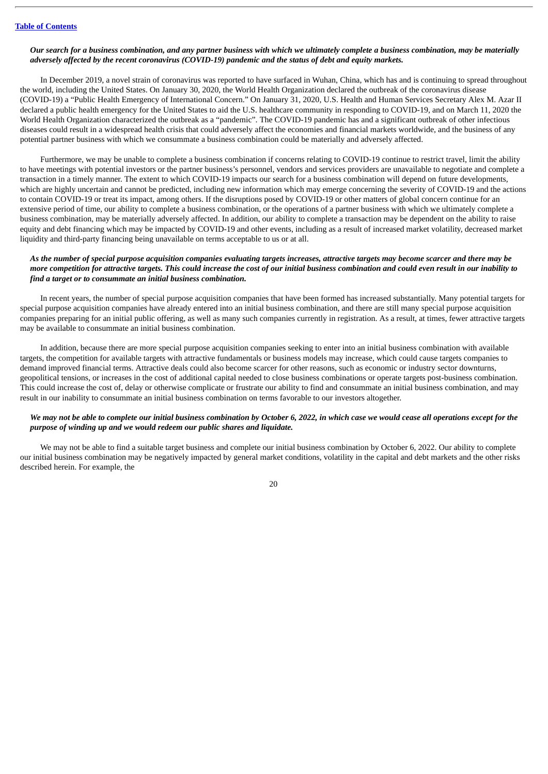#### Our search for a business combination, and any partner business with which we ultimately complete a business combination, may be materially *adversely affected by the recent coronavirus (COVID-19) pandemic and the status of debt and equity markets.*

In December 2019, a novel strain of coronavirus was reported to have surfaced in Wuhan, China, which has and is continuing to spread throughout the world, including the United States. On January 30, 2020, the World Health Organization declared the outbreak of the coronavirus disease (COVID-19) a "Public Health Emergency of International Concern." On January 31, 2020, U.S. Health and Human Services Secretary Alex M. Azar II declared a public health emergency for the United States to aid the U.S. healthcare community in responding to COVID-19, and on March 11, 2020 the World Health Organization characterized the outbreak as a "pandemic". The COVID-19 pandemic has and a significant outbreak of other infectious diseases could result in a widespread health crisis that could adversely affect the economies and financial markets worldwide, and the business of any potential partner business with which we consummate a business combination could be materially and adversely affected.

Furthermore, we may be unable to complete a business combination if concerns relating to COVID-19 continue to restrict travel, limit the ability to have meetings with potential investors or the partner business's personnel, vendors and services providers are unavailable to negotiate and complete a transaction in a timely manner. The extent to which COVID-19 impacts our search for a business combination will depend on future developments, which are highly uncertain and cannot be predicted, including new information which may emerge concerning the severity of COVID-19 and the actions to contain COVID-19 or treat its impact, among others. If the disruptions posed by COVID-19 or other matters of global concern continue for an extensive period of time, our ability to complete a business combination, or the operations of a partner business with which we ultimately complete a business combination, may be materially adversely affected. In addition, our ability to complete a transaction may be dependent on the ability to raise equity and debt financing which may be impacted by COVID-19 and other events, including as a result of increased market volatility, decreased market liquidity and third-party financing being unavailable on terms acceptable to us or at all.

# As the number of special purpose acquisition companies evaluating targets increases, attractive targets may become scarcer and there may be more competition for attractive targets. This could increase the cost of our initial business combination and could even result in our inability to *find a target or to consummate an initial business combination.*

In recent years, the number of special purpose acquisition companies that have been formed has increased substantially. Many potential targets for special purpose acquisition companies have already entered into an initial business combination, and there are still many special purpose acquisition companies preparing for an initial public offering, as well as many such companies currently in registration. As a result, at times, fewer attractive targets may be available to consummate an initial business combination.

In addition, because there are more special purpose acquisition companies seeking to enter into an initial business combination with available targets, the competition for available targets with attractive fundamentals or business models may increase, which could cause targets companies to demand improved financial terms. Attractive deals could also become scarcer for other reasons, such as economic or industry sector downturns, geopolitical tensions, or increases in the cost of additional capital needed to close business combinations or operate targets post-business combination. This could increase the cost of, delay or otherwise complicate or frustrate our ability to find and consummate an initial business combination, and may result in our inability to consummate an initial business combination on terms favorable to our investors altogether.

### We may not be able to complete our initial business combination by October 6, 2022, in which case we would cease all operations except for the *purpose of winding up and we would redeem our public shares and liquidate.*

We may not be able to find a suitable target business and complete our initial business combination by October 6, 2022. Our ability to complete our initial business combination may be negatively impacted by general market conditions, volatility in the capital and debt markets and the other risks described herein. For example, the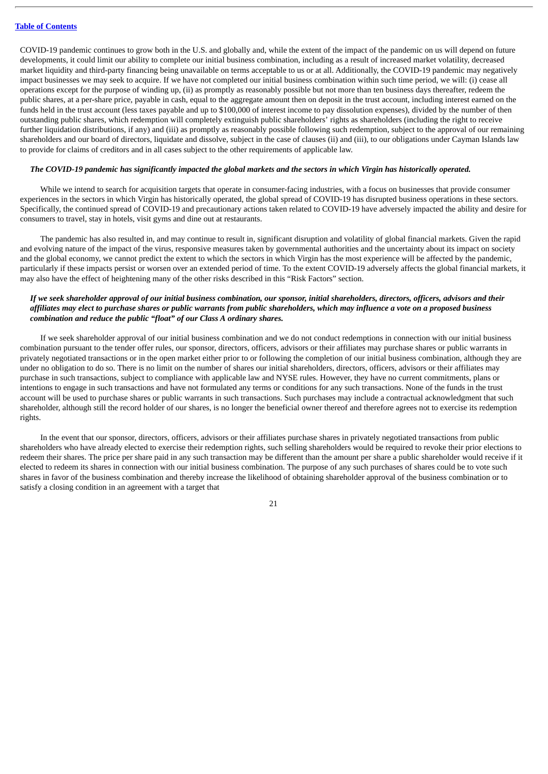COVID-19 pandemic continues to grow both in the U.S. and globally and, while the extent of the impact of the pandemic on us will depend on future developments, it could limit our ability to complete our initial business combination, including as a result of increased market volatility, decreased market liquidity and third-party financing being unavailable on terms acceptable to us or at all. Additionally, the COVID-19 pandemic may negatively impact businesses we may seek to acquire. If we have not completed our initial business combination within such time period, we will: (i) cease all operations except for the purpose of winding up, (ii) as promptly as reasonably possible but not more than ten business days thereafter, redeem the public shares, at a per-share price, payable in cash, equal to the aggregate amount then on deposit in the trust account, including interest earned on the funds held in the trust account (less taxes payable and up to \$100,000 of interest income to pay dissolution expenses), divided by the number of then outstanding public shares, which redemption will completely extinguish public shareholders' rights as shareholders (including the right to receive further liquidation distributions, if any) and (iii) as promptly as reasonably possible following such redemption, subject to the approval of our remaining shareholders and our board of directors, liquidate and dissolve, subject in the case of clauses (ii) and (iii), to our obligations under Cayman Islands law to provide for claims of creditors and in all cases subject to the other requirements of applicable law.

#### The COVID-19 pandemic has significantly impacted the global markets and the sectors in which Virgin has historically operated.

While we intend to search for acquisition targets that operate in consumer-facing industries, with a focus on businesses that provide consumer experiences in the sectors in which Virgin has historically operated, the global spread of COVID-19 has disrupted business operations in these sectors. Specifically, the continued spread of COVID-19 and precautionary actions taken related to COVID-19 have adversely impacted the ability and desire for consumers to travel, stay in hotels, visit gyms and dine out at restaurants.

The pandemic has also resulted in, and may continue to result in, significant disruption and volatility of global financial markets. Given the rapid and evolving nature of the impact of the virus, responsive measures taken by governmental authorities and the uncertainty about its impact on society and the global economy, we cannot predict the extent to which the sectors in which Virgin has the most experience will be affected by the pandemic, particularly if these impacts persist or worsen over an extended period of time. To the extent COVID-19 adversely affects the global financial markets, it may also have the effect of heightening many of the other risks described in this "Risk Factors" section.

# If we seek shareholder approval of our initial business combination, our sponsor, initial shareholders, directors, officers, advisors and their affiliates may elect to purchase shares or public warrants from public shareholders, which may influence a vote on a proposed business *combination and reduce the public "float" of our Class A ordinary shares.*

If we seek shareholder approval of our initial business combination and we do not conduct redemptions in connection with our initial business combination pursuant to the tender offer rules, our sponsor, directors, officers, advisors or their affiliates may purchase shares or public warrants in privately negotiated transactions or in the open market either prior to or following the completion of our initial business combination, although they are under no obligation to do so. There is no limit on the number of shares our initial shareholders, directors, officers, advisors or their affiliates may purchase in such transactions, subject to compliance with applicable law and NYSE rules. However, they have no current commitments, plans or intentions to engage in such transactions and have not formulated any terms or conditions for any such transactions. None of the funds in the trust account will be used to purchase shares or public warrants in such transactions. Such purchases may include a contractual acknowledgment that such shareholder, although still the record holder of our shares, is no longer the beneficial owner thereof and therefore agrees not to exercise its redemption rights.

In the event that our sponsor, directors, officers, advisors or their affiliates purchase shares in privately negotiated transactions from public shareholders who have already elected to exercise their redemption rights, such selling shareholders would be required to revoke their prior elections to redeem their shares. The price per share paid in any such transaction may be different than the amount per share a public shareholder would receive if it elected to redeem its shares in connection with our initial business combination. The purpose of any such purchases of shares could be to vote such shares in favor of the business combination and thereby increase the likelihood of obtaining shareholder approval of the business combination or to satisfy a closing condition in an agreement with a target that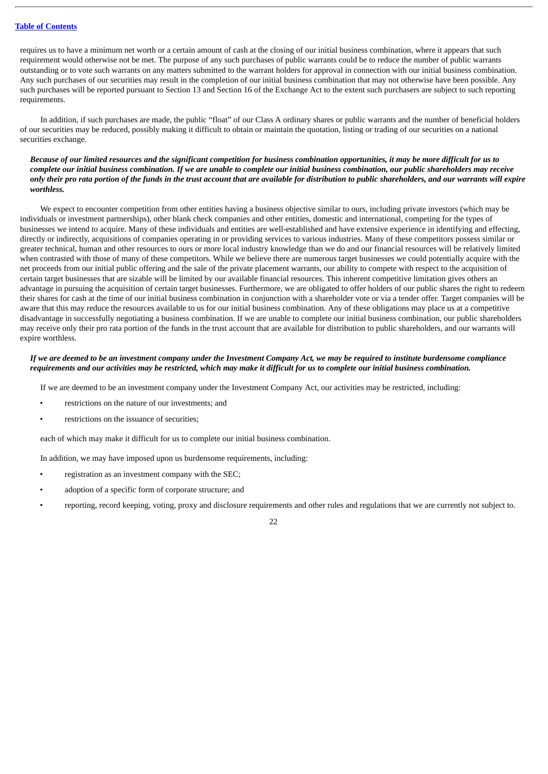requires us to have a minimum net worth or a certain amount of cash at the closing of our initial business combination, where it appears that such requirement would otherwise not be met. The purpose of any such purchases of public warrants could be to reduce the number of public warrants outstanding or to vote such warrants on any matters submitted to the warrant holders for approval in connection with our initial business combination. Any such purchases of our securities may result in the completion of our initial business combination that may not otherwise have been possible. Any such purchases will be reported pursuant to Section 13 and Section 16 of the Exchange Act to the extent such purchasers are subject to such reporting requirements.

In addition, if such purchases are made, the public "float" of our Class A ordinary shares or public warrants and the number of beneficial holders of our securities may be reduced, possibly making it difficult to obtain or maintain the quotation, listing or trading of our securities on a national securities exchange.

# Because of our limited resources and the significant competition for business combination opportunities, it may be more difficult for us to complete our initial business combination. If we are unable to complete our initial business combination, our public shareholders may receive only their pro rata portion of the funds in the trust account that are available for distribution to public shareholders, and our warrants will expire *worthless.*

We expect to encounter competition from other entities having a business objective similar to ours, including private investors (which may be individuals or investment partnerships), other blank check companies and other entities, domestic and international, competing for the types of businesses we intend to acquire. Many of these individuals and entities are well-established and have extensive experience in identifying and effecting, directly or indirectly, acquisitions of companies operating in or providing services to various industries. Many of these competitors possess similar or greater technical, human and other resources to ours or more local industry knowledge than we do and our financial resources will be relatively limited when contrasted with those of many of these competitors. While we believe there are numerous target businesses we could potentially acquire with the net proceeds from our initial public offering and the sale of the private placement warrants, our ability to compete with respect to the acquisition of certain target businesses that are sizable will be limited by our available financial resources. This inherent competitive limitation gives others an advantage in pursuing the acquisition of certain target businesses. Furthermore, we are obligated to offer holders of our public shares the right to redeem their shares for cash at the time of our initial business combination in conjunction with a shareholder vote or via a tender offer. Target companies will be aware that this may reduce the resources available to us for our initial business combination. Any of these obligations may place us at a competitive disadvantage in successfully negotiating a business combination. If we are unable to complete our initial business combination, our public shareholders may receive only their pro rata portion of the funds in the trust account that are available for distribution to public shareholders, and our warrants will expire worthless.

# If we are deemed to be an investment company under the Investment Company Act, we may be required to institute burdensome compliance requirements and our activities may be restricted, which may make it difficult for us to complete our initial business combination.

If we are deemed to be an investment company under the Investment Company Act, our activities may be restricted, including:

- restrictions on the nature of our investments; and
- restrictions on the issuance of securities:

each of which may make it difficult for us to complete our initial business combination.

In addition, we may have imposed upon us burdensome requirements, including:

- registration as an investment company with the SEC;
- adoption of a specific form of corporate structure; and
- reporting, record keeping, voting, proxy and disclosure requirements and other rules and regulations that we are currently not subject to.

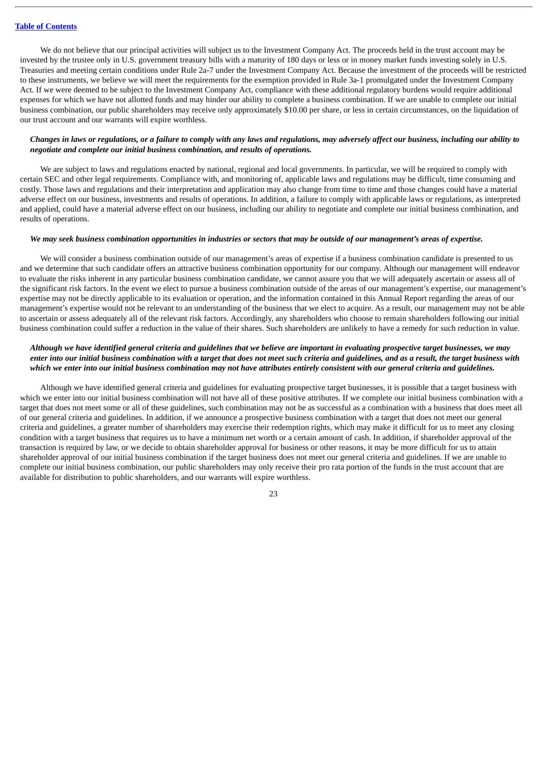We do not believe that our principal activities will subject us to the Investment Company Act. The proceeds held in the trust account may be invested by the trustee only in U.S. government treasury bills with a maturity of 180 days or less or in money market funds investing solely in U.S. Treasuries and meeting certain conditions under Rule 2a-7 under the Investment Company Act. Because the investment of the proceeds will be restricted to these instruments, we believe we will meet the requirements for the exemption provided in Rule 3a-1 promulgated under the Investment Company Act. If we were deemed to be subject to the Investment Company Act, compliance with these additional regulatory burdens would require additional expenses for which we have not allotted funds and may hinder our ability to complete a business combination. If we are unable to complete our initial business combination, our public shareholders may receive only approximately \$10.00 per share, or less in certain circumstances, on the liquidation of our trust account and our warrants will expire worthless.

#### Changes in laws or regulations, or a failure to comply with any laws and regulations, may adversely affect our business, including our ability to *negotiate and complete our initial business combination, and results of operations.*

We are subject to laws and regulations enacted by national, regional and local governments. In particular, we will be required to comply with certain SEC and other legal requirements. Compliance with, and monitoring of, applicable laws and regulations may be difficult, time consuming and costly. Those laws and regulations and their interpretation and application may also change from time to time and those changes could have a material adverse effect on our business, investments and results of operations. In addition, a failure to comply with applicable laws or regulations, as interpreted and applied, could have a material adverse effect on our business, including our ability to negotiate and complete our initial business combination, and results of operations.

#### We may seek business combination opportunities in industries or sectors that may be outside of our management's areas of expertise.

We will consider a business combination outside of our management's areas of expertise if a business combination candidate is presented to us and we determine that such candidate offers an attractive business combination opportunity for our company. Although our management will endeavor to evaluate the risks inherent in any particular business combination candidate, we cannot assure you that we will adequately ascertain or assess all of the significant risk factors. In the event we elect to pursue a business combination outside of the areas of our management's expertise, our management's expertise may not be directly applicable to its evaluation or operation, and the information contained in this Annual Report regarding the areas of our management's expertise would not be relevant to an understanding of the business that we elect to acquire. As a result, our management may not be able to ascertain or assess adequately all of the relevant risk factors. Accordingly, any shareholders who choose to remain shareholders following our initial business combination could suffer a reduction in the value of their shares. Such shareholders are unlikely to have a remedy for such reduction in value.

#### Although we have identified general criteria and quidelines that we believe are important in evaluating prospective target businesses, we may enter into our initial business combination with a target that does not meet such criteria and quidelines, and as a result, the target business with which we enter into our initial business combination may not have attributes entirely consistent with our general criteria and quidelines.

Although we have identified general criteria and guidelines for evaluating prospective target businesses, it is possible that a target business with which we enter into our initial business combination will not have all of these positive attributes. If we complete our initial business combination with a target that does not meet some or all of these guidelines, such combination may not be as successful as a combination with a business that does meet all of our general criteria and guidelines. In addition, if we announce a prospective business combination with a target that does not meet our general criteria and guidelines, a greater number of shareholders may exercise their redemption rights, which may make it difficult for us to meet any closing condition with a target business that requires us to have a minimum net worth or a certain amount of cash. In addition, if shareholder approval of the transaction is required by law, or we decide to obtain shareholder approval for business or other reasons, it may be more difficult for us to attain shareholder approval of our initial business combination if the target business does not meet our general criteria and guidelines. If we are unable to complete our initial business combination, our public shareholders may only receive their pro rata portion of the funds in the trust account that are available for distribution to public shareholders, and our warrants will expire worthless.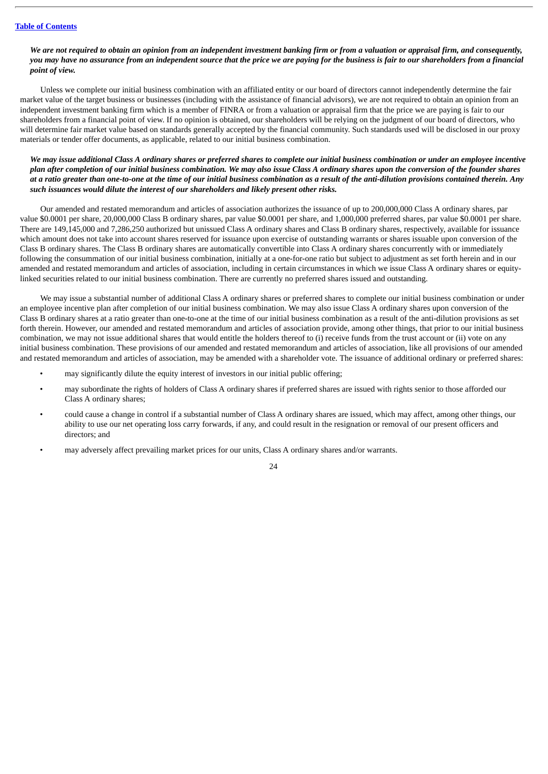# We are not required to obtain an opinion from an independent investment banking firm or from a valuation or appraisal firm, and consequently, you may have no assurance from an independent source that the price we are paying for the business is fair to our shareholders from a financial *point of view.*

Unless we complete our initial business combination with an affiliated entity or our board of directors cannot independently determine the fair market value of the target business or businesses (including with the assistance of financial advisors), we are not required to obtain an opinion from an independent investment banking firm which is a member of FINRA or from a valuation or appraisal firm that the price we are paying is fair to our shareholders from a financial point of view. If no opinion is obtained, our shareholders will be relying on the judgment of our board of directors, who will determine fair market value based on standards generally accepted by the financial community. Such standards used will be disclosed in our proxy materials or tender offer documents, as applicable, related to our initial business combination.

We may issue additional Class A ordinary shares or preferred shares to complete our initial business combination or under an employee incentive plan after completion of our initial business combination. We may also issue Class A ordinary shares upon the conversion of the founder shares at a ratio greater than one-to-one at the time of our initial business combination as a result of the anti-dilution provisions contained therein. Any *such issuances would dilute the interest of our shareholders and likely present other risks.*

Our amended and restated memorandum and articles of association authorizes the issuance of up to 200,000,000 Class A ordinary shares, par value \$0.0001 per share, 20,000,000 Class B ordinary shares, par value \$0.0001 per share, and 1,000,000 preferred shares, par value \$0.0001 per share. There are 149,145,000 and 7,286,250 authorized but unissued Class A ordinary shares and Class B ordinary shares, respectively, available for issuance which amount does not take into account shares reserved for issuance upon exercise of outstanding warrants or shares issuable upon conversion of the Class B ordinary shares. The Class B ordinary shares are automatically convertible into Class A ordinary shares concurrently with or immediately following the consummation of our initial business combination, initially at a one-for-one ratio but subject to adjustment as set forth herein and in our amended and restated memorandum and articles of association, including in certain circumstances in which we issue Class A ordinary shares or equitylinked securities related to our initial business combination. There are currently no preferred shares issued and outstanding.

We may issue a substantial number of additional Class A ordinary shares or preferred shares to complete our initial business combination or under an employee incentive plan after completion of our initial business combination. We may also issue Class A ordinary shares upon conversion of the Class B ordinary shares at a ratio greater than one-to-one at the time of our initial business combination as a result of the anti-dilution provisions as set forth therein. However, our amended and restated memorandum and articles of association provide, among other things, that prior to our initial business combination, we may not issue additional shares that would entitle the holders thereof to (i) receive funds from the trust account or (ii) vote on any initial business combination. These provisions of our amended and restated memorandum and articles of association, like all provisions of our amended and restated memorandum and articles of association, may be amended with a shareholder vote. The issuance of additional ordinary or preferred shares:

- may significantly dilute the equity interest of investors in our initial public offering;
- may subordinate the rights of holders of Class A ordinary shares if preferred shares are issued with rights senior to those afforded our Class A ordinary shares;
- could cause a change in control if a substantial number of Class A ordinary shares are issued, which may affect, among other things, our ability to use our net operating loss carry forwards, if any, and could result in the resignation or removal of our present officers and directors; and
- may adversely affect prevailing market prices for our units, Class A ordinary shares and/or warrants.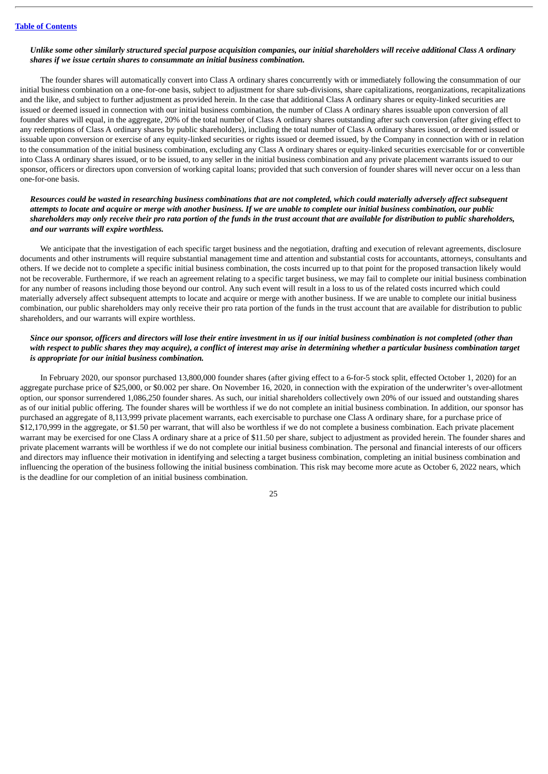#### Unlike some other similarly structured special purpose acquisition companies, our initial shareholders will receive additional Class A ordinary *shares if we issue certain shares to consummate an initial business combination.*

The founder shares will automatically convert into Class A ordinary shares concurrently with or immediately following the consummation of our initial business combination on a one-for-one basis, subject to adjustment for share sub-divisions, share capitalizations, reorganizations, recapitalizations and the like, and subject to further adjustment as provided herein. In the case that additional Class A ordinary shares or equity-linked securities are issued or deemed issued in connection with our initial business combination, the number of Class A ordinary shares issuable upon conversion of all founder shares will equal, in the aggregate, 20% of the total number of Class A ordinary shares outstanding after such conversion (after giving effect to any redemptions of Class A ordinary shares by public shareholders), including the total number of Class A ordinary shares issued, or deemed issued or issuable upon conversion or exercise of any equity-linked securities or rights issued or deemed issued, by the Company in connection with or in relation to the consummation of the initial business combination, excluding any Class A ordinary shares or equity-linked securities exercisable for or convertible into Class A ordinary shares issued, or to be issued, to any seller in the initial business combination and any private placement warrants issued to our sponsor, officers or directors upon conversion of working capital loans; provided that such conversion of founder shares will never occur on a less than one-for-one basis.

# Resources could be wasted in researching business combinations that are not completed, which could materially adversely affect subsequent attempts to locate and acquire or merge with another business. If we are unable to complete our initial business combination, our public shareholders may only receive their pro rata portion of the funds in the trust account that are available for distribution to public shareholders, *and our warrants will expire worthless.*

We anticipate that the investigation of each specific target business and the negotiation, drafting and execution of relevant agreements, disclosure documents and other instruments will require substantial management time and attention and substantial costs for accountants, attorneys, consultants and others. If we decide not to complete a specific initial business combination, the costs incurred up to that point for the proposed transaction likely would not be recoverable. Furthermore, if we reach an agreement relating to a specific target business, we may fail to complete our initial business combination for any number of reasons including those beyond our control. Any such event will result in a loss to us of the related costs incurred which could materially adversely affect subsequent attempts to locate and acquire or merge with another business. If we are unable to complete our initial business combination, our public shareholders may only receive their pro rata portion of the funds in the trust account that are available for distribution to public shareholders, and our warrants will expire worthless.

# Since our sponsor, officers and directors will lose their entire investment in us if our initial business combination is not completed (other than with respect to public shares they may acquire), a conflict of interest may arise in determining whether a particular business combination target *is appropriate for our initial business combination.*

In February 2020, our sponsor purchased 13,800,000 founder shares (after giving effect to a 6-for-5 stock split, effected October 1, 2020) for an aggregate purchase price of \$25,000, or \$0.002 per share. On November 16, 2020, in connection with the expiration of the underwriter's over-allotment option, our sponsor surrendered 1,086,250 founder shares. As such, our initial shareholders collectively own 20% of our issued and outstanding shares as of our initial public offering. The founder shares will be worthless if we do not complete an initial business combination. In addition, our sponsor has purchased an aggregate of 8,113,999 private placement warrants, each exercisable to purchase one Class A ordinary share, for a purchase price of \$12,170,999 in the aggregate, or \$1.50 per warrant, that will also be worthless if we do not complete a business combination. Each private placement warrant may be exercised for one Class A ordinary share at a price of \$11.50 per share, subject to adjustment as provided herein. The founder shares and private placement warrants will be worthless if we do not complete our initial business combination. The personal and financial interests of our officers and directors may influence their motivation in identifying and selecting a target business combination, completing an initial business combination and influencing the operation of the business following the initial business combination. This risk may become more acute as October 6, 2022 nears, which is the deadline for our completion of an initial business combination.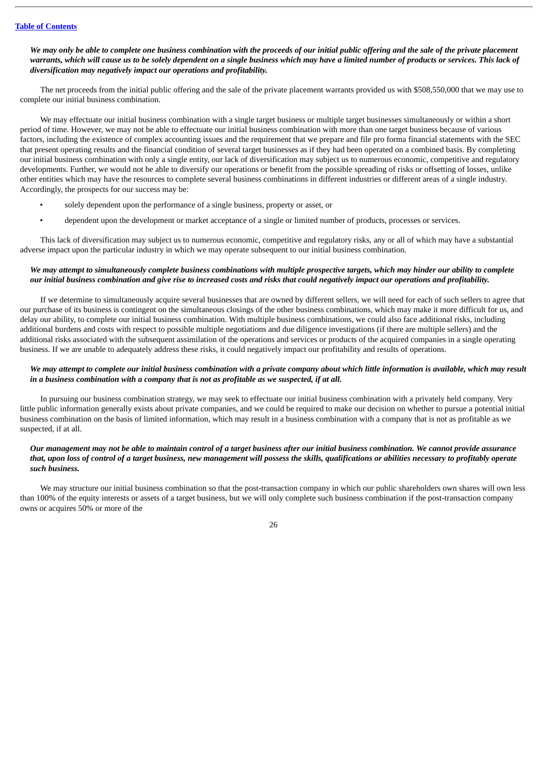# We may only be able to complete one business combination with the proceeds of our initial public offering and the sale of the private placement warrants, which will cause us to be solely dependent on a sinale business which may have a limited number of products or services. This lack of *diversification may negatively impact our operations and profitability.*

The net proceeds from the initial public offering and the sale of the private placement warrants provided us with \$508,550,000 that we may use to complete our initial business combination.

We may effectuate our initial business combination with a single target business or multiple target businesses simultaneously or within a short period of time. However, we may not be able to effectuate our initial business combination with more than one target business because of various factors, including the existence of complex accounting issues and the requirement that we prepare and file pro forma financial statements with the SEC that present operating results and the financial condition of several target businesses as if they had been operated on a combined basis. By completing our initial business combination with only a single entity, our lack of diversification may subject us to numerous economic, competitive and regulatory developments. Further, we would not be able to diversify our operations or benefit from the possible spreading of risks or offsetting of losses, unlike other entities which may have the resources to complete several business combinations in different industries or different areas of a single industry. Accordingly, the prospects for our success may be:

- solely dependent upon the performance of a single business, property or asset, or
- dependent upon the development or market acceptance of a single or limited number of products, processes or services.

This lack of diversification may subject us to numerous economic, competitive and regulatory risks, any or all of which may have a substantial adverse impact upon the particular industry in which we may operate subsequent to our initial business combination.

#### We may attempt to simultaneously complete business combinations with multiple prospective targets, which may hinder our ability to complete our initial business combination and give rise to increased costs and risks that could negatively impact our operations and profitability.

If we determine to simultaneously acquire several businesses that are owned by different sellers, we will need for each of such sellers to agree that our purchase of its business is contingent on the simultaneous closings of the other business combinations, which may make it more difficult for us, and delay our ability, to complete our initial business combination. With multiple business combinations, we could also face additional risks, including additional burdens and costs with respect to possible multiple negotiations and due diligence investigations (if there are multiple sellers) and the additional risks associated with the subsequent assimilation of the operations and services or products of the acquired companies in a single operating business. If we are unable to adequately address these risks, it could negatively impact our profitability and results of operations.

#### We may attempt to complete our initial business combination with a private company about which little information is available, which may result *in a business combination with a company that is not as profitable as we suspected, if at all.*

In pursuing our business combination strategy, we may seek to effectuate our initial business combination with a privately held company. Very little public information generally exists about private companies, and we could be required to make our decision on whether to pursue a potential initial business combination on the basis of limited information, which may result in a business combination with a company that is not as profitable as we suspected, if at all.

# Our management may not be able to maintain control of a target business after our initial business combination. We cannot provide assurance that, upon loss of control of a target business, new management will possess the skills, qualifications or abilities necessary to profitably operate *such business.*

We may structure our initial business combination so that the post-transaction company in which our public shareholders own shares will own less than 100% of the equity interests or assets of a target business, but we will only complete such business combination if the post-transaction company owns or acquires 50% or more of the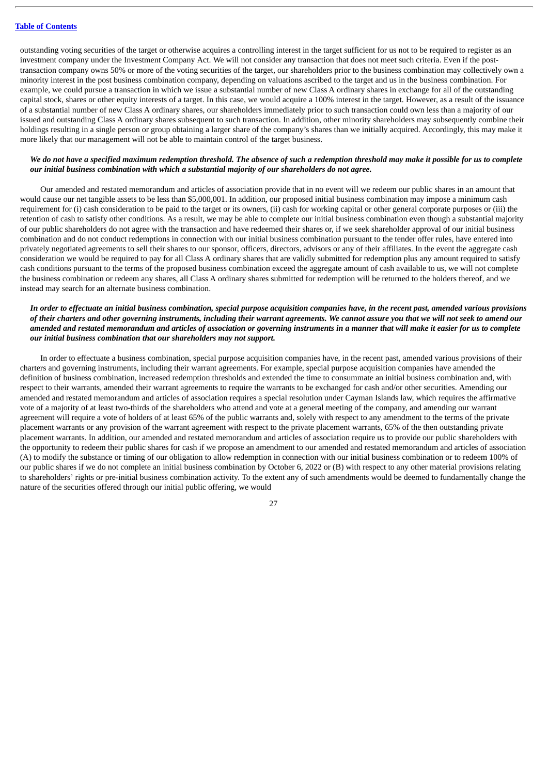outstanding voting securities of the target or otherwise acquires a controlling interest in the target sufficient for us not to be required to register as an investment company under the Investment Company Act. We will not consider any transaction that does not meet such criteria. Even if the posttransaction company owns 50% or more of the voting securities of the target, our shareholders prior to the business combination may collectively own a minority interest in the post business combination company, depending on valuations ascribed to the target and us in the business combination. For example, we could pursue a transaction in which we issue a substantial number of new Class A ordinary shares in exchange for all of the outstanding capital stock, shares or other equity interests of a target. In this case, we would acquire a 100% interest in the target. However, as a result of the issuance of a substantial number of new Class A ordinary shares, our shareholders immediately prior to such transaction could own less than a majority of our issued and outstanding Class A ordinary shares subsequent to such transaction. In addition, other minority shareholders may subsequently combine their holdings resulting in a single person or group obtaining a larger share of the company's shares than we initially acquired. Accordingly, this may make it more likely that our management will not be able to maintain control of the target business.

# We do not have a specified maximum redemption threshold. The absence of such a redemption threshold may make it possible for us to complete *our initial business combination with which a substantial majority of our shareholders do not agree.*

Our amended and restated memorandum and articles of association provide that in no event will we redeem our public shares in an amount that would cause our net tangible assets to be less than \$5,000,001. In addition, our proposed initial business combination may impose a minimum cash requirement for (i) cash consideration to be paid to the target or its owners, (ii) cash for working capital or other general corporate purposes or (iii) the retention of cash to satisfy other conditions. As a result, we may be able to complete our initial business combination even though a substantial majority of our public shareholders do not agree with the transaction and have redeemed their shares or, if we seek shareholder approval of our initial business combination and do not conduct redemptions in connection with our initial business combination pursuant to the tender offer rules, have entered into privately negotiated agreements to sell their shares to our sponsor, officers, directors, advisors or any of their affiliates. In the event the aggregate cash consideration we would be required to pay for all Class A ordinary shares that are validly submitted for redemption plus any amount required to satisfy cash conditions pursuant to the terms of the proposed business combination exceed the aggregate amount of cash available to us, we will not complete the business combination or redeem any shares, all Class A ordinary shares submitted for redemption will be returned to the holders thereof, and we instead may search for an alternate business combination.

# In order to effectuate an initial business combination, special purpose acquisition companies have, in the recent past, amended various provisions of their charters and other governing instruments, including their warrant agreements. We cannot assure you that we will not seek to amend our amended and restated memorandum and articles of association or governing instruments in a manner that will make it easier for us to complete *our initial business combination that our shareholders may not support.*

In order to effectuate a business combination, special purpose acquisition companies have, in the recent past, amended various provisions of their charters and governing instruments, including their warrant agreements. For example, special purpose acquisition companies have amended the definition of business combination, increased redemption thresholds and extended the time to consummate an initial business combination and, with respect to their warrants, amended their warrant agreements to require the warrants to be exchanged for cash and/or other securities. Amending our amended and restated memorandum and articles of association requires a special resolution under Cayman Islands law, which requires the affirmative vote of a majority of at least two-thirds of the shareholders who attend and vote at a general meeting of the company, and amending our warrant agreement will require a vote of holders of at least 65% of the public warrants and, solely with respect to any amendment to the terms of the private placement warrants or any provision of the warrant agreement with respect to the private placement warrants, 65% of the then outstanding private placement warrants. In addition, our amended and restated memorandum and articles of association require us to provide our public shareholders with the opportunity to redeem their public shares for cash if we propose an amendment to our amended and restated memorandum and articles of association (A) to modify the substance or timing of our obligation to allow redemption in connection with our initial business combination or to redeem 100% of our public shares if we do not complete an initial business combination by October 6, 2022 or (B) with respect to any other material provisions relating to shareholders' rights or pre-initial business combination activity. To the extent any of such amendments would be deemed to fundamentally change the nature of the securities offered through our initial public offering, we would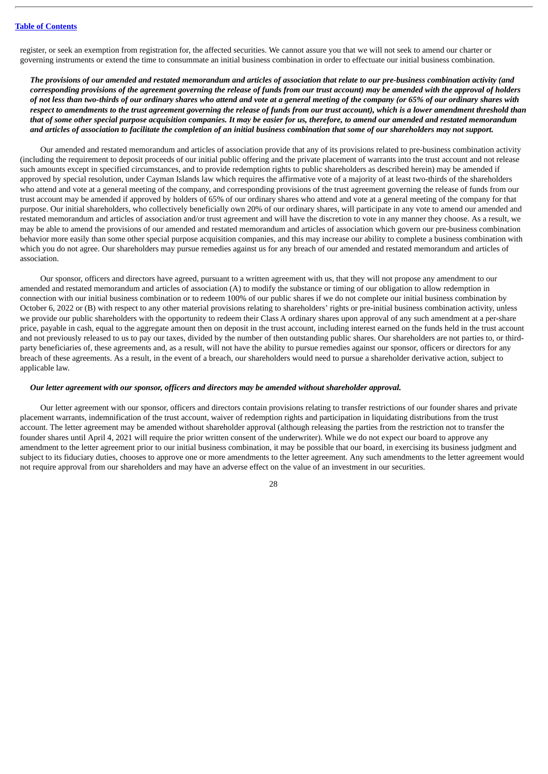register, or seek an exemption from registration for, the affected securities. We cannot assure you that we will not seek to amend our charter or governing instruments or extend the time to consummate an initial business combination in order to effectuate our initial business combination.

The provisions of our amended and restated memorandum and articles of association that relate to our pre-business combination activity (and corresponding provisions of the agreement governing the release of funds from our trust account) may be amended with the approval of holders of not less than two-thirds of our ordinary shares who attend and vote at a general meeting of the company (or 65% of our ordinary shares with respect to amendments to the trust agreement governing the release of funds from our trust account), which is a lower amendment threshold than that of some other special purpose acquisition companies. It may be easier for us, therefore, to amend our amended and restated memorandum and articles of association to facilitate the completion of an initial business combination that some of our shareholders may not support.

Our amended and restated memorandum and articles of association provide that any of its provisions related to pre-business combination activity (including the requirement to deposit proceeds of our initial public offering and the private placement of warrants into the trust account and not release such amounts except in specified circumstances, and to provide redemption rights to public shareholders as described herein) may be amended if approved by special resolution, under Cayman Islands law which requires the affirmative vote of a majority of at least two-thirds of the shareholders who attend and vote at a general meeting of the company, and corresponding provisions of the trust agreement governing the release of funds from our trust account may be amended if approved by holders of 65% of our ordinary shares who attend and vote at a general meeting of the company for that purpose. Our initial shareholders, who collectively beneficially own 20% of our ordinary shares, will participate in any vote to amend our amended and restated memorandum and articles of association and/or trust agreement and will have the discretion to vote in any manner they choose. As a result, we may be able to amend the provisions of our amended and restated memorandum and articles of association which govern our pre-business combination behavior more easily than some other special purpose acquisition companies, and this may increase our ability to complete a business combination with which you do not agree. Our shareholders may pursue remedies against us for any breach of our amended and restated memorandum and articles of association.

Our sponsor, officers and directors have agreed, pursuant to a written agreement with us, that they will not propose any amendment to our amended and restated memorandum and articles of association (A) to modify the substance or timing of our obligation to allow redemption in connection with our initial business combination or to redeem 100% of our public shares if we do not complete our initial business combination by October 6, 2022 or (B) with respect to any other material provisions relating to shareholders' rights or pre-initial business combination activity, unless we provide our public shareholders with the opportunity to redeem their Class A ordinary shares upon approval of any such amendment at a per-share price, payable in cash, equal to the aggregate amount then on deposit in the trust account, including interest earned on the funds held in the trust account and not previously released to us to pay our taxes, divided by the number of then outstanding public shares. Our shareholders are not parties to, or thirdparty beneficiaries of, these agreements and, as a result, will not have the ability to pursue remedies against our sponsor, officers or directors for any breach of these agreements. As a result, in the event of a breach, our shareholders would need to pursue a shareholder derivative action, subject to applicable law.

# *Our letter agreement with our sponsor, officers and directors may be amended without shareholder approval.*

Our letter agreement with our sponsor, officers and directors contain provisions relating to transfer restrictions of our founder shares and private placement warrants, indemnification of the trust account, waiver of redemption rights and participation in liquidating distributions from the trust account. The letter agreement may be amended without shareholder approval (although releasing the parties from the restriction not to transfer the founder shares until April 4, 2021 will require the prior written consent of the underwriter). While we do not expect our board to approve any amendment to the letter agreement prior to our initial business combination, it may be possible that our board, in exercising its business judgment and subject to its fiduciary duties, chooses to approve one or more amendments to the letter agreement. Any such amendments to the letter agreement would not require approval from our shareholders and may have an adverse effect on the value of an investment in our securities.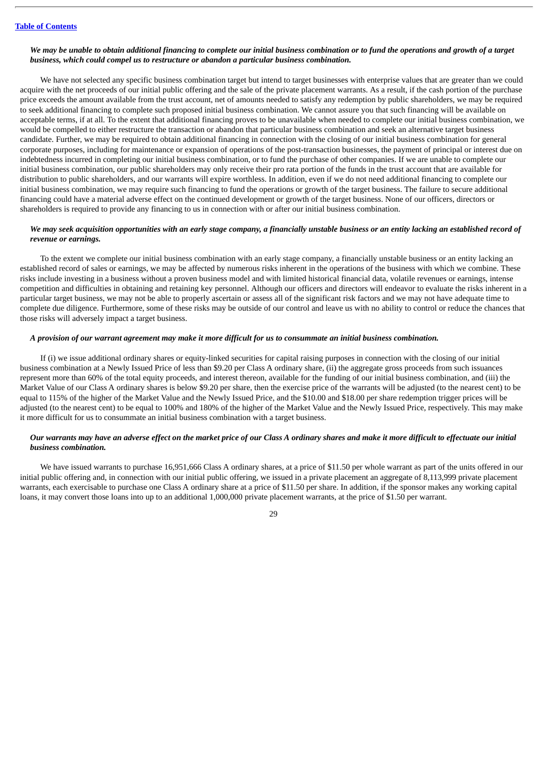#### We may be unable to obtain additional financing to complete our initial business combination or to fund the operations and growth of a target *business, which could compel us to restructure or abandon a particular business combination.*

We have not selected any specific business combination target but intend to target businesses with enterprise values that are greater than we could acquire with the net proceeds of our initial public offering and the sale of the private placement warrants. As a result, if the cash portion of the purchase price exceeds the amount available from the trust account, net of amounts needed to satisfy any redemption by public shareholders, we may be required to seek additional financing to complete such proposed initial business combination. We cannot assure you that such financing will be available on acceptable terms, if at all. To the extent that additional financing proves to be unavailable when needed to complete our initial business combination, we would be compelled to either restructure the transaction or abandon that particular business combination and seek an alternative target business candidate. Further, we may be required to obtain additional financing in connection with the closing of our initial business combination for general corporate purposes, including for maintenance or expansion of operations of the post-transaction businesses, the payment of principal or interest due on indebtedness incurred in completing our initial business combination, or to fund the purchase of other companies. If we are unable to complete our initial business combination, our public shareholders may only receive their pro rata portion of the funds in the trust account that are available for distribution to public shareholders, and our warrants will expire worthless. In addition, even if we do not need additional financing to complete our initial business combination, we may require such financing to fund the operations or growth of the target business. The failure to secure additional financing could have a material adverse effect on the continued development or growth of the target business. None of our officers, directors or shareholders is required to provide any financing to us in connection with or after our initial business combination.

#### We may seek acquisition opportunities with an early stage company, a financially unstable business or an entity lacking an established record of *revenue or earnings.*

To the extent we complete our initial business combination with an early stage company, a financially unstable business or an entity lacking an established record of sales or earnings, we may be affected by numerous risks inherent in the operations of the business with which we combine. These risks include investing in a business without a proven business model and with limited historical financial data, volatile revenues or earnings, intense competition and difficulties in obtaining and retaining key personnel. Although our officers and directors will endeavor to evaluate the risks inherent in a particular target business, we may not be able to properly ascertain or assess all of the significant risk factors and we may not have adequate time to complete due diligence. Furthermore, some of these risks may be outside of our control and leave us with no ability to control or reduce the chances that those risks will adversely impact a target business.

# A provision of our warrant agreement may make it more difficult for us to consummate an initial business combination.

If (i) we issue additional ordinary shares or equity-linked securities for capital raising purposes in connection with the closing of our initial business combination at a Newly Issued Price of less than \$9.20 per Class A ordinary share, (ii) the aggregate gross proceeds from such issuances represent more than 60% of the total equity proceeds, and interest thereon, available for the funding of our initial business combination, and (iii) the Market Value of our Class A ordinary shares is below \$9.20 per share, then the exercise price of the warrants will be adjusted (to the nearest cent) to be equal to 115% of the higher of the Market Value and the Newly Issued Price, and the \$10.00 and \$18.00 per share redemption trigger prices will be adjusted (to the nearest cent) to be equal to 100% and 180% of the higher of the Market Value and the Newly Issued Price, respectively. This may make it more difficult for us to consummate an initial business combination with a target business.

# Our warrants may have an adverse effect on the market price of our Class A ordinary shares and make it more difficult to effectuate our initial *business combination.*

We have issued warrants to purchase 16,951,666 Class A ordinary shares, at a price of \$11.50 per whole warrant as part of the units offered in our initial public offering and, in connection with our initial public offering, we issued in a private placement an aggregate of 8,113,999 private placement warrants, each exercisable to purchase one Class A ordinary share at a price of \$11.50 per share. In addition, if the sponsor makes any working capital loans, it may convert those loans into up to an additional 1,000,000 private placement warrants, at the price of \$1.50 per warrant.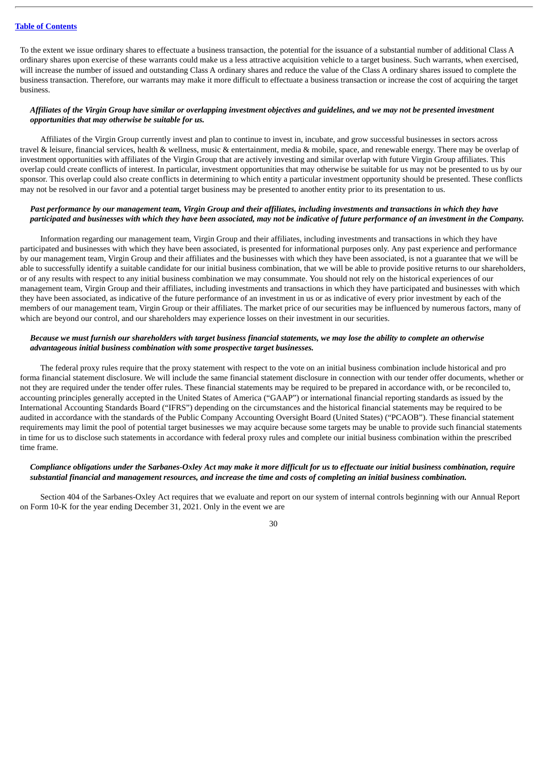To the extent we issue ordinary shares to effectuate a business transaction, the potential for the issuance of a substantial number of additional Class A ordinary shares upon exercise of these warrants could make us a less attractive acquisition vehicle to a target business. Such warrants, when exercised, will increase the number of issued and outstanding Class A ordinary shares and reduce the value of the Class A ordinary shares issued to complete the business transaction. Therefore, our warrants may make it more difficult to effectuate a business transaction or increase the cost of acquiring the target business.

# Affiliates of the Virgin Group have similar or overlapping investment objectives and quidelines, and we may not be presented investment *opportunities that may otherwise be suitable for us.*

Affiliates of the Virgin Group currently invest and plan to continue to invest in, incubate, and grow successful businesses in sectors across travel & leisure, financial services, health & wellness, music & entertainment, media & mobile, space, and renewable energy. There may be overlap of investment opportunities with affiliates of the Virgin Group that are actively investing and similar overlap with future Virgin Group affiliates. This overlap could create conflicts of interest. In particular, investment opportunities that may otherwise be suitable for us may not be presented to us by our sponsor. This overlap could also create conflicts in determining to which entity a particular investment opportunity should be presented. These conflicts may not be resolved in our favor and a potential target business may be presented to another entity prior to its presentation to us.

## Past performance by our management team. Virain Group and their affiliates, including investments and transactions in which they have participated and businesses with which they have been associated, may not be indicative of future performance of an investment in the Company.

Information regarding our management team, Virgin Group and their affiliates, including investments and transactions in which they have participated and businesses with which they have been associated, is presented for informational purposes only. Any past experience and performance by our management team, Virgin Group and their affiliates and the businesses with which they have been associated, is not a guarantee that we will be able to successfully identify a suitable candidate for our initial business combination, that we will be able to provide positive returns to our shareholders, or of any results with respect to any initial business combination we may consummate. You should not rely on the historical experiences of our management team, Virgin Group and their affiliates, including investments and transactions in which they have participated and businesses with which they have been associated, as indicative of the future performance of an investment in us or as indicative of every prior investment by each of the members of our management team, Virgin Group or their affiliates. The market price of our securities may be influenced by numerous factors, many of which are beyond our control, and our shareholders may experience losses on their investment in our securities.

#### Because we must furnish our shareholders with target business financial statements, we may lose the ability to complete an otherwise *advantageous initial business combination with some prospective target businesses.*

The federal proxy rules require that the proxy statement with respect to the vote on an initial business combination include historical and pro forma financial statement disclosure. We will include the same financial statement disclosure in connection with our tender offer documents, whether or not they are required under the tender offer rules. These financial statements may be required to be prepared in accordance with, or be reconciled to, accounting principles generally accepted in the United States of America ("GAAP") or international financial reporting standards as issued by the International Accounting Standards Board ("IFRS") depending on the circumstances and the historical financial statements may be required to be audited in accordance with the standards of the Public Company Accounting Oversight Board (United States) ("PCAOB"). These financial statement requirements may limit the pool of potential target businesses we may acquire because some targets may be unable to provide such financial statements in time for us to disclose such statements in accordance with federal proxy rules and complete our initial business combination within the prescribed time frame.

# Compliance obligations under the Sarbanes-Oxley Act may make it more difficult for us to effectuate our initial business combination, require substantial financial and management resources, and increase the time and costs of completing an initial business combination.

Section 404 of the Sarbanes-Oxley Act requires that we evaluate and report on our system of internal controls beginning with our Annual Report on Form 10-K for the year ending December 31, 2021. Only in the event we are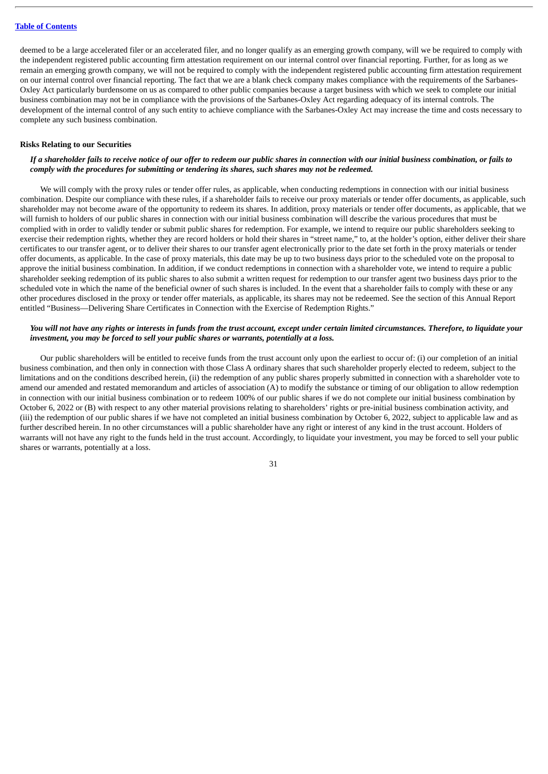deemed to be a large accelerated filer or an accelerated filer, and no longer qualify as an emerging growth company, will we be required to comply with the independent registered public accounting firm attestation requirement on our internal control over financial reporting. Further, for as long as we remain an emerging growth company, we will not be required to comply with the independent registered public accounting firm attestation requirement on our internal control over financial reporting. The fact that we are a blank check company makes compliance with the requirements of the Sarbanes-Oxley Act particularly burdensome on us as compared to other public companies because a target business with which we seek to complete our initial business combination may not be in compliance with the provisions of the Sarbanes-Oxley Act regarding adequacy of its internal controls. The development of the internal control of any such entity to achieve compliance with the Sarbanes-Oxley Act may increase the time and costs necessary to complete any such business combination.

#### **Risks Relating to our Securities**

# If a shareholder fails to receive notice of our offer to redeem our public shares in connection with our initial business combination, or fails to *comply with the procedures for submitting or tendering its shares, such shares may not be redeemed.*

We will comply with the proxy rules or tender offer rules, as applicable, when conducting redemptions in connection with our initial business combination. Despite our compliance with these rules, if a shareholder fails to receive our proxy materials or tender offer documents, as applicable, such shareholder may not become aware of the opportunity to redeem its shares. In addition, proxy materials or tender offer documents, as applicable, that we will furnish to holders of our public shares in connection with our initial business combination will describe the various procedures that must be complied with in order to validly tender or submit public shares for redemption. For example, we intend to require our public shareholders seeking to exercise their redemption rights, whether they are record holders or hold their shares in "street name," to, at the holder's option, either deliver their share certificates to our transfer agent, or to deliver their shares to our transfer agent electronically prior to the date set forth in the proxy materials or tender offer documents, as applicable. In the case of proxy materials, this date may be up to two business days prior to the scheduled vote on the proposal to approve the initial business combination. In addition, if we conduct redemptions in connection with a shareholder vote, we intend to require a public shareholder seeking redemption of its public shares to also submit a written request for redemption to our transfer agent two business days prior to the scheduled vote in which the name of the beneficial owner of such shares is included. In the event that a shareholder fails to comply with these or any other procedures disclosed in the proxy or tender offer materials, as applicable, its shares may not be redeemed. See the section of this Annual Report entitled "Business—Delivering Share Certificates in Connection with the Exercise of Redemption Rights."

# You will not have any rights or interests in funds from the trust account, except under certain limited circumstances. Therefore, to liquidate your *investment, you may be forced to sell your public shares or warrants, potentially at a loss.*

Our public shareholders will be entitled to receive funds from the trust account only upon the earliest to occur of: (i) our completion of an initial business combination, and then only in connection with those Class A ordinary shares that such shareholder properly elected to redeem, subject to the limitations and on the conditions described herein, (ii) the redemption of any public shares properly submitted in connection with a shareholder vote to amend our amended and restated memorandum and articles of association (A) to modify the substance or timing of our obligation to allow redemption in connection with our initial business combination or to redeem 100% of our public shares if we do not complete our initial business combination by October 6, 2022 or (B) with respect to any other material provisions relating to shareholders' rights or pre-initial business combination activity, and (iii) the redemption of our public shares if we have not completed an initial business combination by October 6, 2022, subject to applicable law and as further described herein. In no other circumstances will a public shareholder have any right or interest of any kind in the trust account. Holders of warrants will not have any right to the funds held in the trust account. Accordingly, to liquidate your investment, you may be forced to sell your public shares or warrants, potentially at a loss.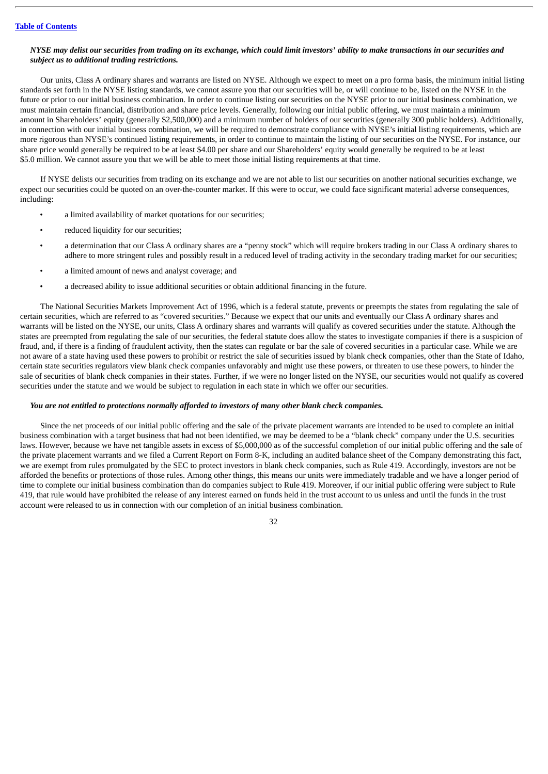### NYSE may delist our securities from trading on its exchange, which could limit investors' ability to make transactions in our securities and *subject us to additional trading restrictions.*

Our units, Class A ordinary shares and warrants are listed on NYSE. Although we expect to meet on a pro forma basis, the minimum initial listing standards set forth in the NYSE listing standards, we cannot assure you that our securities will be, or will continue to be, listed on the NYSE in the future or prior to our initial business combination. In order to continue listing our securities on the NYSE prior to our initial business combination, we must maintain certain financial, distribution and share price levels. Generally, following our initial public offering, we must maintain a minimum amount in Shareholders' equity (generally \$2,500,000) and a minimum number of holders of our securities (generally 300 public holders). Additionally, in connection with our initial business combination, we will be required to demonstrate compliance with NYSE's initial listing requirements, which are more rigorous than NYSE's continued listing requirements, in order to continue to maintain the listing of our securities on the NYSE. For instance, our share price would generally be required to be at least \$4.00 per share and our Shareholders' equity would generally be required to be at least \$5.0 million. We cannot assure you that we will be able to meet those initial listing requirements at that time.

If NYSE delists our securities from trading on its exchange and we are not able to list our securities on another national securities exchange, we expect our securities could be quoted on an over-the-counter market. If this were to occur, we could face significant material adverse consequences, including:

- a limited availability of market quotations for our securities;
- reduced liquidity for our securities;
- a determination that our Class A ordinary shares are a "penny stock" which will require brokers trading in our Class A ordinary shares to adhere to more stringent rules and possibly result in a reduced level of trading activity in the secondary trading market for our securities;
- a limited amount of news and analyst coverage; and
- a decreased ability to issue additional securities or obtain additional financing in the future.

The National Securities Markets Improvement Act of 1996, which is a federal statute, prevents or preempts the states from regulating the sale of certain securities, which are referred to as "covered securities." Because we expect that our units and eventually our Class A ordinary shares and warrants will be listed on the NYSE, our units, Class A ordinary shares and warrants will qualify as covered securities under the statute. Although the states are preempted from regulating the sale of our securities, the federal statute does allow the states to investigate companies if there is a suspicion of fraud, and, if there is a finding of fraudulent activity, then the states can regulate or bar the sale of covered securities in a particular case. While we are not aware of a state having used these powers to prohibit or restrict the sale of securities issued by blank check companies, other than the State of Idaho, certain state securities regulators view blank check companies unfavorably and might use these powers, or threaten to use these powers, to hinder the sale of securities of blank check companies in their states. Further, if we were no longer listed on the NYSE, our securities would not qualify as covered securities under the statute and we would be subject to regulation in each state in which we offer our securities.

## *You are not entitled to protections normally afforded to investors of many other blank check companies.*

Since the net proceeds of our initial public offering and the sale of the private placement warrants are intended to be used to complete an initial business combination with a target business that had not been identified, we may be deemed to be a "blank check" company under the U.S. securities laws. However, because we have net tangible assets in excess of \$5,000,000 as of the successful completion of our initial public offering and the sale of the private placement warrants and we filed a Current Report on Form 8-K, including an audited balance sheet of the Company demonstrating this fact, we are exempt from rules promulgated by the SEC to protect investors in blank check companies, such as Rule 419. Accordingly, investors are not be afforded the benefits or protections of those rules. Among other things, this means our units were immediately tradable and we have a longer period of time to complete our initial business combination than do companies subject to Rule 419. Moreover, if our initial public offering were subject to Rule 419, that rule would have prohibited the release of any interest earned on funds held in the trust account to us unless and until the funds in the trust account were released to us in connection with our completion of an initial business combination.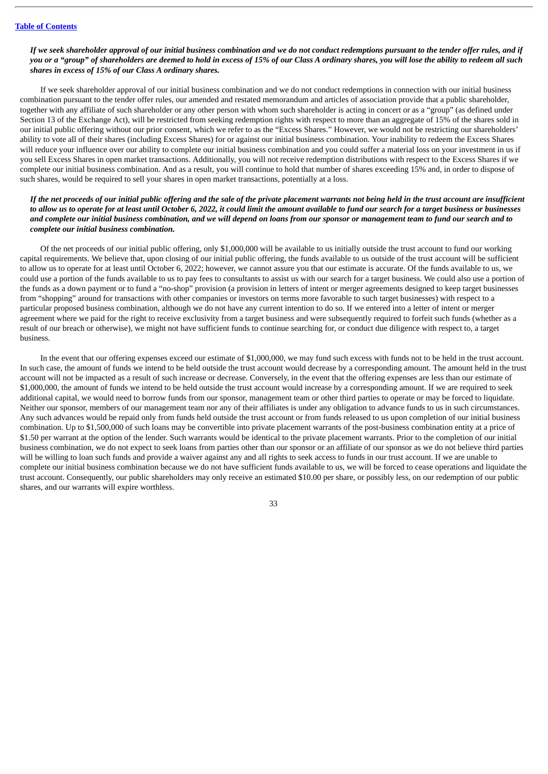## If we seek shareholder approval of our initial business combination and we do not conduct redemptions pursuant to the tender offer rules, and if you or a "aroup" of shareholders are deemed to hold in excess of 15% of our Class A ordinary shares, you will lose the ability to redeem all such *shares in excess of 15% of our Class A ordinary shares.*

If we seek shareholder approval of our initial business combination and we do not conduct redemptions in connection with our initial business combination pursuant to the tender offer rules, our amended and restated memorandum and articles of association provide that a public shareholder, together with any affiliate of such shareholder or any other person with whom such shareholder is acting in concert or as a "group" (as defined under Section 13 of the Exchange Act), will be restricted from seeking redemption rights with respect to more than an aggregate of 15% of the shares sold in our initial public offering without our prior consent, which we refer to as the "Excess Shares." However, we would not be restricting our shareholders' ability to vote all of their shares (including Excess Shares) for or against our initial business combination. Your inability to redeem the Excess Shares will reduce your influence over our ability to complete our initial business combination and you could suffer a material loss on your investment in us if you sell Excess Shares in open market transactions. Additionally, you will not receive redemption distributions with respect to the Excess Shares if we complete our initial business combination. And as a result, you will continue to hold that number of shares exceeding 15% and, in order to dispose of such shares, would be required to sell your shares in open market transactions, potentially at a loss.

## If the net proceeds of our initial public offering and the sale of the private placement warrants not being held in the trust account are insufficient to allow us to operate for at least until October 6, 2022, it could limit the amount available to fund our search for a target business or businesses and complete our initial business combination, and we will depend on loans from our sponsor or management team to fund our search and to *complete our initial business combination.*

Of the net proceeds of our initial public offering, only \$1,000,000 will be available to us initially outside the trust account to fund our working capital requirements. We believe that, upon closing of our initial public offering, the funds available to us outside of the trust account will be sufficient to allow us to operate for at least until October 6, 2022; however, we cannot assure you that our estimate is accurate. Of the funds available to us, we could use a portion of the funds available to us to pay fees to consultants to assist us with our search for a target business. We could also use a portion of the funds as a down payment or to fund a "no-shop" provision (a provision in letters of intent or merger agreements designed to keep target businesses from "shopping" around for transactions with other companies or investors on terms more favorable to such target businesses) with respect to a particular proposed business combination, although we do not have any current intention to do so. If we entered into a letter of intent or merger agreement where we paid for the right to receive exclusivity from a target business and were subsequently required to forfeit such funds (whether as a result of our breach or otherwise), we might not have sufficient funds to continue searching for, or conduct due diligence with respect to, a target business.

In the event that our offering expenses exceed our estimate of \$1,000,000, we may fund such excess with funds not to be held in the trust account. In such case, the amount of funds we intend to be held outside the trust account would decrease by a corresponding amount. The amount held in the trust account will not be impacted as a result of such increase or decrease. Conversely, in the event that the offering expenses are less than our estimate of \$1,000,000, the amount of funds we intend to be held outside the trust account would increase by a corresponding amount. If we are required to seek additional capital, we would need to borrow funds from our sponsor, management team or other third parties to operate or may be forced to liquidate. Neither our sponsor, members of our management team nor any of their affiliates is under any obligation to advance funds to us in such circumstances. Any such advances would be repaid only from funds held outside the trust account or from funds released to us upon completion of our initial business combination. Up to \$1,500,000 of such loans may be convertible into private placement warrants of the post-business combination entity at a price of \$1.50 per warrant at the option of the lender. Such warrants would be identical to the private placement warrants. Prior to the completion of our initial business combination, we do not expect to seek loans from parties other than our sponsor or an affiliate of our sponsor as we do not believe third parties will be willing to loan such funds and provide a waiver against any and all rights to seek access to funds in our trust account. If we are unable to complete our initial business combination because we do not have sufficient funds available to us, we will be forced to cease operations and liquidate the trust account. Consequently, our public shareholders may only receive an estimated \$10.00 per share, or possibly less, on our redemption of our public shares, and our warrants will expire worthless.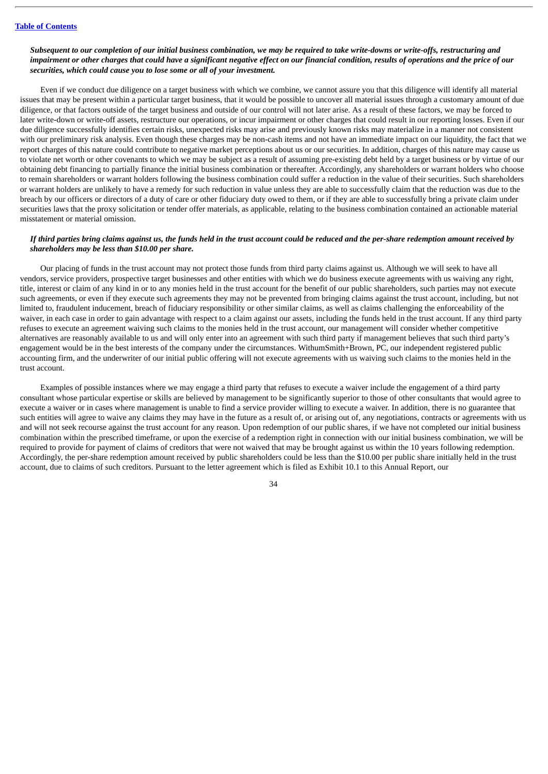## Subsequent to our completion of our initial business combination, we may be required to take write-downs or write-offs, restructuring and impairment or other charges that could have a significant negative effect on our financial condition, results of operations and the price of our *securities, which could cause you to lose some or all of your investment.*

Even if we conduct due diligence on a target business with which we combine, we cannot assure you that this diligence will identify all material issues that may be present within a particular target business, that it would be possible to uncover all material issues through a customary amount of due diligence, or that factors outside of the target business and outside of our control will not later arise. As a result of these factors, we may be forced to later write-down or write-off assets, restructure our operations, or incur impairment or other charges that could result in our reporting losses. Even if our due diligence successfully identifies certain risks, unexpected risks may arise and previously known risks may materialize in a manner not consistent with our preliminary risk analysis. Even though these charges may be non-cash items and not have an immediate impact on our liquidity, the fact that we report charges of this nature could contribute to negative market perceptions about us or our securities. In addition, charges of this nature may cause us to violate net worth or other covenants to which we may be subject as a result of assuming pre-existing debt held by a target business or by virtue of our obtaining debt financing to partially finance the initial business combination or thereafter. Accordingly, any shareholders or warrant holders who choose to remain shareholders or warrant holders following the business combination could suffer a reduction in the value of their securities. Such shareholders or warrant holders are unlikely to have a remedy for such reduction in value unless they are able to successfully claim that the reduction was due to the breach by our officers or directors of a duty of care or other fiduciary duty owed to them, or if they are able to successfully bring a private claim under securities laws that the proxy solicitation or tender offer materials, as applicable, relating to the business combination contained an actionable material misstatement or material omission.

## If third parties bring claims against us, the funds held in the trust account could be reduced and the per-share redemption amount received by *shareholders may be less than \$10.00 per share.*

Our placing of funds in the trust account may not protect those funds from third party claims against us. Although we will seek to have all vendors, service providers, prospective target businesses and other entities with which we do business execute agreements with us waiving any right, title, interest or claim of any kind in or to any monies held in the trust account for the benefit of our public shareholders, such parties may not execute such agreements, or even if they execute such agreements they may not be prevented from bringing claims against the trust account, including, but not limited to, fraudulent inducement, breach of fiduciary responsibility or other similar claims, as well as claims challenging the enforceability of the waiver, in each case in order to gain advantage with respect to a claim against our assets, including the funds held in the trust account. If any third party refuses to execute an agreement waiving such claims to the monies held in the trust account, our management will consider whether competitive alternatives are reasonably available to us and will only enter into an agreement with such third party if management believes that such third party's engagement would be in the best interests of the company under the circumstances. WithumSmith+Brown, PC, our independent registered public accounting firm, and the underwriter of our initial public offering will not execute agreements with us waiving such claims to the monies held in the trust account.

Examples of possible instances where we may engage a third party that refuses to execute a waiver include the engagement of a third party consultant whose particular expertise or skills are believed by management to be significantly superior to those of other consultants that would agree to execute a waiver or in cases where management is unable to find a service provider willing to execute a waiver. In addition, there is no guarantee that such entities will agree to waive any claims they may have in the future as a result of, or arising out of, any negotiations, contracts or agreements with us and will not seek recourse against the trust account for any reason. Upon redemption of our public shares, if we have not completed our initial business combination within the prescribed timeframe, or upon the exercise of a redemption right in connection with our initial business combination, we will be required to provide for payment of claims of creditors that were not waived that may be brought against us within the 10 years following redemption. Accordingly, the per-share redemption amount received by public shareholders could be less than the \$10.00 per public share initially held in the trust account, due to claims of such creditors. Pursuant to the letter agreement which is filed as Exhibit 10.1 to this Annual Report, our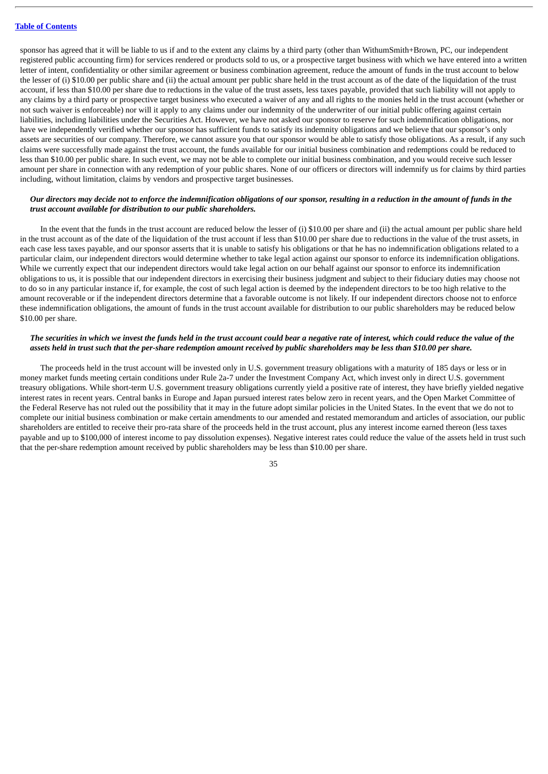sponsor has agreed that it will be liable to us if and to the extent any claims by a third party (other than WithumSmith+Brown, PC, our independent registered public accounting firm) for services rendered or products sold to us, or a prospective target business with which we have entered into a written letter of intent, confidentiality or other similar agreement or business combination agreement, reduce the amount of funds in the trust account to below the lesser of (i) \$10.00 per public share and (ii) the actual amount per public share held in the trust account as of the date of the liquidation of the trust account, if less than \$10.00 per share due to reductions in the value of the trust assets, less taxes payable, provided that such liability will not apply to any claims by a third party or prospective target business who executed a waiver of any and all rights to the monies held in the trust account (whether or not such waiver is enforceable) nor will it apply to any claims under our indemnity of the underwriter of our initial public offering against certain liabilities, including liabilities under the Securities Act. However, we have not asked our sponsor to reserve for such indemnification obligations, nor have we independently verified whether our sponsor has sufficient funds to satisfy its indemnity obligations and we believe that our sponsor's only assets are securities of our company. Therefore, we cannot assure you that our sponsor would be able to satisfy those obligations. As a result, if any such claims were successfully made against the trust account, the funds available for our initial business combination and redemptions could be reduced to less than \$10.00 per public share. In such event, we may not be able to complete our initial business combination, and you would receive such lesser amount per share in connection with any redemption of your public shares. None of our officers or directors will indemnify us for claims by third parties including, without limitation, claims by vendors and prospective target businesses.

## Our directors may decide not to enforce the indemnification obligations of our sponsor, resulting in a reduction in the amount of funds in the *trust account available for distribution to our public shareholders.*

In the event that the funds in the trust account are reduced below the lesser of (i) \$10.00 per share and (ii) the actual amount per public share held in the trust account as of the date of the liquidation of the trust account if less than \$10.00 per share due to reductions in the value of the trust assets, in each case less taxes payable, and our sponsor asserts that it is unable to satisfy his obligations or that he has no indemnification obligations related to a particular claim, our independent directors would determine whether to take legal action against our sponsor to enforce its indemnification obligations. While we currently expect that our independent directors would take legal action on our behalf against our sponsor to enforce its indemnification obligations to us, it is possible that our independent directors in exercising their business judgment and subject to their fiduciary duties may choose not to do so in any particular instance if, for example, the cost of such legal action is deemed by the independent directors to be too high relative to the amount recoverable or if the independent directors determine that a favorable outcome is not likely. If our independent directors choose not to enforce these indemnification obligations, the amount of funds in the trust account available for distribution to our public shareholders may be reduced below \$10.00 per share.

## The securities in which we invest the funds held in the trust account could bear a negative rate of interest, which could reduce the value of the assets held in trust such that the per-share redemption amount received by public shareholders may be less than \$10.00 per share.

The proceeds held in the trust account will be invested only in U.S. government treasury obligations with a maturity of 185 days or less or in money market funds meeting certain conditions under Rule 2a-7 under the Investment Company Act, which invest only in direct U.S. government treasury obligations. While short-term U.S. government treasury obligations currently yield a positive rate of interest, they have briefly yielded negative interest rates in recent years. Central banks in Europe and Japan pursued interest rates below zero in recent years, and the Open Market Committee of the Federal Reserve has not ruled out the possibility that it may in the future adopt similar policies in the United States. In the event that we do not to complete our initial business combination or make certain amendments to our amended and restated memorandum and articles of association, our public shareholders are entitled to receive their pro-rata share of the proceeds held in the trust account, plus any interest income earned thereon (less taxes payable and up to \$100,000 of interest income to pay dissolution expenses). Negative interest rates could reduce the value of the assets held in trust such that the per-share redemption amount received by public shareholders may be less than \$10.00 per share.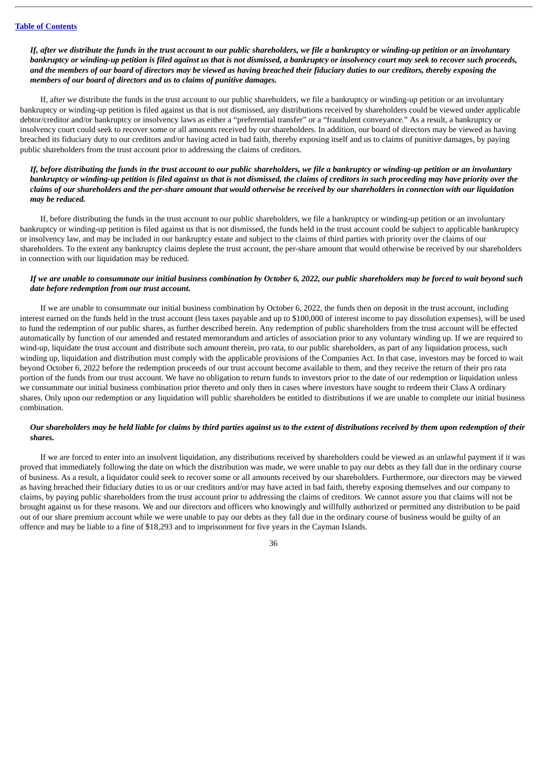If, after we distribute the funds in the trust account to our public shareholders, we file a bankruptcy or winding-up petition or an involuntary bankruptcy or winding-up petition is filed against us that is not dismissed, a bankruptcy or insolvency court may seek to recover such proceeds. and the members of our board of directors may be viewed as having breached their fiduciary duties to our creditors, thereby exposing the *members of our board of directors and us to claims of punitive damages.*

If, after we distribute the funds in the trust account to our public shareholders, we file a bankruptcy or winding-up petition or an involuntary bankruptcy or winding-up petition is filed against us that is not dismissed, any distributions received by shareholders could be viewed under applicable debtor/creditor and/or bankruptcy or insolvency laws as either a "preferential transfer" or a "fraudulent conveyance." As a result, a bankruptcy or insolvency court could seek to recover some or all amounts received by our shareholders. In addition, our board of directors may be viewed as having breached its fiduciary duty to our creditors and/or having acted in bad faith, thereby exposing itself and us to claims of punitive damages, by paying public shareholders from the trust account prior to addressing the claims of creditors.

## If, before distributing the funds in the trust account to our public shareholders, we file a bankruptcy or winding-up petition or an involuntary bankruptcy or winding-up petition is filed against us that is not dismissed, the claims of creditors in such proceeding may have priority over the claims of our shareholders and the per-share amount that would otherwise be received by our shareholders in connection with our liquidation *may be reduced.*

If, before distributing the funds in the trust account to our public shareholders, we file a bankruptcy or winding-up petition or an involuntary bankruptcy or winding-up petition is filed against us that is not dismissed, the funds held in the trust account could be subject to applicable bankruptcy or insolvency law, and may be included in our bankruptcy estate and subject to the claims of third parties with priority over the claims of our shareholders. To the extent any bankruptcy claims deplete the trust account, the per-share amount that would otherwise be received by our shareholders in connection with our liquidation may be reduced.

## If we are unable to consummate our initial business combination by October 6, 2022, our public shareholders may be forced to wait beyond such *date before redemption from our trust account.*

If we are unable to consummate our initial business combination by October 6, 2022, the funds then on deposit in the trust account, including interest earned on the funds held in the trust account (less taxes payable and up to \$100,000 of interest income to pay dissolution expenses), will be used to fund the redemption of our public shares, as further described herein. Any redemption of public shareholders from the trust account will be effected automatically by function of our amended and restated memorandum and articles of association prior to any voluntary winding up. If we are required to wind-up, liquidate the trust account and distribute such amount therein, pro rata, to our public shareholders, as part of any liquidation process, such winding up, liquidation and distribution must comply with the applicable provisions of the Companies Act. In that case, investors may be forced to wait beyond October 6, 2022 before the redemption proceeds of our trust account become available to them, and they receive the return of their pro rata portion of the funds from our trust account. We have no obligation to return funds to investors prior to the date of our redemption or liquidation unless we consummate our initial business combination prior thereto and only then in cases where investors have sought to redeem their Class A ordinary shares. Only upon our redemption or any liquidation will public shareholders be entitled to distributions if we are unable to complete our initial business combination.

## Our shareholders may be held liable for claims by third parties against us to the extent of distributions received by them upon redemption of their *shares.*

If we are forced to enter into an insolvent liquidation, any distributions received by shareholders could be viewed as an unlawful payment if it was proved that immediately following the date on which the distribution was made, we were unable to pay our debts as they fall due in the ordinary course of business. As a result, a liquidator could seek to recover some or all amounts received by our shareholders. Furthermore, our directors may be viewed as having breached their fiduciary duties to us or our creditors and/or may have acted in bad faith, thereby exposing themselves and our company to claims, by paying public shareholders from the trust account prior to addressing the claims of creditors. We cannot assure you that claims will not be brought against us for these reasons. We and our directors and officers who knowingly and willfully authorized or permitted any distribution to be paid out of our share premium account while we were unable to pay our debts as they fall due in the ordinary course of business would be guilty of an offence and may be liable to a fine of \$18,293 and to imprisonment for five years in the Cayman Islands.

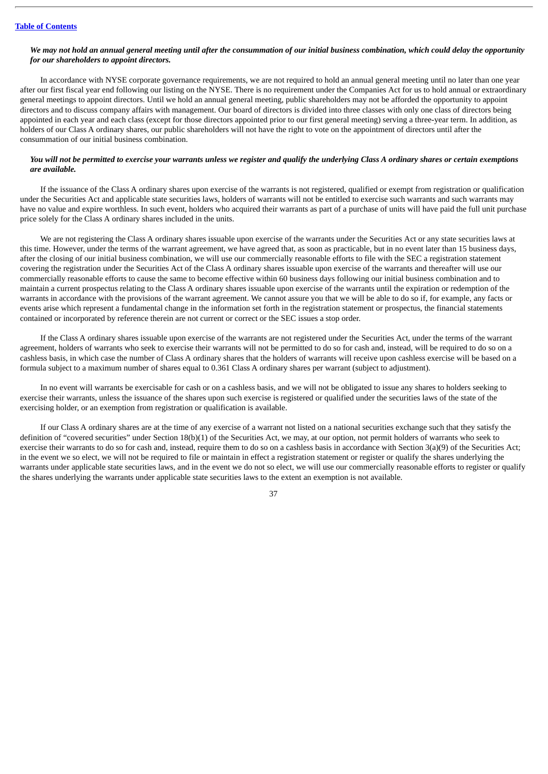## We may not hold an annual general meeting until after the consummation of our initial business combination, which could delay the opportunity *for our shareholders to appoint directors.*

In accordance with NYSE corporate governance requirements, we are not required to hold an annual general meeting until no later than one year after our first fiscal year end following our listing on the NYSE. There is no requirement under the Companies Act for us to hold annual or extraordinary general meetings to appoint directors. Until we hold an annual general meeting, public shareholders may not be afforded the opportunity to appoint directors and to discuss company affairs with management. Our board of directors is divided into three classes with only one class of directors being appointed in each year and each class (except for those directors appointed prior to our first general meeting) serving a three-year term. In addition, as holders of our Class A ordinary shares, our public shareholders will not have the right to vote on the appointment of directors until after the consummation of our initial business combination.

## You will not be permitted to exercise your warrants unless we register and qualify the underlying Class A ordinary shares or certain exemptions *are available.*

If the issuance of the Class A ordinary shares upon exercise of the warrants is not registered, qualified or exempt from registration or qualification under the Securities Act and applicable state securities laws, holders of warrants will not be entitled to exercise such warrants and such warrants may have no value and expire worthless. In such event, holders who acquired their warrants as part of a purchase of units will have paid the full unit purchase price solely for the Class A ordinary shares included in the units.

We are not registering the Class A ordinary shares issuable upon exercise of the warrants under the Securities Act or any state securities laws at this time. However, under the terms of the warrant agreement, we have agreed that, as soon as practicable, but in no event later than 15 business days, after the closing of our initial business combination, we will use our commercially reasonable efforts to file with the SEC a registration statement covering the registration under the Securities Act of the Class A ordinary shares issuable upon exercise of the warrants and thereafter will use our commercially reasonable efforts to cause the same to become effective within 60 business days following our initial business combination and to maintain a current prospectus relating to the Class A ordinary shares issuable upon exercise of the warrants until the expiration or redemption of the warrants in accordance with the provisions of the warrant agreement. We cannot assure you that we will be able to do so if, for example, any facts or events arise which represent a fundamental change in the information set forth in the registration statement or prospectus, the financial statements contained or incorporated by reference therein are not current or correct or the SEC issues a stop order.

If the Class A ordinary shares issuable upon exercise of the warrants are not registered under the Securities Act, under the terms of the warrant agreement, holders of warrants who seek to exercise their warrants will not be permitted to do so for cash and, instead, will be required to do so on a cashless basis, in which case the number of Class A ordinary shares that the holders of warrants will receive upon cashless exercise will be based on a formula subject to a maximum number of shares equal to 0.361 Class A ordinary shares per warrant (subject to adjustment).

In no event will warrants be exercisable for cash or on a cashless basis, and we will not be obligated to issue any shares to holders seeking to exercise their warrants, unless the issuance of the shares upon such exercise is registered or qualified under the securities laws of the state of the exercising holder, or an exemption from registration or qualification is available.

If our Class A ordinary shares are at the time of any exercise of a warrant not listed on a national securities exchange such that they satisfy the definition of "covered securities" under Section 18(b)(1) of the Securities Act, we may, at our option, not permit holders of warrants who seek to exercise their warrants to do so for cash and, instead, require them to do so on a cashless basis in accordance with Section 3(a)(9) of the Securities Act; in the event we so elect, we will not be required to file or maintain in effect a registration statement or register or qualify the shares underlying the warrants under applicable state securities laws, and in the event we do not so elect, we will use our commercially reasonable efforts to register or qualify the shares underlying the warrants under applicable state securities laws to the extent an exemption is not available.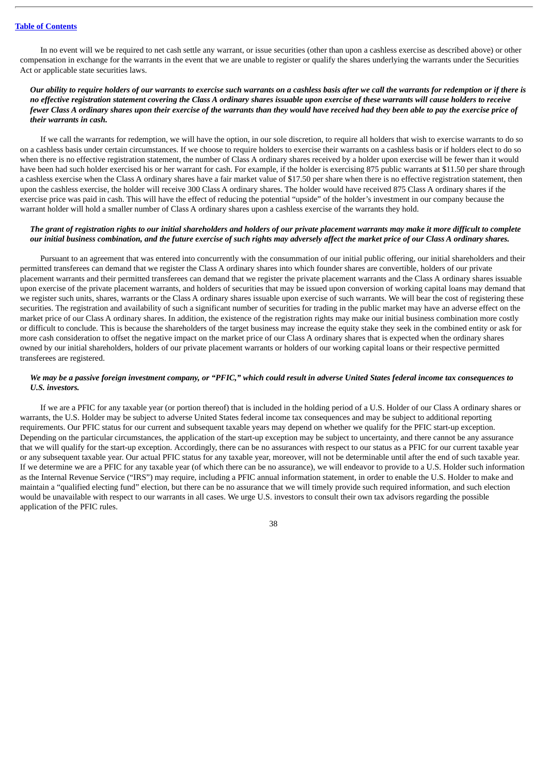In no event will we be required to net cash settle any warrant, or issue securities (other than upon a cashless exercise as described above) or other compensation in exchange for the warrants in the event that we are unable to register or qualify the shares underlying the warrants under the Securities Act or applicable state securities laws.

## Our ability to require holders of our warrants to exercise such warrants on a cashless basis after we call the warrants for redemption or if there is no effective registration statement covering the Class A ordinary shares issuable upon exercise of these warrants will cause holders to receive fewer Class A ordinary shares upon their exercise of the warrants than they would have received had they been able to pay the exercise price of *their warrants in cash.*

If we call the warrants for redemption, we will have the option, in our sole discretion, to require all holders that wish to exercise warrants to do so on a cashless basis under certain circumstances. If we choose to require holders to exercise their warrants on a cashless basis or if holders elect to do so when there is no effective registration statement, the number of Class A ordinary shares received by a holder upon exercise will be fewer than it would have been had such holder exercised his or her warrant for cash. For example, if the holder is exercising 875 public warrants at \$11.50 per share through a cashless exercise when the Class A ordinary shares have a fair market value of \$17.50 per share when there is no effective registration statement, then upon the cashless exercise, the holder will receive 300 Class A ordinary shares. The holder would have received 875 Class A ordinary shares if the exercise price was paid in cash. This will have the effect of reducing the potential "upside" of the holder's investment in our company because the warrant holder will hold a smaller number of Class A ordinary shares upon a cashless exercise of the warrants they hold.

## The grant of registration rights to our initial shareholders and holders of our private placement warrants may make it more difficult to complete our initial business combination, and the future exercise of such rights may adversely affect the market price of our Class A ordinary shares.

Pursuant to an agreement that was entered into concurrently with the consummation of our initial public offering, our initial shareholders and their permitted transferees can demand that we register the Class A ordinary shares into which founder shares are convertible, holders of our private placement warrants and their permitted transferees can demand that we register the private placement warrants and the Class A ordinary shares issuable upon exercise of the private placement warrants, and holders of securities that may be issued upon conversion of working capital loans may demand that we register such units, shares, warrants or the Class A ordinary shares issuable upon exercise of such warrants. We will bear the cost of registering these securities. The registration and availability of such a significant number of securities for trading in the public market may have an adverse effect on the market price of our Class A ordinary shares. In addition, the existence of the registration rights may make our initial business combination more costly or difficult to conclude. This is because the shareholders of the target business may increase the equity stake they seek in the combined entity or ask for more cash consideration to offset the negative impact on the market price of our Class A ordinary shares that is expected when the ordinary shares owned by our initial shareholders, holders of our private placement warrants or holders of our working capital loans or their respective permitted transferees are registered.

## We may be a passive foreign investment company, or "PFIC," which could result in adverse United States federal income tax consequences to *U.S. investors.*

If we are a PFIC for any taxable year (or portion thereof) that is included in the holding period of a U.S. Holder of our Class A ordinary shares or warrants, the U.S. Holder may be subject to adverse United States federal income tax consequences and may be subject to additional reporting requirements. Our PFIC status for our current and subsequent taxable years may depend on whether we qualify for the PFIC start-up exception. Depending on the particular circumstances, the application of the start-up exception may be subject to uncertainty, and there cannot be any assurance that we will qualify for the start-up exception. Accordingly, there can be no assurances with respect to our status as a PFIC for our current taxable year or any subsequent taxable year. Our actual PFIC status for any taxable year, moreover, will not be determinable until after the end of such taxable year. If we determine we are a PFIC for any taxable year (of which there can be no assurance), we will endeavor to provide to a U.S. Holder such information as the Internal Revenue Service ("IRS") may require, including a PFIC annual information statement, in order to enable the U.S. Holder to make and maintain a "qualified electing fund" election, but there can be no assurance that we will timely provide such required information, and such election would be unavailable with respect to our warrants in all cases. We urge U.S. investors to consult their own tax advisors regarding the possible application of the PFIC rules.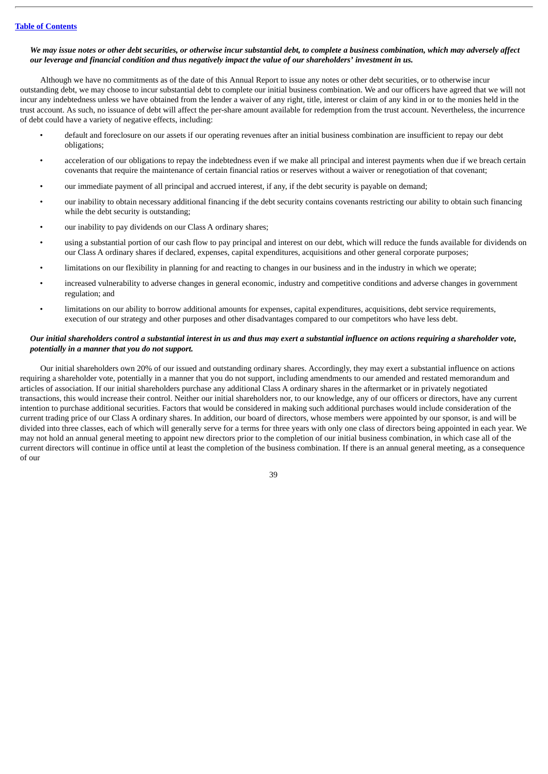### We may issue notes or other debt securities, or otherwise incur substantial debt, to complete a business combination, which may adversely affect our leverage and financial condition and thus negatively impact the value of our shareholders' investment in us.

Although we have no commitments as of the date of this Annual Report to issue any notes or other debt securities, or to otherwise incur outstanding debt, we may choose to incur substantial debt to complete our initial business combination. We and our officers have agreed that we will not incur any indebtedness unless we have obtained from the lender a waiver of any right, title, interest or claim of any kind in or to the monies held in the trust account. As such, no issuance of debt will affect the per-share amount available for redemption from the trust account. Nevertheless, the incurrence of debt could have a variety of negative effects, including:

- default and foreclosure on our assets if our operating revenues after an initial business combination are insufficient to repay our debt obligations;
- acceleration of our obligations to repay the indebtedness even if we make all principal and interest payments when due if we breach certain covenants that require the maintenance of certain financial ratios or reserves without a waiver or renegotiation of that covenant;
- our immediate payment of all principal and accrued interest, if any, if the debt security is payable on demand;
- our inability to obtain necessary additional financing if the debt security contains covenants restricting our ability to obtain such financing while the debt security is outstanding;
- our inability to pay dividends on our Class A ordinary shares;
- using a substantial portion of our cash flow to pay principal and interest on our debt, which will reduce the funds available for dividends on our Class A ordinary shares if declared, expenses, capital expenditures, acquisitions and other general corporate purposes;
- limitations on our flexibility in planning for and reacting to changes in our business and in the industry in which we operate;
- increased vulnerability to adverse changes in general economic, industry and competitive conditions and adverse changes in government regulation; and
- limitations on our ability to borrow additional amounts for expenses, capital expenditures, acquisitions, debt service requirements, execution of our strategy and other purposes and other disadvantages compared to our competitors who have less debt.

## Our initial shareholders control a substantial interest in us and thus may exert a substantial influence on actions requiring a shareholder vote, *potentially in a manner that you do not support.*

Our initial shareholders own 20% of our issued and outstanding ordinary shares. Accordingly, they may exert a substantial influence on actions requiring a shareholder vote, potentially in a manner that you do not support, including amendments to our amended and restated memorandum and articles of association. If our initial shareholders purchase any additional Class A ordinary shares in the aftermarket or in privately negotiated transactions, this would increase their control. Neither our initial shareholders nor, to our knowledge, any of our officers or directors, have any current intention to purchase additional securities. Factors that would be considered in making such additional purchases would include consideration of the current trading price of our Class A ordinary shares. In addition, our board of directors, whose members were appointed by our sponsor, is and will be divided into three classes, each of which will generally serve for a terms for three years with only one class of directors being appointed in each year. We may not hold an annual general meeting to appoint new directors prior to the completion of our initial business combination, in which case all of the current directors will continue in office until at least the completion of the business combination. If there is an annual general meeting, as a consequence of our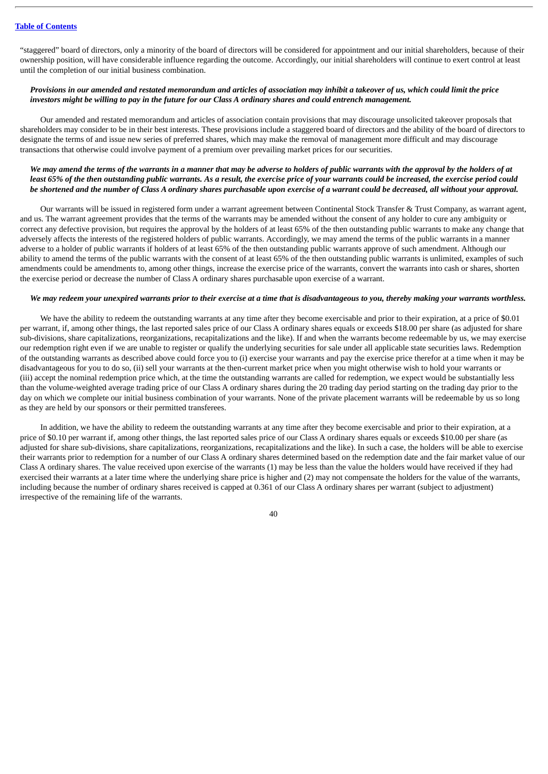"staggered" board of directors, only a minority of the board of directors will be considered for appointment and our initial shareholders, because of their ownership position, will have considerable influence regarding the outcome. Accordingly, our initial shareholders will continue to exert control at least until the completion of our initial business combination.

## Provisions in our amended and restated memorandum and articles of association may inhibit a takeover of us, which could limit the price investors might be willing to pay in the future for our Class A ordinary shares and could entrench management.

Our amended and restated memorandum and articles of association contain provisions that may discourage unsolicited takeover proposals that shareholders may consider to be in their best interests. These provisions include a staggered board of directors and the ability of the board of directors to designate the terms of and issue new series of preferred shares, which may make the removal of management more difficult and may discourage transactions that otherwise could involve payment of a premium over prevailing market prices for our securities.

## We may amend the terms of the warrants in a manner that may be adverse to holders of public warrants with the approval by the holders of at least 65% of the then outstanding public warrants. As a result, the exercise price of your warrants could be increased, the exercise period could be shortened and the number of Class A ordinary shares purchasable upon exercise of a warrant could be decreased, all without your approval.

Our warrants will be issued in registered form under a warrant agreement between Continental Stock Transfer & Trust Company, as warrant agent, and us. The warrant agreement provides that the terms of the warrants may be amended without the consent of any holder to cure any ambiguity or correct any defective provision, but requires the approval by the holders of at least 65% of the then outstanding public warrants to make any change that adversely affects the interests of the registered holders of public warrants. Accordingly, we may amend the terms of the public warrants in a manner adverse to a holder of public warrants if holders of at least 65% of the then outstanding public warrants approve of such amendment. Although our ability to amend the terms of the public warrants with the consent of at least 65% of the then outstanding public warrants is unlimited, examples of such amendments could be amendments to, among other things, increase the exercise price of the warrants, convert the warrants into cash or shares, shorten the exercise period or decrease the number of Class A ordinary shares purchasable upon exercise of a warrant.

### We may redeem your unexpired warrants prior to their exercise at a time that is disadvantageous to you, thereby making your warrants worthless.

We have the ability to redeem the outstanding warrants at any time after they become exercisable and prior to their expiration, at a price of \$0.01 per warrant, if, among other things, the last reported sales price of our Class A ordinary shares equals or exceeds \$18.00 per share (as adjusted for share sub-divisions, share capitalizations, reorganizations, recapitalizations and the like). If and when the warrants become redeemable by us, we may exercise our redemption right even if we are unable to register or qualify the underlying securities for sale under all applicable state securities laws. Redemption of the outstanding warrants as described above could force you to (i) exercise your warrants and pay the exercise price therefor at a time when it may be disadvantageous for you to do so, (ii) sell your warrants at the then-current market price when you might otherwise wish to hold your warrants or (iii) accept the nominal redemption price which, at the time the outstanding warrants are called for redemption, we expect would be substantially less than the volume-weighted average trading price of our Class A ordinary shares during the 20 trading day period starting on the trading day prior to the day on which we complete our initial business combination of your warrants. None of the private placement warrants will be redeemable by us so long as they are held by our sponsors or their permitted transferees.

In addition, we have the ability to redeem the outstanding warrants at any time after they become exercisable and prior to their expiration, at a price of \$0.10 per warrant if, among other things, the last reported sales price of our Class A ordinary shares equals or exceeds \$10.00 per share (as adjusted for share sub-divisions, share capitalizations, reorganizations, recapitalizations and the like). In such a case, the holders will be able to exercise their warrants prior to redemption for a number of our Class A ordinary shares determined based on the redemption date and the fair market value of our Class A ordinary shares. The value received upon exercise of the warrants (1) may be less than the value the holders would have received if they had exercised their warrants at a later time where the underlying share price is higher and (2) may not compensate the holders for the value of the warrants, including because the number of ordinary shares received is capped at 0.361 of our Class A ordinary shares per warrant (subject to adjustment) irrespective of the remaining life of the warrants.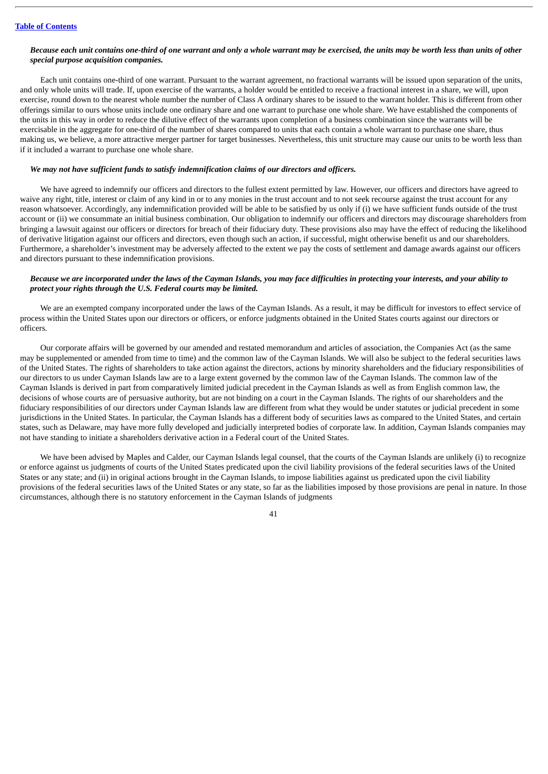### Because each unit contains one-third of one warrant and only a whole warrant may be exercised, the units may be worth less than units of other *special purpose acquisition companies.*

Each unit contains one-third of one warrant. Pursuant to the warrant agreement, no fractional warrants will be issued upon separation of the units, and only whole units will trade. If, upon exercise of the warrants, a holder would be entitled to receive a fractional interest in a share, we will, upon exercise, round down to the nearest whole number the number of Class A ordinary shares to be issued to the warrant holder. This is different from other offerings similar to ours whose units include one ordinary share and one warrant to purchase one whole share. We have established the components of the units in this way in order to reduce the dilutive effect of the warrants upon completion of a business combination since the warrants will be exercisable in the aggregate for one-third of the number of shares compared to units that each contain a whole warrant to purchase one share, thus making us, we believe, a more attractive merger partner for target businesses. Nevertheless, this unit structure may cause our units to be worth less than if it included a warrant to purchase one whole share.

## *We may not have sufficient funds to satisfy indemnification claims of our directors and officers.*

We have agreed to indemnify our officers and directors to the fullest extent permitted by law. However, our officers and directors have agreed to waive any right, title, interest or claim of any kind in or to any monies in the trust account and to not seek recourse against the trust account for any reason whatsoever. Accordingly, any indemnification provided will be able to be satisfied by us only if (i) we have sufficient funds outside of the trust account or (ii) we consummate an initial business combination. Our obligation to indemnify our officers and directors may discourage shareholders from bringing a lawsuit against our officers or directors for breach of their fiduciary duty. These provisions also may have the effect of reducing the likelihood of derivative litigation against our officers and directors, even though such an action, if successful, might otherwise benefit us and our shareholders. Furthermore, a shareholder's investment may be adversely affected to the extent we pay the costs of settlement and damage awards against our officers and directors pursuant to these indemnification provisions.

## Because we are incorporated under the laws of the Cayman Islands, you may face difficulties in protecting your interests, and your ability to *protect your rights through the U.S. Federal courts may be limited.*

We are an exempted company incorporated under the laws of the Cayman Islands. As a result, it may be difficult for investors to effect service of process within the United States upon our directors or officers, or enforce judgments obtained in the United States courts against our directors or officers.

Our corporate affairs will be governed by our amended and restated memorandum and articles of association, the Companies Act (as the same may be supplemented or amended from time to time) and the common law of the Cayman Islands. We will also be subject to the federal securities laws of the United States. The rights of shareholders to take action against the directors, actions by minority shareholders and the fiduciary responsibilities of our directors to us under Cayman Islands law are to a large extent governed by the common law of the Cayman Islands. The common law of the Cayman Islands is derived in part from comparatively limited judicial precedent in the Cayman Islands as well as from English common law, the decisions of whose courts are of persuasive authority, but are not binding on a court in the Cayman Islands. The rights of our shareholders and the fiduciary responsibilities of our directors under Cayman Islands law are different from what they would be under statutes or judicial precedent in some jurisdictions in the United States. In particular, the Cayman Islands has a different body of securities laws as compared to the United States, and certain states, such as Delaware, may have more fully developed and judicially interpreted bodies of corporate law. In addition, Cayman Islands companies may not have standing to initiate a shareholders derivative action in a Federal court of the United States.

We have been advised by Maples and Calder, our Cayman Islands legal counsel, that the courts of the Cayman Islands are unlikely (i) to recognize or enforce against us judgments of courts of the United States predicated upon the civil liability provisions of the federal securities laws of the United States or any state; and (ii) in original actions brought in the Cayman Islands, to impose liabilities against us predicated upon the civil liability provisions of the federal securities laws of the United States or any state, so far as the liabilities imposed by those provisions are penal in nature. In those circumstances, although there is no statutory enforcement in the Cayman Islands of judgments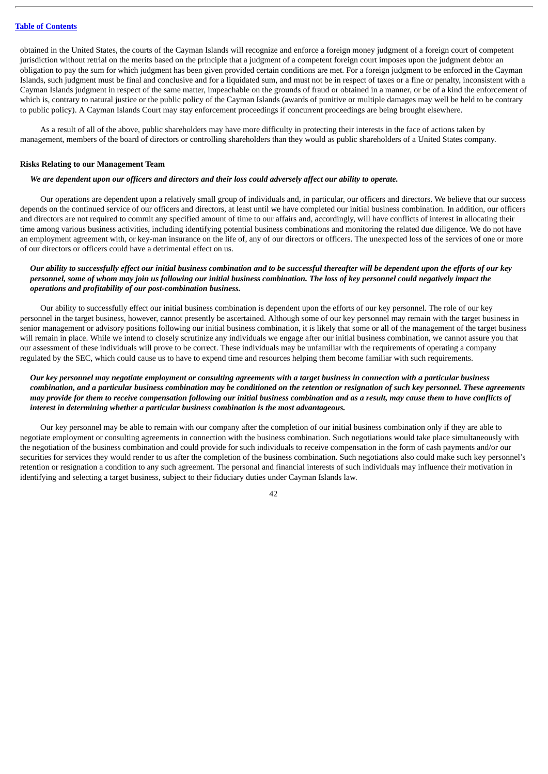obtained in the United States, the courts of the Cayman Islands will recognize and enforce a foreign money judgment of a foreign court of competent jurisdiction without retrial on the merits based on the principle that a judgment of a competent foreign court imposes upon the judgment debtor an obligation to pay the sum for which judgment has been given provided certain conditions are met. For a foreign judgment to be enforced in the Cayman Islands, such judgment must be final and conclusive and for a liquidated sum, and must not be in respect of taxes or a fine or penalty, inconsistent with a Cayman Islands judgment in respect of the same matter, impeachable on the grounds of fraud or obtained in a manner, or be of a kind the enforcement of which is, contrary to natural justice or the public policy of the Cayman Islands (awards of punitive or multiple damages may well be held to be contrary to public policy). A Cayman Islands Court may stay enforcement proceedings if concurrent proceedings are being brought elsewhere.

As a result of all of the above, public shareholders may have more difficulty in protecting their interests in the face of actions taken by management, members of the board of directors or controlling shareholders than they would as public shareholders of a United States company.

### **Risks Relating to our Management Team**

## We are dependent upon our officers and directors and their loss could adversely affect our ability to operate.

Our operations are dependent upon a relatively small group of individuals and, in particular, our officers and directors. We believe that our success depends on the continued service of our officers and directors, at least until we have completed our initial business combination. In addition, our officers and directors are not required to commit any specified amount of time to our affairs and, accordingly, will have conflicts of interest in allocating their time among various business activities, including identifying potential business combinations and monitoring the related due diligence. We do not have an employment agreement with, or key-man insurance on the life of, any of our directors or officers. The unexpected loss of the services of one or more of our directors or officers could have a detrimental effect on us.

## Our ability to successfully effect our initial business combination and to be successful thereafter will be dependent upon the efforts of our key personnel, some of whom may join us following our initial business combination. The loss of key personnel could negatively impact the *operations and profitability of our post-combination business.*

Our ability to successfully effect our initial business combination is dependent upon the efforts of our key personnel. The role of our key personnel in the target business, however, cannot presently be ascertained. Although some of our key personnel may remain with the target business in senior management or advisory positions following our initial business combination, it is likely that some or all of the management of the target business will remain in place. While we intend to closely scrutinize any individuals we engage after our initial business combination, we cannot assure you that our assessment of these individuals will prove to be correct. These individuals may be unfamiliar with the requirements of operating a company regulated by the SEC, which could cause us to have to expend time and resources helping them become familiar with such requirements.

## Our key personnel may negotiate employment or consulting agreements with a target business in connection with a particular business combination, and a particular business combination may be conditioned on the retention or resignation of such key personnel. These agreements may provide for them to receive compensation following our initial business combination and as a result, may cause them to have conflicts of *interest in determining whether a particular business combination is the most advantageous.*

Our key personnel may be able to remain with our company after the completion of our initial business combination only if they are able to negotiate employment or consulting agreements in connection with the business combination. Such negotiations would take place simultaneously with the negotiation of the business combination and could provide for such individuals to receive compensation in the form of cash payments and/or our securities for services they would render to us after the completion of the business combination. Such negotiations also could make such key personnel's retention or resignation a condition to any such agreement. The personal and financial interests of such individuals may influence their motivation in identifying and selecting a target business, subject to their fiduciary duties under Cayman Islands law.

 $\Delta$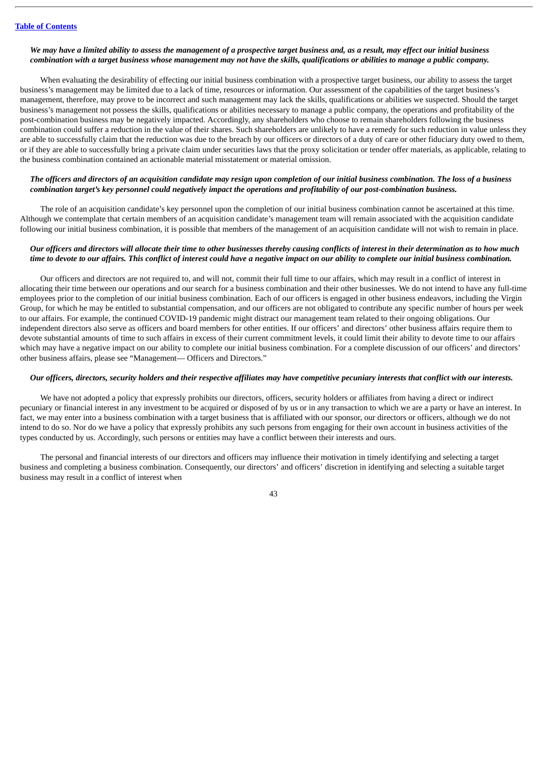## We may have a limited ability to assess the management of a prospective target business and, as a result, may effect our initial business combination with a target business whose management may not have the skills, qualifications or abilities to manage a public company.

When evaluating the desirability of effecting our initial business combination with a prospective target business, our ability to assess the target business's management may be limited due to a lack of time, resources or information. Our assessment of the capabilities of the target business's management, therefore, may prove to be incorrect and such management may lack the skills, qualifications or abilities we suspected. Should the target business's management not possess the skills, qualifications or abilities necessary to manage a public company, the operations and profitability of the post-combination business may be negatively impacted. Accordingly, any shareholders who choose to remain shareholders following the business combination could suffer a reduction in the value of their shares. Such shareholders are unlikely to have a remedy for such reduction in value unless they are able to successfully claim that the reduction was due to the breach by our officers or directors of a duty of care or other fiduciary duty owed to them, or if they are able to successfully bring a private claim under securities laws that the proxy solicitation or tender offer materials, as applicable, relating to the business combination contained an actionable material misstatement or material omission.

## The officers and directors of an acquisition candidate may resign upon completion of our initial business combination. The loss of a business combination target's key personnel could negatively impact the operations and profitability of our post-combination business.

The role of an acquisition candidate's key personnel upon the completion of our initial business combination cannot be ascertained at this time. Although we contemplate that certain members of an acquisition candidate's management team will remain associated with the acquisition candidate following our initial business combination, it is possible that members of the management of an acquisition candidate will not wish to remain in place.

## Our officers and directors will allocate their time to other businesses thereby causing conflicts of interest in their determination as to how much time to devote to our affairs. This conflict of interest could have a negative impact on our ability to complete our initial business combination.

Our officers and directors are not required to, and will not, commit their full time to our affairs, which may result in a conflict of interest in allocating their time between our operations and our search for a business combination and their other businesses. We do not intend to have any full-time employees prior to the completion of our initial business combination. Each of our officers is engaged in other business endeavors, including the Virgin Group, for which he may be entitled to substantial compensation, and our officers are not obligated to contribute any specific number of hours per week to our affairs. For example, the continued COVID-19 pandemic might distract our management team related to their ongoing obligations. Our independent directors also serve as officers and board members for other entities. If our officers' and directors' other business affairs require them to devote substantial amounts of time to such affairs in excess of their current commitment levels, it could limit their ability to devote time to our affairs which may have a negative impact on our ability to complete our initial business combination. For a complete discussion of our officers' and directors' other business affairs, please see "Management— Officers and Directors."

## Our officers, directors, security holders and their respective affiliates may have competitive pecuniary interests that conflict with our interests.

We have not adopted a policy that expressly prohibits our directors, officers, security holders or affiliates from having a direct or indirect pecuniary or financial interest in any investment to be acquired or disposed of by us or in any transaction to which we are a party or have an interest. In fact, we may enter into a business combination with a target business that is affiliated with our sponsor, our directors or officers, although we do not intend to do so. Nor do we have a policy that expressly prohibits any such persons from engaging for their own account in business activities of the types conducted by us. Accordingly, such persons or entities may have a conflict between their interests and ours.

The personal and financial interests of our directors and officers may influence their motivation in timely identifying and selecting a target business and completing a business combination. Consequently, our directors' and officers' discretion in identifying and selecting a suitable target business may result in a conflict of interest when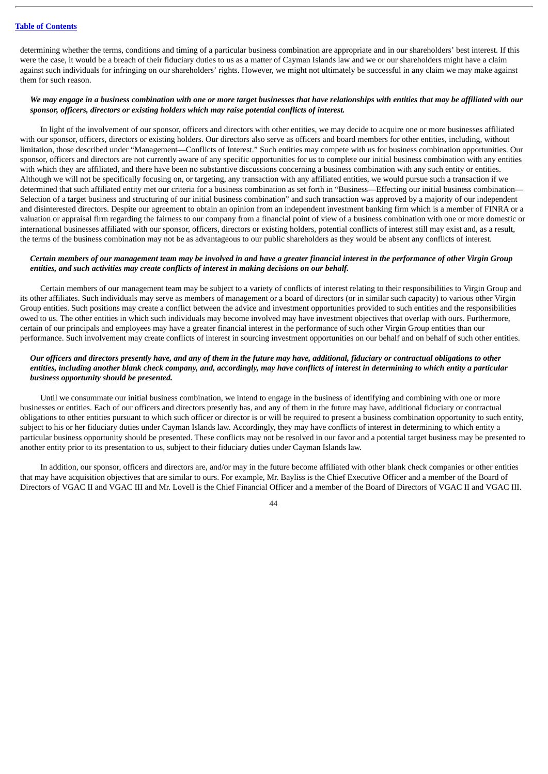determining whether the terms, conditions and timing of a particular business combination are appropriate and in our shareholders' best interest. If this were the case, it would be a breach of their fiduciary duties to us as a matter of Cayman Islands law and we or our shareholders might have a claim against such individuals for infringing on our shareholders' rights. However, we might not ultimately be successful in any claim we may make against them for such reason.

### We may engage in a business combination with one or more target businesses that have relationships with entities that may be affiliated with our *sponsor, officers, directors or existing holders which may raise potential conflicts of interest.*

In light of the involvement of our sponsor, officers and directors with other entities, we may decide to acquire one or more businesses affiliated with our sponsor, officers, directors or existing holders. Our directors also serve as officers and board members for other entities, including, without limitation, those described under "Management—Conflicts of Interest." Such entities may compete with us for business combination opportunities. Our sponsor, officers and directors are not currently aware of any specific opportunities for us to complete our initial business combination with any entities with which they are affiliated, and there have been no substantive discussions concerning a business combination with any such entity or entities. Although we will not be specifically focusing on, or targeting, any transaction with any affiliated entities, we would pursue such a transaction if we determined that such affiliated entity met our criteria for a business combination as set forth in "Business—Effecting our initial business combination— Selection of a target business and structuring of our initial business combination" and such transaction was approved by a majority of our independent and disinterested directors. Despite our agreement to obtain an opinion from an independent investment banking firm which is a member of FINRA or a valuation or appraisal firm regarding the fairness to our company from a financial point of view of a business combination with one or more domestic or international businesses affiliated with our sponsor, officers, directors or existing holders, potential conflicts of interest still may exist and, as a result, the terms of the business combination may not be as advantageous to our public shareholders as they would be absent any conflicts of interest.

## Certain members of our management team may be involved in and have a greater financial interest in the performance of other Virgin Group *entities, and such activities may create conflicts of interest in making decisions on our behalf.*

Certain members of our management team may be subject to a variety of conflicts of interest relating to their responsibilities to Virgin Group and its other affiliates. Such individuals may serve as members of management or a board of directors (or in similar such capacity) to various other Virgin Group entities. Such positions may create a conflict between the advice and investment opportunities provided to such entities and the responsibilities owed to us. The other entities in which such individuals may become involved may have investment objectives that overlap with ours. Furthermore, certain of our principals and employees may have a greater financial interest in the performance of such other Virgin Group entities than our performance. Such involvement may create conflicts of interest in sourcing investment opportunities on our behalf and on behalf of such other entities.

## Our officers and directors presently have, and any of them in the future may have, additional, fiduciary or contractual obligations to other entities, including another blank check company, and, accordingly, may have conflicts of interest in determining to which entity a particular *business opportunity should be presented.*

Until we consummate our initial business combination, we intend to engage in the business of identifying and combining with one or more businesses or entities. Each of our officers and directors presently has, and any of them in the future may have, additional fiduciary or contractual obligations to other entities pursuant to which such officer or director is or will be required to present a business combination opportunity to such entity, subject to his or her fiduciary duties under Cayman Islands law. Accordingly, they may have conflicts of interest in determining to which entity a particular business opportunity should be presented. These conflicts may not be resolved in our favor and a potential target business may be presented to another entity prior to its presentation to us, subject to their fiduciary duties under Cayman Islands law.

In addition, our sponsor, officers and directors are, and/or may in the future become affiliated with other blank check companies or other entities that may have acquisition objectives that are similar to ours. For example, Mr. Bayliss is the Chief Executive Officer and a member of the Board of Directors of VGAC II and VGAC III and Mr. Lovell is the Chief Financial Officer and a member of the Board of Directors of VGAC II and VGAC III.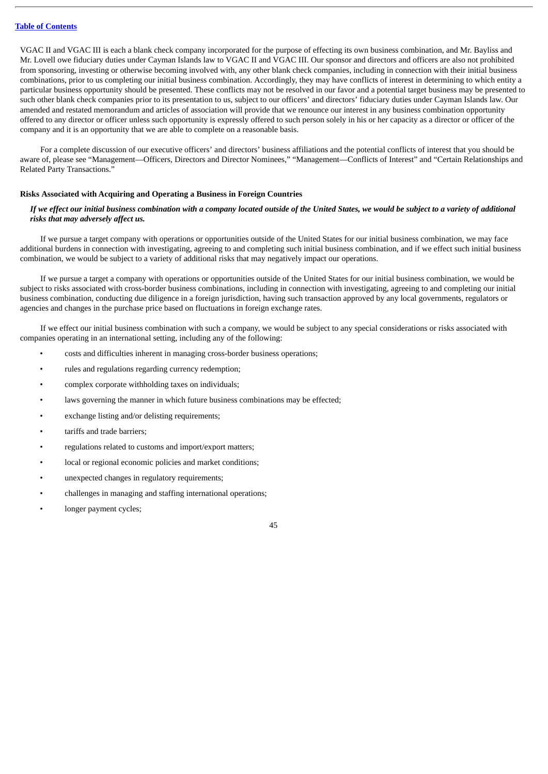VGAC II and VGAC III is each a blank check company incorporated for the purpose of effecting its own business combination, and Mr. Bayliss and Mr. Lovell owe fiduciary duties under Cayman Islands law to VGAC II and VGAC III. Our sponsor and directors and officers are also not prohibited from sponsoring, investing or otherwise becoming involved with, any other blank check companies, including in connection with their initial business combinations, prior to us completing our initial business combination. Accordingly, they may have conflicts of interest in determining to which entity a particular business opportunity should be presented. These conflicts may not be resolved in our favor and a potential target business may be presented to such other blank check companies prior to its presentation to us, subject to our officers' and directors' fiduciary duties under Cayman Islands law. Our amended and restated memorandum and articles of association will provide that we renounce our interest in any business combination opportunity offered to any director or officer unless such opportunity is expressly offered to such person solely in his or her capacity as a director or officer of the company and it is an opportunity that we are able to complete on a reasonable basis.

For a complete discussion of our executive officers' and directors' business affiliations and the potential conflicts of interest that you should be aware of, please see "Management—Officers, Directors and Director Nominees," "Management—Conflicts of Interest" and "Certain Relationships and Related Party Transactions."

### **Risks Associated with Acquiring and Operating a Business in Foreign Countries**

## If we effect our initial business combination with a company located outside of the United States, we would be subject to a variety of additional *risks that may adversely affect us.*

If we pursue a target company with operations or opportunities outside of the United States for our initial business combination, we may face additional burdens in connection with investigating, agreeing to and completing such initial business combination, and if we effect such initial business combination, we would be subject to a variety of additional risks that may negatively impact our operations.

If we pursue a target a company with operations or opportunities outside of the United States for our initial business combination, we would be subject to risks associated with cross-border business combinations, including in connection with investigating, agreeing to and completing our initial business combination, conducting due diligence in a foreign jurisdiction, having such transaction approved by any local governments, regulators or agencies and changes in the purchase price based on fluctuations in foreign exchange rates.

If we effect our initial business combination with such a company, we would be subject to any special considerations or risks associated with companies operating in an international setting, including any of the following:

- costs and difficulties inherent in managing cross-border business operations;
- rules and regulations regarding currency redemption;
- complex corporate withholding taxes on individuals;
- laws governing the manner in which future business combinations may be effected;
- exchange listing and/or delisting requirements;
- tariffs and trade barriers:
- regulations related to customs and import/export matters;
- local or regional economic policies and market conditions;
- unexpected changes in regulatory requirements;
- challenges in managing and staffing international operations;
- longer payment cycles;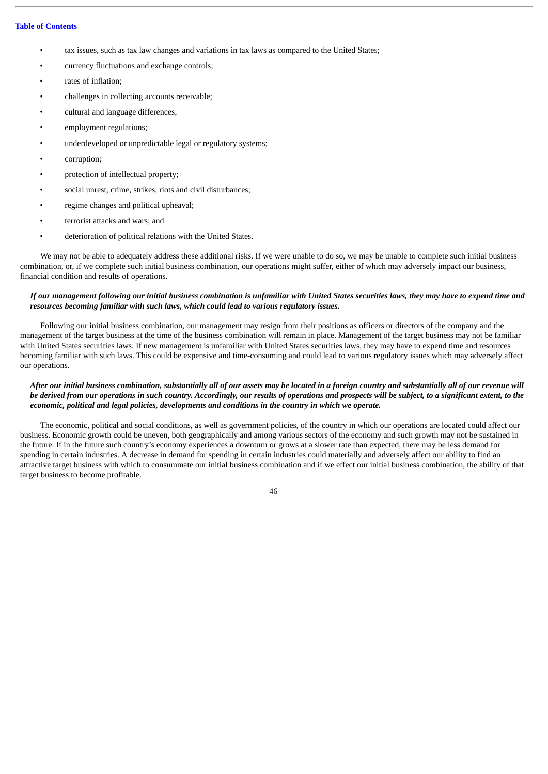- tax issues, such as tax law changes and variations in tax laws as compared to the United States;
- currency fluctuations and exchange controls;
- rates of inflation;
- challenges in collecting accounts receivable;
- cultural and language differences;
- employment regulations:
- underdeveloped or unpredictable legal or regulatory systems;
- corruption;
- protection of intellectual property;
- social unrest, crime, strikes, riots and civil disturbances;
- regime changes and political upheaval;
- terrorist attacks and wars; and
- deterioration of political relations with the United States.

We may not be able to adequately address these additional risks. If we were unable to do so, we may be unable to complete such initial business combination, or, if we complete such initial business combination, our operations might suffer, either of which may adversely impact our business, financial condition and results of operations.

## If our management following our initial business combination is unfamiliar with United States securities laws, they may have to expend time and *resources becoming familiar with such laws, which could lead to various regulatory issues.*

Following our initial business combination, our management may resign from their positions as officers or directors of the company and the management of the target business at the time of the business combination will remain in place. Management of the target business may not be familiar with United States securities laws. If new management is unfamiliar with United States securities laws, they may have to expend time and resources becoming familiar with such laws. This could be expensive and time-consuming and could lead to various regulatory issues which may adversely affect our operations.

## After our initial business combination, substantially all of our assets may be located in a foreign country and substantially all of our revenue will be derived from our operations in such country. Accordingly, our results of operations and prospects will be subject, to a significant extent, to the *economic, political and legal policies, developments and conditions in the country in which we operate.*

The economic, political and social conditions, as well as government policies, of the country in which our operations are located could affect our business. Economic growth could be uneven, both geographically and among various sectors of the economy and such growth may not be sustained in the future. If in the future such country's economy experiences a downturn or grows at a slower rate than expected, there may be less demand for spending in certain industries. A decrease in demand for spending in certain industries could materially and adversely affect our ability to find an attractive target business with which to consummate our initial business combination and if we effect our initial business combination, the ability of that target business to become profitable.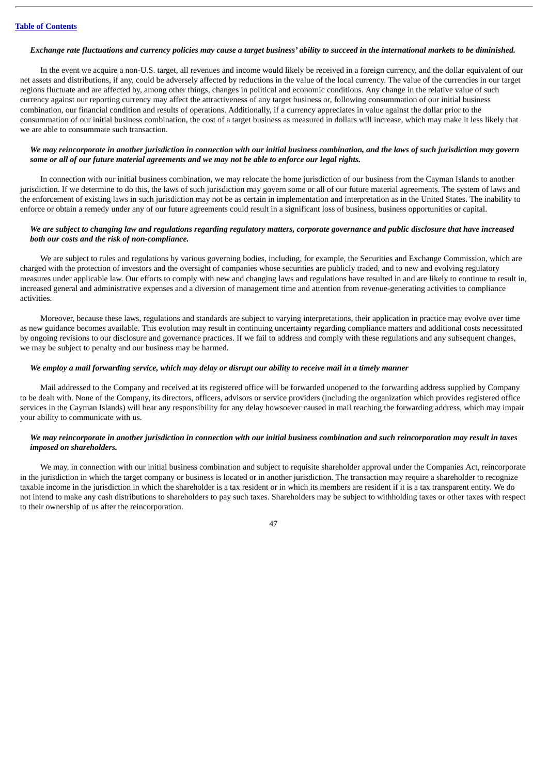#### Exchange rate fluctuations and currency policies may cause a target business' ability to succeed in the international markets to be diminished.

In the event we acquire a non-U.S. target, all revenues and income would likely be received in a foreign currency, and the dollar equivalent of our net assets and distributions, if any, could be adversely affected by reductions in the value of the local currency. The value of the currencies in our target regions fluctuate and are affected by, among other things, changes in political and economic conditions. Any change in the relative value of such currency against our reporting currency may affect the attractiveness of any target business or, following consummation of our initial business combination, our financial condition and results of operations. Additionally, if a currency appreciates in value against the dollar prior to the consummation of our initial business combination, the cost of a target business as measured in dollars will increase, which may make it less likely that we are able to consummate such transaction.

## We may reincorporate in another jurisdiction in connection with our initial business combination, and the laws of such jurisdiction may govern some or all of our future material agreements and we may not be able to enforce our legal rights.

In connection with our initial business combination, we may relocate the home jurisdiction of our business from the Cayman Islands to another jurisdiction. If we determine to do this, the laws of such jurisdiction may govern some or all of our future material agreements. The system of laws and the enforcement of existing laws in such jurisdiction may not be as certain in implementation and interpretation as in the United States. The inability to enforce or obtain a remedy under any of our future agreements could result in a significant loss of business, business opportunities or capital.

## We are subject to changing law and regulations regarding regulatory matters, corporate governance and public disclosure that have increased *both our costs and the risk of non-compliance.*

We are subject to rules and regulations by various governing bodies, including, for example, the Securities and Exchange Commission, which are charged with the protection of investors and the oversight of companies whose securities are publicly traded, and to new and evolving regulatory measures under applicable law. Our efforts to comply with new and changing laws and regulations have resulted in and are likely to continue to result in, increased general and administrative expenses and a diversion of management time and attention from revenue-generating activities to compliance activities.

Moreover, because these laws, regulations and standards are subject to varying interpretations, their application in practice may evolve over time as new guidance becomes available. This evolution may result in continuing uncertainty regarding compliance matters and additional costs necessitated by ongoing revisions to our disclosure and governance practices. If we fail to address and comply with these regulations and any subsequent changes, we may be subject to penalty and our business may be harmed.

### We employ a mail forwarding service, which may delay or disrupt our ability to receive mail in a timely manner

Mail addressed to the Company and received at its registered office will be forwarded unopened to the forwarding address supplied by Company to be dealt with. None of the Company, its directors, officers, advisors or service providers (including the organization which provides registered office services in the Cayman Islands) will bear any responsibility for any delay howsoever caused in mail reaching the forwarding address, which may impair your ability to communicate with us.

## We may reincorporate in another jurisdiction in connection with our initial business combination and such reincorporation may result in taxes *imposed on shareholders.*

We may, in connection with our initial business combination and subject to requisite shareholder approval under the Companies Act, reincorporate in the jurisdiction in which the target company or business is located or in another jurisdiction. The transaction may require a shareholder to recognize taxable income in the jurisdiction in which the shareholder is a tax resident or in which its members are resident if it is a tax transparent entity. We do not intend to make any cash distributions to shareholders to pay such taxes. Shareholders may be subject to withholding taxes or other taxes with respect to their ownership of us after the reincorporation.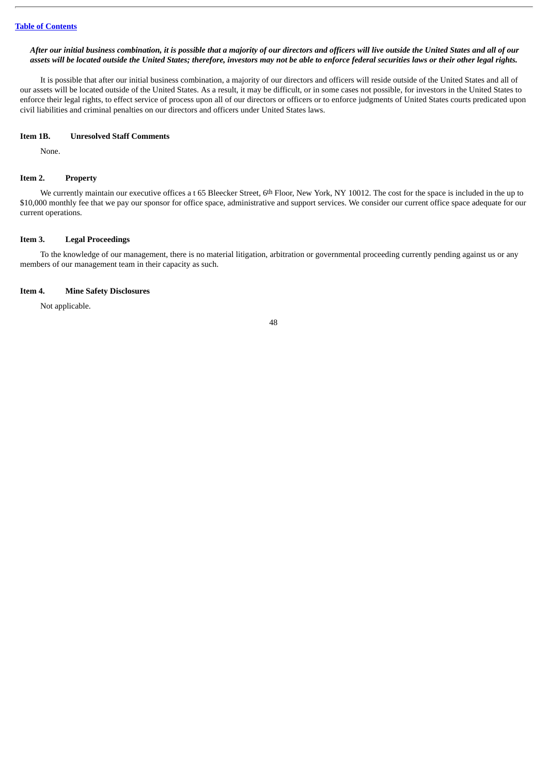### After our initial business combination, it is possible that a majority of our directors and officers will live outside the United States and all of our assets will be located outside the United States; therefore, investors may not be able to enforce federal securities laws or their other legal rights.

It is possible that after our initial business combination, a majority of our directors and officers will reside outside of the United States and all of our assets will be located outside of the United States. As a result, it may be difficult, or in some cases not possible, for investors in the United States to enforce their legal rights, to effect service of process upon all of our directors or officers or to enforce judgments of United States courts predicated upon civil liabilities and criminal penalties on our directors and officers under United States laws.

### **Item 1B. Unresolved Staff Comments**

None.

#### **Item 2. Property**

We currently maintain our executive offices a t 65 Bleecker Street, 6th Floor, New York, NY 10012. The cost for the space is included in the up to \$10,000 monthly fee that we pay our sponsor for office space, administrative and support services. We consider our current office space adequate for our current operations.

### **Item 3. Legal Proceedings**

To the knowledge of our management, there is no material litigation, arbitration or governmental proceeding currently pending against us or any members of our management team in their capacity as such.

#### **Item 4. Mine Safety Disclosures**

Not applicable.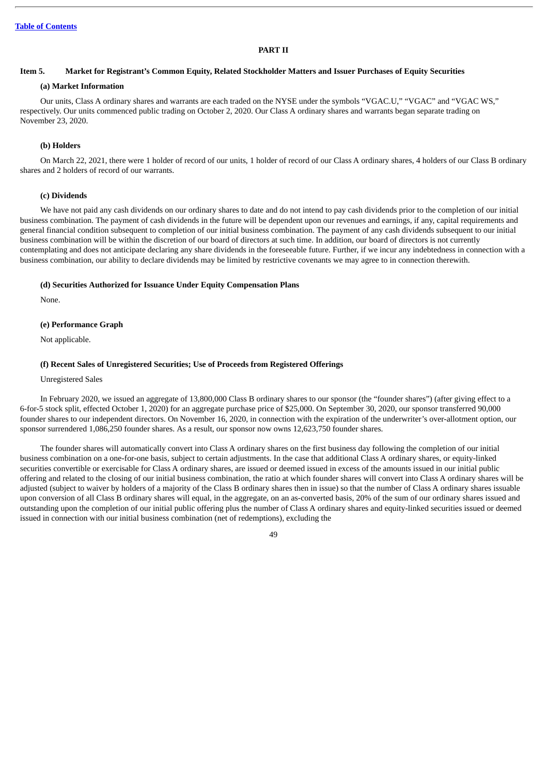## **PART II**

#### Item 5. Market for Registrant's Common Equity, Related Stockholder Matters and Issuer Purchases of Equity Securities

### **(a) Market Information**

Our units, Class A ordinary shares and warrants are each traded on the NYSE under the symbols "VGAC.U," "VGAC" and "VGAC WS," respectively. Our units commenced public trading on October 2, 2020. Our Class A ordinary shares and warrants began separate trading on November 23, 2020.

### **(b) Holders**

On March 22, 2021, there were 1 holder of record of our units, 1 holder of record of our Class A ordinary shares, 4 holders of our Class B ordinary shares and 2 holders of record of our warrants.

### **(c) Dividends**

We have not paid any cash dividends on our ordinary shares to date and do not intend to pay cash dividends prior to the completion of our initial business combination. The payment of cash dividends in the future will be dependent upon our revenues and earnings, if any, capital requirements and general financial condition subsequent to completion of our initial business combination. The payment of any cash dividends subsequent to our initial business combination will be within the discretion of our board of directors at such time. In addition, our board of directors is not currently contemplating and does not anticipate declaring any share dividends in the foreseeable future. Further, if we incur any indebtedness in connection with a business combination, our ability to declare dividends may be limited by restrictive covenants we may agree to in connection therewith.

#### **(d) Securities Authorized for Issuance Under Equity Compensation Plans**

None.

### **(e) Performance Graph**

Not applicable.

#### **(f) Recent Sales of Unregistered Securities; Use of Proceeds from Registered Offerings**

## Unregistered Sales

In February 2020, we issued an aggregate of 13,800,000 Class B ordinary shares to our sponsor (the "founder shares") (after giving effect to a 6-for-5 stock split, effected October 1, 2020) for an aggregate purchase price of \$25,000. On September 30, 2020, our sponsor transferred 90,000 founder shares to our independent directors. On November 16, 2020, in connection with the expiration of the underwriter's over-allotment option, our sponsor surrendered 1,086,250 founder shares. As a result, our sponsor now owns 12,623,750 founder shares.

The founder shares will automatically convert into Class A ordinary shares on the first business day following the completion of our initial business combination on a one-for-one basis, subject to certain adjustments. In the case that additional Class A ordinary shares, or equity-linked securities convertible or exercisable for Class A ordinary shares, are issued or deemed issued in excess of the amounts issued in our initial public offering and related to the closing of our initial business combination, the ratio at which founder shares will convert into Class A ordinary shares will be adjusted (subject to waiver by holders of a majority of the Class B ordinary shares then in issue) so that the number of Class A ordinary shares issuable upon conversion of all Class B ordinary shares will equal, in the aggregate, on an as-converted basis, 20% of the sum of our ordinary shares issued and outstanding upon the completion of our initial public offering plus the number of Class A ordinary shares and equity-linked securities issued or deemed issued in connection with our initial business combination (net of redemptions), excluding the

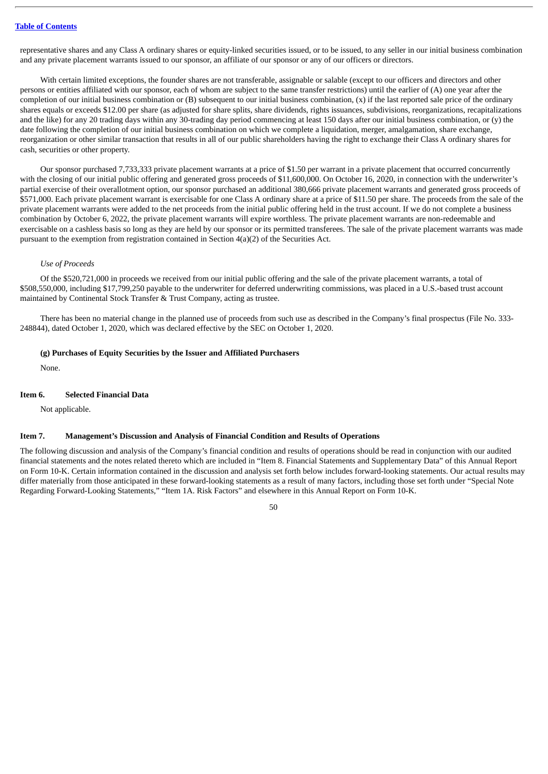representative shares and any Class A ordinary shares or equity-linked securities issued, or to be issued, to any seller in our initial business combination and any private placement warrants issued to our sponsor, an affiliate of our sponsor or any of our officers or directors.

With certain limited exceptions, the founder shares are not transferable, assignable or salable (except to our officers and directors and other persons or entities affiliated with our sponsor, each of whom are subject to the same transfer restrictions) until the earlier of (A) one year after the completion of our initial business combination or (B) subsequent to our initial business combination, (x) if the last reported sale price of the ordinary shares equals or exceeds \$12.00 per share (as adjusted for share splits, share dividends, rights issuances, subdivisions, reorganizations, recapitalizations and the like) for any 20 trading days within any 30-trading day period commencing at least 150 days after our initial business combination, or (y) the date following the completion of our initial business combination on which we complete a liquidation, merger, amalgamation, share exchange, reorganization or other similar transaction that results in all of our public shareholders having the right to exchange their Class A ordinary shares for cash, securities or other property.

Our sponsor purchased 7,733,333 private placement warrants at a price of \$1.50 per warrant in a private placement that occurred concurrently with the closing of our initial public offering and generated gross proceeds of \$11,600,000. On October 16, 2020, in connection with the underwriter's partial exercise of their overallotment option, our sponsor purchased an additional 380,666 private placement warrants and generated gross proceeds of \$571,000. Each private placement warrant is exercisable for one Class A ordinary share at a price of \$11.50 per share. The proceeds from the sale of the private placement warrants were added to the net proceeds from the initial public offering held in the trust account. If we do not complete a business combination by October 6, 2022, the private placement warrants will expire worthless. The private placement warrants are non-redeemable and exercisable on a cashless basis so long as they are held by our sponsor or its permitted transferees. The sale of the private placement warrants was made pursuant to the exemption from registration contained in Section  $4(a)(2)$  of the Securities Act.

### *Use of Proceeds*

Of the \$520,721,000 in proceeds we received from our initial public offering and the sale of the private placement warrants, a total of \$508,550,000, including \$17,799,250 payable to the underwriter for deferred underwriting commissions, was placed in a U.S.-based trust account maintained by Continental Stock Transfer & Trust Company, acting as trustee.

There has been no material change in the planned use of proceeds from such use as described in the Company's final prospectus (File No. 333- 248844), dated October 1, 2020, which was declared effective by the SEC on October 1, 2020.

### **(g) Purchases of Equity Securities by the Issuer and Affiliated Purchasers**

None.

#### **Item 6. Selected Financial Data**

Not applicable.

## **Item 7. Management's Discussion and Analysis of Financial Condition and Results of Operations**

The following discussion and analysis of the Company's financial condition and results of operations should be read in conjunction with our audited financial statements and the notes related thereto which are included in "Item 8. Financial Statements and Supplementary Data" of this Annual Report on Form 10-K. Certain information contained in the discussion and analysis set forth below includes forward-looking statements. Our actual results may differ materially from those anticipated in these forward-looking statements as a result of many factors, including those set forth under "Special Note Regarding Forward-Looking Statements," "Item 1A. Risk Factors" and elsewhere in this Annual Report on Form 10-K.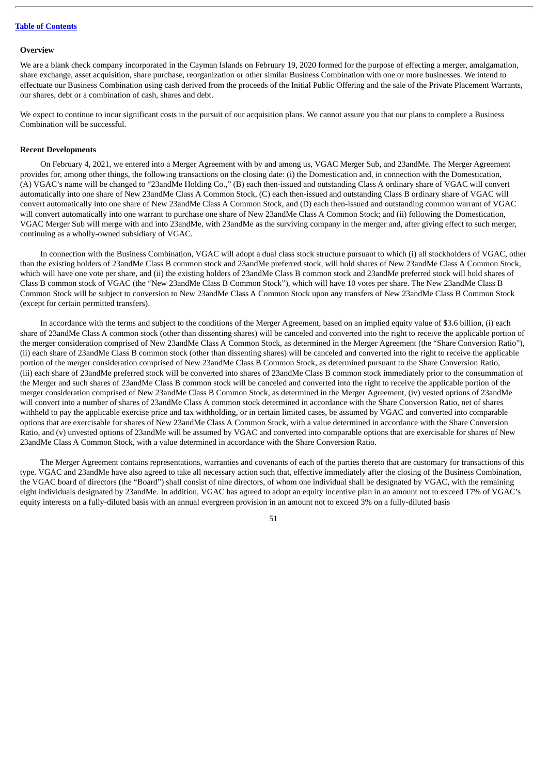#### **Overview**

We are a blank check company incorporated in the Cayman Islands on February 19, 2020 formed for the purpose of effecting a merger, amalgamation, share exchange, asset acquisition, share purchase, reorganization or other similar Business Combination with one or more businesses. We intend to effectuate our Business Combination using cash derived from the proceeds of the Initial Public Offering and the sale of the Private Placement Warrants, our shares, debt or a combination of cash, shares and debt.

We expect to continue to incur significant costs in the pursuit of our acquisition plans. We cannot assure you that our plans to complete a Business Combination will be successful.

### **Recent Developments**

On February 4, 2021, we entered into a Merger Agreement with by and among us, VGAC Merger Sub, and 23andMe. The Merger Agreement provides for, among other things, the following transactions on the closing date: (i) the Domestication and, in connection with the Domestication, (A) VGAC's name will be changed to "23andMe Holding Co.," (B) each then-issued and outstanding Class A ordinary share of VGAC will convert automatically into one share of New 23andMe Class A Common Stock, (C) each then-issued and outstanding Class B ordinary share of VGAC will convert automatically into one share of New 23andMe Class A Common Stock, and (D) each then-issued and outstanding common warrant of VGAC will convert automatically into one warrant to purchase one share of New 23andMe Class A Common Stock; and (ii) following the Domestication, VGAC Merger Sub will merge with and into 23andMe, with 23andMe as the surviving company in the merger and, after giving effect to such merger, continuing as a wholly-owned subsidiary of VGAC.

In connection with the Business Combination, VGAC will adopt a dual class stock structure pursuant to which (i) all stockholders of VGAC, other than the existing holders of 23andMe Class B common stock and 23andMe preferred stock, will hold shares of New 23andMe Class A Common Stock, which will have one vote per share, and (ii) the existing holders of 23andMe Class B common stock and 23andMe preferred stock will hold shares of Class B common stock of VGAC (the "New 23andMe Class B Common Stock"), which will have 10 votes per share. The New 23andMe Class B Common Stock will be subject to conversion to New 23andMe Class A Common Stock upon any transfers of New 23andMe Class B Common Stock (except for certain permitted transfers).

In accordance with the terms and subject to the conditions of the Merger Agreement, based on an implied equity value of \$3.6 billion, (i) each share of 23andMe Class A common stock (other than dissenting shares) will be canceled and converted into the right to receive the applicable portion of the merger consideration comprised of New 23andMe Class A Common Stock, as determined in the Merger Agreement (the "Share Conversion Ratio"), (ii) each share of 23andMe Class B common stock (other than dissenting shares) will be canceled and converted into the right to receive the applicable portion of the merger consideration comprised of New 23andMe Class B Common Stock, as determined pursuant to the Share Conversion Ratio, (iii) each share of 23andMe preferred stock will be converted into shares of 23andMe Class B common stock immediately prior to the consummation of the Merger and such shares of 23andMe Class B common stock will be canceled and converted into the right to receive the applicable portion of the merger consideration comprised of New 23andMe Class B Common Stock, as determined in the Merger Agreement, (iv) vested options of 23andMe will convert into a number of shares of 23andMe Class A common stock determined in accordance with the Share Conversion Ratio, net of shares withheld to pay the applicable exercise price and tax withholding, or in certain limited cases, be assumed by VGAC and converted into comparable options that are exercisable for shares of New 23andMe Class A Common Stock, with a value determined in accordance with the Share Conversion Ratio, and (v) unvested options of 23andMe will be assumed by VGAC and converted into comparable options that are exercisable for shares of New 23andMe Class A Common Stock, with a value determined in accordance with the Share Conversion Ratio.

The Merger Agreement contains representations, warranties and covenants of each of the parties thereto that are customary for transactions of this type. VGAC and 23andMe have also agreed to take all necessary action such that, effective immediately after the closing of the Business Combination, the VGAC board of directors (the "Board") shall consist of nine directors, of whom one individual shall be designated by VGAC, with the remaining eight individuals designated by 23andMe. In addition, VGAC has agreed to adopt an equity incentive plan in an amount not to exceed 17% of VGAC's equity interests on a fully-diluted basis with an annual evergreen provision in an amount not to exceed 3% on a fully-diluted basis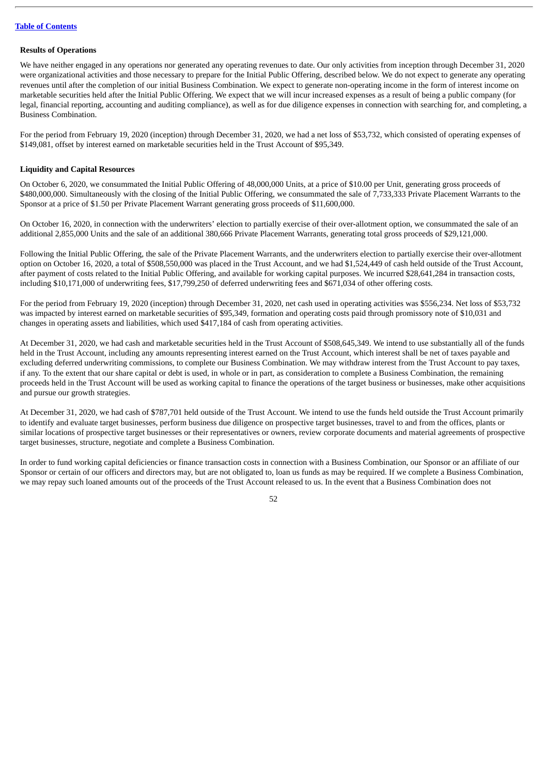### **Results of Operations**

We have neither engaged in any operations nor generated any operating revenues to date. Our only activities from inception through December 31, 2020 were organizational activities and those necessary to prepare for the Initial Public Offering, described below. We do not expect to generate any operating revenues until after the completion of our initial Business Combination. We expect to generate non-operating income in the form of interest income on marketable securities held after the Initial Public Offering. We expect that we will incur increased expenses as a result of being a public company (for legal, financial reporting, accounting and auditing compliance), as well as for due diligence expenses in connection with searching for, and completing, a Business Combination.

For the period from February 19, 2020 (inception) through December 31, 2020, we had a net loss of \$53,732, which consisted of operating expenses of \$149,081, offset by interest earned on marketable securities held in the Trust Account of \$95,349.

### **Liquidity and Capital Resources**

On October 6, 2020, we consummated the Initial Public Offering of 48,000,000 Units, at a price of \$10.00 per Unit, generating gross proceeds of \$480,000,000. Simultaneously with the closing of the Initial Public Offering, we consummated the sale of 7,733,333 Private Placement Warrants to the Sponsor at a price of \$1.50 per Private Placement Warrant generating gross proceeds of \$11,600,000.

On October 16, 2020, in connection with the underwriters' election to partially exercise of their over-allotment option, we consummated the sale of an additional 2,855,000 Units and the sale of an additional 380,666 Private Placement Warrants, generating total gross proceeds of \$29,121,000.

Following the Initial Public Offering, the sale of the Private Placement Warrants, and the underwriters election to partially exercise their over-allotment option on October 16, 2020, a total of \$508,550,000 was placed in the Trust Account, and we had \$1,524,449 of cash held outside of the Trust Account, after payment of costs related to the Initial Public Offering, and available for working capital purposes. We incurred \$28,641,284 in transaction costs, including \$10,171,000 of underwriting fees, \$17,799,250 of deferred underwriting fees and \$671,034 of other offering costs.

For the period from February 19, 2020 (inception) through December 31, 2020, net cash used in operating activities was \$556,234. Net loss of \$53,732 was impacted by interest earned on marketable securities of \$95,349, formation and operating costs paid through promissory note of \$10,031 and changes in operating assets and liabilities, which used \$417,184 of cash from operating activities.

At December 31, 2020, we had cash and marketable securities held in the Trust Account of \$508,645,349. We intend to use substantially all of the funds held in the Trust Account, including any amounts representing interest earned on the Trust Account, which interest shall be net of taxes payable and excluding deferred underwriting commissions, to complete our Business Combination. We may withdraw interest from the Trust Account to pay taxes, if any. To the extent that our share capital or debt is used, in whole or in part, as consideration to complete a Business Combination, the remaining proceeds held in the Trust Account will be used as working capital to finance the operations of the target business or businesses, make other acquisitions and pursue our growth strategies.

At December 31, 2020, we had cash of \$787,701 held outside of the Trust Account. We intend to use the funds held outside the Trust Account primarily to identify and evaluate target businesses, perform business due diligence on prospective target businesses, travel to and from the offices, plants or similar locations of prospective target businesses or their representatives or owners, review corporate documents and material agreements of prospective target businesses, structure, negotiate and complete a Business Combination.

In order to fund working capital deficiencies or finance transaction costs in connection with a Business Combination, our Sponsor or an affiliate of our Sponsor or certain of our officers and directors may, but are not obligated to, loan us funds as may be required. If we complete a Business Combination, we may repay such loaned amounts out of the proceeds of the Trust Account released to us. In the event that a Business Combination does not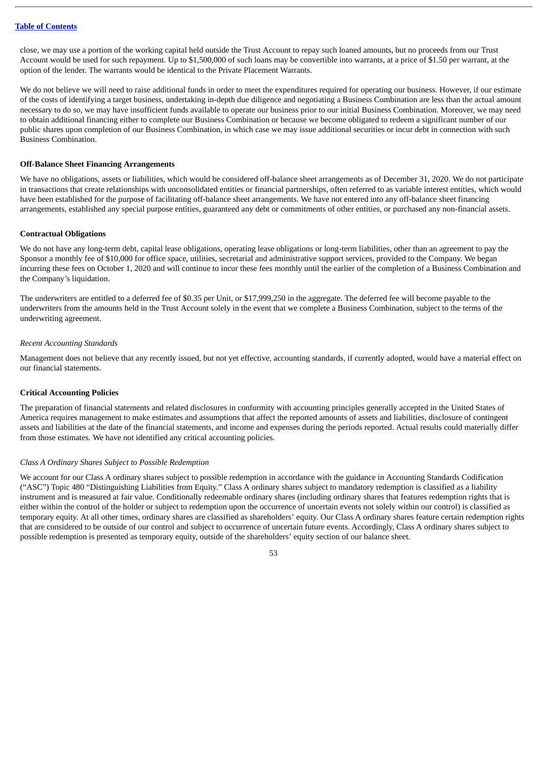close, we may use a portion of the working capital held outside the Trust Account to repay such loaned amounts, but no proceeds from our Trust Account would be used for such repayment. Up to \$1,500,000 of such loans may be convertible into warrants, at a price of \$1.50 per warrant, at the option of the lender. The warrants would be identical to the Private Placement Warrants.

We do not believe we will need to raise additional funds in order to meet the expenditures required for operating our business. However, if our estimate of the costs of identifying a target business, undertaking in-depth due diligence and negotiating a Business Combination are less than the actual amount necessary to do so, we may have insufficient funds available to operate our business prior to our initial Business Combination. Moreover, we may need to obtain additional financing either to complete our Business Combination or because we become obligated to redeem a significant number of our public shares upon completion of our Business Combination, in which case we may issue additional securities or incur debt in connection with such Business Combination.

### **Off-Balance Sheet Financing Arrangements**

We have no obligations, assets or liabilities, which would be considered off-balance sheet arrangements as of December 31, 2020. We do not participate in transactions that create relationships with unconsolidated entities or financial partnerships, often referred to as variable interest entities, which would have been established for the purpose of facilitating off-balance sheet arrangements. We have not entered into any off-balance sheet financing arrangements, established any special purpose entities, guaranteed any debt or commitments of other entities, or purchased any non-financial assets.

#### **Contractual Obligations**

We do not have any long-term debt, capital lease obligations, operating lease obligations or long-term liabilities, other than an agreement to pay the Sponsor a monthly fee of \$10,000 for office space, utilities, secretarial and administrative support services, provided to the Company. We began incurring these fees on October 1, 2020 and will continue to incur these fees monthly until the earlier of the completion of a Business Combination and the Company's liquidation.

The underwriters are entitled to a deferred fee of \$0.35 per Unit, or \$17,999,250 in the aggregate. The deferred fee will become payable to the underwriters from the amounts held in the Trust Account solely in the event that we complete a Business Combination, subject to the terms of the underwriting agreement.

#### *Recent Accounting Standards*

Management does not believe that any recently issued, but not yet effective, accounting standards, if currently adopted, would have a material effect on our financial statements.

## **Critical Accounting Policies**

The preparation of financial statements and related disclosures in conformity with accounting principles generally accepted in the United States of America requires management to make estimates and assumptions that affect the reported amounts of assets and liabilities, disclosure of contingent assets and liabilities at the date of the financial statements, and income and expenses during the periods reported. Actual results could materially differ from those estimates. We have not identified any critical accounting policies.

### *Class A Ordinary Shares Subject to Possible Redemption*

We account for our Class A ordinary shares subject to possible redemption in accordance with the guidance in Accounting Standards Codification ("ASC") Topic 480 "Distinguishing Liabilities from Equity." Class A ordinary shares subject to mandatory redemption is classified as a liability instrument and is measured at fair value. Conditionally redeemable ordinary shares (including ordinary shares that features redemption rights that is either within the control of the holder or subject to redemption upon the occurrence of uncertain events not solely within our control) is classified as temporary equity. At all other times, ordinary shares are classified as shareholders' equity. Our Class A ordinary shares feature certain redemption rights that are considered to be outside of our control and subject to occurrence of uncertain future events. Accordingly, Class A ordinary shares subject to possible redemption is presented as temporary equity, outside of the shareholders' equity section of our balance sheet.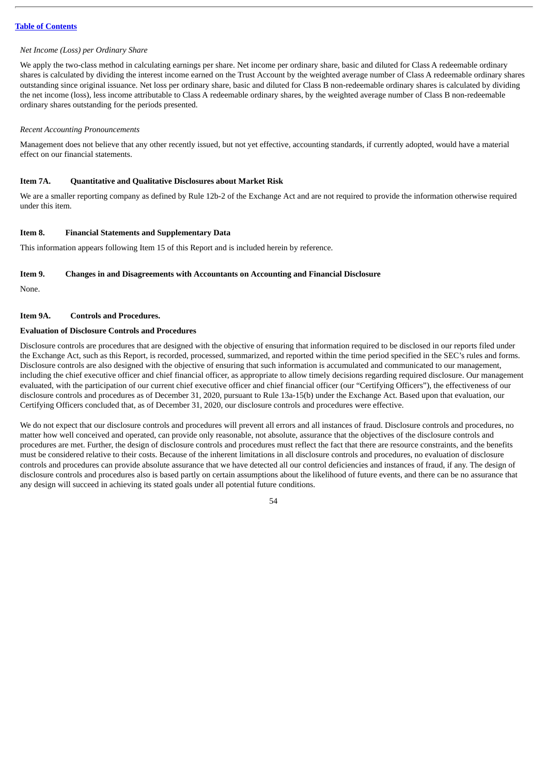### *Net Income (Loss) per Ordinary Share*

We apply the two-class method in calculating earnings per share. Net income per ordinary share, basic and diluted for Class A redeemable ordinary shares is calculated by dividing the interest income earned on the Trust Account by the weighted average number of Class A redeemable ordinary shares outstanding since original issuance. Net loss per ordinary share, basic and diluted for Class B non-redeemable ordinary shares is calculated by dividing the net income (loss), less income attributable to Class A redeemable ordinary shares, by the weighted average number of Class B non-redeemable ordinary shares outstanding for the periods presented.

#### *Recent Accounting Pronouncements*

Management does not believe that any other recently issued, but not yet effective, accounting standards, if currently adopted, would have a material effect on our financial statements.

### **Item 7A. Quantitative and Qualitative Disclosures about Market Risk**

We are a smaller reporting company as defined by Rule 12b-2 of the Exchange Act and are not required to provide the information otherwise required under this item.

## **Item 8. Financial Statements and Supplementary Data**

This information appears following Item 15 of this Report and is included herein by reference.

### **Item 9. Changes in and Disagreements with Accountants on Accounting and Financial Disclosure**

None.

## **Item 9A. Controls and Procedures.**

## **Evaluation of Disclosure Controls and Procedures**

Disclosure controls are procedures that are designed with the objective of ensuring that information required to be disclosed in our reports filed under the Exchange Act, such as this Report, is recorded, processed, summarized, and reported within the time period specified in the SEC's rules and forms. Disclosure controls are also designed with the objective of ensuring that such information is accumulated and communicated to our management, including the chief executive officer and chief financial officer, as appropriate to allow timely decisions regarding required disclosure. Our management evaluated, with the participation of our current chief executive officer and chief financial officer (our "Certifying Officers"), the effectiveness of our disclosure controls and procedures as of December 31, 2020, pursuant to Rule 13a-15(b) under the Exchange Act. Based upon that evaluation, our Certifying Officers concluded that, as of December 31, 2020, our disclosure controls and procedures were effective.

We do not expect that our disclosure controls and procedures will prevent all errors and all instances of fraud. Disclosure controls and procedures, no matter how well conceived and operated, can provide only reasonable, not absolute, assurance that the objectives of the disclosure controls and procedures are met. Further, the design of disclosure controls and procedures must reflect the fact that there are resource constraints, and the benefits must be considered relative to their costs. Because of the inherent limitations in all disclosure controls and procedures, no evaluation of disclosure controls and procedures can provide absolute assurance that we have detected all our control deficiencies and instances of fraud, if any. The design of disclosure controls and procedures also is based partly on certain assumptions about the likelihood of future events, and there can be no assurance that any design will succeed in achieving its stated goals under all potential future conditions.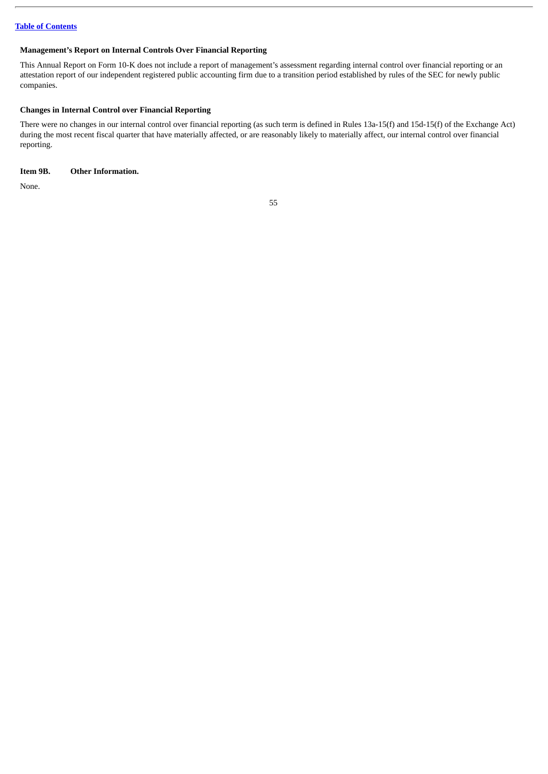## **Management's Report on Internal Controls Over Financial Reporting**

This Annual Report on Form 10-K does not include a report of management's assessment regarding internal control over financial reporting or an attestation report of our independent registered public accounting firm due to a transition period established by rules of the SEC for newly public companies.

# **Changes in Internal Control over Financial Reporting**

There were no changes in our internal control over financial reporting (as such term is defined in Rules 13a-15(f) and 15d-15(f) of the Exchange Act) during the most recent fiscal quarter that have materially affected, or are reasonably likely to materially affect, our internal control over financial reporting.

# **Item 9B. Other Information.**

None.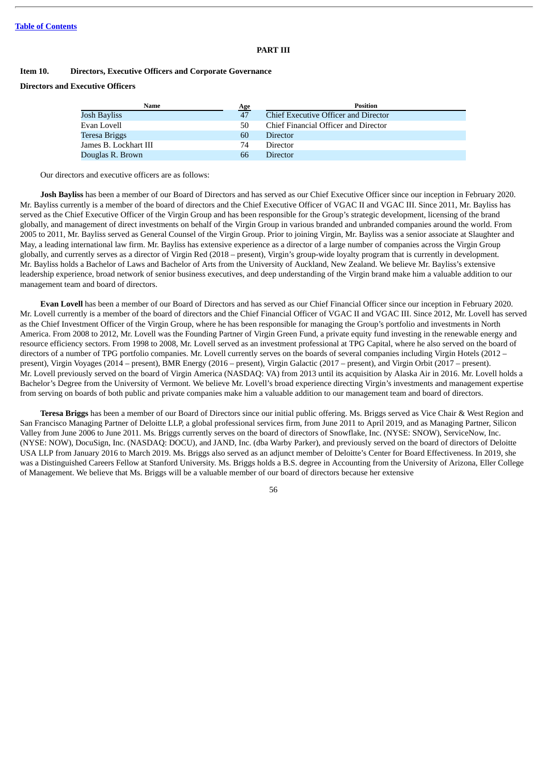### **PART III**

#### **Item 10. Directors, Executive Officers and Corporate Governance**

## **Directors and Executive Officers**

| Name                  | Age | <b>Position</b>                      |
|-----------------------|-----|--------------------------------------|
| Josh Bayliss          | 47  | Chief Executive Officer and Director |
| Evan Lovell           | 50  | Chief Financial Officer and Director |
| Teresa Briggs         | 60  | <b>Director</b>                      |
| James B. Lockhart III | 74  | <b>Director</b>                      |
| Douglas R. Brown      | 66  | <b>Director</b>                      |

Our directors and executive officers are as follows:

**Josh Bayliss** has been a member of our Board of Directors and has served as our Chief Executive Officer since our inception in February 2020. Mr. Bayliss currently is a member of the board of directors and the Chief Executive Officer of VGAC II and VGAC III. Since 2011, Mr. Bayliss has served as the Chief Executive Officer of the Virgin Group and has been responsible for the Group's strategic development, licensing of the brand globally, and management of direct investments on behalf of the Virgin Group in various branded and unbranded companies around the world. From 2005 to 2011, Mr. Bayliss served as General Counsel of the Virgin Group. Prior to joining Virgin, Mr. Bayliss was a senior associate at Slaughter and May, a leading international law firm. Mr. Bayliss has extensive experience as a director of a large number of companies across the Virgin Group globally, and currently serves as a director of Virgin Red (2018 – present), Virgin's group-wide loyalty program that is currently in development. Mr. Bayliss holds a Bachelor of Laws and Bachelor of Arts from the University of Auckland, New Zealand. We believe Mr. Bayliss's extensive leadership experience, broad network of senior business executives, and deep understanding of the Virgin brand make him a valuable addition to our management team and board of directors.

**Evan Lovell** has been a member of our Board of Directors and has served as our Chief Financial Officer since our inception in February 2020. Mr. Lovell currently is a member of the board of directors and the Chief Financial Officer of VGAC II and VGAC III. Since 2012, Mr. Lovell has served as the Chief Investment Officer of the Virgin Group, where he has been responsible for managing the Group's portfolio and investments in North America. From 2008 to 2012, Mr. Lovell was the Founding Partner of Virgin Green Fund, a private equity fund investing in the renewable energy and resource efficiency sectors. From 1998 to 2008, Mr. Lovell served as an investment professional at TPG Capital, where he also served on the board of directors of a number of TPG portfolio companies. Mr. Lovell currently serves on the boards of several companies including Virgin Hotels (2012 – present), Virgin Voyages (2014 – present), BMR Energy (2016 – present), Virgin Galactic (2017 – present), and Virgin Orbit (2017 – present). Mr. Lovell previously served on the board of Virgin America (NASDAQ: VA) from 2013 until its acquisition by Alaska Air in 2016. Mr. Lovell holds a Bachelor's Degree from the University of Vermont. We believe Mr. Lovell's broad experience directing Virgin's investments and management expertise from serving on boards of both public and private companies make him a valuable addition to our management team and board of directors.

**Teresa Briggs** has been a member of our Board of Directors since our initial public offering. Ms. Briggs served as Vice Chair & West Region and San Francisco Managing Partner of Deloitte LLP, a global professional services firm, from June 2011 to April 2019, and as Managing Partner, Silicon Valley from June 2006 to June 2011. Ms. Briggs currently serves on the board of directors of Snowflake, Inc. (NYSE: SNOW), ServiceNow, Inc. (NYSE: NOW), DocuSign, Inc. (NASDAQ: DOCU), and JAND, Inc. (dba Warby Parker), and previously served on the board of directors of Deloitte USA LLP from January 2016 to March 2019. Ms. Briggs also served as an adjunct member of Deloitte's Center for Board Effectiveness. In 2019, she was a Distinguished Careers Fellow at Stanford University. Ms. Briggs holds a B.S. degree in Accounting from the University of Arizona, Eller College of Management. We believe that Ms. Briggs will be a valuable member of our board of directors because her extensive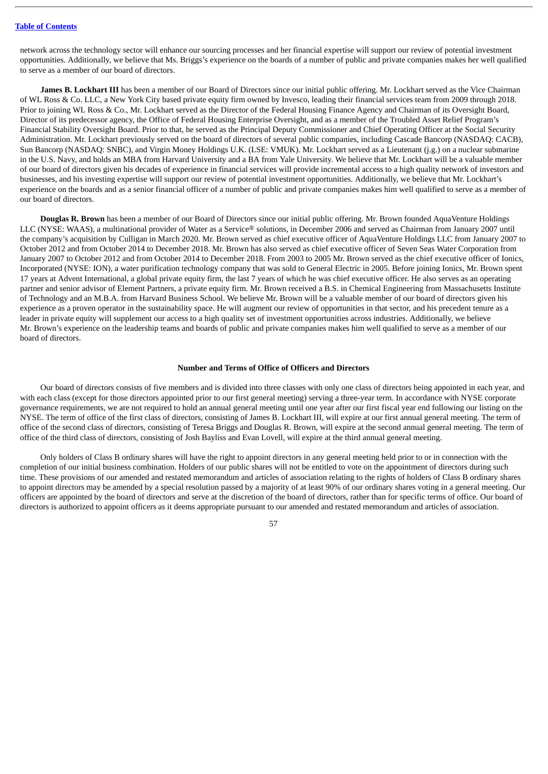network across the technology sector will enhance our sourcing processes and her financial expertise will support our review of potential investment opportunities. Additionally, we believe that Ms. Briggs's experience on the boards of a number of public and private companies makes her well qualified to serve as a member of our board of directors.

**James B. Lockhart III** has been a member of our Board of Directors since our initial public offering. Mr. Lockhart served as the Vice Chairman of WL Ross & Co. LLC, a New York City based private equity firm owned by Invesco, leading their financial services team from 2009 through 2018. Prior to joining WL Ross & Co., Mr. Lockhart served as the Director of the Federal Housing Finance Agency and Chairman of its Oversight Board, Director of its predecessor agency, the Office of Federal Housing Enterprise Oversight, and as a member of the Troubled Asset Relief Program's Financial Stability Oversight Board. Prior to that, he served as the Principal Deputy Commissioner and Chief Operating Officer at the Social Security Administration. Mr. Lockhart previously served on the board of directors of several public companies, including Cascade Bancorp (NASDAQ: CACB), Sun Bancorp (NASDAQ: SNBC), and Virgin Money Holdings U.K. (LSE: VMUK). Mr. Lockhart served as a Lieutenant (j.g.) on a nuclear submarine in the U.S. Navy, and holds an MBA from Harvard University and a BA from Yale University. We believe that Mr. Lockhart will be a valuable member of our board of directors given his decades of experience in financial services will provide incremental access to a high quality network of investors and businesses, and his investing expertise will support our review of potential investment opportunities. Additionally, we believe that Mr. Lockhart's experience on the boards and as a senior financial officer of a number of public and private companies makes him well qualified to serve as a member of our board of directors.

**Douglas R. Brown** has been a member of our Board of Directors since our initial public offering. Mr. Brown founded AquaVenture Holdings LLC (NYSE: WAAS), a multinational provider of Water as a Service® solutions, in December 2006 and served as Chairman from January 2007 until the company's acquisition by Culligan in March 2020. Mr. Brown served as chief executive officer of AquaVenture Holdings LLC from January 2007 to October 2012 and from October 2014 to December 2018. Mr. Brown has also served as chief executive officer of Seven Seas Water Corporation from January 2007 to October 2012 and from October 2014 to December 2018. From 2003 to 2005 Mr. Brown served as the chief executive officer of Ionics, Incorporated (NYSE: ION), a water purification technology company that was sold to General Electric in 2005. Before joining Ionics, Mr. Brown spent 17 years at Advent International, a global private equity firm, the last 7 years of which he was chief executive officer. He also serves as an operating partner and senior advisor of Element Partners, a private equity firm. Mr. Brown received a B.S. in Chemical Engineering from Massachusetts Institute of Technology and an M.B.A. from Harvard Business School. We believe Mr. Brown will be a valuable member of our board of directors given his experience as a proven operator in the sustainability space. He will augment our review of opportunities in that sector, and his precedent tenure as a leader in private equity will supplement our access to a high quality set of investment opportunities across industries. Additionally, we believe Mr. Brown's experience on the leadership teams and boards of public and private companies makes him well qualified to serve as a member of our board of directors.

#### **Number and Terms of Office of Officers and Directors**

Our board of directors consists of five members and is divided into three classes with only one class of directors being appointed in each year, and with each class (except for those directors appointed prior to our first general meeting) serving a three-year term. In accordance with NYSE corporate governance requirements, we are not required to hold an annual general meeting until one year after our first fiscal year end following our listing on the NYSE. The term of office of the first class of directors, consisting of James B. Lockhart III, will expire at our first annual general meeting. The term of office of the second class of directors, consisting of Teresa Briggs and Douglas R. Brown, will expire at the second annual general meeting. The term of office of the third class of directors, consisting of Josh Bayliss and Evan Lovell, will expire at the third annual general meeting.

Only holders of Class B ordinary shares will have the right to appoint directors in any general meeting held prior to or in connection with the completion of our initial business combination. Holders of our public shares will not be entitled to vote on the appointment of directors during such time. These provisions of our amended and restated memorandum and articles of association relating to the rights of holders of Class B ordinary shares to appoint directors may be amended by a special resolution passed by a majority of at least 90% of our ordinary shares voting in a general meeting. Our officers are appointed by the board of directors and serve at the discretion of the board of directors, rather than for specific terms of office. Our board of directors is authorized to appoint officers as it deems appropriate pursuant to our amended and restated memorandum and articles of association.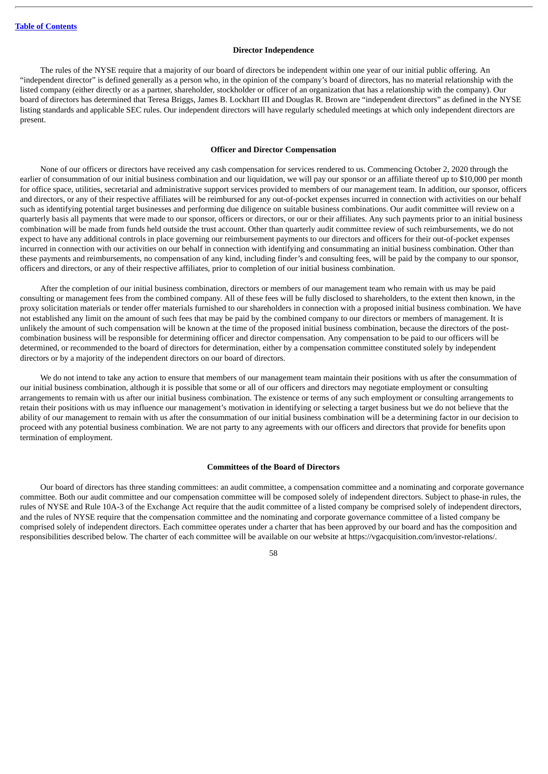#### **Director Independence**

The rules of the NYSE require that a majority of our board of directors be independent within one year of our initial public offering. An "independent director" is defined generally as a person who, in the opinion of the company's board of directors, has no material relationship with the listed company (either directly or as a partner, shareholder, stockholder or officer of an organization that has a relationship with the company). Our board of directors has determined that Teresa Briggs, James B. Lockhart III and Douglas R. Brown are "independent directors" as defined in the NYSE listing standards and applicable SEC rules. Our independent directors will have regularly scheduled meetings at which only independent directors are present.

#### **Officer and Director Compensation**

None of our officers or directors have received any cash compensation for services rendered to us. Commencing October 2, 2020 through the earlier of consummation of our initial business combination and our liquidation, we will pay our sponsor or an affiliate thereof up to \$10,000 per month for office space, utilities, secretarial and administrative support services provided to members of our management team. In addition, our sponsor, officers and directors, or any of their respective affiliates will be reimbursed for any out-of-pocket expenses incurred in connection with activities on our behalf such as identifying potential target businesses and performing due diligence on suitable business combinations. Our audit committee will review on a quarterly basis all payments that were made to our sponsor, officers or directors, or our or their affiliates. Any such payments prior to an initial business combination will be made from funds held outside the trust account. Other than quarterly audit committee review of such reimbursements, we do not expect to have any additional controls in place governing our reimbursement payments to our directors and officers for their out-of-pocket expenses incurred in connection with our activities on our behalf in connection with identifying and consummating an initial business combination. Other than these payments and reimbursements, no compensation of any kind, including finder's and consulting fees, will be paid by the company to our sponsor, officers and directors, or any of their respective affiliates, prior to completion of our initial business combination.

After the completion of our initial business combination, directors or members of our management team who remain with us may be paid consulting or management fees from the combined company. All of these fees will be fully disclosed to shareholders, to the extent then known, in the proxy solicitation materials or tender offer materials furnished to our shareholders in connection with a proposed initial business combination. We have not established any limit on the amount of such fees that may be paid by the combined company to our directors or members of management. It is unlikely the amount of such compensation will be known at the time of the proposed initial business combination, because the directors of the postcombination business will be responsible for determining officer and director compensation. Any compensation to be paid to our officers will be determined, or recommended to the board of directors for determination, either by a compensation committee constituted solely by independent directors or by a majority of the independent directors on our board of directors.

We do not intend to take any action to ensure that members of our management team maintain their positions with us after the consummation of our initial business combination, although it is possible that some or all of our officers and directors may negotiate employment or consulting arrangements to remain with us after our initial business combination. The existence or terms of any such employment or consulting arrangements to retain their positions with us may influence our management's motivation in identifying or selecting a target business but we do not believe that the ability of our management to remain with us after the consummation of our initial business combination will be a determining factor in our decision to proceed with any potential business combination. We are not party to any agreements with our officers and directors that provide for benefits upon termination of employment.

### **Committees of the Board of Directors**

Our board of directors has three standing committees: an audit committee, a compensation committee and a nominating and corporate governance committee. Both our audit committee and our compensation committee will be composed solely of independent directors. Subject to phase-in rules, the rules of NYSE and Rule 10A-3 of the Exchange Act require that the audit committee of a listed company be comprised solely of independent directors, and the rules of NYSE require that the compensation committee and the nominating and corporate governance committee of a listed company be comprised solely of independent directors. Each committee operates under a charter that has been approved by our board and has the composition and responsibilities described below. The charter of each committee will be available on our website at https://vgacquisition.com/investor-relations/.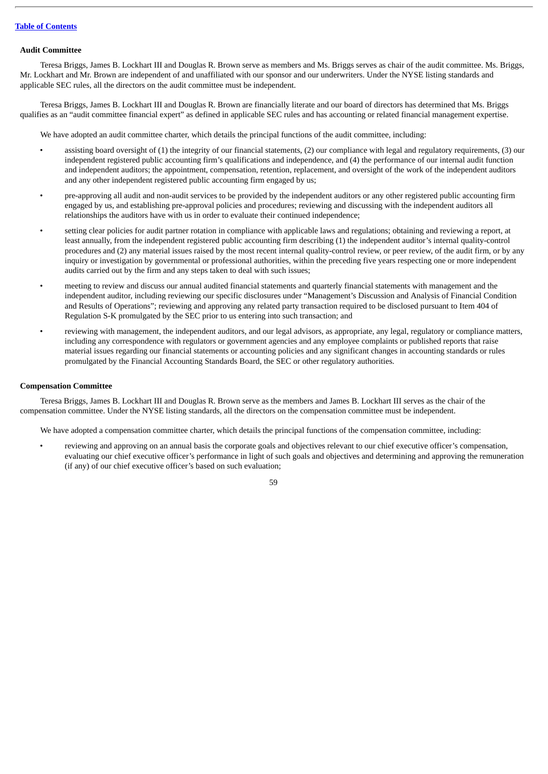#### **Audit Committee**

Teresa Briggs, James B. Lockhart III and Douglas R. Brown serve as members and Ms. Briggs serves as chair of the audit committee. Ms. Briggs, Mr. Lockhart and Mr. Brown are independent of and unaffiliated with our sponsor and our underwriters. Under the NYSE listing standards and applicable SEC rules, all the directors on the audit committee must be independent.

Teresa Briggs, James B. Lockhart III and Douglas R. Brown are financially literate and our board of directors has determined that Ms. Briggs qualifies as an "audit committee financial expert" as defined in applicable SEC rules and has accounting or related financial management expertise.

We have adopted an audit committee charter, which details the principal functions of the audit committee, including:

- assisting board oversight of (1) the integrity of our financial statements, (2) our compliance with legal and regulatory requirements, (3) our independent registered public accounting firm's qualifications and independence, and (4) the performance of our internal audit function and independent auditors; the appointment, compensation, retention, replacement, and oversight of the work of the independent auditors and any other independent registered public accounting firm engaged by us;
- pre-approving all audit and non-audit services to be provided by the independent auditors or any other registered public accounting firm engaged by us, and establishing pre-approval policies and procedures; reviewing and discussing with the independent auditors all relationships the auditors have with us in order to evaluate their continued independence;
- setting clear policies for audit partner rotation in compliance with applicable laws and regulations; obtaining and reviewing a report, at least annually, from the independent registered public accounting firm describing (1) the independent auditor's internal quality-control procedures and (2) any material issues raised by the most recent internal quality-control review, or peer review, of the audit firm, or by any inquiry or investigation by governmental or professional authorities, within the preceding five years respecting one or more independent audits carried out by the firm and any steps taken to deal with such issues;
- meeting to review and discuss our annual audited financial statements and quarterly financial statements with management and the independent auditor, including reviewing our specific disclosures under "Management's Discussion and Analysis of Financial Condition and Results of Operations"; reviewing and approving any related party transaction required to be disclosed pursuant to Item 404 of Regulation S-K promulgated by the SEC prior to us entering into such transaction; and
- reviewing with management, the independent auditors, and our legal advisors, as appropriate, any legal, regulatory or compliance matters, including any correspondence with regulators or government agencies and any employee complaints or published reports that raise material issues regarding our financial statements or accounting policies and any significant changes in accounting standards or rules promulgated by the Financial Accounting Standards Board, the SEC or other regulatory authorities.

#### **Compensation Committee**

Teresa Briggs, James B. Lockhart III and Douglas R. Brown serve as the members and James B. Lockhart III serves as the chair of the compensation committee. Under the NYSE listing standards, all the directors on the compensation committee must be independent.

We have adopted a compensation committee charter, which details the principal functions of the compensation committee, including:

• reviewing and approving on an annual basis the corporate goals and objectives relevant to our chief executive officer's compensation, evaluating our chief executive officer's performance in light of such goals and objectives and determining and approving the remuneration (if any) of our chief executive officer's based on such evaluation;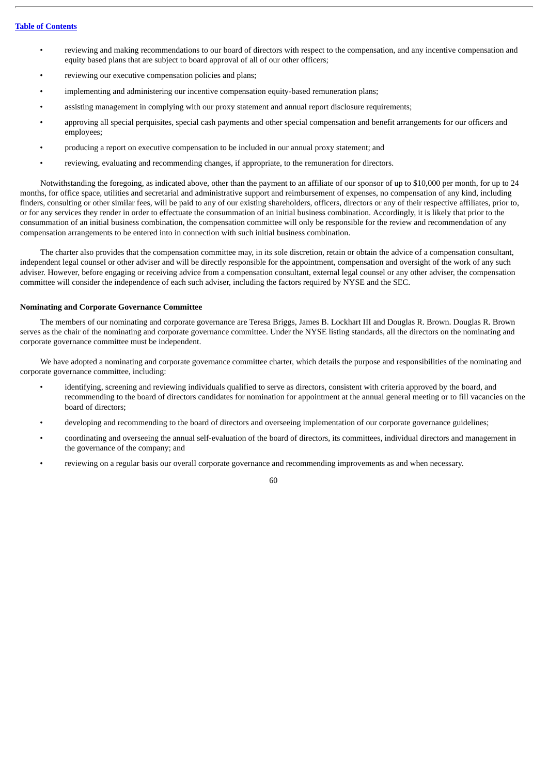- reviewing and making recommendations to our board of directors with respect to the compensation, and any incentive compensation and equity based plans that are subject to board approval of all of our other officers;
- reviewing our executive compensation policies and plans;
- implementing and administering our incentive compensation equity-based remuneration plans;
- assisting management in complying with our proxy statement and annual report disclosure requirements;
- approving all special perquisites, special cash payments and other special compensation and benefit arrangements for our officers and employees;
- producing a report on executive compensation to be included in our annual proxy statement; and
- reviewing, evaluating and recommending changes, if appropriate, to the remuneration for directors.

Notwithstanding the foregoing, as indicated above, other than the payment to an affiliate of our sponsor of up to \$10,000 per month, for up to 24 months, for office space, utilities and secretarial and administrative support and reimbursement of expenses, no compensation of any kind, including finders, consulting or other similar fees, will be paid to any of our existing shareholders, officers, directors or any of their respective affiliates, prior to, or for any services they render in order to effectuate the consummation of an initial business combination. Accordingly, it is likely that prior to the consummation of an initial business combination, the compensation committee will only be responsible for the review and recommendation of any compensation arrangements to be entered into in connection with such initial business combination.

The charter also provides that the compensation committee may, in its sole discretion, retain or obtain the advice of a compensation consultant, independent legal counsel or other adviser and will be directly responsible for the appointment, compensation and oversight of the work of any such adviser. However, before engaging or receiving advice from a compensation consultant, external legal counsel or any other adviser, the compensation committee will consider the independence of each such adviser, including the factors required by NYSE and the SEC.

## **Nominating and Corporate Governance Committee**

The members of our nominating and corporate governance are Teresa Briggs, James B. Lockhart III and Douglas R. Brown. Douglas R. Brown serves as the chair of the nominating and corporate governance committee. Under the NYSE listing standards, all the directors on the nominating and corporate governance committee must be independent.

We have adopted a nominating and corporate governance committee charter, which details the purpose and responsibilities of the nominating and corporate governance committee, including:

- identifying, screening and reviewing individuals qualified to serve as directors, consistent with criteria approved by the board, and recommending to the board of directors candidates for nomination for appointment at the annual general meeting or to fill vacancies on the board of directors;
- developing and recommending to the board of directors and overseeing implementation of our corporate governance guidelines;
- coordinating and overseeing the annual self-evaluation of the board of directors, its committees, individual directors and management in the governance of the company; and
- reviewing on a regular basis our overall corporate governance and recommending improvements as and when necessary.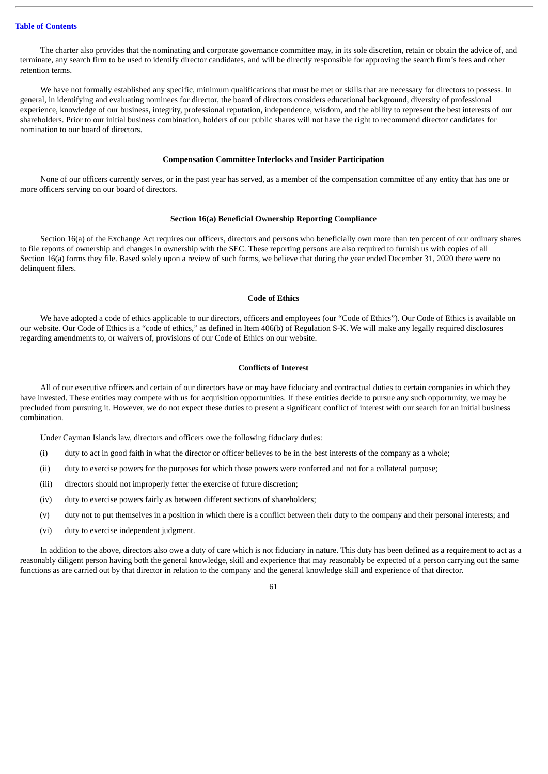The charter also provides that the nominating and corporate governance committee may, in its sole discretion, retain or obtain the advice of, and terminate, any search firm to be used to identify director candidates, and will be directly responsible for approving the search firm's fees and other retention terms.

We have not formally established any specific, minimum qualifications that must be met or skills that are necessary for directors to possess. In general, in identifying and evaluating nominees for director, the board of directors considers educational background, diversity of professional experience, knowledge of our business, integrity, professional reputation, independence, wisdom, and the ability to represent the best interests of our shareholders. Prior to our initial business combination, holders of our public shares will not have the right to recommend director candidates for nomination to our board of directors.

### **Compensation Committee Interlocks and Insider Participation**

None of our officers currently serves, or in the past year has served, as a member of the compensation committee of any entity that has one or more officers serving on our board of directors.

#### **Section 16(a) Beneficial Ownership Reporting Compliance**

Section 16(a) of the Exchange Act requires our officers, directors and persons who beneficially own more than ten percent of our ordinary shares to file reports of ownership and changes in ownership with the SEC. These reporting persons are also required to furnish us with copies of all Section 16(a) forms they file. Based solely upon a review of such forms, we believe that during the year ended December 31, 2020 there were no delinquent filers.

#### **Code of Ethics**

We have adopted a code of ethics applicable to our directors, officers and employees (our "Code of Ethics"). Our Code of Ethics is available on our website. Our Code of Ethics is a "code of ethics," as defined in Item 406(b) of Regulation S-K. We will make any legally required disclosures regarding amendments to, or waivers of, provisions of our Code of Ethics on our website.

### **Conflicts of Interest**

All of our executive officers and certain of our directors have or may have fiduciary and contractual duties to certain companies in which they have invested. These entities may compete with us for acquisition opportunities. If these entities decide to pursue any such opportunity, we may be precluded from pursuing it. However, we do not expect these duties to present a significant conflict of interest with our search for an initial business combination.

Under Cayman Islands law, directors and officers owe the following fiduciary duties:

- (i) duty to act in good faith in what the director or officer believes to be in the best interests of the company as a whole;
- (ii) duty to exercise powers for the purposes for which those powers were conferred and not for a collateral purpose;
- (iii) directors should not improperly fetter the exercise of future discretion;
- (iv) duty to exercise powers fairly as between different sections of shareholders;
- (v) duty not to put themselves in a position in which there is a conflict between their duty to the company and their personal interests; and
- (vi) duty to exercise independent judgment.

In addition to the above, directors also owe a duty of care which is not fiduciary in nature. This duty has been defined as a requirement to act as a reasonably diligent person having both the general knowledge, skill and experience that may reasonably be expected of a person carrying out the same functions as are carried out by that director in relation to the company and the general knowledge skill and experience of that director.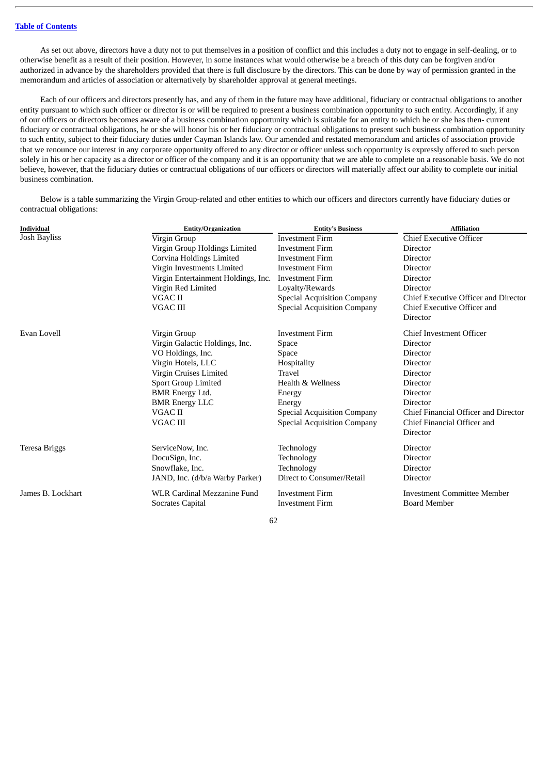As set out above, directors have a duty not to put themselves in a position of conflict and this includes a duty not to engage in self-dealing, or to otherwise benefit as a result of their position. However, in some instances what would otherwise be a breach of this duty can be forgiven and/or authorized in advance by the shareholders provided that there is full disclosure by the directors. This can be done by way of permission granted in the memorandum and articles of association or alternatively by shareholder approval at general meetings.

Each of our officers and directors presently has, and any of them in the future may have additional, fiduciary or contractual obligations to another entity pursuant to which such officer or director is or will be required to present a business combination opportunity to such entity. Accordingly, if any of our officers or directors becomes aware of a business combination opportunity which is suitable for an entity to which he or she has then- current fiduciary or contractual obligations, he or she will honor his or her fiduciary or contractual obligations to present such business combination opportunity to such entity, subject to their fiduciary duties under Cayman Islands law. Our amended and restated memorandum and articles of association provide that we renounce our interest in any corporate opportunity offered to any director or officer unless such opportunity is expressly offered to such person solely in his or her capacity as a director or officer of the company and it is an opportunity that we are able to complete on a reasonable basis. We do not believe, however, that the fiduciary duties or contractual obligations of our officers or directors will materially affect our ability to complete our initial business combination.

Below is a table summarizing the Virgin Group-related and other entities to which our officers and directors currently have fiduciary duties or contractual obligations:

| <b>Individual</b> | Entity/Organization                 | <b>Entity's Business</b>           | <b>Affiliation</b>                   |  |
|-------------------|-------------------------------------|------------------------------------|--------------------------------------|--|
| Josh Bayliss      | Virgin Group                        | <b>Investment Firm</b>             | <b>Chief Executive Officer</b>       |  |
|                   | Virgin Group Holdings Limited       | <b>Investment Firm</b>             | Director                             |  |
|                   | Corvina Holdings Limited            | <b>Investment Firm</b>             | Director                             |  |
|                   | Virgin Investments Limited          | <b>Investment Firm</b>             | Director                             |  |
|                   | Virgin Entertainment Holdings, Inc. | <b>Investment Firm</b>             | Director                             |  |
|                   | Virgin Red Limited                  | Loyalty/Rewards                    | Director                             |  |
|                   | VGAC II                             | <b>Special Acquisition Company</b> | Chief Executive Officer and Director |  |
|                   | <b>VGAC III</b>                     | <b>Special Acquisition Company</b> | Chief Executive Officer and          |  |
|                   |                                     |                                    | Director                             |  |
| Evan Lovell       | Virgin Group                        | <b>Investment Firm</b>             | <b>Chief Investment Officer</b>      |  |
|                   | Virgin Galactic Holdings, Inc.      | Space                              | Director                             |  |
|                   | VO Holdings, Inc.                   | Space                              | Director                             |  |
|                   | Virgin Hotels, LLC                  | Hospitality                        | Director                             |  |
|                   | Virgin Cruises Limited              | Travel                             | Director                             |  |
|                   | <b>Sport Group Limited</b>          | Health & Wellness                  | Director                             |  |
|                   | <b>BMR</b> Energy Ltd.              | Energy                             | Director                             |  |
|                   | <b>BMR Energy LLC</b>               | Energy                             | Director                             |  |
|                   | VGAC II                             | <b>Special Acquisition Company</b> | Chief Financial Officer and Director |  |
|                   | VGAC III                            | <b>Special Acquisition Company</b> | Chief Financial Officer and          |  |
|                   |                                     |                                    | Director                             |  |
| Teresa Briggs     | ServiceNow, Inc.                    | Technology                         | Director                             |  |
|                   | DocuSign, Inc.                      | Technology                         | Director                             |  |
|                   | Snowflake, Inc.                     | Technology                         | Director                             |  |
|                   | JAND, Inc. (d/b/a Warby Parker)     | Direct to Consumer/Retail          | Director                             |  |
| James B. Lockhart | <b>WLR Cardinal Mezzanine Fund</b>  | <b>Investment Firm</b>             | Investment Committee Member          |  |
|                   | <b>Socrates Capital</b>             | <b>Investment Firm</b>             | <b>Board Member</b>                  |  |
|                   |                                     |                                    |                                      |  |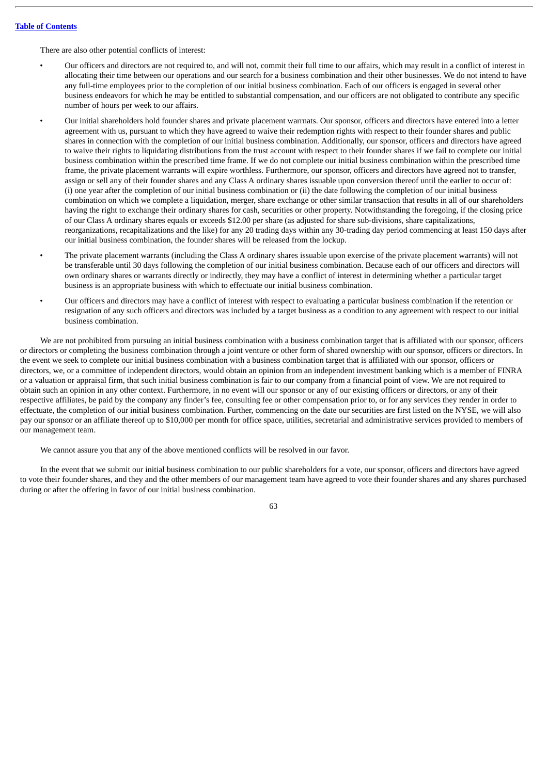There are also other potential conflicts of interest:

- Our officers and directors are not required to, and will not, commit their full time to our affairs, which may result in a conflict of interest in allocating their time between our operations and our search for a business combination and their other businesses. We do not intend to have any full-time employees prior to the completion of our initial business combination. Each of our officers is engaged in several other business endeavors for which he may be entitled to substantial compensation, and our officers are not obligated to contribute any specific number of hours per week to our affairs.
	- Our initial shareholders hold founder shares and private placement warrnats. Our sponsor, officers and directors have entered into a letter agreement with us, pursuant to which they have agreed to waive their redemption rights with respect to their founder shares and public shares in connection with the completion of our initial business combination. Additionally, our sponsor, officers and directors have agreed to waive their rights to liquidating distributions from the trust account with respect to their founder shares if we fail to complete our initial business combination within the prescribed time frame. If we do not complete our initial business combination within the prescribed time frame, the private placement warrants will expire worthless. Furthermore, our sponsor, officers and directors have agreed not to transfer, assign or sell any of their founder shares and any Class A ordinary shares issuable upon conversion thereof until the earlier to occur of: (i) one year after the completion of our initial business combination or (ii) the date following the completion of our initial business combination on which we complete a liquidation, merger, share exchange or other similar transaction that results in all of our shareholders having the right to exchange their ordinary shares for cash, securities or other property. Notwithstanding the foregoing, if the closing price of our Class A ordinary shares equals or exceeds \$12.00 per share (as adjusted for share sub-divisions, share capitalizations, reorganizations, recapitalizations and the like) for any 20 trading days within any 30-trading day period commencing at least 150 days after our initial business combination, the founder shares will be released from the lockup.
- The private placement warrants (including the Class A ordinary shares issuable upon exercise of the private placement warrants) will not be transferable until 30 days following the completion of our initial business combination. Because each of our officers and directors will own ordinary shares or warrants directly or indirectly, they may have a conflict of interest in determining whether a particular target business is an appropriate business with which to effectuate our initial business combination.
- Our officers and directors may have a conflict of interest with respect to evaluating a particular business combination if the retention or resignation of any such officers and directors was included by a target business as a condition to any agreement with respect to our initial business combination.

We are not prohibited from pursuing an initial business combination with a business combination target that is affiliated with our sponsor, officers or directors or completing the business combination through a joint venture or other form of shared ownership with our sponsor, officers or directors. In the event we seek to complete our initial business combination with a business combination target that is affiliated with our sponsor, officers or directors, we, or a committee of independent directors, would obtain an opinion from an independent investment banking which is a member of FINRA or a valuation or appraisal firm, that such initial business combination is fair to our company from a financial point of view. We are not required to obtain such an opinion in any other context. Furthermore, in no event will our sponsor or any of our existing officers or directors, or any of their respective affiliates, be paid by the company any finder's fee, consulting fee or other compensation prior to, or for any services they render in order to effectuate, the completion of our initial business combination. Further, commencing on the date our securities are first listed on the NYSE, we will also pay our sponsor or an affiliate thereof up to \$10,000 per month for office space, utilities, secretarial and administrative services provided to members of our management team.

We cannot assure you that any of the above mentioned conflicts will be resolved in our favor.

In the event that we submit our initial business combination to our public shareholders for a vote, our sponsor, officers and directors have agreed to vote their founder shares, and they and the other members of our management team have agreed to vote their founder shares and any shares purchased during or after the offering in favor of our initial business combination.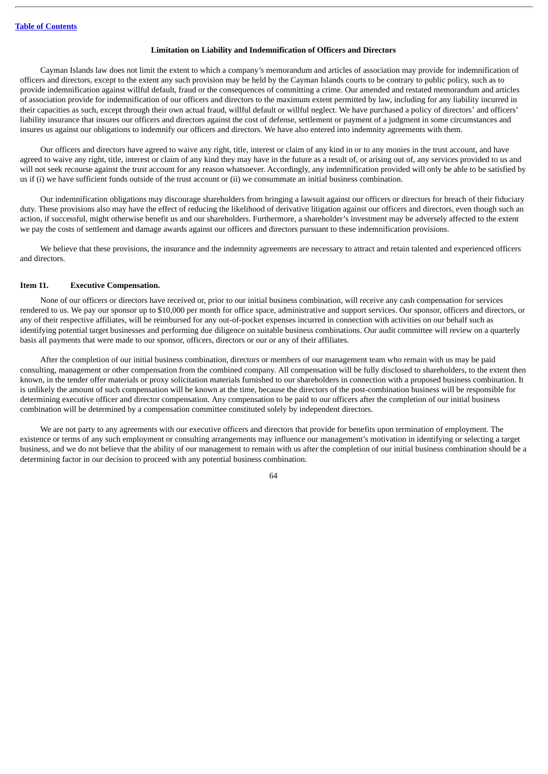#### **Limitation on Liability and Indemnification of Officers and Directors**

Cayman Islands law does not limit the extent to which a company's memorandum and articles of association may provide for indemnification of officers and directors, except to the extent any such provision may be held by the Cayman Islands courts to be contrary to public policy, such as to provide indemnification against willful default, fraud or the consequences of committing a crime. Our amended and restated memorandum and articles of association provide for indemnification of our officers and directors to the maximum extent permitted by law, including for any liability incurred in their capacities as such, except through their own actual fraud, willful default or willful neglect. We have purchased a policy of directors' and officers' liability insurance that insures our officers and directors against the cost of defense, settlement or payment of a judgment in some circumstances and insures us against our obligations to indemnify our officers and directors. We have also entered into indemnity agreements with them.

Our officers and directors have agreed to waive any right, title, interest or claim of any kind in or to any monies in the trust account, and have agreed to waive any right, title, interest or claim of any kind they may have in the future as a result of, or arising out of, any services provided to us and will not seek recourse against the trust account for any reason whatsoever. Accordingly, any indemnification provided will only be able to be satisfied by us if (i) we have sufficient funds outside of the trust account or (ii) we consummate an initial business combination.

Our indemnification obligations may discourage shareholders from bringing a lawsuit against our officers or directors for breach of their fiduciary duty. These provisions also may have the effect of reducing the likelihood of derivative litigation against our officers and directors, even though such an action, if successful, might otherwise benefit us and our shareholders. Furthermore, a shareholder's investment may be adversely affected to the extent we pay the costs of settlement and damage awards against our officers and directors pursuant to these indemnification provisions.

We believe that these provisions, the insurance and the indemnity agreements are necessary to attract and retain talented and experienced officers and directors.

### **Item 11. Executive Compensation.**

None of our officers or directors have received or, prior to our initial business combination, will receive any cash compensation for services rendered to us. We pay our sponsor up to \$10,000 per month for office space, administrative and support services. Our sponsor, officers and directors, or any of their respective affiliates, will be reimbursed for any out-of-pocket expenses incurred in connection with activities on our behalf such as identifying potential target businesses and performing due diligence on suitable business combinations. Our audit committee will review on a quarterly basis all payments that were made to our sponsor, officers, directors or our or any of their affiliates.

After the completion of our initial business combination, directors or members of our management team who remain with us may be paid consulting, management or other compensation from the combined company. All compensation will be fully disclosed to shareholders, to the extent then known, in the tender offer materials or proxy solicitation materials furnished to our shareholders in connection with a proposed business combination. It is unlikely the amount of such compensation will be known at the time, because the directors of the post-combination business will be responsible for determining executive officer and director compensation. Any compensation to be paid to our officers after the completion of our initial business combination will be determined by a compensation committee constituted solely by independent directors.

We are not party to any agreements with our executive officers and directors that provide for benefits upon termination of employment. The existence or terms of any such employment or consulting arrangements may influence our management's motivation in identifying or selecting a target business, and we do not believe that the ability of our management to remain with us after the completion of our initial business combination should be a determining factor in our decision to proceed with any potential business combination.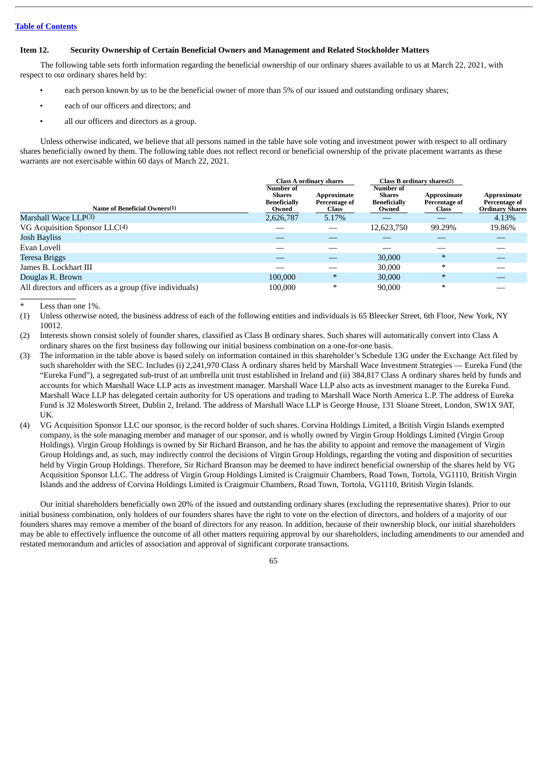### **Item 12. Security Ownership of Certain Beneficial Owners and Management and Related Stockholder Matters**

The following table sets forth information regarding the beneficial ownership of our ordinary shares available to us at March 22, 2021, with respect to our ordinary shares held by:

- each person known by us to be the beneficial owner of more than 5% of our issued and outstanding ordinary shares;
- each of our officers and directors; and
- all our officers and directors as a group.

Unless otherwise indicated, we believe that all persons named in the table have sole voting and investment power with respect to all ordinary shares beneficially owned by them. The following table does not reflect record or beneficial ownership of the private placement warrants as these warrants are not exercisable within 60 days of March 22, 2021.

|                                                          | <b>Class A ordinary shares</b><br>Number of<br>Approximate<br><b>Shares</b> |                        | Class B ordinary shares(2)<br>Number of<br>Approximate<br><b>Shares</b> |                               | Approximate                             |
|----------------------------------------------------------|-----------------------------------------------------------------------------|------------------------|-------------------------------------------------------------------------|-------------------------------|-----------------------------------------|
| Name of Beneficial Owners(1)                             | <b>Beneficially</b><br>Owned                                                | Percentage of<br>Class | <b>Beneficially</b><br>Owned                                            | Percentage of<br><b>Class</b> | Percentage of<br><b>Ordinary Shares</b> |
| Marshall Wace LLP(3)                                     | 2,626,787                                                                   | 5.17%                  |                                                                         |                               | 4.13%                                   |
| VG Acquisition Sponsor $LLC(4)$                          |                                                                             |                        | 12,623,750                                                              | 99.29%                        | 19.86%                                  |
| <b>Josh Bayliss</b>                                      |                                                                             |                        |                                                                         |                               |                                         |
| Evan Lovell                                              |                                                                             |                        |                                                                         |                               |                                         |
| Teresa Briggs                                            |                                                                             |                        | 30,000                                                                  | $\ast$                        |                                         |
| James B. Lockhart III                                    |                                                                             |                        | 30,000                                                                  | $\ast$                        |                                         |
| Douglas R. Brown                                         | 100,000                                                                     | $\ast$                 | 30,000                                                                  | $\ast$                        |                                         |
| All directors and officers as a group (five individuals) | 100,000                                                                     | $\ast$                 | 90,000                                                                  | $\ast$                        |                                         |

Less than one 1%.

- (1) Unless otherwise noted, the business address of each of the following entities and individuals is 65 Bleecker Street, 6th Floor, New York, NY 10012.
- (2) Interests shown consist solely of founder shares, classified as Class B ordinary shares. Such shares will automatically convert into Class A ordinary shares on the first business day following our initial business combination on a one-for-one basis.
- (3) The information in the table above is based solely on information contained in this shareholder's Schedule 13G under the Exchange Act filed by such shareholder with the SEC. Includes (i) 2,241,970 Class A ordinary shares held by Marshall Wace Investment Strategies — Eureka Fund (the "Eureka Fund"), a segregated sub-trust of an umbrella unit trust established in Ireland and (ii) 384,817 Class A ordinary shares held by funds and accounts for which Marshall Wace LLP acts as investment manager. Marshall Wace LLP also acts as investment manager to the Eureka Fund. Marshall Wace LLP has delegated certain authority for US operations and trading to Marshall Wace North America L.P. The address of Eureka Fund is 32 Molesworth Street, Dublin 2, Ireland. The address of Marshall Wace LLP is George House, 131 Sloane Street, London, SW1X 9AT, UK.
- (4) VG Acquisition Sponsor LLC our sponsor, is the record holder of such shares. Corvina Holdings Limited, a British Virgin Islands exempted company, is the sole managing member and manager of our sponsor, and is wholly owned by Virgin Group Holdings Limited (Virgin Group Holdings). Virgin Group Holdings is owned by Sir Richard Branson, and he has the ability to appoint and remove the management of Virgin Group Holdings and, as such, may indirectly control the decisions of Virgin Group Holdings, regarding the voting and disposition of securities held by Virgin Group Holdings. Therefore, Sir Richard Branson may be deemed to have indirect beneficial ownership of the shares held by VG Acquisition Sponsor LLC. The address of Virgin Group Holdings Limited is Craigmuir Chambers, Road Town, Tortola, VG1110, British Virgin Islands and the address of Corvina Holdings Limited is Craigmuir Chambers, Road Town, Tortola, VG1110, British Virgin Islands.

Our initial shareholders beneficially own 20% of the issued and outstanding ordinary shares (excluding the representative shares). Prior to our initial business combination, only holders of our founders shares have the right to vote on the election of directors, and holders of a majority of our founders shares may remove a member of the board of directors for any reason. In addition, because of their ownership block, our initial shareholders may be able to effectively influence the outcome of all other matters requiring approval by our shareholders, including amendments to our amended and restated memorandum and articles of association and approval of significant corporate transactions.

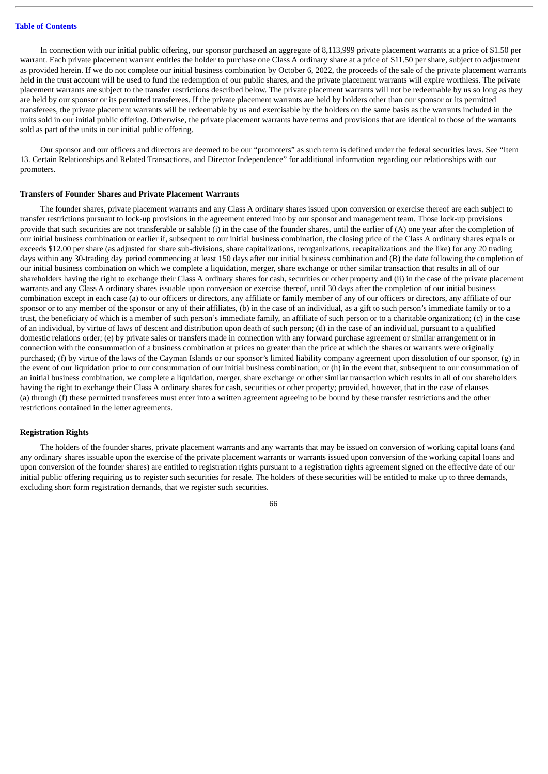In connection with our initial public offering, our sponsor purchased an aggregate of 8,113,999 private placement warrants at a price of \$1.50 per warrant. Each private placement warrant entitles the holder to purchase one Class A ordinary share at a price of \$11.50 per share, subject to adjustment as provided herein. If we do not complete our initial business combination by October 6, 2022, the proceeds of the sale of the private placement warrants held in the trust account will be used to fund the redemption of our public shares, and the private placement warrants will expire worthless. The private placement warrants are subject to the transfer restrictions described below. The private placement warrants will not be redeemable by us so long as they are held by our sponsor or its permitted transferees. If the private placement warrants are held by holders other than our sponsor or its permitted transferees, the private placement warrants will be redeemable by us and exercisable by the holders on the same basis as the warrants included in the units sold in our initial public offering. Otherwise, the private placement warrants have terms and provisions that are identical to those of the warrants sold as part of the units in our initial public offering.

Our sponsor and our officers and directors are deemed to be our "promoters" as such term is defined under the federal securities laws. See "Item 13. Certain Relationships and Related Transactions, and Director Independence" for additional information regarding our relationships with our promoters.

#### **Transfers of Founder Shares and Private Placement Warrants**

The founder shares, private placement warrants and any Class A ordinary shares issued upon conversion or exercise thereof are each subject to transfer restrictions pursuant to lock-up provisions in the agreement entered into by our sponsor and management team. Those lock-up provisions provide that such securities are not transferable or salable (i) in the case of the founder shares, until the earlier of (A) one year after the completion of our initial business combination or earlier if, subsequent to our initial business combination, the closing price of the Class A ordinary shares equals or exceeds \$12.00 per share (as adjusted for share sub-divisions, share capitalizations, reorganizations, recapitalizations and the like) for any 20 trading days within any 30-trading day period commencing at least 150 days after our initial business combination and (B) the date following the completion of our initial business combination on which we complete a liquidation, merger, share exchange or other similar transaction that results in all of our shareholders having the right to exchange their Class A ordinary shares for cash, securities or other property and (ii) in the case of the private placement warrants and any Class A ordinary shares issuable upon conversion or exercise thereof, until 30 days after the completion of our initial business combination except in each case (a) to our officers or directors, any affiliate or family member of any of our officers or directors, any affiliate of our sponsor or to any member of the sponsor or any of their affiliates, (b) in the case of an individual, as a gift to such person's immediate family or to a trust, the beneficiary of which is a member of such person's immediate family, an affiliate of such person or to a charitable organization; (c) in the case of an individual, by virtue of laws of descent and distribution upon death of such person; (d) in the case of an individual, pursuant to a qualified domestic relations order; (e) by private sales or transfers made in connection with any forward purchase agreement or similar arrangement or in connection with the consummation of a business combination at prices no greater than the price at which the shares or warrants were originally purchased; (f) by virtue of the laws of the Cayman Islands or our sponsor's limited liability company agreement upon dissolution of our sponsor, (g) in the event of our liquidation prior to our consummation of our initial business combination; or (h) in the event that, subsequent to our consummation of an initial business combination, we complete a liquidation, merger, share exchange or other similar transaction which results in all of our shareholders having the right to exchange their Class A ordinary shares for cash, securities or other property; provided, however, that in the case of clauses (a) through (f) these permitted transferees must enter into a written agreement agreeing to be bound by these transfer restrictions and the other restrictions contained in the letter agreements.

### **Registration Rights**

The holders of the founder shares, private placement warrants and any warrants that may be issued on conversion of working capital loans (and any ordinary shares issuable upon the exercise of the private placement warrants or warrants issued upon conversion of the working capital loans and upon conversion of the founder shares) are entitled to registration rights pursuant to a registration rights agreement signed on the effective date of our initial public offering requiring us to register such securities for resale. The holders of these securities will be entitled to make up to three demands, excluding short form registration demands, that we register such securities.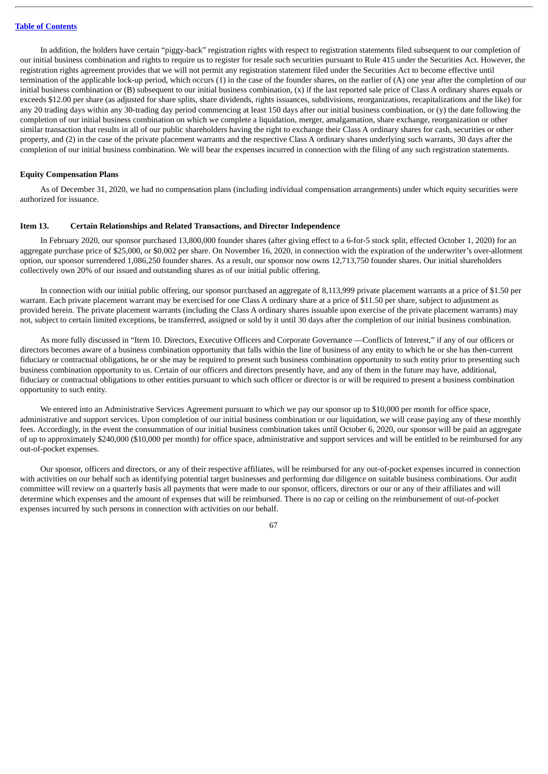In addition, the holders have certain "piggy-back" registration rights with respect to registration statements filed subsequent to our completion of our initial business combination and rights to require us to register for resale such securities pursuant to Rule 415 under the Securities Act. However, the registration rights agreement provides that we will not permit any registration statement filed under the Securities Act to become effective until termination of the applicable lock-up period, which occurs (1) in the case of the founder shares, on the earlier of (A) one year after the completion of our initial business combination or  $(B)$  subsequent to our initial business combination,  $(x)$  if the last reported sale price of Class A ordinary shares equals or exceeds \$12.00 per share (as adjusted for share splits, share dividends, rights issuances, subdivisions, reorganizations, recapitalizations and the like) for any 20 trading days within any 30-trading day period commencing at least 150 days after our initial business combination, or  $(y)$  the date following the completion of our initial business combination on which we complete a liquidation, merger, amalgamation, share exchange, reorganization or other similar transaction that results in all of our public shareholders having the right to exchange their Class A ordinary shares for cash, securities or other property, and (2) in the case of the private placement warrants and the respective Class A ordinary shares underlying such warrants, 30 days after the completion of our initial business combination. We will bear the expenses incurred in connection with the filing of any such registration statements.

## **Equity Compensation Plans**

As of December 31, 2020, we had no compensation plans (including individual compensation arrangements) under which equity securities were authorized for issuance.

### **Item 13. Certain Relationships and Related Transactions, and Director Independence**

In February 2020, our sponsor purchased 13,800,000 founder shares (after giving effect to a 6-for-5 stock split, effected October 1, 2020) for an aggregate purchase price of \$25,000, or \$0.002 per share. On November 16, 2020, in connection with the expiration of the underwriter's over-allotment option, our sponsor surrendered 1,086,250 founder shares. As a result, our sponsor now owns 12,713,750 founder shares. Our initial shareholders collectively own 20% of our issued and outstanding shares as of our initial public offering.

In connection with our initial public offering, our sponsor purchased an aggregate of 8,113,999 private placement warrants at a price of \$1.50 per warrant. Each private placement warrant may be exercised for one Class A ordinary share at a price of \$11.50 per share, subject to adjustment as provided herein. The private placement warrants (including the Class A ordinary shares issuable upon exercise of the private placement warrants) may not, subject to certain limited exceptions, be transferred, assigned or sold by it until 30 days after the completion of our initial business combination.

As more fully discussed in "Item 10. Directors, Executive Officers and Corporate Governance —Conflicts of Interest," if any of our officers or directors becomes aware of a business combination opportunity that falls within the line of business of any entity to which he or she has then-current fiduciary or contractual obligations, he or she may be required to present such business combination opportunity to such entity prior to presenting such business combination opportunity to us. Certain of our officers and directors presently have, and any of them in the future may have, additional, fiduciary or contractual obligations to other entities pursuant to which such officer or director is or will be required to present a business combination opportunity to such entity.

We entered into an Administrative Services Agreement pursuant to which we pay our sponsor up to \$10,000 per month for office space, administrative and support services. Upon completion of our initial business combination or our liquidation, we will cease paying any of these monthly fees. Accordingly, in the event the consummation of our initial business combination takes until October 6, 2020, our sponsor will be paid an aggregate of up to approximately \$240,000 (\$10,000 per month) for office space, administrative and support services and will be entitled to be reimbursed for any out-of-pocket expenses.

Our sponsor, officers and directors, or any of their respective affiliates, will be reimbursed for any out-of-pocket expenses incurred in connection with activities on our behalf such as identifying potential target businesses and performing due diligence on suitable business combinations. Our audit committee will review on a quarterly basis all payments that were made to our sponsor, officers, directors or our or any of their affiliates and will determine which expenses and the amount of expenses that will be reimbursed. There is no cap or ceiling on the reimbursement of out-of-pocket expenses incurred by such persons in connection with activities on our behalf.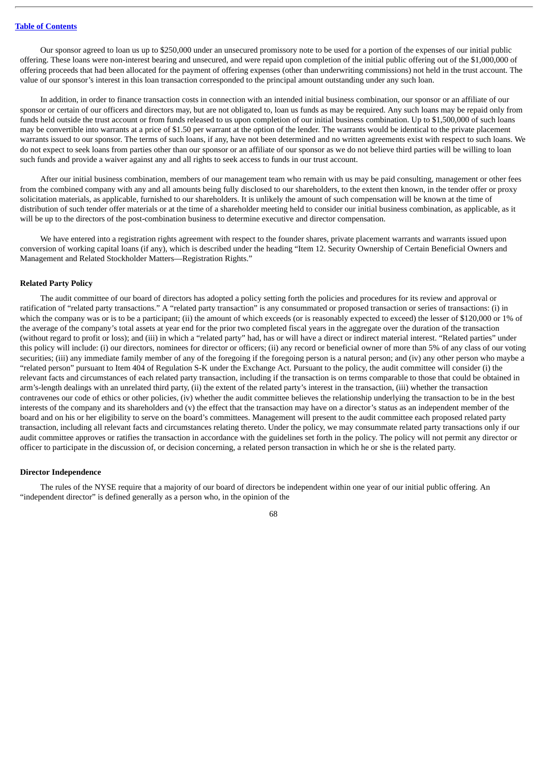Our sponsor agreed to loan us up to \$250,000 under an unsecured promissory note to be used for a portion of the expenses of our initial public offering. These loans were non-interest bearing and unsecured, and were repaid upon completion of the initial public offering out of the \$1,000,000 of offering proceeds that had been allocated for the payment of offering expenses (other than underwriting commissions) not held in the trust account. The value of our sponsor's interest in this loan transaction corresponded to the principal amount outstanding under any such loan.

In addition, in order to finance transaction costs in connection with an intended initial business combination, our sponsor or an affiliate of our sponsor or certain of our officers and directors may, but are not obligated to, loan us funds as may be required. Any such loans may be repaid only from funds held outside the trust account or from funds released to us upon completion of our initial business combination. Up to \$1,500,000 of such loans may be convertible into warrants at a price of \$1.50 per warrant at the option of the lender. The warrants would be identical to the private placement warrants issued to our sponsor. The terms of such loans, if any, have not been determined and no written agreements exist with respect to such loans. We do not expect to seek loans from parties other than our sponsor or an affiliate of our sponsor as we do not believe third parties will be willing to loan such funds and provide a waiver against any and all rights to seek access to funds in our trust account.

After our initial business combination, members of our management team who remain with us may be paid consulting, management or other fees from the combined company with any and all amounts being fully disclosed to our shareholders, to the extent then known, in the tender offer or proxy solicitation materials, as applicable, furnished to our shareholders. It is unlikely the amount of such compensation will be known at the time of distribution of such tender offer materials or at the time of a shareholder meeting held to consider our initial business combination, as applicable, as it will be up to the directors of the post-combination business to determine executive and director compensation.

We have entered into a registration rights agreement with respect to the founder shares, private placement warrants and warrants issued upon conversion of working capital loans (if any), which is described under the heading "Item 12. Security Ownership of Certain Beneficial Owners and Management and Related Stockholder Matters—Registration Rights."

#### **Related Party Policy**

The audit committee of our board of directors has adopted a policy setting forth the policies and procedures for its review and approval or ratification of "related party transactions." A "related party transaction" is any consummated or proposed transaction or series of transactions: (i) in which the company was or is to be a participant; (ii) the amount of which exceeds (or is reasonably expected to exceed) the lesser of \$120,000 or 1% of the average of the company's total assets at year end for the prior two completed fiscal years in the aggregate over the duration of the transaction (without regard to profit or loss); and (iii) in which a "related party" had, has or will have a direct or indirect material interest. "Related parties" under this policy will include: (i) our directors, nominees for director or officers; (ii) any record or beneficial owner of more than 5% of any class of our voting securities; (iii) any immediate family member of any of the foregoing if the foregoing person is a natural person; and (iv) any other person who maybe a "related person" pursuant to Item 404 of Regulation S-K under the Exchange Act. Pursuant to the policy, the audit committee will consider (i) the relevant facts and circumstances of each related party transaction, including if the transaction is on terms comparable to those that could be obtained in arm's-length dealings with an unrelated third party, (ii) the extent of the related party's interest in the transaction, (iii) whether the transaction contravenes our code of ethics or other policies, (iv) whether the audit committee believes the relationship underlying the transaction to be in the best interests of the company and its shareholders and (v) the effect that the transaction may have on a director's status as an independent member of the board and on his or her eligibility to serve on the board's committees. Management will present to the audit committee each proposed related party transaction, including all relevant facts and circumstances relating thereto. Under the policy, we may consummate related party transactions only if our audit committee approves or ratifies the transaction in accordance with the guidelines set forth in the policy. The policy will not permit any director or officer to participate in the discussion of, or decision concerning, a related person transaction in which he or she is the related party.

### **Director Independence**

The rules of the NYSE require that a majority of our board of directors be independent within one year of our initial public offering. An "independent director" is defined generally as a person who, in the opinion of the

68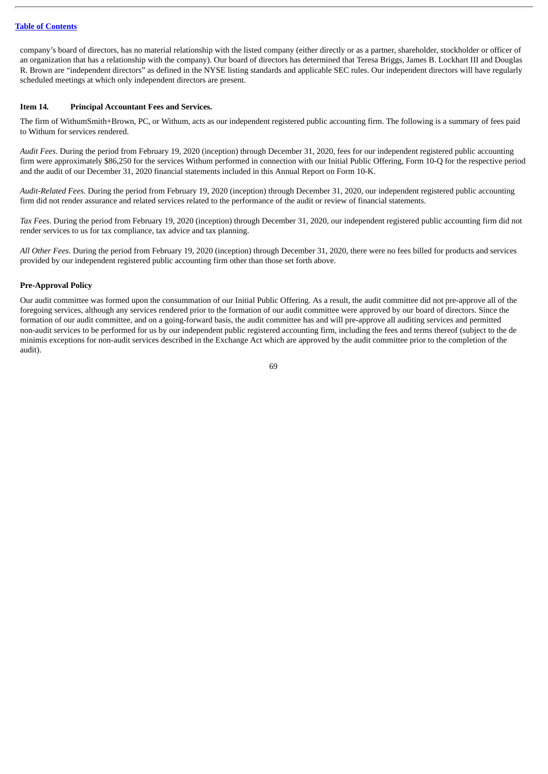# **Table of [Contents](#page-2-0)**

company's board of directors, has no material relationship with the listed company (either directly or as a partner, shareholder, stockholder or officer of an organization that has a relationship with the company). Our board of directors has determined that Teresa Briggs, James B. Lockhart III and Douglas R. Brown are "independent directors" as defined in the NYSE listing standards and applicable SEC rules. Our independent directors will have regularly scheduled meetings at which only independent directors are present.

# **Item 14***.* **Principal Accountant Fees and Services.**

The firm of WithumSmith+Brown, PC, or Withum, acts as our independent registered public accounting firm. The following is a summary of fees paid to Withum for services rendered.

*Audit Fees*. During the period from February 19, 2020 (inception) through December 31, 2020, fees for our independent registered public accounting firm were approximately \$86,250 for the services Withum performed in connection with our Initial Public Offering, Form 10-Q for the respective period and the audit of our December 31, 2020 financial statements included in this Annual Report on Form 10-K.

*Audit-Related Fees.* During the period from February 19, 2020 (inception) through December 31, 2020, our independent registered public accounting firm did not render assurance and related services related to the performance of the audit or review of financial statements.

*Tax Fees*. During the period from February 19, 2020 (inception) through December 31, 2020, our independent registered public accounting firm did not render services to us for tax compliance, tax advice and tax planning.

*All Other Fees*. During the period from February 19, 2020 (inception) through December 31, 2020, there were no fees billed for products and services provided by our independent registered public accounting firm other than those set forth above.

# **Pre-Approval Policy**

Our audit committee was formed upon the consummation of our Initial Public Offering. As a result, the audit committee did not pre-approve all of the foregoing services, although any services rendered prior to the formation of our audit committee were approved by our board of directors. Since the formation of our audit committee, and on a going-forward basis, the audit committee has and will pre-approve all auditing services and permitted non-audit services to be performed for us by our independent public registered accounting firm, including the fees and terms thereof (subject to the de minimis exceptions for non-audit services described in the Exchange Act which are approved by the audit committee prior to the completion of the audit).

69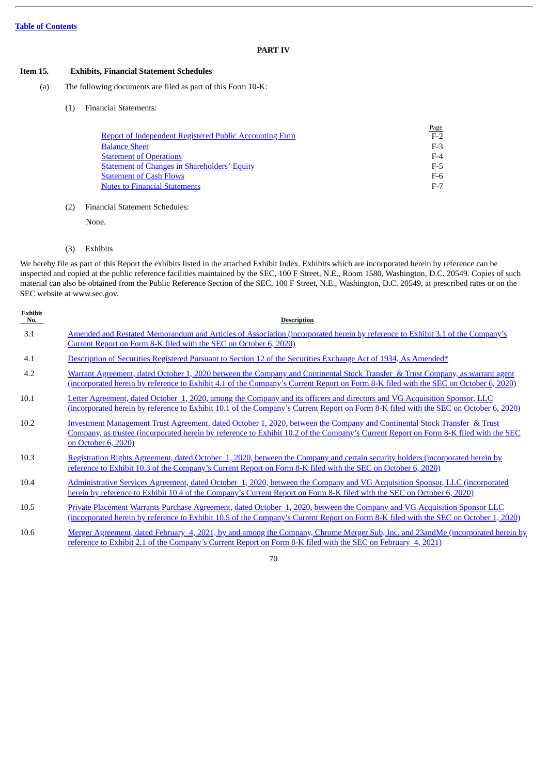# **PART IV**

# **Item 15***.* **Exhibits, Financial Statement Schedules**

- (a) The following documents are filed as part of this Form 10-K:
	- (1) Financial Statements:

|                                                         | Page  |
|---------------------------------------------------------|-------|
| Report of Independent Registered Public Accounting Firm | $F-2$ |
| <b>Balance Sheet</b>                                    | $F-3$ |
| <b>Statement of Operations</b>                          | $F-4$ |
| <b>Statement of Changes in Shareholders' Equity</b>     | $F-5$ |
| <b>Statement of Cash Flows</b>                          | F-6   |
| <b>Notes to Financial Statements</b>                    | $F-7$ |
|                                                         |       |

(2) Financial Statement Schedules:

None.

(3) Exhibits

We hereby file as part of this Report the exhibits listed in the attached Exhibit Index. Exhibits which are incorporated herein by reference can be inspected and copied at the public reference facilities maintained by the SEC, 100 F Street, N.E., Room 1580, Washington, D.C. 20549. Copies of such material can also be obtained from the Public Reference Section of the SEC, 100 F Street, N.E., Washington, D.C. 20549, at prescribed rates or on the SEC website at www.sec.gov.

| <b>Exhibit</b><br>No. | <b>Description</b>                                                                                                                                                                                                                                                                      |
|-----------------------|-----------------------------------------------------------------------------------------------------------------------------------------------------------------------------------------------------------------------------------------------------------------------------------------|
| 3.1                   | Amended and Restated Memorandum and Articles of Association (incorporated herein by reference to Exhibit 3.1 of the Company's<br>Current Report on Form 8-K filed with the SEC on October 6, 2020)                                                                                      |
| 4.1                   | Description of Securities Registered Pursuant to Section 12 of the Securities Exchange Act of 1934, As Amended*                                                                                                                                                                         |
| 4.2                   | Warrant Agreement, dated October 1, 2020 between the Company and Continental Stock Transfer & Trust Company, as warrant agent<br>(incorporated herein by reference to Exhibit 4.1 of the Company's Current Report on Form 8-K filed with the SEC on October 6, 2020)                    |
| 10.1                  | Letter Agreement, dated October 1, 2020, among the Company and its officers and directors and VG Acquisition Sponsor, LLC<br>(incorporated herein by reference to Exhibit 10.1 of the Company's Current Report on Form 8-K filed with the SEC on October 6, 2020)                       |
| 10.2                  | Investment Management Trust Agreement, dated October 1, 2020, between the Company and Continental Stock Transfer & Trust<br>Company, as trustee (incorporated herein by reference to Exhibit 10.2 of the Company's Current Report on Form 8-K filed with the SEC<br>on October 6, 2020) |
| 10.3                  | Registration Rights Agreement, dated October 1, 2020, between the Company and certain security holders (incorporated herein by<br>reference to Exhibit 10.3 of the Company's Current Report on Form 8-K filed with the SEC on October 6, 2020)                                          |
| 10.4                  | Administrative Services Agreement, dated October 1, 2020, between the Company and VG Acquisition Sponsor, LLC (incorporated<br>herein by reference to Exhibit 10.4 of the Company's Current Report on Form 8-K filed with the SEC on October 6, 2020)                                   |
| 10.5                  | Private Placement Warrants Purchase Agreement, dated October 1, 2020, between the Company and VG Acquisition Sponsor LLC<br><u>(incorporated herein by reference to Exhibit 10.5 of the Company's Current Report on Form 8-K filed with the SEC on October 1, 2020)</u>                 |

10.6 Merger Agreement, dated February 4, 2021, by and among the Company, Chrome Merger Sub, Inc. and 23andMe [\(incorporated](http://www.sec.gov/Archives/edgar/data/1804591/000095010321001779/dp145636_ex0201.htm) herein by

reference to Exhibit 2.1 of the Company's Current Report on Form 8-K filed with the SEC on February 4, 2021)

<sup>70</sup>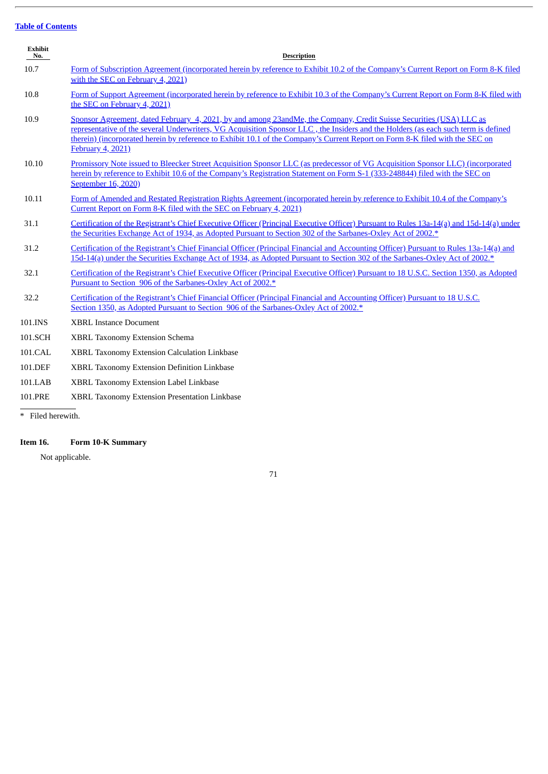# **Table of [Contents](#page-2-0)**

| <b>Exhibit</b><br>No. | <b>Description</b>                                                                                                                                                                                                                                                                                                                                                                                                    |
|-----------------------|-----------------------------------------------------------------------------------------------------------------------------------------------------------------------------------------------------------------------------------------------------------------------------------------------------------------------------------------------------------------------------------------------------------------------|
| 10.7                  | Form of Subscription Agreement (incorporated herein by reference to Exhibit 10.2 of the Company's Current Report on Form 8-K filed<br>with the SEC on February 4, 2021)                                                                                                                                                                                                                                               |
| 10.8                  | Form of Support Agreement (incorporated herein by reference to Exhibit 10.3 of the Company's Current Report on Form 8-K filed with<br>the SEC on February 4, 2021)                                                                                                                                                                                                                                                    |
| 10.9                  | Sponsor Agreement, dated February 4, 2021, by and among 23andMe, the Company, Credit Suisse Securities (USA) LLC as<br>representative of the several Underwriters, VG Acquisition Sponsor LLC, the Insiders and the Holders (as each such term is defined<br>therein) (incorporated herein by reference to Exhibit 10.1 of the Company's Current Report on Form 8-K filed with the SEC on<br><b>February 4, 2021)</b> |
| 10.10                 | Promissory Note issued to Bleecker Street Acquisition Sponsor LLC (as predecessor of VG Acquisition Sponsor LLC) (incorporated<br>herein by reference to Exhibit 10.6 of the Company's Registration Statement on Form S-1 (333-248844) filed with the SEC on<br>September 16, 2020)                                                                                                                                   |
| 10.11                 | Form of Amended and Restated Registration Rights Agreement (incorporated herein by reference to Exhibit 10.4 of the Company's<br>Current Report on Form 8-K filed with the SEC on February 4, 2021)                                                                                                                                                                                                                   |
| 31.1                  | Certification of the Registrant's Chief Executive Officer (Principal Executive Officer) Pursuant to Rules 13a-14(a) and 15d-14(a) under<br>the Securities Exchange Act of 1934, as Adopted Pursuant to Section 302 of the Sarbanes-Oxley Act of 2002.*                                                                                                                                                                |
| 31.2                  | Certification of the Registrant's Chief Financial Officer (Principal Financial and Accounting Officer) Pursuant to Rules 13a-14(a) and<br>15d-14(a) under the Securities Exchange Act of 1934, as Adopted Pursuant to Section 302 of the Sarbanes-Oxley Act of 2002.*                                                                                                                                                 |
| 32.1                  | Certification of the Registrant's Chief Executive Officer (Principal Executive Officer) Pursuant to 18 U.S.C. Section 1350, as Adopted<br>Pursuant to Section 906 of the Sarbanes-Oxley Act of 2002.*                                                                                                                                                                                                                 |
| 32.2                  | Certification of the Registrant's Chief Financial Officer (Principal Financial and Accounting Officer) Pursuant to 18 U.S.C.<br>Section 1350, as Adopted Pursuant to Section 906 of the Sarbanes-Oxley Act of 2002.*                                                                                                                                                                                                  |
| 101.INS               | <b>XBRL Instance Document</b>                                                                                                                                                                                                                                                                                                                                                                                         |
| 101.SCH               | XBRL Taxonomy Extension Schema                                                                                                                                                                                                                                                                                                                                                                                        |
| 101.CAL               | <b>XBRL Taxonomy Extension Calculation Linkbase</b>                                                                                                                                                                                                                                                                                                                                                                   |
| 101.DEF               | XBRL Taxonomy Extension Definition Linkbase                                                                                                                                                                                                                                                                                                                                                                           |
| 101.LAB               | XBRL Taxonomy Extension Label Linkbase                                                                                                                                                                                                                                                                                                                                                                                |
| 101.PRE               | XBRL Taxonomy Extension Presentation Linkbase                                                                                                                                                                                                                                                                                                                                                                         |

\* Filed herewith.

# **Item 16. Form 10-K Summary**

Not applicable.

71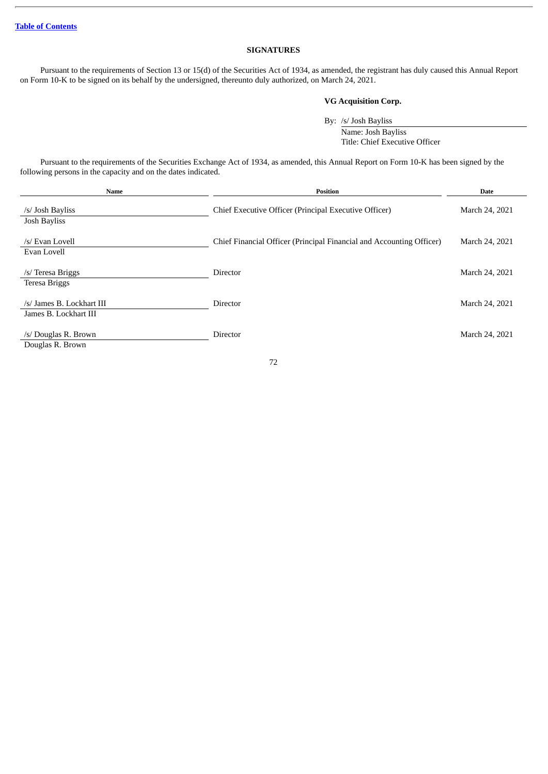# **SIGNATURES**

Pursuant to the requirements of Section 13 or 15(d) of the Securities Act of 1934, as amended, the registrant has duly caused this Annual Report on Form 10-K to be signed on its behalf by the undersigned, thereunto duly authorized, on March 24, 2021.

# **VG Acquisition Corp.**

By: /s/ Josh Bayliss

Name: Josh Bayliss Title: Chief Executive Officer

Pursuant to the requirements of the Securities Exchange Act of 1934, as amended, this Annual Report on Form 10-K has been signed by the following persons in the capacity and on the dates indicated.

| Name                                               | <b>Position</b>                                                      | <b>Date</b>    |
|----------------------------------------------------|----------------------------------------------------------------------|----------------|
| /s/ Josh Bayliss<br>Josh Bayliss                   | Chief Executive Officer (Principal Executive Officer)                | March 24, 2021 |
| /s/ Evan Lovell<br>Evan Lovell                     | Chief Financial Officer (Principal Financial and Accounting Officer) | March 24, 2021 |
| /s/ Teresa Briggs<br>Teresa Briggs                 | Director                                                             | March 24, 2021 |
| /s/ James B. Lockhart III<br>James B. Lockhart III | Director                                                             | March 24, 2021 |
| /s/ Douglas R. Brown<br>Douglas R. Brown           | Director                                                             | March 24, 2021 |

72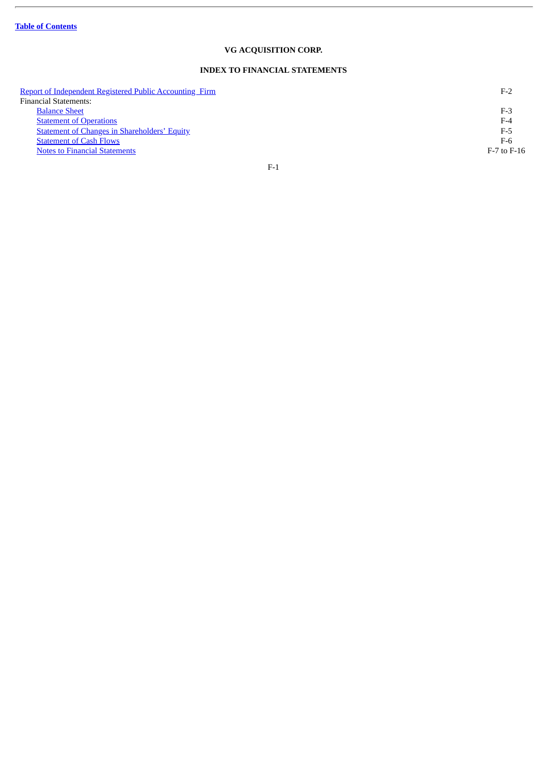$\overline{a}$ 

# **VG ACQUISITION CORP.**

# **INDEX TO FINANCIAL STATEMENTS**

| Report of Independent Registered Public Accounting Firm | $F-2$           |
|---------------------------------------------------------|-----------------|
| <b>Financial Statements:</b>                            |                 |
| <b>Balance Sheet</b>                                    | $F-3$           |
| <b>Statement of Operations</b>                          | $F-4$           |
| <b>Statement of Changes in Shareholders' Equity</b>     | F-5             |
| <b>Statement of Cash Flows</b>                          | $F-6$           |
| <b>Notes to Financial Statements</b>                    | $F-7$ to $F-16$ |
|                                                         |                 |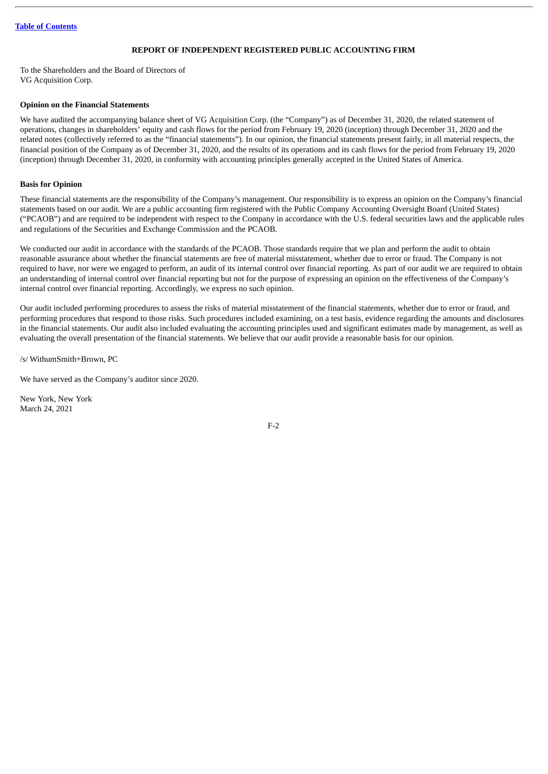# **REPORT OF INDEPENDENT REGISTERED PUBLIC ACCOUNTING FIRM**

<span id="page-78-0"></span>To the Shareholders and the Board of Directors of VG Acquisition Corp.

# **Opinion on the Financial Statements**

We have audited the accompanying balance sheet of VG Acquisition Corp. (the "Company") as of December 31, 2020, the related statement of operations, changes in shareholders' equity and cash flows for the period from February 19, 2020 (inception) through December 31, 2020 and the related notes (collectively referred to as the "financial statements"). In our opinion, the financial statements present fairly, in all material respects, the financial position of the Company as of December 31, 2020, and the results of its operations and its cash flows for the period from February 19, 2020 (inception) through December 31, 2020, in conformity with accounting principles generally accepted in the United States of America.

# **Basis for Opinion**

These financial statements are the responsibility of the Company's management. Our responsibility is to express an opinion on the Company's financial statements based on our audit. We are a public accounting firm registered with the Public Company Accounting Oversight Board (United States) ("PCAOB") and are required to be independent with respect to the Company in accordance with the U.S. federal securities laws and the applicable rules and regulations of the Securities and Exchange Commission and the PCAOB.

We conducted our audit in accordance with the standards of the PCAOB. Those standards require that we plan and perform the audit to obtain reasonable assurance about whether the financial statements are free of material misstatement, whether due to error or fraud. The Company is not required to have, nor were we engaged to perform, an audit of its internal control over financial reporting. As part of our audit we are required to obtain an understanding of internal control over financial reporting but not for the purpose of expressing an opinion on the effectiveness of the Company's internal control over financial reporting. Accordingly, we express no such opinion.

Our audit included performing procedures to assess the risks of material misstatement of the financial statements, whether due to error or fraud, and performing procedures that respond to those risks. Such procedures included examining, on a test basis, evidence regarding the amounts and disclosures in the financial statements. Our audit also included evaluating the accounting principles used and significant estimates made by management, as well as evaluating the overall presentation of the financial statements. We believe that our audit provide a reasonable basis for our opinion.

/s/ WithumSmith+Brown, PC

We have served as the Company's auditor since 2020.

New York, New York March 24, 2021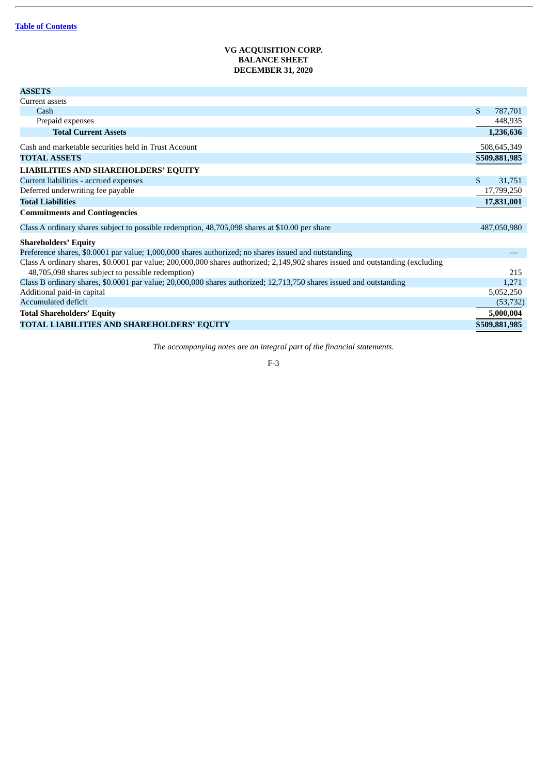# **VG ACQUISITION CORP. BALANCE SHEET DECEMBER 31, 2020**

<span id="page-79-0"></span>

| <b>ASSETS</b>                                                                                                                  |     |               |
|--------------------------------------------------------------------------------------------------------------------------------|-----|---------------|
| Current assets                                                                                                                 |     |               |
| Cash                                                                                                                           | \$. | 787,701       |
| Prepaid expenses                                                                                                               |     | 448,935       |
| <b>Total Current Assets</b>                                                                                                    |     | 1,236,636     |
| Cash and marketable securities held in Trust Account                                                                           |     | 508,645,349   |
| <b>TOTAL ASSETS</b>                                                                                                            |     | \$509,881,985 |
| <b>LIABILITIES AND SHAREHOLDERS' EQUITY</b>                                                                                    |     |               |
| Current liabilities - accrued expenses                                                                                         | \$. | 31,751        |
| Deferred underwriting fee payable                                                                                              |     | 17,799,250    |
| <b>Total Liabilities</b>                                                                                                       |     | 17,831,001    |
| <b>Commitments and Contingencies</b>                                                                                           |     |               |
| Class A ordinary shares subject to possible redemption, 48,705,098 shares at \$10.00 per share                                 |     | 487,050,980   |
| <b>Shareholders' Equity</b>                                                                                                    |     |               |
| Preference shares, \$0.0001 par value; 1,000,000 shares authorized; no shares issued and outstanding                           |     |               |
| Class A ordinary shares, \$0.0001 par value; 200,000,000 shares authorized; 2,149,902 shares issued and outstanding (excluding |     |               |
| 48,705,098 shares subject to possible redemption)                                                                              |     | 215           |
| Class B ordinary shares, \$0.0001 par value; 20,000,000 shares authorized; 12,713,750 shares issued and outstanding            |     | 1,271         |
| Additional paid-in capital                                                                                                     |     | 5,052,250     |
| <b>Accumulated deficit</b>                                                                                                     |     | (53, 732)     |
| <b>Total Shareholders' Equity</b>                                                                                              |     | 5,000,004     |
| TOTAL LIABILITIES AND SHAREHOLDERS' EQUITY                                                                                     |     | \$509,881,985 |
|                                                                                                                                |     |               |

*The accompanying notes are an integral part of the financial statements.*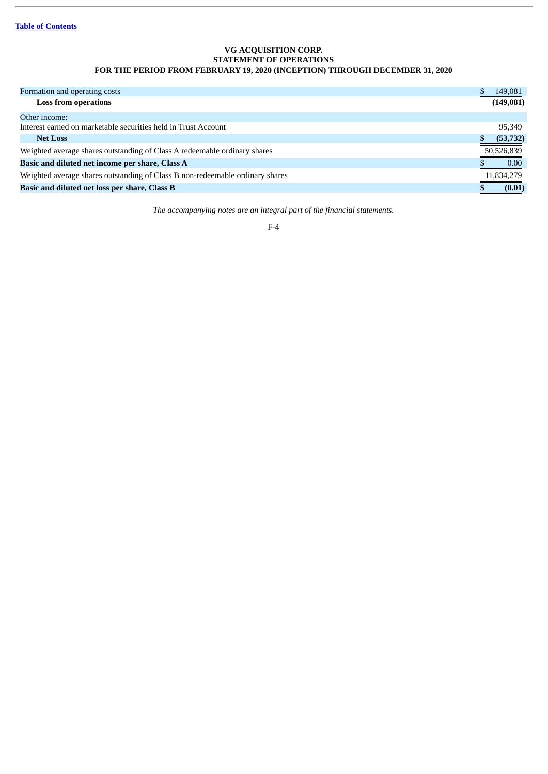# **VG ACQUISITION CORP. STATEMENT OF OPERATIONS FOR THE PERIOD FROM FEBRUARY 19, 2020 (INCEPTION) THROUGH DECEMBER 31, 2020**

<span id="page-80-0"></span>

| Formation and operating costs                                                 | 149,081    |
|-------------------------------------------------------------------------------|------------|
| <b>Loss from operations</b>                                                   | (149, 081) |
| Other income:                                                                 |            |
| Interest earned on marketable securities held in Trust Account                | 95,349     |
| <b>Net Loss</b>                                                               | (53, 732)  |
| Weighted average shares outstanding of Class A redeemable ordinary shares     | 50,526,839 |
| Basic and diluted net income per share, Class A                               | 0.00       |
| Weighted average shares outstanding of Class B non-redeemable ordinary shares | 11,834,279 |
| Basic and diluted net loss per share, Class B                                 | (0.01)     |

*The accompanying notes are an integral part of the financial statements.*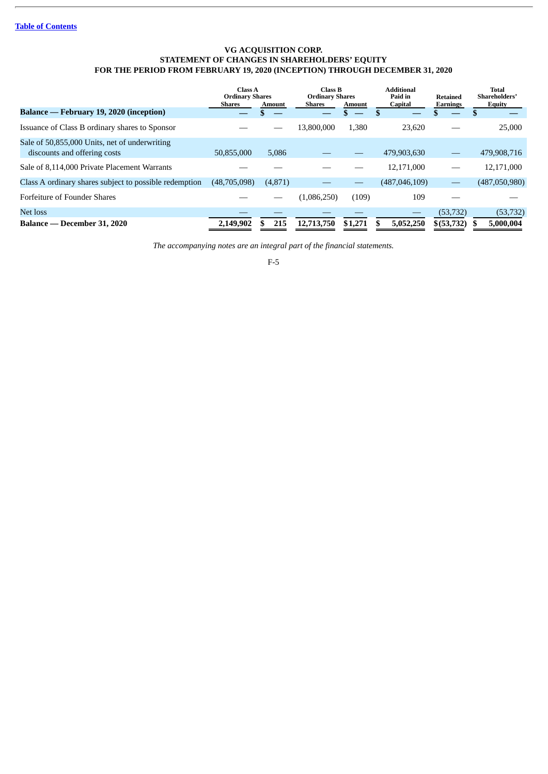# **VG ACQUISITION CORP. STATEMENT OF CHANGES IN SHAREHOLDERS' EQUITY FOR THE PERIOD FROM FEBRUARY 19, 2020 (INCEPTION) THROUGH DECEMBER 31, 2020**

<span id="page-81-0"></span>

|                                                                               | <b>Class A</b><br><b>Ordinary Shares</b><br><b>Shares</b> | <b>Amount</b> | Class B<br><b>Ordinary Shares</b><br><b>Shares</b><br>Amount |         | <b>Additional</b><br>Paid in<br><b>Capital</b> | Retained<br><b>Earnings</b> | Total<br>Shareholders'<br>Equity |
|-------------------------------------------------------------------------------|-----------------------------------------------------------|---------------|--------------------------------------------------------------|---------|------------------------------------------------|-----------------------------|----------------------------------|
| Balance — February 19, 2020 (inception)                                       |                                                           |               |                                                              |         |                                                |                             |                                  |
| Issuance of Class B ordinary shares to Sponsor                                |                                                           |               | 13,800,000                                                   | 1.380   | 23.620                                         |                             | 25,000                           |
| Sale of 50,855,000 Units, net of underwriting<br>discounts and offering costs | 50,855,000                                                | 5,086         |                                                              |         | 479,903,630                                    |                             | 479,908,716                      |
| Sale of 8,114,000 Private Placement Warrants                                  |                                                           |               |                                                              |         | 12,171,000                                     |                             | 12,171,000                       |
| Class A ordinary shares subject to possible redemption                        | (48,705,098)                                              | (4,871)       |                                                              |         | (487, 046, 109)                                |                             | (487,050,980)                    |
| <b>Forfeiture of Founder Shares</b>                                           |                                                           |               | (1,086,250)                                                  | (109)   | 109                                            |                             |                                  |
| Net loss                                                                      |                                                           |               |                                                              |         |                                                | (53, 732)                   | (53, 732)                        |
| Balance — December 31, 2020                                                   | 2,149,902                                                 | 215           | 12,713,750                                                   | \$1,271 | 5,052,250                                      | \$ (53, 732)                | 5,000,004                        |

*The accompanying notes are an integral part of the financial statements.*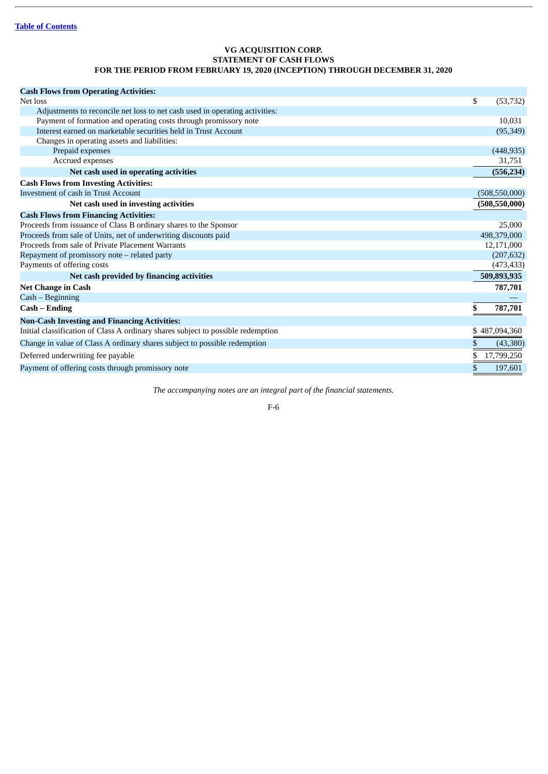# **VG ACQUISITION CORP. STATEMENT OF CASH FLOWS FOR THE PERIOD FROM FEBRUARY 19, 2020 (INCEPTION) THROUGH DECEMBER 31, 2020**

<span id="page-82-0"></span>

| \$<br>(53, 732) |
|-----------------|
|                 |
| 10.031          |
| (95, 349)       |
|                 |
| (448, 935)      |
| 31,751          |
| (556, 234)      |
|                 |
| (508, 550, 000) |
| (508, 550, 000) |
|                 |
| 25,000          |
| 498,379,000     |
| 12,171,000      |
| (207, 632)      |
| (473, 433)      |
| 509,893,935     |
| 787,701         |
|                 |
| \$<br>787,701   |
|                 |
| \$487,094,360   |
| \$<br>(43,380)  |
| 17,799,250      |
| \$<br>197,601   |
|                 |

*The accompanying notes are an integral part of the financial statements.*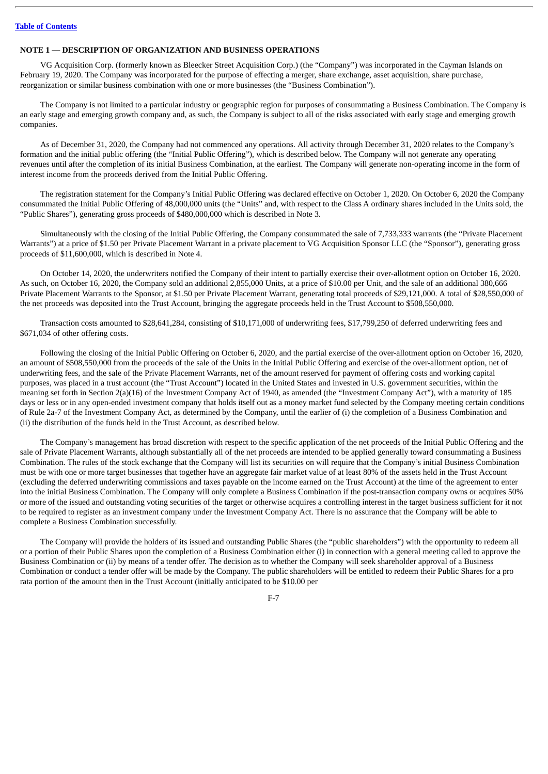# <span id="page-83-0"></span>**NOTE 1 — DESCRIPTION OF ORGANIZATION AND BUSINESS OPERATIONS**

VG Acquisition Corp. (formerly known as Bleecker Street Acquisition Corp.) (the "Company") was incorporated in the Cayman Islands on February 19, 2020. The Company was incorporated for the purpose of effecting a merger, share exchange, asset acquisition, share purchase, reorganization or similar business combination with one or more businesses (the "Business Combination").

The Company is not limited to a particular industry or geographic region for purposes of consummating a Business Combination. The Company is an early stage and emerging growth company and, as such, the Company is subject to all of the risks associated with early stage and emerging growth companies.

As of December 31, 2020, the Company had not commenced any operations. All activity through December 31, 2020 relates to the Company's formation and the initial public offering (the "Initial Public Offering"), which is described below. The Company will not generate any operating revenues until after the completion of its initial Business Combination, at the earliest. The Company will generate non-operating income in the form of interest income from the proceeds derived from the Initial Public Offering.

The registration statement for the Company's Initial Public Offering was declared effective on October 1, 2020. On October 6, 2020 the Company consummated the Initial Public Offering of 48,000,000 units (the "Units" and, with respect to the Class A ordinary shares included in the Units sold, the "Public Shares"), generating gross proceeds of \$480,000,000 which is described in Note 3.

Simultaneously with the closing of the Initial Public Offering, the Company consummated the sale of 7,733,333 warrants (the "Private Placement Warrants") at a price of \$1.50 per Private Placement Warrant in a private placement to VG Acquisition Sponsor LLC (the "Sponsor"), generating gross proceeds of \$11,600,000, which is described in Note 4.

On October 14, 2020, the underwriters notified the Company of their intent to partially exercise their over-allotment option on October 16, 2020. As such, on October 16, 2020, the Company sold an additional 2,855,000 Units, at a price of \$10.00 per Unit, and the sale of an additional 380,666 Private Placement Warrants to the Sponsor, at \$1.50 per Private Placement Warrant, generating total proceeds of \$29,121,000. A total of \$28,550,000 of the net proceeds was deposited into the Trust Account, bringing the aggregate proceeds held in the Trust Account to \$508,550,000.

Transaction costs amounted to \$28,641,284, consisting of \$10,171,000 of underwriting fees, \$17,799,250 of deferred underwriting fees and \$671,034 of other offering costs.

Following the closing of the Initial Public Offering on October 6, 2020, and the partial exercise of the over-allotment option on October 16, 2020, an amount of \$508,550,000 from the proceeds of the sale of the Units in the Initial Public Offering and exercise of the over-allotment option, net of underwriting fees, and the sale of the Private Placement Warrants, net of the amount reserved for payment of offering costs and working capital purposes, was placed in a trust account (the "Trust Account") located in the United States and invested in U.S. government securities, within the meaning set forth in Section 2(a)(16) of the Investment Company Act of 1940, as amended (the "Investment Company Act"), with a maturity of 185 days or less or in any open-ended investment company that holds itself out as a money market fund selected by the Company meeting certain conditions of Rule 2a-7 of the Investment Company Act, as determined by the Company, until the earlier of (i) the completion of a Business Combination and (ii) the distribution of the funds held in the Trust Account, as described below.

The Company's management has broad discretion with respect to the specific application of the net proceeds of the Initial Public Offering and the sale of Private Placement Warrants, although substantially all of the net proceeds are intended to be applied generally toward consummating a Business Combination. The rules of the stock exchange that the Company will list its securities on will require that the Company's initial Business Combination must be with one or more target businesses that together have an aggregate fair market value of at least 80% of the assets held in the Trust Account (excluding the deferred underwriting commissions and taxes payable on the income earned on the Trust Account) at the time of the agreement to enter into the initial Business Combination. The Company will only complete a Business Combination if the post-transaction company owns or acquires 50% or more of the issued and outstanding voting securities of the target or otherwise acquires a controlling interest in the target business sufficient for it not to be required to register as an investment company under the Investment Company Act. There is no assurance that the Company will be able to complete a Business Combination successfully.

The Company will provide the holders of its issued and outstanding Public Shares (the "public shareholders") with the opportunity to redeem all or a portion of their Public Shares upon the completion of a Business Combination either (i) in connection with a general meeting called to approve the Business Combination or (ii) by means of a tender offer. The decision as to whether the Company will seek shareholder approval of a Business Combination or conduct a tender offer will be made by the Company. The public shareholders will be entitled to redeem their Public Shares for a pro rata portion of the amount then in the Trust Account (initially anticipated to be \$10.00 per

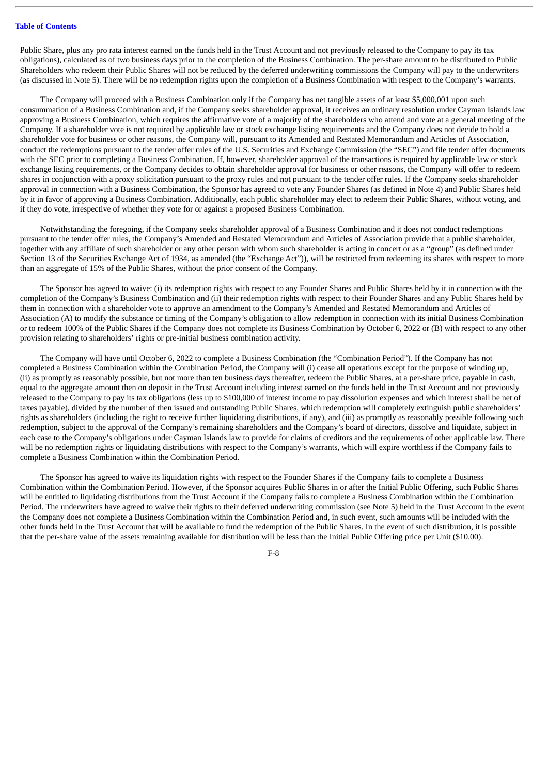Public Share, plus any pro rata interest earned on the funds held in the Trust Account and not previously released to the Company to pay its tax obligations), calculated as of two business days prior to the completion of the Business Combination. The per-share amount to be distributed to Public Shareholders who redeem their Public Shares will not be reduced by the deferred underwriting commissions the Company will pay to the underwriters (as discussed in Note 5). There will be no redemption rights upon the completion of a Business Combination with respect to the Company's warrants.

The Company will proceed with a Business Combination only if the Company has net tangible assets of at least \$5,000,001 upon such consummation of a Business Combination and, if the Company seeks shareholder approval, it receives an ordinary resolution under Cayman Islands law approving a Business Combination, which requires the affirmative vote of a majority of the shareholders who attend and vote at a general meeting of the Company. If a shareholder vote is not required by applicable law or stock exchange listing requirements and the Company does not decide to hold a shareholder vote for business or other reasons, the Company will, pursuant to its Amended and Restated Memorandum and Articles of Association, conduct the redemptions pursuant to the tender offer rules of the U.S. Securities and Exchange Commission (the "SEC") and file tender offer documents with the SEC prior to completing a Business Combination. If, however, shareholder approval of the transactions is required by applicable law or stock exchange listing requirements, or the Company decides to obtain shareholder approval for business or other reasons, the Company will offer to redeem shares in conjunction with a proxy solicitation pursuant to the proxy rules and not pursuant to the tender offer rules. If the Company seeks shareholder approval in connection with a Business Combination, the Sponsor has agreed to vote any Founder Shares (as defined in Note 4) and Public Shares held by it in favor of approving a Business Combination. Additionally, each public shareholder may elect to redeem their Public Shares, without voting, and if they do vote, irrespective of whether they vote for or against a proposed Business Combination.

Notwithstanding the foregoing, if the Company seeks shareholder approval of a Business Combination and it does not conduct redemptions pursuant to the tender offer rules, the Company's Amended and Restated Memorandum and Articles of Association provide that a public shareholder, together with any affiliate of such shareholder or any other person with whom such shareholder is acting in concert or as a "group" (as defined under Section 13 of the Securities Exchange Act of 1934, as amended (the "Exchange Act")), will be restricted from redeeming its shares with respect to more than an aggregate of 15% of the Public Shares, without the prior consent of the Company.

The Sponsor has agreed to waive: (i) its redemption rights with respect to any Founder Shares and Public Shares held by it in connection with the completion of the Company's Business Combination and (ii) their redemption rights with respect to their Founder Shares and any Public Shares held by them in connection with a shareholder vote to approve an amendment to the Company's Amended and Restated Memorandum and Articles of Association (A) to modify the substance or timing of the Company's obligation to allow redemption in connection with its initial Business Combination or to redeem 100% of the Public Shares if the Company does not complete its Business Combination by October 6, 2022 or (B) with respect to any other provision relating to shareholders' rights or pre-initial business combination activity.

The Company will have until October 6, 2022 to complete a Business Combination (the "Combination Period"). If the Company has not completed a Business Combination within the Combination Period, the Company will (i) cease all operations except for the purpose of winding up, (ii) as promptly as reasonably possible, but not more than ten business days thereafter, redeem the Public Shares, at a per-share price, payable in cash, equal to the aggregate amount then on deposit in the Trust Account including interest earned on the funds held in the Trust Account and not previously released to the Company to pay its tax obligations (less up to \$100,000 of interest income to pay dissolution expenses and which interest shall be net of taxes payable), divided by the number of then issued and outstanding Public Shares, which redemption will completely extinguish public shareholders' rights as shareholders (including the right to receive further liquidating distributions, if any), and (iii) as promptly as reasonably possible following such redemption, subject to the approval of the Company's remaining shareholders and the Company's board of directors, dissolve and liquidate, subject in each case to the Company's obligations under Cayman Islands law to provide for claims of creditors and the requirements of other applicable law. There will be no redemption rights or liquidating distributions with respect to the Company's warrants, which will expire worthless if the Company fails to complete a Business Combination within the Combination Period.

The Sponsor has agreed to waive its liquidation rights with respect to the Founder Shares if the Company fails to complete a Business Combination within the Combination Period. However, if the Sponsor acquires Public Shares in or after the Initial Public Offering, such Public Shares will be entitled to liquidating distributions from the Trust Account if the Company fails to complete a Business Combination within the Combination Period. The underwriters have agreed to waive their rights to their deferred underwriting commission (see Note 5) held in the Trust Account in the event the Company does not complete a Business Combination within the Combination Period and, in such event, such amounts will be included with the other funds held in the Trust Account that will be available to fund the redemption of the Public Shares. In the event of such distribution, it is possible that the per-share value of the assets remaining available for distribution will be less than the Initial Public Offering price per Unit (\$10.00).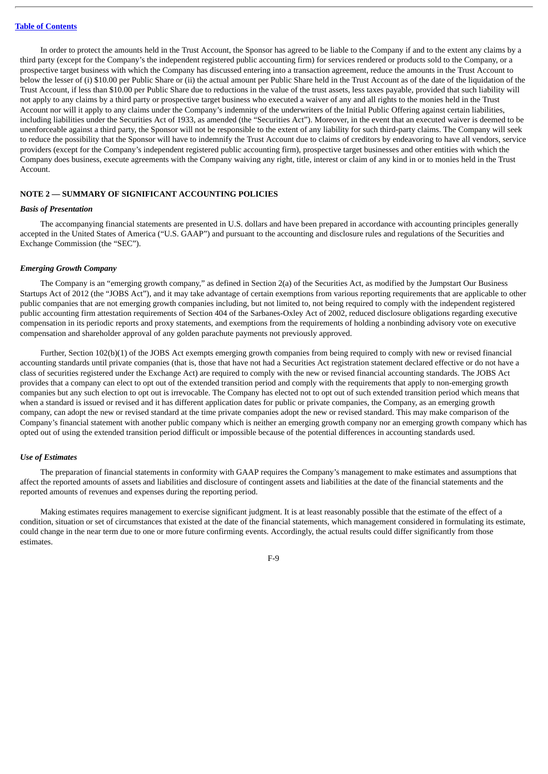In order to protect the amounts held in the Trust Account, the Sponsor has agreed to be liable to the Company if and to the extent any claims by a third party (except for the Company's the independent registered public accounting firm) for services rendered or products sold to the Company, or a prospective target business with which the Company has discussed entering into a transaction agreement, reduce the amounts in the Trust Account to below the lesser of (i) \$10.00 per Public Share or (ii) the actual amount per Public Share held in the Trust Account as of the date of the liquidation of the Trust Account, if less than \$10.00 per Public Share due to reductions in the value of the trust assets, less taxes payable, provided that such liability will not apply to any claims by a third party or prospective target business who executed a waiver of any and all rights to the monies held in the Trust Account nor will it apply to any claims under the Company's indemnity of the underwriters of the Initial Public Offering against certain liabilities, including liabilities under the Securities Act of 1933, as amended (the "Securities Act"). Moreover, in the event that an executed waiver is deemed to be unenforceable against a third party, the Sponsor will not be responsible to the extent of any liability for such third-party claims. The Company will seek to reduce the possibility that the Sponsor will have to indemnify the Trust Account due to claims of creditors by endeavoring to have all vendors, service providers (except for the Company's independent registered public accounting firm), prospective target businesses and other entities with which the Company does business, execute agreements with the Company waiving any right, title, interest or claim of any kind in or to monies held in the Trust Account.

# **NOTE 2 — SUMMARY OF SIGNIFICANT ACCOUNTING POLICIES**

# *Basis of Presentation*

The accompanying financial statements are presented in U.S. dollars and have been prepared in accordance with accounting principles generally accepted in the United States of America ("U.S. GAAP") and pursuant to the accounting and disclosure rules and regulations of the Securities and Exchange Commission (the "SEC").

### *Emerging Growth Company*

The Company is an "emerging growth company," as defined in Section 2(a) of the Securities Act, as modified by the Jumpstart Our Business Startups Act of 2012 (the "JOBS Act"), and it may take advantage of certain exemptions from various reporting requirements that are applicable to other public companies that are not emerging growth companies including, but not limited to, not being required to comply with the independent registered public accounting firm attestation requirements of Section 404 of the Sarbanes-Oxley Act of 2002, reduced disclosure obligations regarding executive compensation in its periodic reports and proxy statements, and exemptions from the requirements of holding a nonbinding advisory vote on executive compensation and shareholder approval of any golden parachute payments not previously approved.

Further, Section 102(b)(1) of the JOBS Act exempts emerging growth companies from being required to comply with new or revised financial accounting standards until private companies (that is, those that have not had a Securities Act registration statement declared effective or do not have a class of securities registered under the Exchange Act) are required to comply with the new or revised financial accounting standards. The JOBS Act provides that a company can elect to opt out of the extended transition period and comply with the requirements that apply to non-emerging growth companies but any such election to opt out is irrevocable. The Company has elected not to opt out of such extended transition period which means that when a standard is issued or revised and it has different application dates for public or private companies, the Company, as an emerging growth company, can adopt the new or revised standard at the time private companies adopt the new or revised standard. This may make comparison of the Company's financial statement with another public company which is neither an emerging growth company nor an emerging growth company which has opted out of using the extended transition period difficult or impossible because of the potential differences in accounting standards used.

### *Use of Estimates*

The preparation of financial statements in conformity with GAAP requires the Company's management to make estimates and assumptions that affect the reported amounts of assets and liabilities and disclosure of contingent assets and liabilities at the date of the financial statements and the reported amounts of revenues and expenses during the reporting period.

Making estimates requires management to exercise significant judgment. It is at least reasonably possible that the estimate of the effect of a condition, situation or set of circumstances that existed at the date of the financial statements, which management considered in formulating its estimate, could change in the near term due to one or more future confirming events. Accordingly, the actual results could differ significantly from those estimates.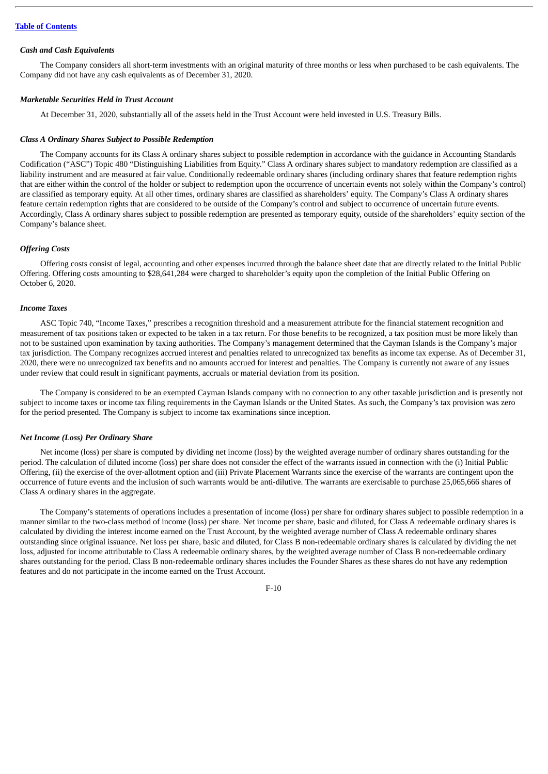#### *Cash and Cash Equivalents*

The Company considers all short-term investments with an original maturity of three months or less when purchased to be cash equivalents. The Company did not have any cash equivalents as of December 31, 2020.

#### *Marketable Securities Held in Trust Account*

At December 31, 2020, substantially all of the assets held in the Trust Account were held invested in U.S. Treasury Bills.

### *Class A Ordinary Shares Subject to Possible Redemption*

The Company accounts for its Class A ordinary shares subject to possible redemption in accordance with the guidance in Accounting Standards Codification ("ASC") Topic 480 "Distinguishing Liabilities from Equity." Class A ordinary shares subject to mandatory redemption are classified as a liability instrument and are measured at fair value. Conditionally redeemable ordinary shares (including ordinary shares that feature redemption rights that are either within the control of the holder or subject to redemption upon the occurrence of uncertain events not solely within the Company's control) are classified as temporary equity. At all other times, ordinary shares are classified as shareholders' equity. The Company's Class A ordinary shares feature certain redemption rights that are considered to be outside of the Company's control and subject to occurrence of uncertain future events. Accordingly, Class A ordinary shares subject to possible redemption are presented as temporary equity, outside of the shareholders' equity section of the Company's balance sheet.

# *Offering Costs*

Offering costs consist of legal, accounting and other expenses incurred through the balance sheet date that are directly related to the Initial Public Offering. Offering costs amounting to \$28,641,284 were charged to shareholder's equity upon the completion of the Initial Public Offering on October 6, 2020.

# *Income Taxes*

ASC Topic 740, "Income Taxes," prescribes a recognition threshold and a measurement attribute for the financial statement recognition and measurement of tax positions taken or expected to be taken in a tax return. For those benefits to be recognized, a tax position must be more likely than not to be sustained upon examination by taxing authorities. The Company's management determined that the Cayman Islands is the Company's major tax jurisdiction. The Company recognizes accrued interest and penalties related to unrecognized tax benefits as income tax expense. As of December 31, 2020, there were no unrecognized tax benefits and no amounts accrued for interest and penalties. The Company is currently not aware of any issues under review that could result in significant payments, accruals or material deviation from its position.

The Company is considered to be an exempted Cayman Islands company with no connection to any other taxable jurisdiction and is presently not subject to income taxes or income tax filing requirements in the Cayman Islands or the United States. As such, the Company's tax provision was zero for the period presented. The Company is subject to income tax examinations since inception.

#### *Net Income (Loss) Per Ordinary Share*

Net income (loss) per share is computed by dividing net income (loss) by the weighted average number of ordinary shares outstanding for the period. The calculation of diluted income (loss) per share does not consider the effect of the warrants issued in connection with the (i) Initial Public Offering, (ii) the exercise of the over-allotment option and (iii) Private Placement Warrants since the exercise of the warrants are contingent upon the occurrence of future events and the inclusion of such warrants would be anti-dilutive. The warrants are exercisable to purchase 25,065,666 shares of Class A ordinary shares in the aggregate.

The Company's statements of operations includes a presentation of income (loss) per share for ordinary shares subject to possible redemption in a manner similar to the two-class method of income (loss) per share. Net income per share, basic and diluted, for Class A redeemable ordinary shares is calculated by dividing the interest income earned on the Trust Account, by the weighted average number of Class A redeemable ordinary shares outstanding since original issuance. Net loss per share, basic and diluted, for Class B non-redeemable ordinary shares is calculated by dividing the net loss, adjusted for income attributable to Class A redeemable ordinary shares, by the weighted average number of Class B non-redeemable ordinary shares outstanding for the period. Class B non-redeemable ordinary shares includes the Founder Shares as these shares do not have any redemption features and do not participate in the income earned on the Trust Account.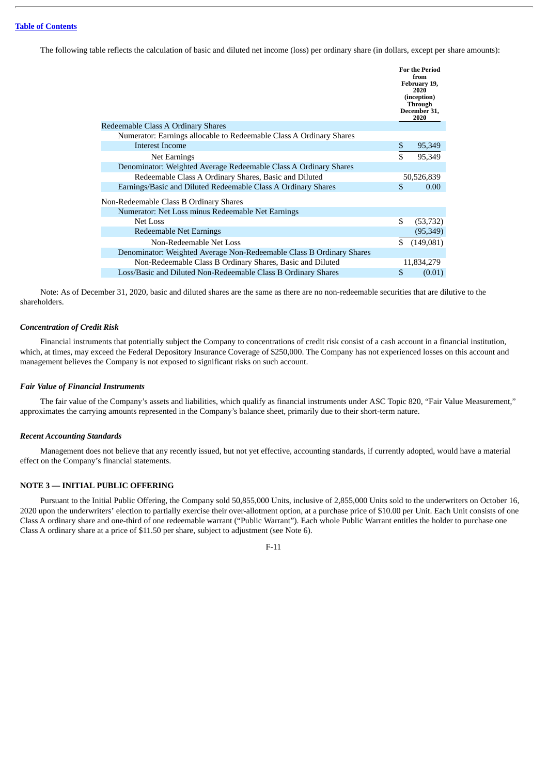The following table reflects the calculation of basic and diluted net income (loss) per ordinary share (in dollars, except per share amounts):

|                                                                      | <b>For the Period</b><br>from<br>February 19,<br>2020<br>(inception)<br>Through<br>December 31,<br>2020 |
|----------------------------------------------------------------------|---------------------------------------------------------------------------------------------------------|
| Redeemable Class A Ordinary Shares                                   |                                                                                                         |
| Numerator: Earnings allocable to Redeemable Class A Ordinary Shares  |                                                                                                         |
| Interest Income                                                      | \$<br>95,349                                                                                            |
| Net Earnings                                                         | \$<br>95,349                                                                                            |
| Denominator: Weighted Average Redeemable Class A Ordinary Shares     |                                                                                                         |
| Redeemable Class A Ordinary Shares, Basic and Diluted                | 50,526,839                                                                                              |
| Earnings/Basic and Diluted Redeemable Class A Ordinary Shares        | \$<br>0.00                                                                                              |
| Non-Redeemable Class B Ordinary Shares                               |                                                                                                         |
| Numerator: Net Loss minus Redeemable Net Earnings                    |                                                                                                         |
| Net Loss                                                             | \$<br>(53, 732)                                                                                         |
| Redeemable Net Earnings                                              | (95, 349)                                                                                               |
| Non-Redeemable Net Loss                                              | \$<br>(149,081)                                                                                         |
| Denominator: Weighted Average Non-Redeemable Class B Ordinary Shares |                                                                                                         |
| Non-Redeemable Class B Ordinary Shares, Basic and Diluted            | 11,834,279                                                                                              |
| Loss/Basic and Diluted Non-Redeemable Class B Ordinary Shares        | \$<br>(0.01)                                                                                            |

Note: As of December 31, 2020, basic and diluted shares are the same as there are no non-redeemable securities that are dilutive to the shareholders.

# *Concentration of Credit Risk*

Financial instruments that potentially subject the Company to concentrations of credit risk consist of a cash account in a financial institution, which, at times, may exceed the Federal Depository Insurance Coverage of \$250,000. The Company has not experienced losses on this account and management believes the Company is not exposed to significant risks on such account.

### *Fair Value of Financial Instruments*

The fair value of the Company's assets and liabilities, which qualify as financial instruments under ASC Topic 820, "Fair Value Measurement," approximates the carrying amounts represented in the Company's balance sheet, primarily due to their short-term nature.

# *Recent Accounting Standards*

Management does not believe that any recently issued, but not yet effective, accounting standards, if currently adopted, would have a material effect on the Company's financial statements.

# **NOTE 3 — INITIAL PUBLIC OFFERING**

Pursuant to the Initial Public Offering, the Company sold 50,855,000 Units, inclusive of 2,855,000 Units sold to the underwriters on October 16, 2020 upon the underwriters' election to partially exercise their over-allotment option, at a purchase price of \$10.00 per Unit. Each Unit consists of one Class A ordinary share and one-third of one redeemable warrant ("Public Warrant"). Each whole Public Warrant entitles the holder to purchase one Class A ordinary share at a price of \$11.50 per share, subject to adjustment (see Note 6).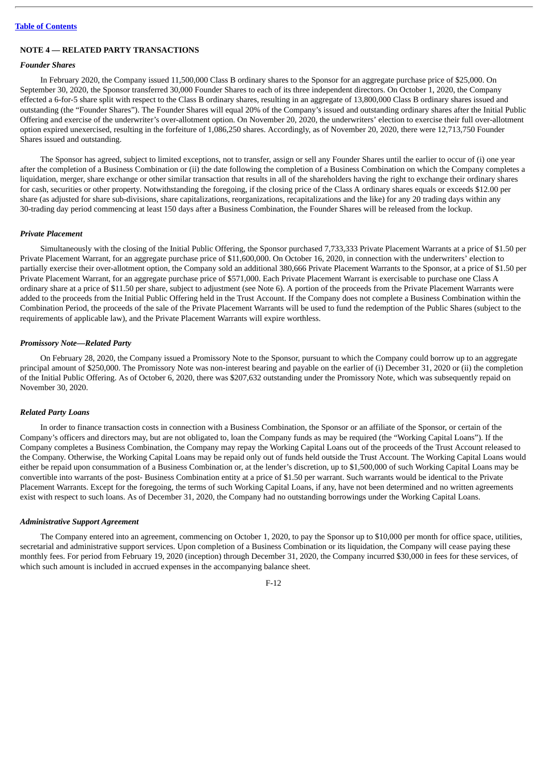#### **Table of [Contents](#page-2-0)**

# **NOTE 4 — RELATED PARTY TRANSACTIONS**

# *Founder Shares*

In February 2020, the Company issued 11,500,000 Class B ordinary shares to the Sponsor for an aggregate purchase price of \$25,000. On September 30, 2020, the Sponsor transferred 30,000 Founder Shares to each of its three independent directors. On October 1, 2020, the Company effected a 6-for-5 share split with respect to the Class B ordinary shares, resulting in an aggregate of 13,800,000 Class B ordinary shares issued and outstanding (the "Founder Shares"). The Founder Shares will equal 20% of the Company's issued and outstanding ordinary shares after the Initial Public Offering and exercise of the underwriter's over-allotment option. On November 20, 2020, the underwriters' election to exercise their full over-allotment option expired unexercised, resulting in the forfeiture of 1,086,250 shares. Accordingly, as of November 20, 2020, there were 12,713,750 Founder Shares issued and outstanding.

The Sponsor has agreed, subject to limited exceptions, not to transfer, assign or sell any Founder Shares until the earlier to occur of (i) one year after the completion of a Business Combination or (ii) the date following the completion of a Business Combination on which the Company completes a liquidation, merger, share exchange or other similar transaction that results in all of the shareholders having the right to exchange their ordinary shares for cash, securities or other property. Notwithstanding the foregoing, if the closing price of the Class A ordinary shares equals or exceeds \$12.00 per share (as adjusted for share sub-divisions, share capitalizations, reorganizations, recapitalizations and the like) for any 20 trading days within any 30-trading day period commencing at least 150 days after a Business Combination, the Founder Shares will be released from the lockup.

#### *Private Placement*

Simultaneously with the closing of the Initial Public Offering, the Sponsor purchased 7,733,333 Private Placement Warrants at a price of \$1.50 per Private Placement Warrant, for an aggregate purchase price of \$11,600,000. On October 16, 2020, in connection with the underwriters' election to partially exercise their over-allotment option, the Company sold an additional 380,666 Private Placement Warrants to the Sponsor, at a price of \$1.50 per Private Placement Warrant, for an aggregate purchase price of \$571,000. Each Private Placement Warrant is exercisable to purchase one Class A ordinary share at a price of \$11.50 per share, subject to adjustment (see Note 6). A portion of the proceeds from the Private Placement Warrants were added to the proceeds from the Initial Public Offering held in the Trust Account. If the Company does not complete a Business Combination within the Combination Period, the proceeds of the sale of the Private Placement Warrants will be used to fund the redemption of the Public Shares (subject to the requirements of applicable law), and the Private Placement Warrants will expire worthless.

### *Promissory Note—Related Party*

On February 28, 2020, the Company issued a Promissory Note to the Sponsor, pursuant to which the Company could borrow up to an aggregate principal amount of \$250,000. The Promissory Note was non-interest bearing and payable on the earlier of (i) December 31, 2020 or (ii) the completion of the Initial Public Offering. As of October 6, 2020, there was \$207,632 outstanding under the Promissory Note, which was subsequently repaid on November 30, 2020.

# *Related Party Loans*

In order to finance transaction costs in connection with a Business Combination, the Sponsor or an affiliate of the Sponsor, or certain of the Company's officers and directors may, but are not obligated to, loan the Company funds as may be required (the "Working Capital Loans"). If the Company completes a Business Combination, the Company may repay the Working Capital Loans out of the proceeds of the Trust Account released to the Company. Otherwise, the Working Capital Loans may be repaid only out of funds held outside the Trust Account. The Working Capital Loans would either be repaid upon consummation of a Business Combination or, at the lender's discretion, up to \$1,500,000 of such Working Capital Loans may be convertible into warrants of the post- Business Combination entity at a price of \$1.50 per warrant. Such warrants would be identical to the Private Placement Warrants. Except for the foregoing, the terms of such Working Capital Loans, if any, have not been determined and no written agreements exist with respect to such loans. As of December 31, 2020, the Company had no outstanding borrowings under the Working Capital Loans.

# *Administrative Support Agreement*

The Company entered into an agreement, commencing on October 1, 2020, to pay the Sponsor up to \$10,000 per month for office space, utilities, secretarial and administrative support services. Upon completion of a Business Combination or its liquidation, the Company will cease paying these monthly fees. For period from February 19, 2020 (inception) through December 31, 2020, the Company incurred \$30,000 in fees for these services, of which such amount is included in accrued expenses in the accompanying balance sheet.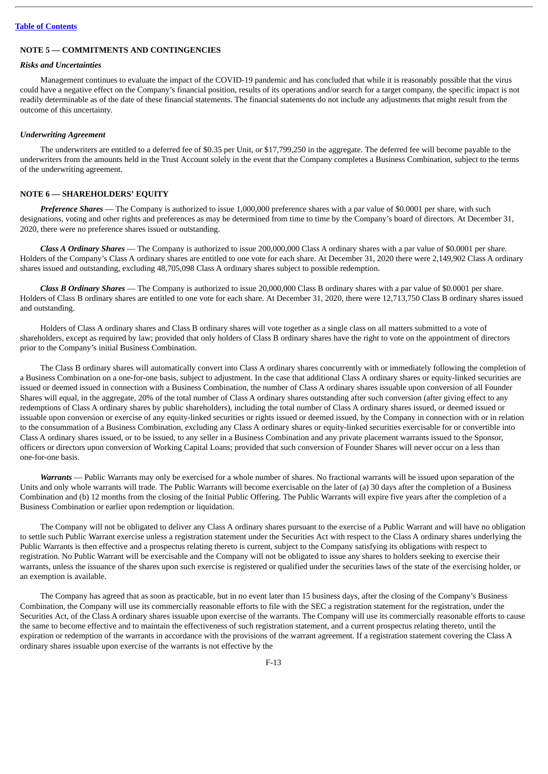# **NOTE 5 — COMMITMENTS AND CONTINGENCIES**

# *Risks and Uncertainties*

Management continues to evaluate the impact of the COVID-19 pandemic and has concluded that while it is reasonably possible that the virus could have a negative effect on the Company's financial position, results of its operations and/or search for a target company, the specific impact is not readily determinable as of the date of these financial statements. The financial statements do not include any adjustments that might result from the outcome of this uncertainty.

#### *Underwriting Agreement*

The underwriters are entitled to a deferred fee of \$0.35 per Unit, or \$17,799,250 in the aggregate. The deferred fee will become payable to the underwriters from the amounts held in the Trust Account solely in the event that the Company completes a Business Combination, subject to the terms of the underwriting agreement.

### **NOTE 6 — SHAREHOLDERS' EQUITY**

*Preference Shares* — The Company is authorized to issue 1,000,000 preference shares with a par value of \$0.0001 per share, with such designations, voting and other rights and preferences as may be determined from time to time by the Company's board of directors. At December 31, 2020, there were no preference shares issued or outstanding.

*Class A Ordinary Shares* — The Company is authorized to issue 200,000,000 Class A ordinary shares with a par value of \$0.0001 per share. Holders of the Company's Class A ordinary shares are entitled to one vote for each share. At December 31, 2020 there were 2,149,902 Class A ordinary shares issued and outstanding, excluding 48,705,098 Class A ordinary shares subject to possible redemption.

*Class B Ordinary Shares* — The Company is authorized to issue 20,000,000 Class B ordinary shares with a par value of \$0.0001 per share. Holders of Class B ordinary shares are entitled to one vote for each share. At December 31, 2020, there were 12,713,750 Class B ordinary shares issued and outstanding.

Holders of Class A ordinary shares and Class B ordinary shares will vote together as a single class on all matters submitted to a vote of shareholders, except as required by law; provided that only holders of Class B ordinary shares have the right to vote on the appointment of directors prior to the Company's initial Business Combination.

The Class B ordinary shares will automatically convert into Class A ordinary shares concurrently with or immediately following the completion of a Business Combination on a one-for-one basis, subject to adjustment. In the case that additional Class A ordinary shares or equity-linked securities are issued or deemed issued in connection with a Business Combination, the number of Class A ordinary shares issuable upon conversion of all Founder Shares will equal, in the aggregate, 20% of the total number of Class A ordinary shares outstanding after such conversion (after giving effect to any redemptions of Class A ordinary shares by public shareholders), including the total number of Class A ordinary shares issued, or deemed issued or issuable upon conversion or exercise of any equity-linked securities or rights issued or deemed issued, by the Company in connection with or in relation to the consummation of a Business Combination, excluding any Class A ordinary shares or equity-linked securities exercisable for or convertible into Class A ordinary shares issued, or to be issued, to any seller in a Business Combination and any private placement warrants issued to the Sponsor, officers or directors upon conversion of Working Capital Loans; provided that such conversion of Founder Shares will never occur on a less than one-for-one basis.

*Warrants* — Public Warrants may only be exercised for a whole number of shares. No fractional warrants will be issued upon separation of the Units and only whole warrants will trade. The Public Warrants will become exercisable on the later of (a) 30 days after the completion of a Business Combination and (b) 12 months from the closing of the Initial Public Offering. The Public Warrants will expire five years after the completion of a Business Combination or earlier upon redemption or liquidation.

The Company will not be obligated to deliver any Class A ordinary shares pursuant to the exercise of a Public Warrant and will have no obligation to settle such Public Warrant exercise unless a registration statement under the Securities Act with respect to the Class A ordinary shares underlying the Public Warrants is then effective and a prospectus relating thereto is current, subject to the Company satisfying its obligations with respect to registration. No Public Warrant will be exercisable and the Company will not be obligated to issue any shares to holders seeking to exercise their warrants, unless the issuance of the shares upon such exercise is registered or qualified under the securities laws of the state of the exercising holder, or an exemption is available.

The Company has agreed that as soon as practicable, but in no event later than 15 business days, after the closing of the Company's Business Combination, the Company will use its commercially reasonable efforts to file with the SEC a registration statement for the registration, under the Securities Act, of the Class A ordinary shares issuable upon exercise of the warrants. The Company will use its commercially reasonable efforts to cause the same to become effective and to maintain the effectiveness of such registration statement, and a current prospectus relating thereto, until the expiration or redemption of the warrants in accordance with the provisions of the warrant agreement. If a registration statement covering the Class A ordinary shares issuable upon exercise of the warrants is not effective by the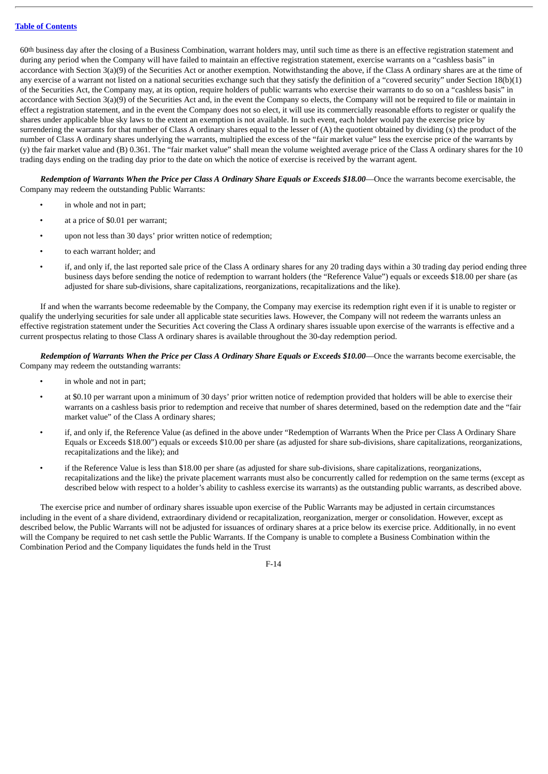60th business day after the closing of a Business Combination, warrant holders may, until such time as there is an effective registration statement and during any period when the Company will have failed to maintain an effective registration statement, exercise warrants on a "cashless basis" in accordance with Section 3(a)(9) of the Securities Act or another exemption. Notwithstanding the above, if the Class A ordinary shares are at the time of any exercise of a warrant not listed on a national securities exchange such that they satisfy the definition of a "covered security" under Section 18(b)(1) of the Securities Act, the Company may, at its option, require holders of public warrants who exercise their warrants to do so on a "cashless basis" in accordance with Section 3(a)(9) of the Securities Act and, in the event the Company so elects, the Company will not be required to file or maintain in effect a registration statement, and in the event the Company does not so elect, it will use its commercially reasonable efforts to register or qualify the shares under applicable blue sky laws to the extent an exemption is not available. In such event, each holder would pay the exercise price by surrendering the warrants for that number of Class A ordinary shares equal to the lesser of  $(A)$  the quotient obtained by dividing  $(x)$  the product of the number of Class A ordinary shares underlying the warrants, multiplied the excess of the "fair market value" less the exercise price of the warrants by (y) the fair market value and (B) 0.361. The "fair market value" shall mean the volume weighted average price of the Class A ordinary shares for the 10 trading days ending on the trading day prior to the date on which the notice of exercise is received by the warrant agent.

Redemption of Warrants When the Price per Class A Ordinary Share Equals or Exceeds \$18.00-Once the warrants become exercisable, the Company may redeem the outstanding Public Warrants:

- in whole and not in part;
- at a price of \$0.01 per warrant;
- upon not less than 30 days' prior written notice of redemption;
- to each warrant holder; and
- if, and only if, the last reported sale price of the Class A ordinary shares for any 20 trading days within a 30 trading day period ending three business days before sending the notice of redemption to warrant holders (the "Reference Value") equals or exceeds \$18.00 per share (as adjusted for share sub-divisions, share capitalizations, reorganizations, recapitalizations and the like).

If and when the warrants become redeemable by the Company, the Company may exercise its redemption right even if it is unable to register or qualify the underlying securities for sale under all applicable state securities laws. However, the Company will not redeem the warrants unless an effective registration statement under the Securities Act covering the Class A ordinary shares issuable upon exercise of the warrants is effective and a current prospectus relating to those Class A ordinary shares is available throughout the 30-day redemption period.

Redemption of Warrants When the Price per Class A Ordinary Share Equals or Exceeds \$10.00—Once the warrants become exercisable, the Company may redeem the outstanding warrants:

- in whole and not in part;
- at \$0.10 per warrant upon a minimum of 30 days' prior written notice of redemption provided that holders will be able to exercise their warrants on a cashless basis prior to redemption and receive that number of shares determined, based on the redemption date and the "fair market value" of the Class A ordinary shares;
- if, and only if, the Reference Value (as defined in the above under "Redemption of Warrants When the Price per Class A Ordinary Share Equals or Exceeds \$18.00") equals or exceeds \$10.00 per share (as adjusted for share sub-divisions, share capitalizations, reorganizations, recapitalizations and the like); and
- if the Reference Value is less than \$18.00 per share (as adjusted for share sub-divisions, share capitalizations, reorganizations, recapitalizations and the like) the private placement warrants must also be concurrently called for redemption on the same terms (except as described below with respect to a holder's ability to cashless exercise its warrants) as the outstanding public warrants, as described above.

The exercise price and number of ordinary shares issuable upon exercise of the Public Warrants may be adjusted in certain circumstances including in the event of a share dividend, extraordinary dividend or recapitalization, reorganization, merger or consolidation. However, except as described below, the Public Warrants will not be adjusted for issuances of ordinary shares at a price below its exercise price. Additionally, in no event will the Company be required to net cash settle the Public Warrants. If the Company is unable to complete a Business Combination within the Combination Period and the Company liquidates the funds held in the Trust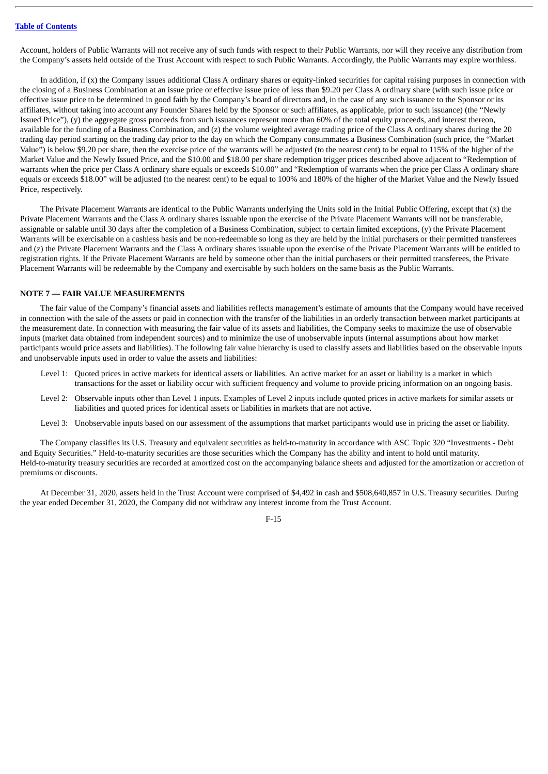Account, holders of Public Warrants will not receive any of such funds with respect to their Public Warrants, nor will they receive any distribution from the Company's assets held outside of the Trust Account with respect to such Public Warrants. Accordingly, the Public Warrants may expire worthless.

In addition, if (x) the Company issues additional Class A ordinary shares or equity-linked securities for capital raising purposes in connection with the closing of a Business Combination at an issue price or effective issue price of less than \$9.20 per Class A ordinary share (with such issue price or effective issue price to be determined in good faith by the Company's board of directors and, in the case of any such issuance to the Sponsor or its affiliates, without taking into account any Founder Shares held by the Sponsor or such affiliates, as applicable, prior to such issuance) (the "Newly Issued Price"), (y) the aggregate gross proceeds from such issuances represent more than 60% of the total equity proceeds, and interest thereon, available for the funding of a Business Combination, and (z) the volume weighted average trading price of the Class A ordinary shares during the 20 trading day period starting on the trading day prior to the day on which the Company consummates a Business Combination (such price, the "Market Value") is below \$9.20 per share, then the exercise price of the warrants will be adjusted (to the nearest cent) to be equal to 115% of the higher of the Market Value and the Newly Issued Price, and the \$10.00 and \$18.00 per share redemption trigger prices described above adjacent to "Redemption of warrants when the price per Class A ordinary share equals or exceeds \$10.00" and "Redemption of warrants when the price per Class A ordinary share equals or exceeds \$18.00" will be adjusted (to the nearest cent) to be equal to 100% and 180% of the higher of the Market Value and the Newly Issued Price, respectively.

The Private Placement Warrants are identical to the Public Warrants underlying the Units sold in the Initial Public Offering, except that (x) the Private Placement Warrants and the Class A ordinary shares issuable upon the exercise of the Private Placement Warrants will not be transferable, assignable or salable until 30 days after the completion of a Business Combination, subject to certain limited exceptions, (y) the Private Placement Warrants will be exercisable on a cashless basis and be non-redeemable so long as they are held by the initial purchasers or their permitted transferees and (z) the Private Placement Warrants and the Class A ordinary shares issuable upon the exercise of the Private Placement Warrants will be entitled to registration rights. If the Private Placement Warrants are held by someone other than the initial purchasers or their permitted transferees, the Private Placement Warrants will be redeemable by the Company and exercisable by such holders on the same basis as the Public Warrants.

#### **NOTE 7 — FAIR VALUE MEASUREMENTS**

The fair value of the Company's financial assets and liabilities reflects management's estimate of amounts that the Company would have received in connection with the sale of the assets or paid in connection with the transfer of the liabilities in an orderly transaction between market participants at the measurement date. In connection with measuring the fair value of its assets and liabilities, the Company seeks to maximize the use of observable inputs (market data obtained from independent sources) and to minimize the use of unobservable inputs (internal assumptions about how market participants would price assets and liabilities). The following fair value hierarchy is used to classify assets and liabilities based on the observable inputs and unobservable inputs used in order to value the assets and liabilities:

- Level 1: Quoted prices in active markets for identical assets or liabilities. An active market for an asset or liability is a market in which transactions for the asset or liability occur with sufficient frequency and volume to provide pricing information on an ongoing basis.
- Level 2: Observable inputs other than Level 1 inputs. Examples of Level 2 inputs include quoted prices in active markets for similar assets or liabilities and quoted prices for identical assets or liabilities in markets that are not active.
- Level 3: Unobservable inputs based on our assessment of the assumptions that market participants would use in pricing the asset or liability.

The Company classifies its U.S. Treasury and equivalent securities as held-to-maturity in accordance with ASC Topic 320 "Investments - Debt and Equity Securities." Held-to-maturity securities are those securities which the Company has the ability and intent to hold until maturity. Held-to-maturity treasury securities are recorded at amortized cost on the accompanying balance sheets and adjusted for the amortization or accretion of premiums or discounts.

At December 31, 2020, assets held in the Trust Account were comprised of \$4,492 in cash and \$508,640,857 in U.S. Treasury securities. During the year ended December 31, 2020, the Company did not withdraw any interest income from the Trust Account.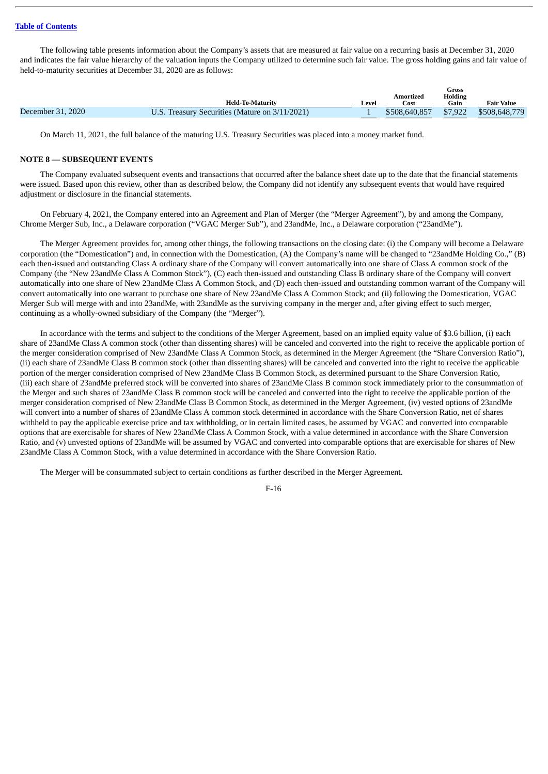The following table presents information about the Company's assets that are measured at fair value on a recurring basis at December 31, 2020 and indicates the fair value hierarchy of the valuation inputs the Company utilized to determine such fair value. The gross holding gains and fair value of held-to-maturity securities at December 31, 2020 are as follows:

|                         |                                                |               | Gross     |                   |  |
|-------------------------|------------------------------------------------|---------------|-----------|-------------------|--|
| <b>Held-To-Maturity</b> | Leve'                                          | Cost          | Gain      | <b>Fair Value</b> |  |
|                         |                                                | \$508,640,857 | \$7,922   | \$508,648,779     |  |
|                         | U.S. Treasury Securities (Mature on 3/11/2021) |               | Amortized | <b>Holding</b>    |  |

On March 11, 2021, the full balance of the maturing U.S. Treasury Securities was placed into a money market fund.

### **NOTE 8 — SUBSEQUENT EVENTS**

The Company evaluated subsequent events and transactions that occurred after the balance sheet date up to the date that the financial statements were issued. Based upon this review, other than as described below, the Company did not identify any subsequent events that would have required adjustment or disclosure in the financial statements.

On February 4, 2021, the Company entered into an Agreement and Plan of Merger (the "Merger Agreement"), by and among the Company, Chrome Merger Sub, Inc., a Delaware corporation ("VGAC Merger Sub"), and 23andMe, Inc., a Delaware corporation ("23andMe").

The Merger Agreement provides for, among other things, the following transactions on the closing date: (i) the Company will become a Delaware corporation (the "Domestication") and, in connection with the Domestication, (A) the Company's name will be changed to "23andMe Holding Co.," (B) each then-issued and outstanding Class A ordinary share of the Company will convert automatically into one share of Class A common stock of the Company (the "New 23andMe Class A Common Stock"), (C) each then-issued and outstanding Class B ordinary share of the Company will convert automatically into one share of New 23andMe Class A Common Stock, and (D) each then-issued and outstanding common warrant of the Company will convert automatically into one warrant to purchase one share of New 23andMe Class A Common Stock; and (ii) following the Domestication, VGAC Merger Sub will merge with and into 23andMe, with 23andMe as the surviving company in the merger and, after giving effect to such merger, continuing as a wholly-owned subsidiary of the Company (the "Merger").

In accordance with the terms and subject to the conditions of the Merger Agreement, based on an implied equity value of \$3.6 billion, (i) each share of 23andMe Class A common stock (other than dissenting shares) will be canceled and converted into the right to receive the applicable portion of the merger consideration comprised of New 23andMe Class A Common Stock, as determined in the Merger Agreement (the "Share Conversion Ratio"), (ii) each share of 23andMe Class B common stock (other than dissenting shares) will be canceled and converted into the right to receive the applicable portion of the merger consideration comprised of New 23andMe Class B Common Stock, as determined pursuant to the Share Conversion Ratio, (iii) each share of 23andMe preferred stock will be converted into shares of 23andMe Class B common stock immediately prior to the consummation of the Merger and such shares of 23andMe Class B common stock will be canceled and converted into the right to receive the applicable portion of the merger consideration comprised of New 23andMe Class B Common Stock, as determined in the Merger Agreement, (iv) vested options of 23andMe will convert into a number of shares of 23andMe Class A common stock determined in accordance with the Share Conversion Ratio, net of shares withheld to pay the applicable exercise price and tax withholding, or in certain limited cases, be assumed by VGAC and converted into comparable options that are exercisable for shares of New 23andMe Class A Common Stock, with a value determined in accordance with the Share Conversion Ratio, and (v) unvested options of 23andMe will be assumed by VGAC and converted into comparable options that are exercisable for shares of New 23andMe Class A Common Stock, with a value determined in accordance with the Share Conversion Ratio.

The Merger will be consummated subject to certain conditions as further described in the Merger Agreement.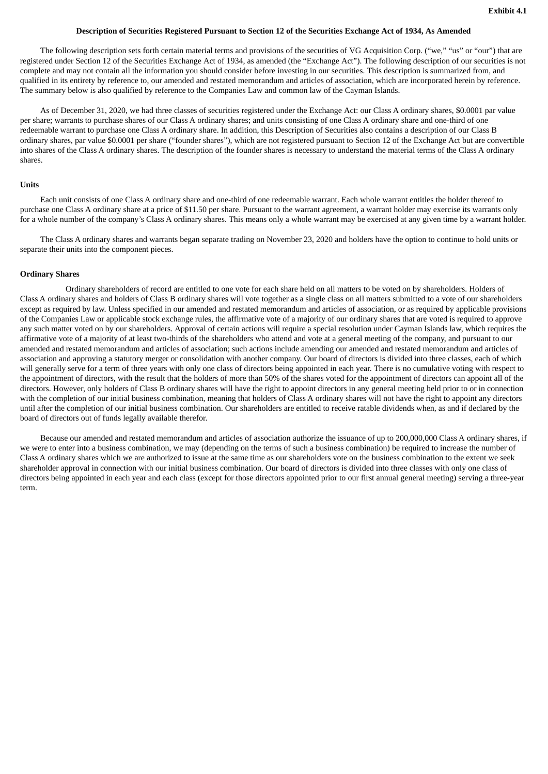### Description of Securities Registered Pursuant to Section 12 of the Securities Exchange Act of 1934, As Amended

<span id="page-93-0"></span>The following description sets forth certain material terms and provisions of the securities of VG Acquisition Corp. ("we," "us" or "our") that are registered under Section 12 of the Securities Exchange Act of 1934, as amended (the "Exchange Act"). The following description of our securities is not complete and may not contain all the information you should consider before investing in our securities. This description is summarized from, and qualified in its entirety by reference to, our amended and restated memorandum and articles of association, which are incorporated herein by reference. The summary below is also qualified by reference to the Companies Law and common law of the Cayman Islands.

As of December 31, 2020, we had three classes of securities registered under the Exchange Act: our Class A ordinary shares, \$0.0001 par value per share; warrants to purchase shares of our Class A ordinary shares; and units consisting of one Class A ordinary share and one-third of one redeemable warrant to purchase one Class A ordinary share. In addition, this Description of Securities also contains a description of our Class B ordinary shares, par value \$0.0001 per share ("founder shares"), which are not registered pursuant to Section 12 of the Exchange Act but are convertible into shares of the Class A ordinary shares. The description of the founder shares is necessary to understand the material terms of the Class A ordinary shares.

#### **Units**

Each unit consists of one Class A ordinary share and one-third of one redeemable warrant. Each whole warrant entitles the holder thereof to purchase one Class A ordinary share at a price of \$11.50 per share. Pursuant to the warrant agreement, a warrant holder may exercise its warrants only for a whole number of the company's Class A ordinary shares. This means only a whole warrant may be exercised at any given time by a warrant holder.

The Class A ordinary shares and warrants began separate trading on November 23, 2020 and holders have the option to continue to hold units or separate their units into the component pieces.

### **Ordinary Shares**

Ordinary shareholders of record are entitled to one vote for each share held on all matters to be voted on by shareholders. Holders of Class A ordinary shares and holders of Class B ordinary shares will vote together as a single class on all matters submitted to a vote of our shareholders except as required by law. Unless specified in our amended and restated memorandum and articles of association, or as required by applicable provisions of the Companies Law or applicable stock exchange rules, the affirmative vote of a majority of our ordinary shares that are voted is required to approve any such matter voted on by our shareholders. Approval of certain actions will require a special resolution under Cayman Islands law, which requires the affirmative vote of a majority of at least two-thirds of the shareholders who attend and vote at a general meeting of the company, and pursuant to our amended and restated memorandum and articles of association; such actions include amending our amended and restated memorandum and articles of association and approving a statutory merger or consolidation with another company. Our board of directors is divided into three classes, each of which will generally serve for a term of three years with only one class of directors being appointed in each year. There is no cumulative voting with respect to the appointment of directors, with the result that the holders of more than 50% of the shares voted for the appointment of directors can appoint all of the directors. However, only holders of Class B ordinary shares will have the right to appoint directors in any general meeting held prior to or in connection with the completion of our initial business combination, meaning that holders of Class A ordinary shares will not have the right to appoint any directors until after the completion of our initial business combination. Our shareholders are entitled to receive ratable dividends when, as and if declared by the board of directors out of funds legally available therefor.

Because our amended and restated memorandum and articles of association authorize the issuance of up to 200,000,000 Class A ordinary shares, if we were to enter into a business combination, we may (depending on the terms of such a business combination) be required to increase the number of Class A ordinary shares which we are authorized to issue at the same time as our shareholders vote on the business combination to the extent we seek shareholder approval in connection with our initial business combination. Our board of directors is divided into three classes with only one class of directors being appointed in each year and each class (except for those directors appointed prior to our first annual general meeting) serving a three-year term.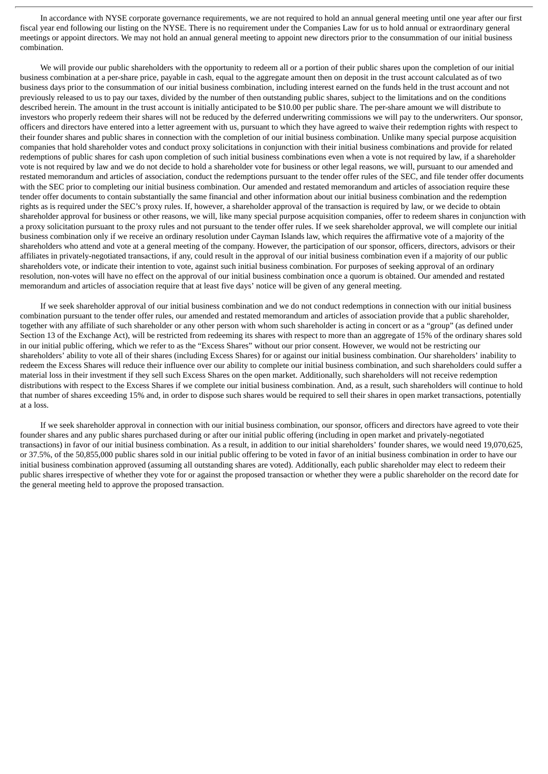In accordance with NYSE corporate governance requirements, we are not required to hold an annual general meeting until one year after our first fiscal year end following our listing on the NYSE. There is no requirement under the Companies Law for us to hold annual or extraordinary general meetings or appoint directors. We may not hold an annual general meeting to appoint new directors prior to the consummation of our initial business combination.

We will provide our public shareholders with the opportunity to redeem all or a portion of their public shares upon the completion of our initial business combination at a per-share price, payable in cash, equal to the aggregate amount then on deposit in the trust account calculated as of two business days prior to the consummation of our initial business combination, including interest earned on the funds held in the trust account and not previously released to us to pay our taxes, divided by the number of then outstanding public shares, subject to the limitations and on the conditions described herein. The amount in the trust account is initially anticipated to be \$10.00 per public share. The per-share amount we will distribute to investors who properly redeem their shares will not be reduced by the deferred underwriting commissions we will pay to the underwriters. Our sponsor, officers and directors have entered into a letter agreement with us, pursuant to which they have agreed to waive their redemption rights with respect to their founder shares and public shares in connection with the completion of our initial business combination. Unlike many special purpose acquisition companies that hold shareholder votes and conduct proxy solicitations in conjunction with their initial business combinations and provide for related redemptions of public shares for cash upon completion of such initial business combinations even when a vote is not required by law, if a shareholder vote is not required by law and we do not decide to hold a shareholder vote for business or other legal reasons, we will, pursuant to our amended and restated memorandum and articles of association, conduct the redemptions pursuant to the tender offer rules of the SEC, and file tender offer documents with the SEC prior to completing our initial business combination. Our amended and restated memorandum and articles of association require these tender offer documents to contain substantially the same financial and other information about our initial business combination and the redemption rights as is required under the SEC's proxy rules. If, however, a shareholder approval of the transaction is required by law, or we decide to obtain shareholder approval for business or other reasons, we will, like many special purpose acquisition companies, offer to redeem shares in conjunction with a proxy solicitation pursuant to the proxy rules and not pursuant to the tender offer rules. If we seek shareholder approval, we will complete our initial business combination only if we receive an ordinary resolution under Cayman Islands law, which requires the affirmative vote of a majority of the shareholders who attend and vote at a general meeting of the company. However, the participation of our sponsor, officers, directors, advisors or their affiliates in privately-negotiated transactions, if any, could result in the approval of our initial business combination even if a majority of our public shareholders vote, or indicate their intention to vote, against such initial business combination. For purposes of seeking approval of an ordinary resolution, non-votes will have no effect on the approval of our initial business combination once a quorum is obtained. Our amended and restated memorandum and articles of association require that at least five days' notice will be given of any general meeting.

If we seek shareholder approval of our initial business combination and we do not conduct redemptions in connection with our initial business combination pursuant to the tender offer rules, our amended and restated memorandum and articles of association provide that a public shareholder, together with any affiliate of such shareholder or any other person with whom such shareholder is acting in concert or as a "group" (as defined under Section 13 of the Exchange Act), will be restricted from redeeming its shares with respect to more than an aggregate of 15% of the ordinary shares sold in our initial public offering, which we refer to as the "Excess Shares" without our prior consent. However, we would not be restricting our shareholders' ability to vote all of their shares (including Excess Shares) for or against our initial business combination. Our shareholders' inability to redeem the Excess Shares will reduce their influence over our ability to complete our initial business combination, and such shareholders could suffer a material loss in their investment if they sell such Excess Shares on the open market. Additionally, such shareholders will not receive redemption distributions with respect to the Excess Shares if we complete our initial business combination. And, as a result, such shareholders will continue to hold that number of shares exceeding 15% and, in order to dispose such shares would be required to sell their shares in open market transactions, potentially at a loss.

If we seek shareholder approval in connection with our initial business combination, our sponsor, officers and directors have agreed to vote their founder shares and any public shares purchased during or after our initial public offering (including in open market and privately-negotiated transactions) in favor of our initial business combination. As a result, in addition to our initial shareholders' founder shares, we would need 19,070,625, or 37.5%, of the 50,855,000 public shares sold in our initial public offering to be voted in favor of an initial business combination in order to have our initial business combination approved (assuming all outstanding shares are voted). Additionally, each public shareholder may elect to redeem their public shares irrespective of whether they vote for or against the proposed transaction or whether they were a public shareholder on the record date for the general meeting held to approve the proposed transaction.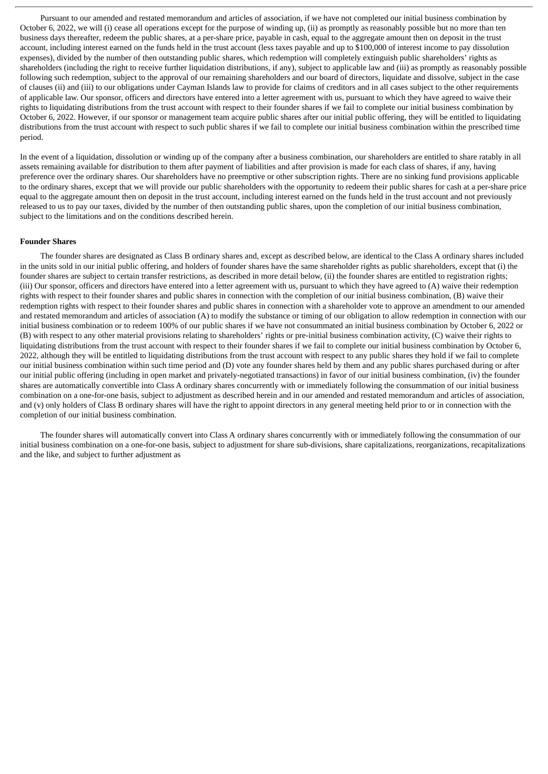Pursuant to our amended and restated memorandum and articles of association, if we have not completed our initial business combination by October 6, 2022, we will (i) cease all operations except for the purpose of winding up, (ii) as promptly as reasonably possible but no more than ten business days thereafter, redeem the public shares, at a per-share price, payable in cash, equal to the aggregate amount then on deposit in the trust account, including interest earned on the funds held in the trust account (less taxes payable and up to \$100,000 of interest income to pay dissolution expenses), divided by the number of then outstanding public shares, which redemption will completely extinguish public shareholders' rights as shareholders (including the right to receive further liquidation distributions, if any), subject to applicable law and (iii) as promptly as reasonably possible following such redemption, subject to the approval of our remaining shareholders and our board of directors, liquidate and dissolve, subject in the case of clauses (ii) and (iii) to our obligations under Cayman Islands law to provide for claims of creditors and in all cases subject to the other requirements of applicable law. Our sponsor, officers and directors have entered into a letter agreement with us, pursuant to which they have agreed to waive their rights to liquidating distributions from the trust account with respect to their founder shares if we fail to complete our initial business combination by October 6, 2022. However, if our sponsor or management team acquire public shares after our initial public offering, they will be entitled to liquidating distributions from the trust account with respect to such public shares if we fail to complete our initial business combination within the prescribed time period.

In the event of a liquidation, dissolution or winding up of the company after a business combination, our shareholders are entitled to share ratably in all assets remaining available for distribution to them after payment of liabilities and after provision is made for each class of shares, if any, having preference over the ordinary shares. Our shareholders have no preemptive or other subscription rights. There are no sinking fund provisions applicable to the ordinary shares, except that we will provide our public shareholders with the opportunity to redeem their public shares for cash at a per-share price equal to the aggregate amount then on deposit in the trust account, including interest earned on the funds held in the trust account and not previously released to us to pay our taxes, divided by the number of then outstanding public shares, upon the completion of our initial business combination, subject to the limitations and on the conditions described herein.

### **Founder Shares**

The founder shares are designated as Class B ordinary shares and, except as described below, are identical to the Class A ordinary shares included in the units sold in our initial public offering, and holders of founder shares have the same shareholder rights as public shareholders, except that (i) the founder shares are subject to certain transfer restrictions, as described in more detail below, (ii) the founder shares are entitled to registration rights; (iii) Our sponsor, officers and directors have entered into a letter agreement with us, pursuant to which they have agreed to (A) waive their redemption rights with respect to their founder shares and public shares in connection with the completion of our initial business combination, (B) waive their redemption rights with respect to their founder shares and public shares in connection with a shareholder vote to approve an amendment to our amended and restated memorandum and articles of association (A) to modify the substance or timing of our obligation to allow redemption in connection with our initial business combination or to redeem 100% of our public shares if we have not consummated an initial business combination by October 6, 2022 or (B) with respect to any other material provisions relating to shareholders' rights or pre-initial business combination activity, (C) waive their rights to liquidating distributions from the trust account with respect to their founder shares if we fail to complete our initial business combination by October 6, 2022, although they will be entitled to liquidating distributions from the trust account with respect to any public shares they hold if we fail to complete our initial business combination within such time period and (D) vote any founder shares held by them and any public shares purchased during or after our initial public offering (including in open market and privately-negotiated transactions) in favor of our initial business combination, (iv) the founder shares are automatically convertible into Class A ordinary shares concurrently with or immediately following the consummation of our initial business combination on a one-for-one basis, subject to adjustment as described herein and in our amended and restated memorandum and articles of association, and (v) only holders of Class B ordinary shares will have the right to appoint directors in any general meeting held prior to or in connection with the completion of our initial business combination.

The founder shares will automatically convert into Class A ordinary shares concurrently with or immediately following the consummation of our initial business combination on a one-for-one basis, subject to adjustment for share sub-divisions, share capitalizations, reorganizations, recapitalizations and the like, and subject to further adjustment as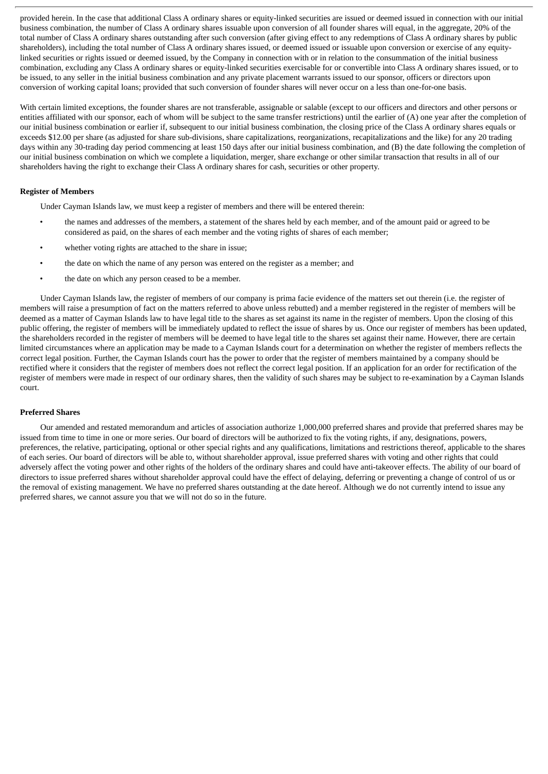provided herein. In the case that additional Class A ordinary shares or equity-linked securities are issued or deemed issued in connection with our initial business combination, the number of Class A ordinary shares issuable upon conversion of all founder shares will equal, in the aggregate, 20% of the total number of Class A ordinary shares outstanding after such conversion (after giving effect to any redemptions of Class A ordinary shares by public shareholders), including the total number of Class A ordinary shares issued, or deemed issued or issuable upon conversion or exercise of any equitylinked securities or rights issued or deemed issued, by the Company in connection with or in relation to the consummation of the initial business combination, excluding any Class A ordinary shares or equity-linked securities exercisable for or convertible into Class A ordinary shares issued, or to be issued, to any seller in the initial business combination and any private placement warrants issued to our sponsor, officers or directors upon conversion of working capital loans; provided that such conversion of founder shares will never occur on a less than one-for-one basis.

With certain limited exceptions, the founder shares are not transferable, assignable or salable (except to our officers and directors and other persons or entities affiliated with our sponsor, each of whom will be subject to the same transfer restrictions) until the earlier of (A) one year after the completion of our initial business combination or earlier if, subsequent to our initial business combination, the closing price of the Class A ordinary shares equals or exceeds \$12.00 per share (as adjusted for share sub-divisions, share capitalizations, reorganizations, recapitalizations and the like) for any 20 trading days within any 30-trading day period commencing at least 150 days after our initial business combination, and (B) the date following the completion of our initial business combination on which we complete a liquidation, merger, share exchange or other similar transaction that results in all of our shareholders having the right to exchange their Class A ordinary shares for cash, securities or other property.

# **Register of Members**

Under Cayman Islands law, we must keep a register of members and there will be entered therein:

- the names and addresses of the members, a statement of the shares held by each member, and of the amount paid or agreed to be considered as paid, on the shares of each member and the voting rights of shares of each member;
- whether voting rights are attached to the share in issue;
- the date on which the name of any person was entered on the register as a member; and
- the date on which any person ceased to be a member.

Under Cayman Islands law, the register of members of our company is prima facie evidence of the matters set out therein (i.e. the register of members will raise a presumption of fact on the matters referred to above unless rebutted) and a member registered in the register of members will be deemed as a matter of Cayman Islands law to have legal title to the shares as set against its name in the register of members. Upon the closing of this public offering, the register of members will be immediately updated to reflect the issue of shares by us. Once our register of members has been updated, the shareholders recorded in the register of members will be deemed to have legal title to the shares set against their name. However, there are certain limited circumstances where an application may be made to a Cayman Islands court for a determination on whether the register of members reflects the correct legal position. Further, the Cayman Islands court has the power to order that the register of members maintained by a company should be rectified where it considers that the register of members does not reflect the correct legal position. If an application for an order for rectification of the register of members were made in respect of our ordinary shares, then the validity of such shares may be subject to re-examination by a Cayman Islands court.

### **Preferred Shares**

Our amended and restated memorandum and articles of association authorize 1,000,000 preferred shares and provide that preferred shares may be issued from time to time in one or more series. Our board of directors will be authorized to fix the voting rights, if any, designations, powers, preferences, the relative, participating, optional or other special rights and any qualifications, limitations and restrictions thereof, applicable to the shares of each series. Our board of directors will be able to, without shareholder approval, issue preferred shares with voting and other rights that could adversely affect the voting power and other rights of the holders of the ordinary shares and could have anti-takeover effects. The ability of our board of directors to issue preferred shares without shareholder approval could have the effect of delaying, deferring or preventing a change of control of us or the removal of existing management. We have no preferred shares outstanding at the date hereof. Although we do not currently intend to issue any preferred shares, we cannot assure you that we will not do so in the future.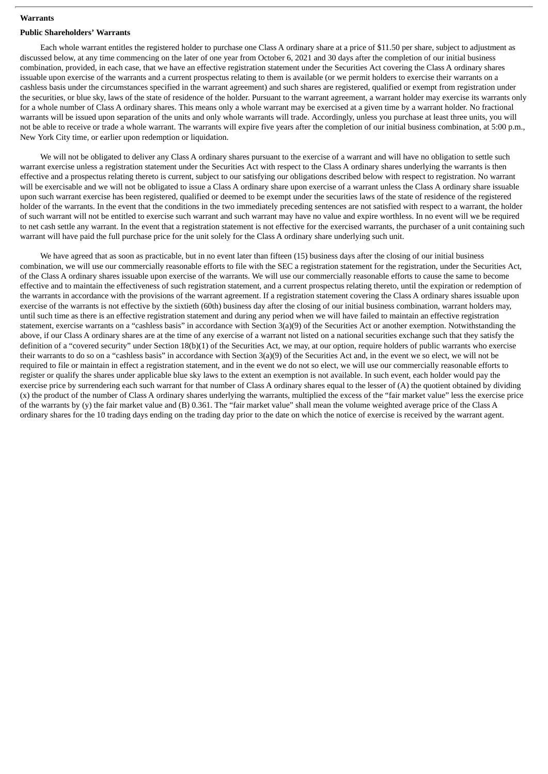### **Warrants**

### **Public Shareholders' Warrants**

Each whole warrant entitles the registered holder to purchase one Class A ordinary share at a price of \$11.50 per share, subject to adjustment as discussed below, at any time commencing on the later of one year from October 6, 2021 and 30 days after the completion of our initial business combination, provided, in each case, that we have an effective registration statement under the Securities Act covering the Class A ordinary shares issuable upon exercise of the warrants and a current prospectus relating to them is available (or we permit holders to exercise their warrants on a cashless basis under the circumstances specified in the warrant agreement) and such shares are registered, qualified or exempt from registration under the securities, or blue sky, laws of the state of residence of the holder. Pursuant to the warrant agreement, a warrant holder may exercise its warrants only for a whole number of Class A ordinary shares. This means only a whole warrant may be exercised at a given time by a warrant holder. No fractional warrants will be issued upon separation of the units and only whole warrants will trade. Accordingly, unless you purchase at least three units, you will not be able to receive or trade a whole warrant. The warrants will expire five years after the completion of our initial business combination, at 5:00 p.m., New York City time, or earlier upon redemption or liquidation.

We will not be obligated to deliver any Class A ordinary shares pursuant to the exercise of a warrant and will have no obligation to settle such warrant exercise unless a registration statement under the Securities Act with respect to the Class A ordinary shares underlying the warrants is then effective and a prospectus relating thereto is current, subject to our satisfying our obligations described below with respect to registration. No warrant will be exercisable and we will not be obligated to issue a Class A ordinary share upon exercise of a warrant unless the Class A ordinary share issuable upon such warrant exercise has been registered, qualified or deemed to be exempt under the securities laws of the state of residence of the registered holder of the warrants. In the event that the conditions in the two immediately preceding sentences are not satisfied with respect to a warrant, the holder of such warrant will not be entitled to exercise such warrant and such warrant may have no value and expire worthless. In no event will we be required to net cash settle any warrant. In the event that a registration statement is not effective for the exercised warrants, the purchaser of a unit containing such warrant will have paid the full purchase price for the unit solely for the Class A ordinary share underlying such unit.

We have agreed that as soon as practicable, but in no event later than fifteen (15) business days after the closing of our initial business combination, we will use our commercially reasonable efforts to file with the SEC a registration statement for the registration, under the Securities Act, of the Class A ordinary shares issuable upon exercise of the warrants. We will use our commercially reasonable efforts to cause the same to become effective and to maintain the effectiveness of such registration statement, and a current prospectus relating thereto, until the expiration or redemption of the warrants in accordance with the provisions of the warrant agreement. If a registration statement covering the Class A ordinary shares issuable upon exercise of the warrants is not effective by the sixtieth (60th) business day after the closing of our initial business combination, warrant holders may, until such time as there is an effective registration statement and during any period when we will have failed to maintain an effective registration statement, exercise warrants on a "cashless basis" in accordance with Section 3(a)(9) of the Securities Act or another exemption. Notwithstanding the above, if our Class A ordinary shares are at the time of any exercise of a warrant not listed on a national securities exchange such that they satisfy the definition of a "covered security" under Section 18(b)(1) of the Securities Act, we may, at our option, require holders of public warrants who exercise their warrants to do so on a "cashless basis" in accordance with Section 3(a)(9) of the Securities Act and, in the event we so elect, we will not be required to file or maintain in effect a registration statement, and in the event we do not so elect, we will use our commercially reasonable efforts to register or qualify the shares under applicable blue sky laws to the extent an exemption is not available. In such event, each holder would pay the exercise price by surrendering each such warrant for that number of Class A ordinary shares equal to the lesser of (A) the quotient obtained by dividing (x) the product of the number of Class A ordinary shares underlying the warrants, multiplied the excess of the "fair market value" less the exercise price of the warrants by (y) the fair market value and (B) 0.361. The "fair market value" shall mean the volume weighted average price of the Class A ordinary shares for the 10 trading days ending on the trading day prior to the date on which the notice of exercise is received by the warrant agent.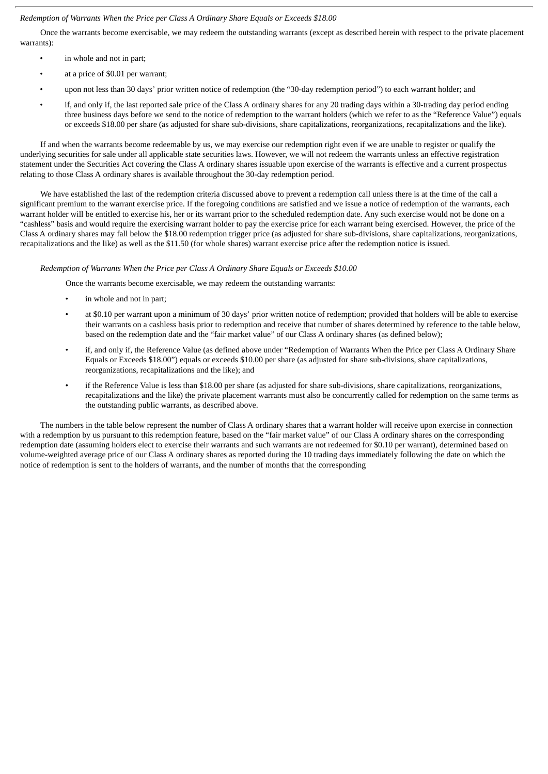# *Redemption of Warrants When the Price per Class A Ordinary Share Equals or Exceeds \$18.00*

Once the warrants become exercisable, we may redeem the outstanding warrants (except as described herein with respect to the private placement warrants):

- in whole and not in part;
- at a price of \$0.01 per warrant;
- upon not less than 30 days' prior written notice of redemption (the "30-day redemption period") to each warrant holder; and
- if, and only if, the last reported sale price of the Class A ordinary shares for any 20 trading days within a 30-trading day period ending three business days before we send to the notice of redemption to the warrant holders (which we refer to as the "Reference Value") equals or exceeds \$18.00 per share (as adjusted for share sub-divisions, share capitalizations, reorganizations, recapitalizations and the like).

If and when the warrants become redeemable by us, we may exercise our redemption right even if we are unable to register or qualify the underlying securities for sale under all applicable state securities laws. However, we will not redeem the warrants unless an effective registration statement under the Securities Act covering the Class A ordinary shares issuable upon exercise of the warrants is effective and a current prospectus relating to those Class A ordinary shares is available throughout the 30-day redemption period.

We have established the last of the redemption criteria discussed above to prevent a redemption call unless there is at the time of the call a significant premium to the warrant exercise price. If the foregoing conditions are satisfied and we issue a notice of redemption of the warrants, each warrant holder will be entitled to exercise his, her or its warrant prior to the scheduled redemption date. Any such exercise would not be done on a "cashless" basis and would require the exercising warrant holder to pay the exercise price for each warrant being exercised. However, the price of the Class A ordinary shares may fall below the \$18.00 redemption trigger price (as adjusted for share sub-divisions, share capitalizations, reorganizations, recapitalizations and the like) as well as the \$11.50 (for whole shares) warrant exercise price after the redemption notice is issued.

# *Redemption of Warrants When the Price per Class A Ordinary Share Equals or Exceeds \$10.00*

Once the warrants become exercisable, we may redeem the outstanding warrants:

- in whole and not in part;
- at \$0.10 per warrant upon a minimum of 30 days' prior written notice of redemption; provided that holders will be able to exercise their warrants on a cashless basis prior to redemption and receive that number of shares determined by reference to the table below, based on the redemption date and the "fair market value" of our Class A ordinary shares (as defined below);
- if, and only if, the Reference Value (as defined above under "Redemption of Warrants When the Price per Class A Ordinary Share Equals or Exceeds \$18.00") equals or exceeds \$10.00 per share (as adjusted for share sub-divisions, share capitalizations, reorganizations, recapitalizations and the like); and
- if the Reference Value is less than \$18.00 per share (as adjusted for share sub-divisions, share capitalizations, reorganizations, recapitalizations and the like) the private placement warrants must also be concurrently called for redemption on the same terms as the outstanding public warrants, as described above.

The numbers in the table below represent the number of Class A ordinary shares that a warrant holder will receive upon exercise in connection with a redemption by us pursuant to this redemption feature, based on the "fair market value" of our Class A ordinary shares on the corresponding redemption date (assuming holders elect to exercise their warrants and such warrants are not redeemed for \$0.10 per warrant), determined based on volume-weighted average price of our Class A ordinary shares as reported during the 10 trading days immediately following the date on which the notice of redemption is sent to the holders of warrants, and the number of months that the corresponding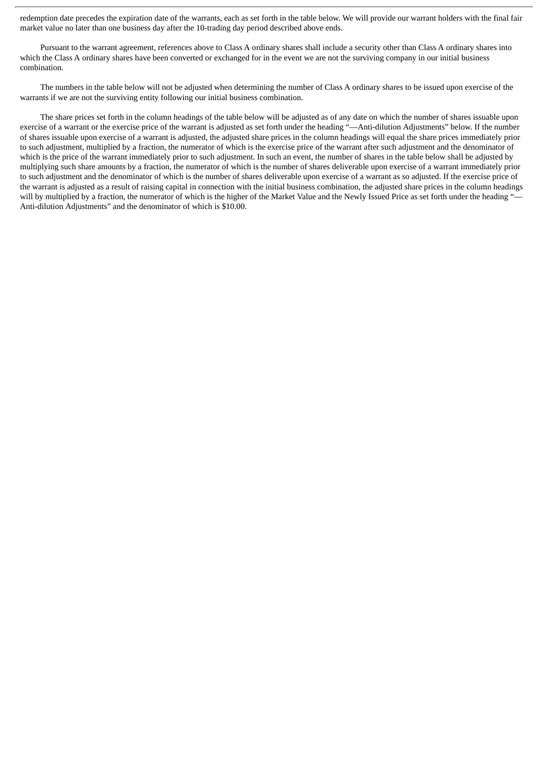redemption date precedes the expiration date of the warrants, each as set forth in the table below. We will provide our warrant holders with the final fair market value no later than one business day after the 10-trading day period described above ends.

Pursuant to the warrant agreement, references above to Class A ordinary shares shall include a security other than Class A ordinary shares into which the Class A ordinary shares have been converted or exchanged for in the event we are not the surviving company in our initial business combination.

The numbers in the table below will not be adjusted when determining the number of Class A ordinary shares to be issued upon exercise of the warrants if we are not the surviving entity following our initial business combination.

The share prices set forth in the column headings of the table below will be adjusted as of any date on which the number of shares issuable upon exercise of a warrant or the exercise price of the warrant is adjusted as set forth under the heading "—Anti-dilution Adjustments" below. If the number of shares issuable upon exercise of a warrant is adjusted, the adjusted share prices in the column headings will equal the share prices immediately prior to such adjustment, multiplied by a fraction, the numerator of which is the exercise price of the warrant after such adjustment and the denominator of which is the price of the warrant immediately prior to such adjustment. In such an event, the number of shares in the table below shall be adjusted by multiplying such share amounts by a fraction, the numerator of which is the number of shares deliverable upon exercise of a warrant immediately prior to such adjustment and the denominator of which is the number of shares deliverable upon exercise of a warrant as so adjusted. If the exercise price of the warrant is adjusted as a result of raising capital in connection with the initial business combination, the adjusted share prices in the column headings will by multiplied by a fraction, the numerator of which is the higher of the Market Value and the Newly Issued Price as set forth under the heading "-Anti-dilution Adjustments" and the denominator of which is \$10.00.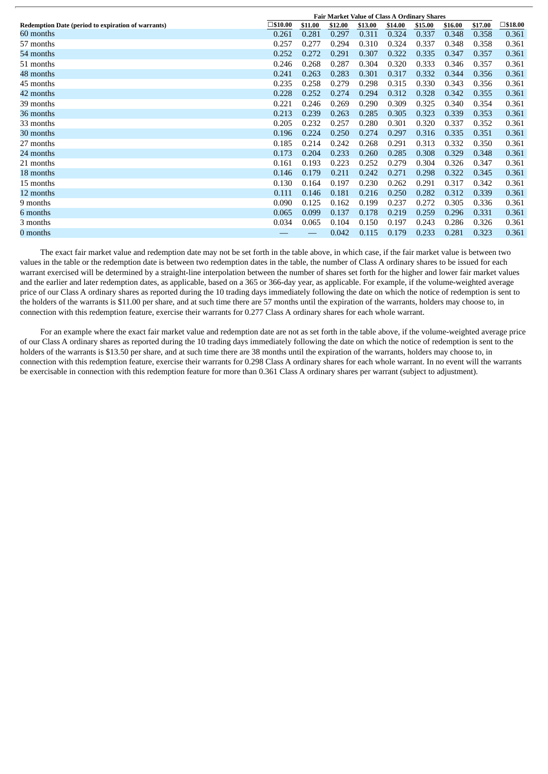|                                                    | <b>Fair Market Value of Class A Ordinary Shares</b> |         |         |         |         |         |         |         |                   |
|----------------------------------------------------|-----------------------------------------------------|---------|---------|---------|---------|---------|---------|---------|-------------------|
| Redemption Date (period to expiration of warrants) | $\square$ \$10.00                                   | \$11.00 | \$12.00 | \$13.00 | \$14.00 | \$15.00 | \$16.00 | \$17.00 | $\square$ \$18.00 |
| 60 months                                          | 0.261                                               | 0.281   | 0.297   | 0.311   | 0.324   | 0.337   | 0.348   | 0.358   | 0.361             |
| 57 months                                          | 0.257                                               | 0.277   | 0.294   | 0.310   | 0.324   | 0.337   | 0.348   | 0.358   | 0.361             |
| 54 months                                          | 0.252                                               | 0.272   | 0.291   | 0.307   | 0.322   | 0.335   | 0.347   | 0.357   | 0.361             |
| 51 months                                          | 0.246                                               | 0.268   | 0.287   | 0.304   | 0.320   | 0.333   | 0.346   | 0.357   | 0.361             |
| 48 months                                          | 0.241                                               | 0.263   | 0.283   | 0.301   | 0.317   | 0.332   | 0.344   | 0.356   | 0.361             |
| 45 months                                          | 0.235                                               | 0.258   | 0.279   | 0.298   | 0.315   | 0.330   | 0.343   | 0.356   | 0.361             |
| 42 months                                          | 0.228                                               | 0.252   | 0.274   | 0.294   | 0.312   | 0.328   | 0.342   | 0.355   | 0.361             |
| 39 months                                          | 0.221                                               | 0.246   | 0.269   | 0.290   | 0.309   | 0.325   | 0.340   | 0.354   | 0.361             |
| 36 months                                          | 0.213                                               | 0.239   | 0.263   | 0.285   | 0.305   | 0.323   | 0.339   | 0.353   | 0.361             |
| 33 months                                          | 0.205                                               | 0.232   | 0.257   | 0.280   | 0.301   | 0.320   | 0.337   | 0.352   | 0.361             |
| 30 months                                          | 0.196                                               | 0.224   | 0.250   | 0.274   | 0.297   | 0.316   | 0.335   | 0.351   | 0.361             |
| 27 months                                          | 0.185                                               | 0.214   | 0.242   | 0.268   | 0.291   | 0.313   | 0.332   | 0.350   | 0.361             |
| 24 months                                          | 0.173                                               | 0.204   | 0.233   | 0.260   | 0.285   | 0.308   | 0.329   | 0.348   | 0.361             |
| 21 months                                          | 0.161                                               | 0.193   | 0.223   | 0.252   | 0.279   | 0.304   | 0.326   | 0.347   | 0.361             |
| 18 months                                          | 0.146                                               | 0.179   | 0.211   | 0.242   | 0.271   | 0.298   | 0.322   | 0.345   | 0.361             |
| 15 months                                          | 0.130                                               | 0.164   | 0.197   | 0.230   | 0.262   | 0.291   | 0.317   | 0.342   | 0.361             |
| 12 months                                          | 0.111                                               | 0.146   | 0.181   | 0.216   | 0.250   | 0.282   | 0.312   | 0.339   | 0.361             |
| 9 months                                           | 0.090                                               | 0.125   | 0.162   | 0.199   | 0.237   | 0.272   | 0.305   | 0.336   | 0.361             |
| 6 months                                           | 0.065                                               | 0.099   | 0.137   | 0.178   | 0.219   | 0.259   | 0.296   | 0.331   | 0.361             |
| 3 months                                           | 0.034                                               | 0.065   | 0.104   | 0.150   | 0.197   | 0.243   | 0.286   | 0.326   | 0.361             |
| 0 months                                           |                                                     |         | 0.042   | 0.115   | 0.179   | 0.233   | 0.281   | 0.323   | 0.361             |

The exact fair market value and redemption date may not be set forth in the table above, in which case, if the fair market value is between two values in the table or the redemption date is between two redemption dates in the table, the number of Class A ordinary shares to be issued for each warrant exercised will be determined by a straight-line interpolation between the number of shares set forth for the higher and lower fair market values and the earlier and later redemption dates, as applicable, based on a 365 or 366-day year, as applicable. For example, if the volume-weighted average price of our Class A ordinary shares as reported during the 10 trading days immediately following the date on which the notice of redemption is sent to the holders of the warrants is \$11.00 per share, and at such time there are 57 months until the expiration of the warrants, holders may choose to, in connection with this redemption feature, exercise their warrants for 0.277 Class A ordinary shares for each whole warrant.

For an example where the exact fair market value and redemption date are not as set forth in the table above, if the volume-weighted average price of our Class A ordinary shares as reported during the 10 trading days immediately following the date on which the notice of redemption is sent to the holders of the warrants is \$13.50 per share, and at such time there are 38 months until the expiration of the warrants, holders may choose to, in connection with this redemption feature, exercise their warrants for 0.298 Class A ordinary shares for each whole warrant. In no event will the warrants be exercisable in connection with this redemption feature for more than 0.361 Class A ordinary shares per warrant (subject to adjustment).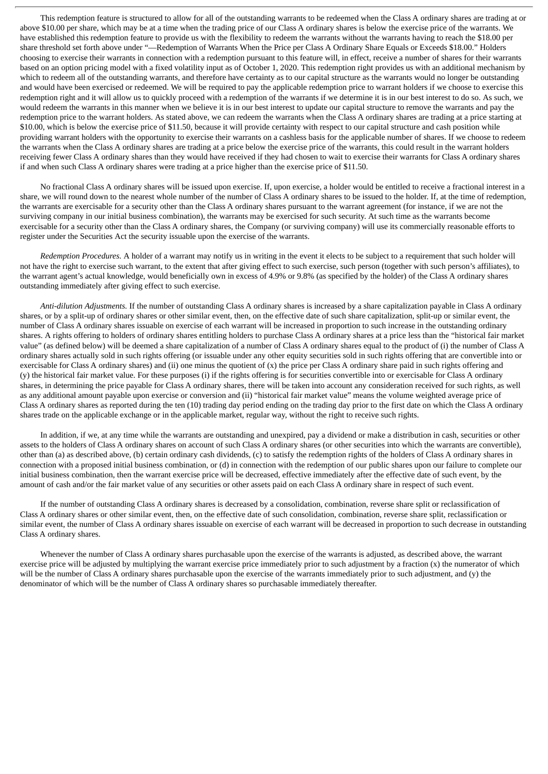This redemption feature is structured to allow for all of the outstanding warrants to be redeemed when the Class A ordinary shares are trading at or above \$10.00 per share, which may be at a time when the trading price of our Class A ordinary shares is below the exercise price of the warrants. We have established this redemption feature to provide us with the flexibility to redeem the warrants without the warrants having to reach the \$18.00 per share threshold set forth above under "—Redemption of Warrants When the Price per Class A Ordinary Share Equals or Exceeds \$18.00." Holders choosing to exercise their warrants in connection with a redemption pursuant to this feature will, in effect, receive a number of shares for their warrants based on an option pricing model with a fixed volatility input as of October 1, 2020. This redemption right provides us with an additional mechanism by which to redeem all of the outstanding warrants, and therefore have certainty as to our capital structure as the warrants would no longer be outstanding and would have been exercised or redeemed. We will be required to pay the applicable redemption price to warrant holders if we choose to exercise this redemption right and it will allow us to quickly proceed with a redemption of the warrants if we determine it is in our best interest to do so. As such, we would redeem the warrants in this manner when we believe it is in our best interest to update our capital structure to remove the warrants and pay the redemption price to the warrant holders. As stated above, we can redeem the warrants when the Class A ordinary shares are trading at a price starting at \$10.00, which is below the exercise price of \$11.50, because it will provide certainty with respect to our capital structure and cash position while providing warrant holders with the opportunity to exercise their warrants on a cashless basis for the applicable number of shares. If we choose to redeem the warrants when the Class A ordinary shares are trading at a price below the exercise price of the warrants, this could result in the warrant holders receiving fewer Class A ordinary shares than they would have received if they had chosen to wait to exercise their warrants for Class A ordinary shares if and when such Class A ordinary shares were trading at a price higher than the exercise price of \$11.50.

No fractional Class A ordinary shares will be issued upon exercise. If, upon exercise, a holder would be entitled to receive a fractional interest in a share, we will round down to the nearest whole number of the number of Class A ordinary shares to be issued to the holder. If, at the time of redemption, the warrants are exercisable for a security other than the Class A ordinary shares pursuant to the warrant agreement (for instance, if we are not the surviving company in our initial business combination), the warrants may be exercised for such security. At such time as the warrants become exercisable for a security other than the Class A ordinary shares, the Company (or surviving company) will use its commercially reasonable efforts to register under the Securities Act the security issuable upon the exercise of the warrants.

*Redemption Procedures.* A holder of a warrant may notify us in writing in the event it elects to be subject to a requirement that such holder will not have the right to exercise such warrant, to the extent that after giving effect to such exercise, such person (together with such person's affiliates), to the warrant agent's actual knowledge, would beneficially own in excess of 4.9% or 9.8% (as specified by the holder) of the Class A ordinary shares outstanding immediately after giving effect to such exercise.

*Anti-dilution Adjustments.* If the number of outstanding Class A ordinary shares is increased by a share capitalization payable in Class A ordinary shares, or by a split-up of ordinary shares or other similar event, then, on the effective date of such share capitalization, split-up or similar event, the number of Class A ordinary shares issuable on exercise of each warrant will be increased in proportion to such increase in the outstanding ordinary shares. A rights offering to holders of ordinary shares entitling holders to purchase Class A ordinary shares at a price less than the "historical fair market value" (as defined below) will be deemed a share capitalization of a number of Class A ordinary shares equal to the product of (i) the number of Class A ordinary shares actually sold in such rights offering (or issuable under any other equity securities sold in such rights offering that are convertible into or exercisable for Class A ordinary shares) and (ii) one minus the quotient of (x) the price per Class A ordinary share paid in such rights offering and (y) the historical fair market value. For these purposes (i) if the rights offering is for securities convertible into or exercisable for Class A ordinary shares, in determining the price payable for Class A ordinary shares, there will be taken into account any consideration received for such rights, as well as any additional amount payable upon exercise or conversion and (ii) "historical fair market value" means the volume weighted average price of Class A ordinary shares as reported during the ten (10) trading day period ending on the trading day prior to the first date on which the Class A ordinary shares trade on the applicable exchange or in the applicable market, regular way, without the right to receive such rights.

In addition, if we, at any time while the warrants are outstanding and unexpired, pay a dividend or make a distribution in cash, securities or other assets to the holders of Class A ordinary shares on account of such Class A ordinary shares (or other securities into which the warrants are convertible), other than (a) as described above, (b) certain ordinary cash dividends, (c) to satisfy the redemption rights of the holders of Class A ordinary shares in connection with a proposed initial business combination, or (d) in connection with the redemption of our public shares upon our failure to complete our initial business combination, then the warrant exercise price will be decreased, effective immediately after the effective date of such event, by the amount of cash and/or the fair market value of any securities or other assets paid on each Class A ordinary share in respect of such event.

If the number of outstanding Class A ordinary shares is decreased by a consolidation, combination, reverse share split or reclassification of Class A ordinary shares or other similar event, then, on the effective date of such consolidation, combination, reverse share split, reclassification or similar event, the number of Class A ordinary shares issuable on exercise of each warrant will be decreased in proportion to such decrease in outstanding Class A ordinary shares.

Whenever the number of Class A ordinary shares purchasable upon the exercise of the warrants is adjusted, as described above, the warrant exercise price will be adjusted by multiplying the warrant exercise price immediately prior to such adjustment by a fraction (x) the numerator of which will be the number of Class A ordinary shares purchasable upon the exercise of the warrants immediately prior to such adjustment, and (y) the denominator of which will be the number of Class A ordinary shares so purchasable immediately thereafter.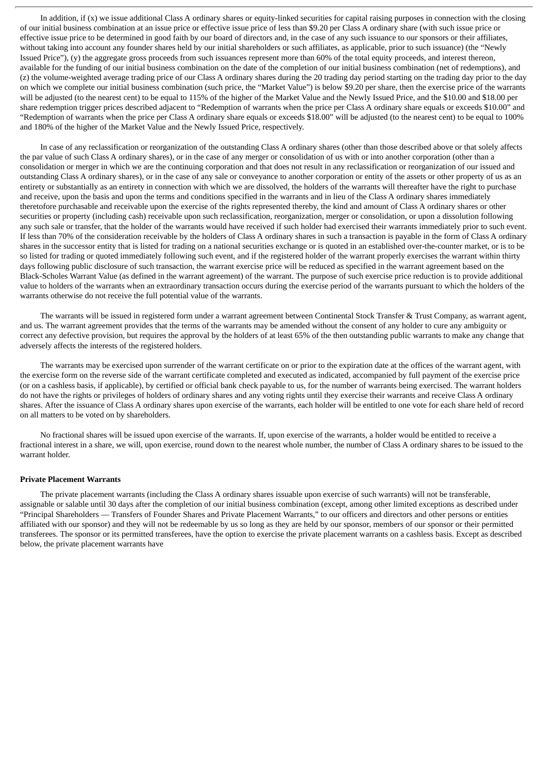In addition, if  $(x)$  we issue additional Class A ordinary shares or equity-linked securities for capital raising purposes in connection with the closing of our initial business combination at an issue price or effective issue price of less than \$9.20 per Class A ordinary share (with such issue price or effective issue price to be determined in good faith by our board of directors and, in the case of any such issuance to our sponsors or their affiliates, without taking into account any founder shares held by our initial shareholders or such affiliates, as applicable, prior to such issuance) (the "Newly Issued Price"), (y) the aggregate gross proceeds from such issuances represent more than 60% of the total equity proceeds, and interest thereon, available for the funding of our initial business combination on the date of the completion of our initial business combination (net of redemptions), and (z) the volume-weighted average trading price of our Class A ordinary shares during the 20 trading day period starting on the trading day prior to the day on which we complete our initial business combination (such price, the "Market Value") is below \$9.20 per share, then the exercise price of the warrants will be adjusted (to the nearest cent) to be equal to 115% of the higher of the Market Value and the Newly Issued Price, and the \$10.00 and \$18.00 per share redemption trigger prices described adjacent to "Redemption of warrants when the price per Class A ordinary share equals or exceeds \$10.00" and "Redemption of warrants when the price per Class A ordinary share equals or exceeds \$18.00" will be adjusted (to the nearest cent) to be equal to 100% and 180% of the higher of the Market Value and the Newly Issued Price, respectively.

In case of any reclassification or reorganization of the outstanding Class A ordinary shares (other than those described above or that solely affects the par value of such Class A ordinary shares), or in the case of any merger or consolidation of us with or into another corporation (other than a consolidation or merger in which we are the continuing corporation and that does not result in any reclassification or reorganization of our issued and outstanding Class A ordinary shares), or in the case of any sale or conveyance to another corporation or entity of the assets or other property of us as an entirety or substantially as an entirety in connection with which we are dissolved, the holders of the warrants will thereafter have the right to purchase and receive, upon the basis and upon the terms and conditions specified in the warrants and in lieu of the Class A ordinary shares immediately theretofore purchasable and receivable upon the exercise of the rights represented thereby, the kind and amount of Class A ordinary shares or other securities or property (including cash) receivable upon such reclassification, reorganization, merger or consolidation, or upon a dissolution following any such sale or transfer, that the holder of the warrants would have received if such holder had exercised their warrants immediately prior to such event. If less than 70% of the consideration receivable by the holders of Class A ordinary shares in such a transaction is payable in the form of Class A ordinary shares in the successor entity that is listed for trading on a national securities exchange or is quoted in an established over-the-counter market, or is to be so listed for trading or quoted immediately following such event, and if the registered holder of the warrant properly exercises the warrant within thirty days following public disclosure of such transaction, the warrant exercise price will be reduced as specified in the warrant agreement based on the Black-Scholes Warrant Value (as defined in the warrant agreement) of the warrant. The purpose of such exercise price reduction is to provide additional value to holders of the warrants when an extraordinary transaction occurs during the exercise period of the warrants pursuant to which the holders of the warrants otherwise do not receive the full potential value of the warrants.

The warrants will be issued in registered form under a warrant agreement between Continental Stock Transfer & Trust Company, as warrant agent, and us. The warrant agreement provides that the terms of the warrants may be amended without the consent of any holder to cure any ambiguity or correct any defective provision, but requires the approval by the holders of at least 65% of the then outstanding public warrants to make any change that adversely affects the interests of the registered holders.

The warrants may be exercised upon surrender of the warrant certificate on or prior to the expiration date at the offices of the warrant agent, with the exercise form on the reverse side of the warrant certificate completed and executed as indicated, accompanied by full payment of the exercise price (or on a cashless basis, if applicable), by certified or official bank check payable to us, for the number of warrants being exercised. The warrant holders do not have the rights or privileges of holders of ordinary shares and any voting rights until they exercise their warrants and receive Class A ordinary shares. After the issuance of Class A ordinary shares upon exercise of the warrants, each holder will be entitled to one vote for each share held of record on all matters to be voted on by shareholders.

No fractional shares will be issued upon exercise of the warrants. If, upon exercise of the warrants, a holder would be entitled to receive a fractional interest in a share, we will, upon exercise, round down to the nearest whole number, the number of Class A ordinary shares to be issued to the warrant holder.

### **Private Placement Warrants**

The private placement warrants (including the Class A ordinary shares issuable upon exercise of such warrants) will not be transferable, assignable or salable until 30 days after the completion of our initial business combination (except, among other limited exceptions as described under "Principal Shareholders — Transfers of Founder Shares and Private Placement Warrants," to our officers and directors and other persons or entities affiliated with our sponsor) and they will not be redeemable by us so long as they are held by our sponsor, members of our sponsor or their permitted transferees. The sponsor or its permitted transferees, have the option to exercise the private placement warrants on a cashless basis. Except as described below, the private placement warrants have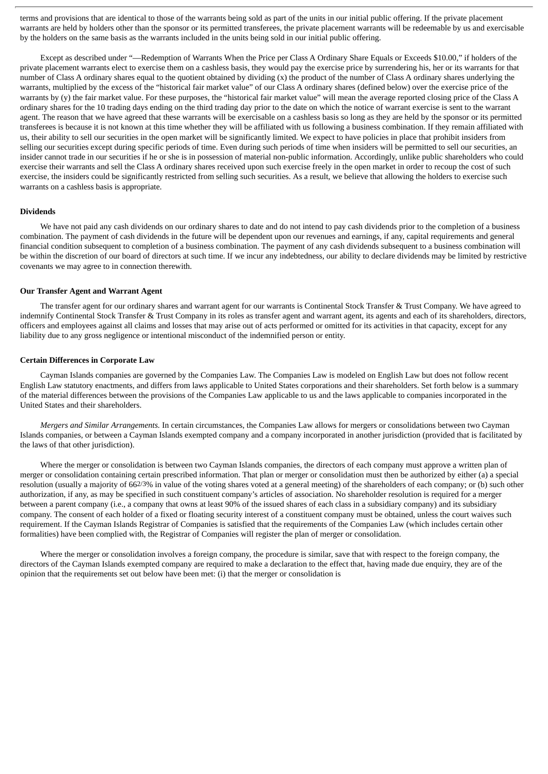terms and provisions that are identical to those of the warrants being sold as part of the units in our initial public offering. If the private placement warrants are held by holders other than the sponsor or its permitted transferees, the private placement warrants will be redeemable by us and exercisable by the holders on the same basis as the warrants included in the units being sold in our initial public offering.

Except as described under "—Redemption of Warrants When the Price per Class A Ordinary Share Equals or Exceeds \$10.00," if holders of the private placement warrants elect to exercise them on a cashless basis, they would pay the exercise price by surrendering his, her or its warrants for that number of Class A ordinary shares equal to the quotient obtained by dividing (x) the product of the number of Class A ordinary shares underlying the warrants, multiplied by the excess of the "historical fair market value" of our Class A ordinary shares (defined below) over the exercise price of the warrants by (y) the fair market value. For these purposes, the "historical fair market value" will mean the average reported closing price of the Class A ordinary shares for the 10 trading days ending on the third trading day prior to the date on which the notice of warrant exercise is sent to the warrant agent. The reason that we have agreed that these warrants will be exercisable on a cashless basis so long as they are held by the sponsor or its permitted transferees is because it is not known at this time whether they will be affiliated with us following a business combination. If they remain affiliated with us, their ability to sell our securities in the open market will be significantly limited. We expect to have policies in place that prohibit insiders from selling our securities except during specific periods of time. Even during such periods of time when insiders will be permitted to sell our securities, an insider cannot trade in our securities if he or she is in possession of material non-public information. Accordingly, unlike public shareholders who could exercise their warrants and sell the Class A ordinary shares received upon such exercise freely in the open market in order to recoup the cost of such exercise, the insiders could be significantly restricted from selling such securities. As a result, we believe that allowing the holders to exercise such warrants on a cashless basis is appropriate.

# **Dividends**

We have not paid any cash dividends on our ordinary shares to date and do not intend to pay cash dividends prior to the completion of a business combination. The payment of cash dividends in the future will be dependent upon our revenues and earnings, if any, capital requirements and general financial condition subsequent to completion of a business combination. The payment of any cash dividends subsequent to a business combination will be within the discretion of our board of directors at such time. If we incur any indebtedness, our ability to declare dividends may be limited by restrictive covenants we may agree to in connection therewith.

#### **Our Transfer Agent and Warrant Agent**

The transfer agent for our ordinary shares and warrant agent for our warrants is Continental Stock Transfer & Trust Company. We have agreed to indemnify Continental Stock Transfer & Trust Company in its roles as transfer agent and warrant agent, its agents and each of its shareholders, directors, officers and employees against all claims and losses that may arise out of acts performed or omitted for its activities in that capacity, except for any liability due to any gross negligence or intentional misconduct of the indemnified person or entity.

#### **Certain Differences in Corporate Law**

Cayman Islands companies are governed by the Companies Law. The Companies Law is modeled on English Law but does not follow recent English Law statutory enactments, and differs from laws applicable to United States corporations and their shareholders. Set forth below is a summary of the material differences between the provisions of the Companies Law applicable to us and the laws applicable to companies incorporated in the United States and their shareholders.

*Mergers and Similar Arrangements.* In certain circumstances, the Companies Law allows for mergers or consolidations between two Cayman Islands companies, or between a Cayman Islands exempted company and a company incorporated in another jurisdiction (provided that is facilitated by the laws of that other jurisdiction).

Where the merger or consolidation is between two Cayman Islands companies, the directors of each company must approve a written plan of merger or consolidation containing certain prescribed information. That plan or merger or consolidation must then be authorized by either (a) a special resolution (usually a majority of 662/3% in value of the voting shares voted at a general meeting) of the shareholders of each company; or (b) such other authorization, if any, as may be specified in such constituent company's articles of association. No shareholder resolution is required for a merger between a parent company (i.e., a company that owns at least 90% of the issued shares of each class in a subsidiary company) and its subsidiary company. The consent of each holder of a fixed or floating security interest of a constituent company must be obtained, unless the court waives such requirement. If the Cayman Islands Registrar of Companies is satisfied that the requirements of the Companies Law (which includes certain other formalities) have been complied with, the Registrar of Companies will register the plan of merger or consolidation.

Where the merger or consolidation involves a foreign company, the procedure is similar, save that with respect to the foreign company, the directors of the Cayman Islands exempted company are required to make a declaration to the effect that, having made due enquiry, they are of the opinion that the requirements set out below have been met: (i) that the merger or consolidation is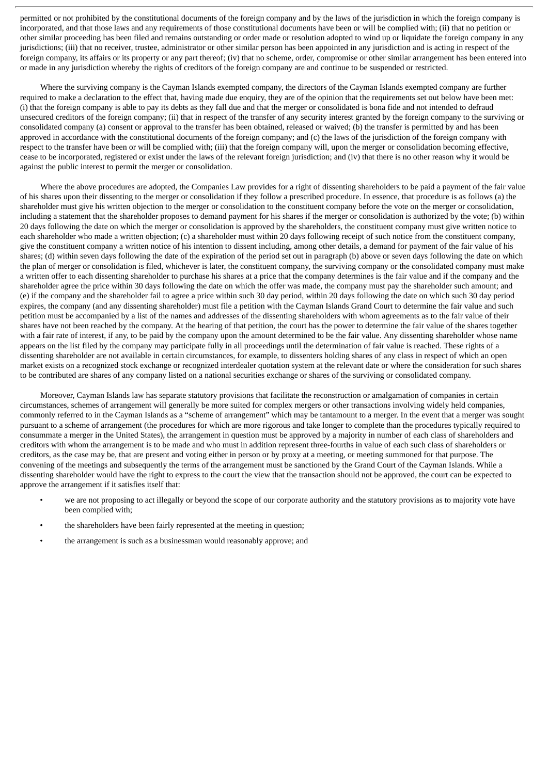permitted or not prohibited by the constitutional documents of the foreign company and by the laws of the jurisdiction in which the foreign company is incorporated, and that those laws and any requirements of those constitutional documents have been or will be complied with; (ii) that no petition or other similar proceeding has been filed and remains outstanding or order made or resolution adopted to wind up or liquidate the foreign company in any jurisdictions; (iii) that no receiver, trustee, administrator or other similar person has been appointed in any jurisdiction and is acting in respect of the foreign company, its affairs or its property or any part thereof; (iv) that no scheme, order, compromise or other similar arrangement has been entered into or made in any jurisdiction whereby the rights of creditors of the foreign company are and continue to be suspended or restricted.

Where the surviving company is the Cayman Islands exempted company, the directors of the Cayman Islands exempted company are further required to make a declaration to the effect that, having made due enquiry, they are of the opinion that the requirements set out below have been met: (i) that the foreign company is able to pay its debts as they fall due and that the merger or consolidated is bona fide and not intended to defraud unsecured creditors of the foreign company; (ii) that in respect of the transfer of any security interest granted by the foreign company to the surviving or consolidated company (a) consent or approval to the transfer has been obtained, released or waived; (b) the transfer is permitted by and has been approved in accordance with the constitutional documents of the foreign company; and (c) the laws of the jurisdiction of the foreign company with respect to the transfer have been or will be complied with; (iii) that the foreign company will, upon the merger or consolidation becoming effective, cease to be incorporated, registered or exist under the laws of the relevant foreign jurisdiction; and (iv) that there is no other reason why it would be against the public interest to permit the merger or consolidation.

Where the above procedures are adopted, the Companies Law provides for a right of dissenting shareholders to be paid a payment of the fair value of his shares upon their dissenting to the merger or consolidation if they follow a prescribed procedure. In essence, that procedure is as follows (a) the shareholder must give his written objection to the merger or consolidation to the constituent company before the vote on the merger or consolidation, including a statement that the shareholder proposes to demand payment for his shares if the merger or consolidation is authorized by the vote; (b) within 20 days following the date on which the merger or consolidation is approved by the shareholders, the constituent company must give written notice to each shareholder who made a written objection; (c) a shareholder must within 20 days following receipt of such notice from the constituent company, give the constituent company a written notice of his intention to dissent including, among other details, a demand for payment of the fair value of his shares; (d) within seven days following the date of the expiration of the period set out in paragraph (b) above or seven days following the date on which the plan of merger or consolidation is filed, whichever is later, the constituent company, the surviving company or the consolidated company must make a written offer to each dissenting shareholder to purchase his shares at a price that the company determines is the fair value and if the company and the shareholder agree the price within 30 days following the date on which the offer was made, the company must pay the shareholder such amount; and (e) if the company and the shareholder fail to agree a price within such 30 day period, within 20 days following the date on which such 30 day period expires, the company (and any dissenting shareholder) must file a petition with the Cayman Islands Grand Court to determine the fair value and such petition must be accompanied by a list of the names and addresses of the dissenting shareholders with whom agreements as to the fair value of their shares have not been reached by the company. At the hearing of that petition, the court has the power to determine the fair value of the shares together with a fair rate of interest, if any, to be paid by the company upon the amount determined to be the fair value. Any dissenting shareholder whose name appears on the list filed by the company may participate fully in all proceedings until the determination of fair value is reached. These rights of a dissenting shareholder are not available in certain circumstances, for example, to dissenters holding shares of any class in respect of which an open market exists on a recognized stock exchange or recognized interdealer quotation system at the relevant date or where the consideration for such shares to be contributed are shares of any company listed on a national securities exchange or shares of the surviving or consolidated company.

Moreover, Cayman Islands law has separate statutory provisions that facilitate the reconstruction or amalgamation of companies in certain circumstances, schemes of arrangement will generally be more suited for complex mergers or other transactions involving widely held companies, commonly referred to in the Cayman Islands as a "scheme of arrangement" which may be tantamount to a merger. In the event that a merger was sought pursuant to a scheme of arrangement (the procedures for which are more rigorous and take longer to complete than the procedures typically required to consummate a merger in the United States), the arrangement in question must be approved by a majority in number of each class of shareholders and creditors with whom the arrangement is to be made and who must in addition represent three-fourths in value of each such class of shareholders or creditors, as the case may be, that are present and voting either in person or by proxy at a meeting, or meeting summoned for that purpose. The convening of the meetings and subsequently the terms of the arrangement must be sanctioned by the Grand Court of the Cayman Islands. While a dissenting shareholder would have the right to express to the court the view that the transaction should not be approved, the court can be expected to approve the arrangement if it satisfies itself that:

- we are not proposing to act illegally or beyond the scope of our corporate authority and the statutory provisions as to majority vote have been complied with;
- the shareholders have been fairly represented at the meeting in question;
- the arrangement is such as a businessman would reasonably approve; and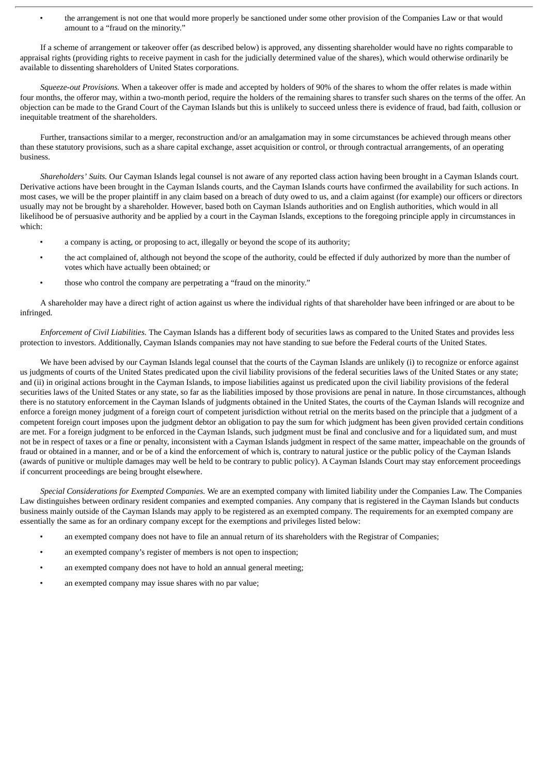• the arrangement is not one that would more properly be sanctioned under some other provision of the Companies Law or that would amount to a "fraud on the minority."

If a scheme of arrangement or takeover offer (as described below) is approved, any dissenting shareholder would have no rights comparable to appraisal rights (providing rights to receive payment in cash for the judicially determined value of the shares), which would otherwise ordinarily be available to dissenting shareholders of United States corporations.

*Squeeze-out Provisions.* When a takeover offer is made and accepted by holders of 90% of the shares to whom the offer relates is made within four months, the offeror may, within a two-month period, require the holders of the remaining shares to transfer such shares on the terms of the offer. An objection can be made to the Grand Court of the Cayman Islands but this is unlikely to succeed unless there is evidence of fraud, bad faith, collusion or inequitable treatment of the shareholders.

Further, transactions similar to a merger, reconstruction and/or an amalgamation may in some circumstances be achieved through means other than these statutory provisions, such as a share capital exchange, asset acquisition or control, or through contractual arrangements, of an operating business.

*Shareholders' Suits.* Our Cayman Islands legal counsel is not aware of any reported class action having been brought in a Cayman Islands court. Derivative actions have been brought in the Cayman Islands courts, and the Cayman Islands courts have confirmed the availability for such actions. In most cases, we will be the proper plaintiff in any claim based on a breach of duty owed to us, and a claim against (for example) our officers or directors usually may not be brought by a shareholder. However, based both on Cayman Islands authorities and on English authorities, which would in all likelihood be of persuasive authority and be applied by a court in the Cayman Islands, exceptions to the foregoing principle apply in circumstances in which:

- a company is acting, or proposing to act, illegally or beyond the scope of its authority;
- the act complained of, although not beyond the scope of the authority, could be effected if duly authorized by more than the number of votes which have actually been obtained; or
- those who control the company are perpetrating a "fraud on the minority."

A shareholder may have a direct right of action against us where the individual rights of that shareholder have been infringed or are about to be infringed.

*Enforcement of Civil Liabilities.* The Cayman Islands has a different body of securities laws as compared to the United States and provides less protection to investors. Additionally, Cayman Islands companies may not have standing to sue before the Federal courts of the United States.

We have been advised by our Cayman Islands legal counsel that the courts of the Cayman Islands are unlikely (i) to recognize or enforce against us judgments of courts of the United States predicated upon the civil liability provisions of the federal securities laws of the United States or any state; and (ii) in original actions brought in the Cayman Islands, to impose liabilities against us predicated upon the civil liability provisions of the federal securities laws of the United States or any state, so far as the liabilities imposed by those provisions are penal in nature. In those circumstances, although there is no statutory enforcement in the Cayman Islands of judgments obtained in the United States, the courts of the Cayman Islands will recognize and enforce a foreign money judgment of a foreign court of competent jurisdiction without retrial on the merits based on the principle that a judgment of a competent foreign court imposes upon the judgment debtor an obligation to pay the sum for which judgment has been given provided certain conditions are met. For a foreign judgment to be enforced in the Cayman Islands, such judgment must be final and conclusive and for a liquidated sum, and must not be in respect of taxes or a fine or penalty, inconsistent with a Cayman Islands judgment in respect of the same matter, impeachable on the grounds of fraud or obtained in a manner, and or be of a kind the enforcement of which is, contrary to natural justice or the public policy of the Cayman Islands (awards of punitive or multiple damages may well be held to be contrary to public policy). A Cayman Islands Court may stay enforcement proceedings if concurrent proceedings are being brought elsewhere.

*Special Considerations for Exempted Companies.* We are an exempted company with limited liability under the Companies Law. The Companies Law distinguishes between ordinary resident companies and exempted companies. Any company that is registered in the Cayman Islands but conducts business mainly outside of the Cayman Islands may apply to be registered as an exempted company. The requirements for an exempted company are essentially the same as for an ordinary company except for the exemptions and privileges listed below:

- an exempted company does not have to file an annual return of its shareholders with the Registrar of Companies;
- an exempted company's register of members is not open to inspection;
- an exempted company does not have to hold an annual general meeting;
- an exempted company may issue shares with no par value;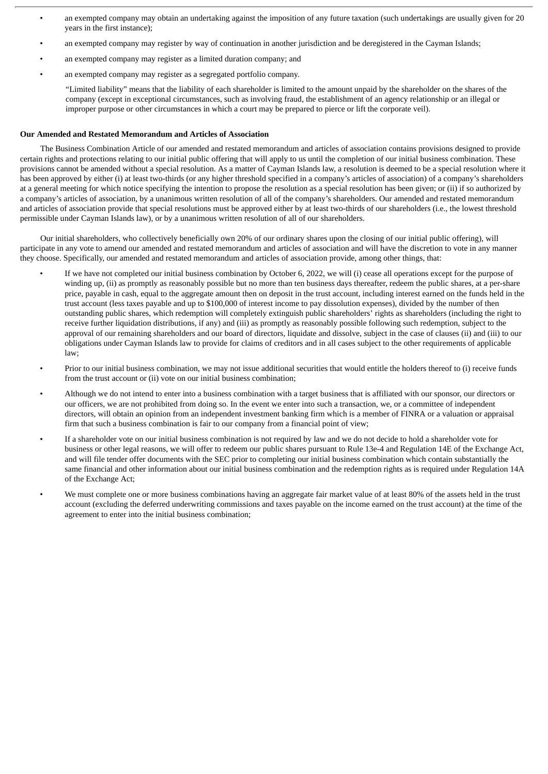- an exempted company may obtain an undertaking against the imposition of any future taxation (such undertakings are usually given for 20 years in the first instance);
- an exempted company may register by way of continuation in another jurisdiction and be deregistered in the Cayman Islands;
- an exempted company may register as a limited duration company; and
- an exempted company may register as a segregated portfolio company.

"Limited liability" means that the liability of each shareholder is limited to the amount unpaid by the shareholder on the shares of the company (except in exceptional circumstances, such as involving fraud, the establishment of an agency relationship or an illegal or improper purpose or other circumstances in which a court may be prepared to pierce or lift the corporate veil).

### **Our Amended and Restated Memorandum and Articles of Association**

The Business Combination Article of our amended and restated memorandum and articles of association contains provisions designed to provide certain rights and protections relating to our initial public offering that will apply to us until the completion of our initial business combination. These provisions cannot be amended without a special resolution. As a matter of Cayman Islands law, a resolution is deemed to be a special resolution where it has been approved by either (i) at least two-thirds (or any higher threshold specified in a company's articles of association) of a company's shareholders at a general meeting for which notice specifying the intention to propose the resolution as a special resolution has been given; or (ii) if so authorized by a company's articles of association, by a unanimous written resolution of all of the company's shareholders. Our amended and restated memorandum and articles of association provide that special resolutions must be approved either by at least two-thirds of our shareholders (i.e., the lowest threshold permissible under Cayman Islands law), or by a unanimous written resolution of all of our shareholders.

Our initial shareholders, who collectively beneficially own 20% of our ordinary shares upon the closing of our initial public offering), will participate in any vote to amend our amended and restated memorandum and articles of association and will have the discretion to vote in any manner they choose. Specifically, our amended and restated memorandum and articles of association provide, among other things, that:

- If we have not completed our initial business combination by October 6, 2022, we will (i) cease all operations except for the purpose of winding up, (ii) as promptly as reasonably possible but no more than ten business days thereafter, redeem the public shares, at a per-share price, payable in cash, equal to the aggregate amount then on deposit in the trust account, including interest earned on the funds held in the trust account (less taxes payable and up to \$100,000 of interest income to pay dissolution expenses), divided by the number of then outstanding public shares, which redemption will completely extinguish public shareholders' rights as shareholders (including the right to receive further liquidation distributions, if any) and (iii) as promptly as reasonably possible following such redemption, subject to the approval of our remaining shareholders and our board of directors, liquidate and dissolve, subject in the case of clauses (ii) and (iii) to our obligations under Cayman Islands law to provide for claims of creditors and in all cases subject to the other requirements of applicable law;
- Prior to our initial business combination, we may not issue additional securities that would entitle the holders thereof to (i) receive funds from the trust account or (ii) vote on our initial business combination;
- Although we do not intend to enter into a business combination with a target business that is affiliated with our sponsor, our directors or our officers, we are not prohibited from doing so. In the event we enter into such a transaction, we, or a committee of independent directors, will obtain an opinion from an independent investment banking firm which is a member of FINRA or a valuation or appraisal firm that such a business combination is fair to our company from a financial point of view;
- If a shareholder vote on our initial business combination is not required by law and we do not decide to hold a shareholder vote for business or other legal reasons, we will offer to redeem our public shares pursuant to Rule 13e-4 and Regulation 14E of the Exchange Act, and will file tender offer documents with the SEC prior to completing our initial business combination which contain substantially the same financial and other information about our initial business combination and the redemption rights as is required under Regulation 14A of the Exchange Act;
- We must complete one or more business combinations having an aggregate fair market value of at least 80% of the assets held in the trust account (excluding the deferred underwriting commissions and taxes payable on the income earned on the trust account) at the time of the agreement to enter into the initial business combination;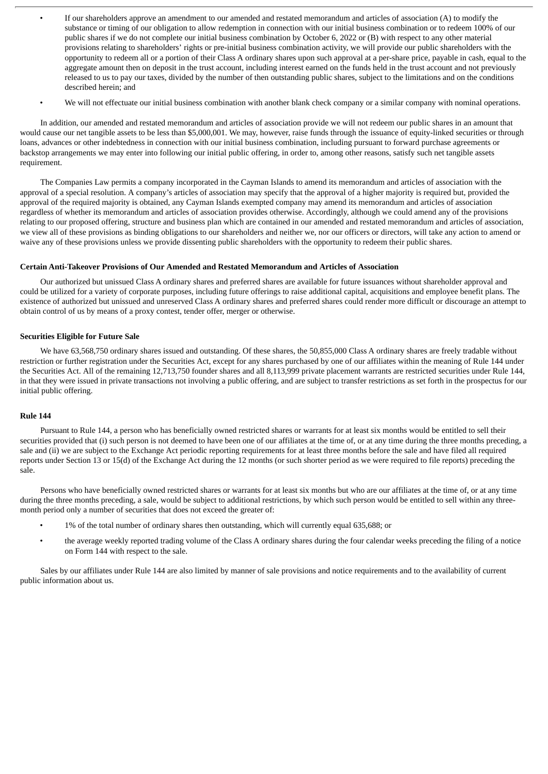- If our shareholders approve an amendment to our amended and restated memorandum and articles of association (A) to modify the substance or timing of our obligation to allow redemption in connection with our initial business combination or to redeem 100% of our public shares if we do not complete our initial business combination by October 6, 2022 or (B) with respect to any other material provisions relating to shareholders' rights or pre-initial business combination activity, we will provide our public shareholders with the opportunity to redeem all or a portion of their Class A ordinary shares upon such approval at a per-share price, payable in cash, equal to the aggregate amount then on deposit in the trust account, including interest earned on the funds held in the trust account and not previously released to us to pay our taxes, divided by the number of then outstanding public shares, subject to the limitations and on the conditions described herein; and
- We will not effectuate our initial business combination with another blank check company or a similar company with nominal operations.

In addition, our amended and restated memorandum and articles of association provide we will not redeem our public shares in an amount that would cause our net tangible assets to be less than \$5,000,001. We may, however, raise funds through the issuance of equity-linked securities or through loans, advances or other indebtedness in connection with our initial business combination, including pursuant to forward purchase agreements or backstop arrangements we may enter into following our initial public offering, in order to, among other reasons, satisfy such net tangible assets requirement.

The Companies Law permits a company incorporated in the Cayman Islands to amend its memorandum and articles of association with the approval of a special resolution. A company's articles of association may specify that the approval of a higher majority is required but, provided the approval of the required majority is obtained, any Cayman Islands exempted company may amend its memorandum and articles of association regardless of whether its memorandum and articles of association provides otherwise. Accordingly, although we could amend any of the provisions relating to our proposed offering, structure and business plan which are contained in our amended and restated memorandum and articles of association, we view all of these provisions as binding obligations to our shareholders and neither we, nor our officers or directors, will take any action to amend or waive any of these provisions unless we provide dissenting public shareholders with the opportunity to redeem their public shares.

# **Certain Anti-Takeover Provisions of Our Amended and Restated Memorandum and Articles of Association**

Our authorized but unissued Class A ordinary shares and preferred shares are available for future issuances without shareholder approval and could be utilized for a variety of corporate purposes, including future offerings to raise additional capital, acquisitions and employee benefit plans. The existence of authorized but unissued and unreserved Class A ordinary shares and preferred shares could render more difficult or discourage an attempt to obtain control of us by means of a proxy contest, tender offer, merger or otherwise.

# **Securities Eligible for Future Sale**

We have 63,568,750 ordinary shares issued and outstanding. Of these shares, the 50,855,000 Class A ordinary shares are freely tradable without restriction or further registration under the Securities Act, except for any shares purchased by one of our affiliates within the meaning of Rule 144 under the Securities Act. All of the remaining 12,713,750 founder shares and all 8,113,999 private placement warrants are restricted securities under Rule 144, in that they were issued in private transactions not involving a public offering, and are subject to transfer restrictions as set forth in the prospectus for our initial public offering.

### **Rule 144**

Pursuant to Rule 144, a person who has beneficially owned restricted shares or warrants for at least six months would be entitled to sell their securities provided that (i) such person is not deemed to have been one of our affiliates at the time of, or at any time during the three months preceding, a sale and (ii) we are subject to the Exchange Act periodic reporting requirements for at least three months before the sale and have filed all required reports under Section 13 or 15(d) of the Exchange Act during the 12 months (or such shorter period as we were required to file reports) preceding the sale.

Persons who have beneficially owned restricted shares or warrants for at least six months but who are our affiliates at the time of, or at any time during the three months preceding, a sale, would be subject to additional restrictions, by which such person would be entitled to sell within any threemonth period only a number of securities that does not exceed the greater of:

- 1% of the total number of ordinary shares then outstanding, which will currently equal 635,688; or
- the average weekly reported trading volume of the Class A ordinary shares during the four calendar weeks preceding the filing of a notice on Form 144 with respect to the sale.

Sales by our affiliates under Rule 144 are also limited by manner of sale provisions and notice requirements and to the availability of current public information about us.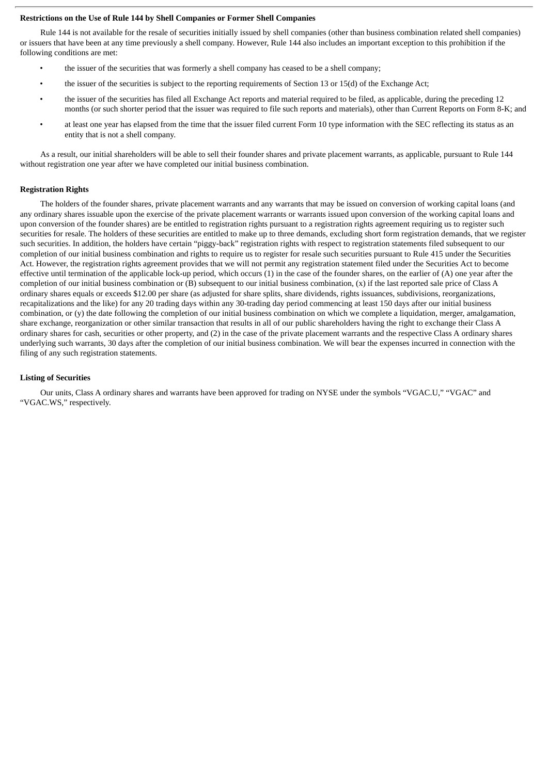#### **Restrictions on the Use of Rule 144 by Shell Companies or Former Shell Companies**

Rule 144 is not available for the resale of securities initially issued by shell companies (other than business combination related shell companies) or issuers that have been at any time previously a shell company. However, Rule 144 also includes an important exception to this prohibition if the following conditions are met:

- the issuer of the securities that was formerly a shell company has ceased to be a shell company;
- the issuer of the securities is subject to the reporting requirements of Section 13 or 15(d) of the Exchange Act;
- the issuer of the securities has filed all Exchange Act reports and material required to be filed, as applicable, during the preceding 12 months (or such shorter period that the issuer was required to file such reports and materials), other than Current Reports on Form 8-K; and
- at least one year has elapsed from the time that the issuer filed current Form 10 type information with the SEC reflecting its status as an entity that is not a shell company.

As a result, our initial shareholders will be able to sell their founder shares and private placement warrants, as applicable, pursuant to Rule 144 without registration one year after we have completed our initial business combination.

#### **Registration Rights**

The holders of the founder shares, private placement warrants and any warrants that may be issued on conversion of working capital loans (and any ordinary shares issuable upon the exercise of the private placement warrants or warrants issued upon conversion of the working capital loans and upon conversion of the founder shares) are be entitled to registration rights pursuant to a registration rights agreement requiring us to register such securities for resale. The holders of these securities are entitled to make up to three demands, excluding short form registration demands, that we register such securities. In addition, the holders have certain "piggy-back" registration rights with respect to registration statements filed subsequent to our completion of our initial business combination and rights to require us to register for resale such securities pursuant to Rule 415 under the Securities Act. However, the registration rights agreement provides that we will not permit any registration statement filed under the Securities Act to become effective until termination of the applicable lock-up period, which occurs  $(1)$  in the case of the founder shares, on the earlier of  $(A)$  one year after the completion of our initial business combination or (B) subsequent to our initial business combination, (x) if the last reported sale price of Class A ordinary shares equals or exceeds \$12.00 per share (as adjusted for share splits, share dividends, rights issuances, subdivisions, reorganizations, recapitalizations and the like) for any 20 trading days within any 30-trading day period commencing at least 150 days after our initial business combination, or (y) the date following the completion of our initial business combination on which we complete a liquidation, merger, amalgamation, share exchange, reorganization or other similar transaction that results in all of our public shareholders having the right to exchange their Class A ordinary shares for cash, securities or other property, and (2) in the case of the private placement warrants and the respective Class A ordinary shares underlying such warrants, 30 days after the completion of our initial business combination. We will bear the expenses incurred in connection with the filing of any such registration statements.

#### **Listing of Securities**

Our units, Class A ordinary shares and warrants have been approved for trading on NYSE under the symbols "VGAC.U," "VGAC" and "VGAC.WS," respectively.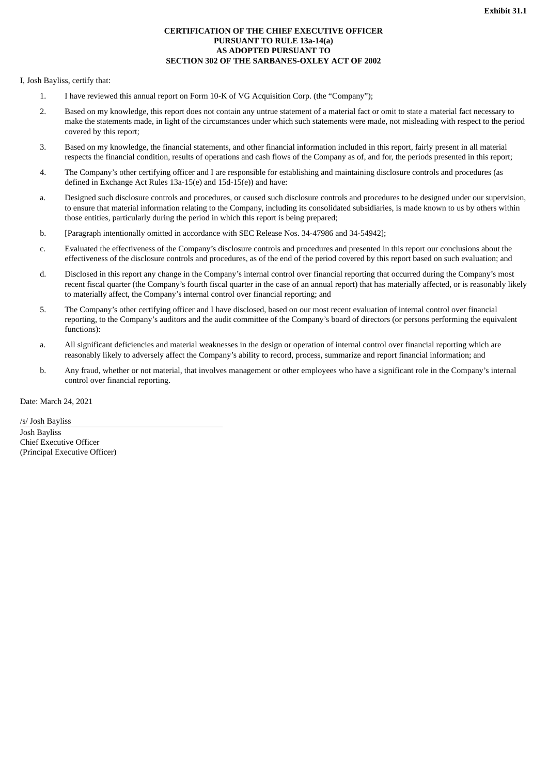# **CERTIFICATION OF THE CHIEF EXECUTIVE OFFICER PURSUANT TO RULE 13a-14(a) AS ADOPTED PURSUANT TO SECTION 302 OF THE SARBANES-OXLEY ACT OF 2002**

I, Josh Bayliss, certify that:

- 1. I have reviewed this annual report on Form 10-K of VG Acquisition Corp. (the "Company");
- 2. Based on my knowledge, this report does not contain any untrue statement of a material fact or omit to state a material fact necessary to make the statements made, in light of the circumstances under which such statements were made, not misleading with respect to the period covered by this report;
- 3. Based on my knowledge, the financial statements, and other financial information included in this report, fairly present in all material respects the financial condition, results of operations and cash flows of the Company as of, and for, the periods presented in this report;
- 4. The Company's other certifying officer and I are responsible for establishing and maintaining disclosure controls and procedures (as defined in Exchange Act Rules 13a-15(e) and 15d-15(e)) and have:
- a. Designed such disclosure controls and procedures, or caused such disclosure controls and procedures to be designed under our supervision, to ensure that material information relating to the Company, including its consolidated subsidiaries, is made known to us by others within those entities, particularly during the period in which this report is being prepared;
- b. [Paragraph intentionally omitted in accordance with SEC Release Nos. 34-47986 and 34-54942];
- c. Evaluated the effectiveness of the Company's disclosure controls and procedures and presented in this report our conclusions about the effectiveness of the disclosure controls and procedures, as of the end of the period covered by this report based on such evaluation; and
- d. Disclosed in this report any change in the Company's internal control over financial reporting that occurred during the Company's most recent fiscal quarter (the Company's fourth fiscal quarter in the case of an annual report) that has materially affected, or is reasonably likely to materially affect, the Company's internal control over financial reporting; and
- 5. The Company's other certifying officer and I have disclosed, based on our most recent evaluation of internal control over financial reporting, to the Company's auditors and the audit committee of the Company's board of directors (or persons performing the equivalent functions):
- a. All significant deficiencies and material weaknesses in the design or operation of internal control over financial reporting which are reasonably likely to adversely affect the Company's ability to record, process, summarize and report financial information; and
- b. Any fraud, whether or not material, that involves management or other employees who have a significant role in the Company's internal control over financial reporting.

Date: March 24, 2021

/s/ Josh Bayliss Josh Bayliss Chief Executive Officer (Principal Executive Officer)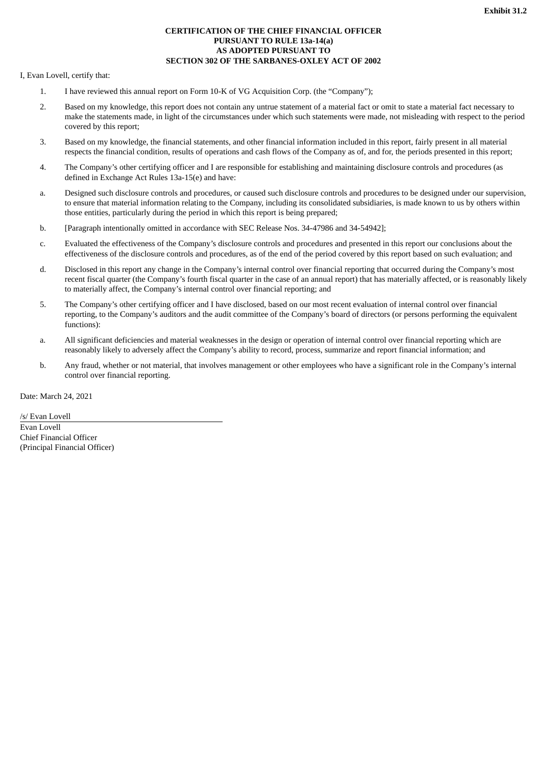# **CERTIFICATION OF THE CHIEF FINANCIAL OFFICER PURSUANT TO RULE 13a-14(a) AS ADOPTED PURSUANT TO SECTION 302 OF THE SARBANES-OXLEY ACT OF 2002**

I, Evan Lovell, certify that:

- 1. I have reviewed this annual report on Form 10-K of VG Acquisition Corp. (the "Company");
- 2. Based on my knowledge, this report does not contain any untrue statement of a material fact or omit to state a material fact necessary to make the statements made, in light of the circumstances under which such statements were made, not misleading with respect to the period covered by this report;
- 3. Based on my knowledge, the financial statements, and other financial information included in this report, fairly present in all material respects the financial condition, results of operations and cash flows of the Company as of, and for, the periods presented in this report;
- 4. The Company's other certifying officer and I are responsible for establishing and maintaining disclosure controls and procedures (as defined in Exchange Act Rules 13a-15(e) and have:
- a. Designed such disclosure controls and procedures, or caused such disclosure controls and procedures to be designed under our supervision, to ensure that material information relating to the Company, including its consolidated subsidiaries, is made known to us by others within those entities, particularly during the period in which this report is being prepared;
- b. [Paragraph intentionally omitted in accordance with SEC Release Nos. 34-47986 and 34-54942];
- c. Evaluated the effectiveness of the Company's disclosure controls and procedures and presented in this report our conclusions about the effectiveness of the disclosure controls and procedures, as of the end of the period covered by this report based on such evaluation; and
- d. Disclosed in this report any change in the Company's internal control over financial reporting that occurred during the Company's most recent fiscal quarter (the Company's fourth fiscal quarter in the case of an annual report) that has materially affected, or is reasonably likely to materially affect, the Company's internal control over financial reporting; and
- 5. The Company's other certifying officer and I have disclosed, based on our most recent evaluation of internal control over financial reporting, to the Company's auditors and the audit committee of the Company's board of directors (or persons performing the equivalent functions):
- a. All significant deficiencies and material weaknesses in the design or operation of internal control over financial reporting which are reasonably likely to adversely affect the Company's ability to record, process, summarize and report financial information; and
- b. Any fraud, whether or not material, that involves management or other employees who have a significant role in the Company's internal control over financial reporting.

Date: March 24, 2021

/s/ Evan Lovell Evan Lovell Chief Financial Officer (Principal Financial Officer)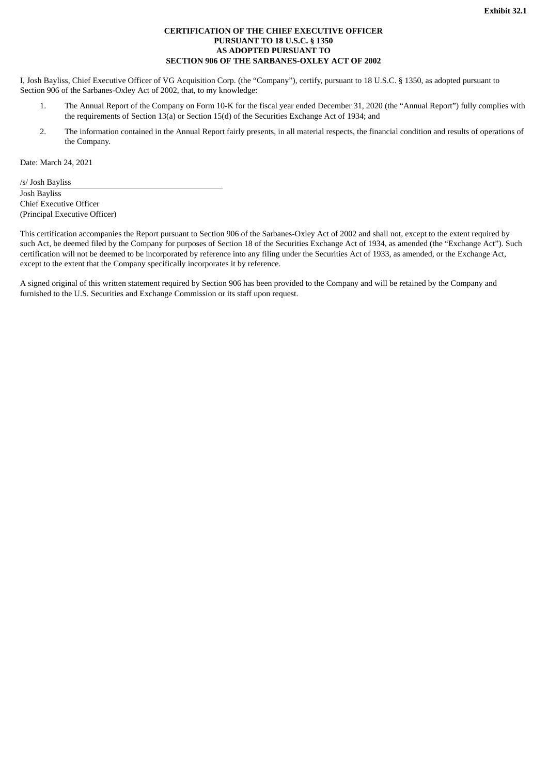# **CERTIFICATION OF THE CHIEF EXECUTIVE OFFICER PURSUANT TO 18 U.S.C. § 1350 AS ADOPTED PURSUANT TO SECTION 906 OF THE SARBANES-OXLEY ACT OF 2002**

I, Josh Bayliss, Chief Executive Officer of VG Acquisition Corp. (the "Company"), certify, pursuant to 18 U.S.C. § 1350, as adopted pursuant to Section 906 of the Sarbanes-Oxley Act of 2002, that, to my knowledge:

- 1. The Annual Report of the Company on Form 10-K for the fiscal year ended December 31, 2020 (the "Annual Report") fully complies with the requirements of Section 13(a) or Section 15(d) of the Securities Exchange Act of 1934; and
- 2. The information contained in the Annual Report fairly presents, in all material respects, the financial condition and results of operations of the Company.

Date: March 24, 2021

/s/ Josh Bayliss Josh Bayliss Chief Executive Officer (Principal Executive Officer)

This certification accompanies the Report pursuant to Section 906 of the Sarbanes-Oxley Act of 2002 and shall not, except to the extent required by such Act, be deemed filed by the Company for purposes of Section 18 of the Securities Exchange Act of 1934, as amended (the "Exchange Act"). Such certification will not be deemed to be incorporated by reference into any filing under the Securities Act of 1933, as amended, or the Exchange Act, except to the extent that the Company specifically incorporates it by reference.

A signed original of this written statement required by Section 906 has been provided to the Company and will be retained by the Company and furnished to the U.S. Securities and Exchange Commission or its staff upon request.